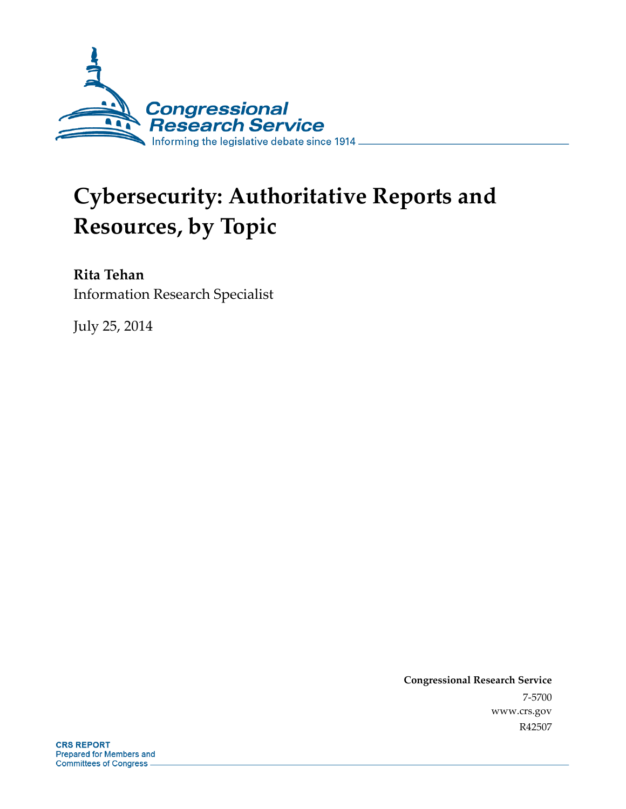

# **Cybersecurity: Authoritative Reports and Resources, by Topic**

## **Rita Tehan**

Information Research Specialist

July 25, 2014

**Congressional Research Service**  7-5700 www.crs.gov R42507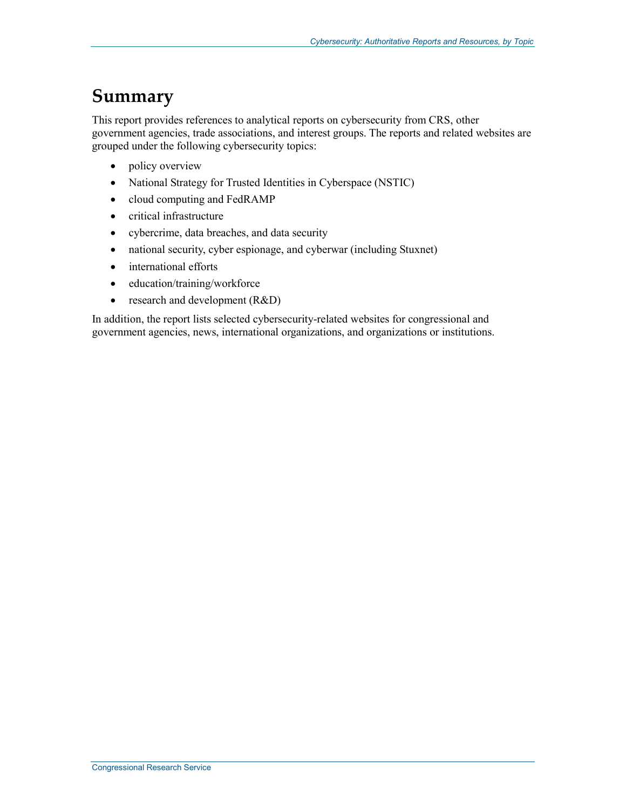## **Summary**

This report provides references to analytical reports on cybersecurity from CRS, other government agencies, trade associations, and interest groups. The reports and related websites are grouped under the following cybersecurity topics:

- policy overview
- National Strategy for Trusted Identities in Cyberspace (NSTIC)
- cloud computing and FedRAMP
- critical infrastructure
- cybercrime, data breaches, and data security
- national security, cyber espionage, and cyberwar (including Stuxnet)
- international efforts
- education/training/workforce
- research and development (R&D)

In addition, the report lists selected cybersecurity-related websites for congressional and government agencies, news, international organizations, and organizations or institutions.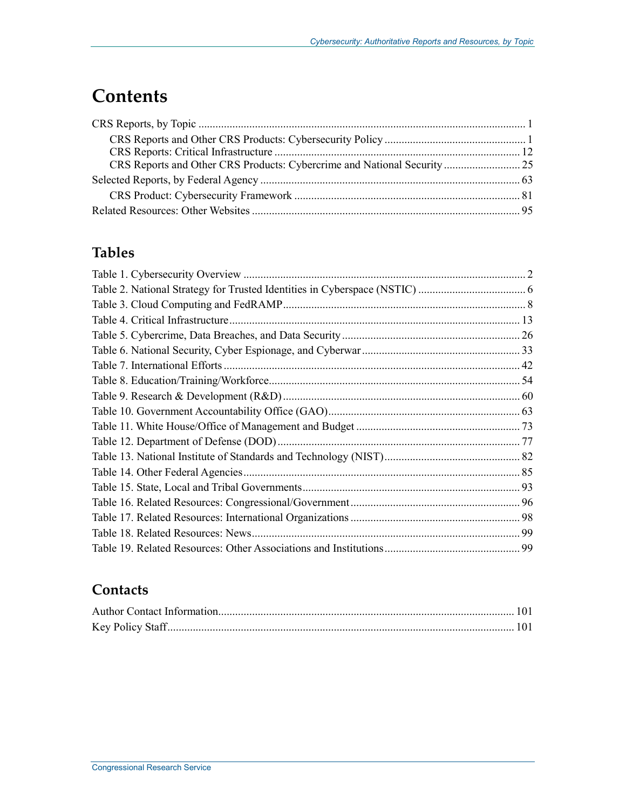## **Contents**

## **Tables**

### **Contacts**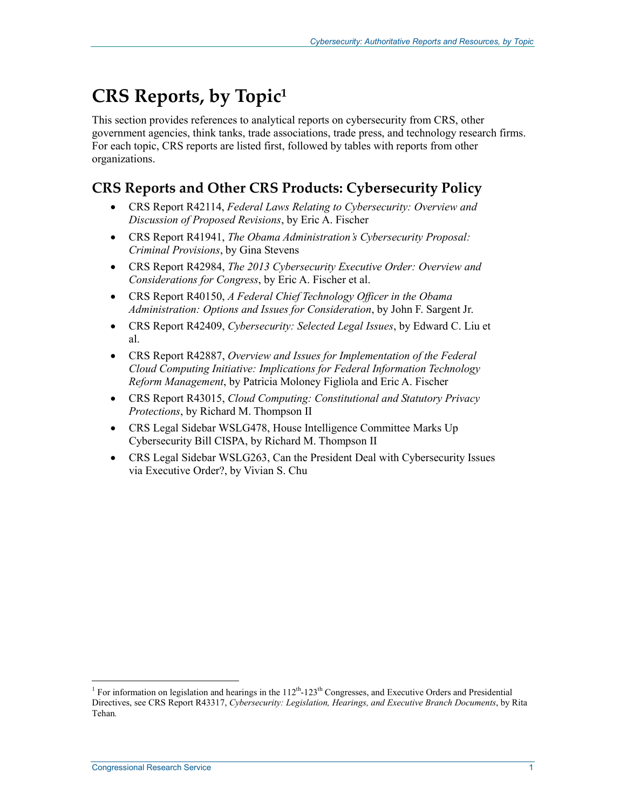## **CRS Reports, by Topic1**

This section provides references to analytical reports on cybersecurity from CRS, other government agencies, think tanks, trade associations, trade press, and technology research firms. For each topic, CRS reports are listed first, followed by tables with reports from other organizations.

## **CRS Reports and Other CRS Products: Cybersecurity Policy**

- CRS Report R42114, *Federal Laws Relating to Cybersecurity: Overview and Discussion of Proposed Revisions*, by Eric A. Fischer
- CRS Report R41941, *The Obama Administration's Cybersecurity Proposal: Criminal Provisions*, by Gina Stevens
- CRS Report R42984, *The 2013 Cybersecurity Executive Order: Overview and Considerations for Congress*, by Eric A. Fischer et al.
- CRS Report R40150, *A Federal Chief Technology Officer in the Obama Administration: Options and Issues for Consideration*, by John F. Sargent Jr.
- CRS Report R42409, *Cybersecurity: Selected Legal Issues*, by Edward C. Liu et al.
- CRS Report R42887, *Overview and Issues for Implementation of the Federal Cloud Computing Initiative: Implications for Federal Information Technology Reform Management*, by Patricia Moloney Figliola and Eric A. Fischer
- CRS Report R43015, *Cloud Computing: Constitutional and Statutory Privacy Protections*, by Richard M. Thompson II
- CRS Legal Sidebar WSLG478, House Intelligence Committee Marks Up Cybersecurity Bill CISPA, by Richard M. Thompson II
- CRS Legal Sidebar WSLG263, Can the President Deal with Cybersecurity Issues via Executive Order?, by Vivian S. Chu

<sup>&</sup>lt;sup>1</sup> For information on legislation and hearings in the 112<sup>th</sup>-123<sup>th</sup> Congresses, and Executive Orders and Presidential <sup>1</sup> Directives, see CRS Report R43317, *Cybersecurity: Legislation, Hearings, and Executive Branch Documents*, by Rita Tehan*.*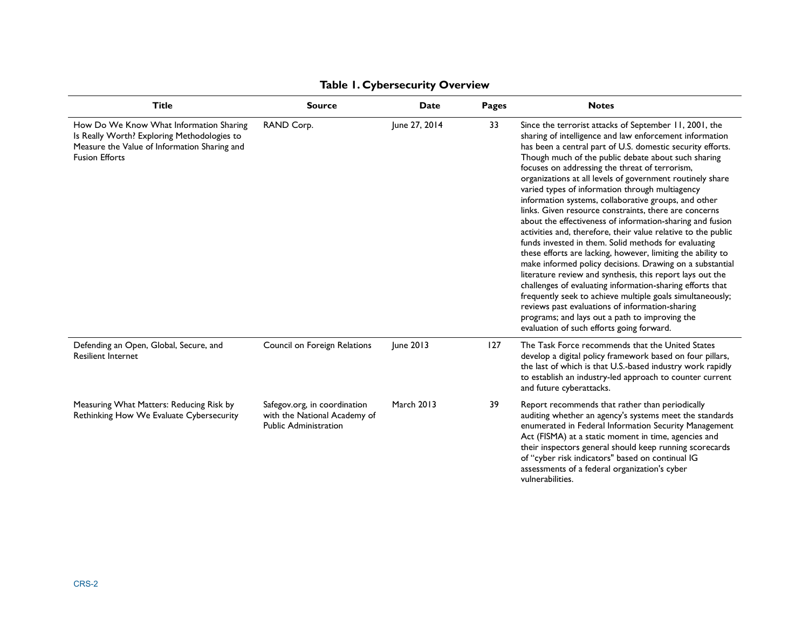| <b>Title</b>                                                                                                                                                    | <b>Source</b>                                                                                | <b>Date</b>       | <b>Pages</b> | <b>Notes</b>                                                                                                                                                                                                                                                                                                                                                                                                                                                                                                                                                                                                                                                                                                                                                                                                                                                                                                                                                                                                                                                                                                                                                                        |
|-----------------------------------------------------------------------------------------------------------------------------------------------------------------|----------------------------------------------------------------------------------------------|-------------------|--------------|-------------------------------------------------------------------------------------------------------------------------------------------------------------------------------------------------------------------------------------------------------------------------------------------------------------------------------------------------------------------------------------------------------------------------------------------------------------------------------------------------------------------------------------------------------------------------------------------------------------------------------------------------------------------------------------------------------------------------------------------------------------------------------------------------------------------------------------------------------------------------------------------------------------------------------------------------------------------------------------------------------------------------------------------------------------------------------------------------------------------------------------------------------------------------------------|
| How Do We Know What Information Sharing<br>Is Really Worth? Exploring Methodologies to<br>Measure the Value of Information Sharing and<br><b>Fusion Efforts</b> | RAND Corp.                                                                                   | June 27, 2014     | 33           | Since the terrorist attacks of September 11, 2001, the<br>sharing of intelligence and law enforcement information<br>has been a central part of U.S. domestic security efforts.<br>Though much of the public debate about such sharing<br>focuses on addressing the threat of terrorism,<br>organizations at all levels of government routinely share<br>varied types of information through multiagency<br>information systems, collaborative groups, and other<br>links. Given resource constraints, there are concerns<br>about the effectiveness of information-sharing and fusion<br>activities and, therefore, their value relative to the public<br>funds invested in them. Solid methods for evaluating<br>these efforts are lacking, however, limiting the ability to<br>make informed policy decisions. Drawing on a substantial<br>literature review and synthesis, this report lays out the<br>challenges of evaluating information-sharing efforts that<br>frequently seek to achieve multiple goals simultaneously;<br>reviews past evaluations of information-sharing<br>programs; and lays out a path to improving the<br>evaluation of such efforts going forward. |
| Defending an Open, Global, Secure, and<br><b>Resilient Internet</b>                                                                                             | Council on Foreign Relations                                                                 | June 2013         | 127          | The Task Force recommends that the United States<br>develop a digital policy framework based on four pillars,<br>the last of which is that U.S.-based industry work rapidly<br>to establish an industry-led approach to counter current<br>and future cyberattacks.                                                                                                                                                                                                                                                                                                                                                                                                                                                                                                                                                                                                                                                                                                                                                                                                                                                                                                                 |
| Measuring What Matters: Reducing Risk by<br>Rethinking How We Evaluate Cybersecurity                                                                            | Safegov.org, in coordination<br>with the National Academy of<br><b>Public Administration</b> | <b>March 2013</b> | 39           | Report recommends that rather than periodically<br>auditing whether an agency's systems meet the standards<br>enumerated in Federal Information Security Management<br>Act (FISMA) at a static moment in time, agencies and<br>their inspectors general should keep running scorecards<br>of "cyber risk indicators" based on continual IG<br>assessments of a federal organization's cyber<br>vulnerabilities.                                                                                                                                                                                                                                                                                                                                                                                                                                                                                                                                                                                                                                                                                                                                                                     |

#### **Table 1. Cybersecurity Overview**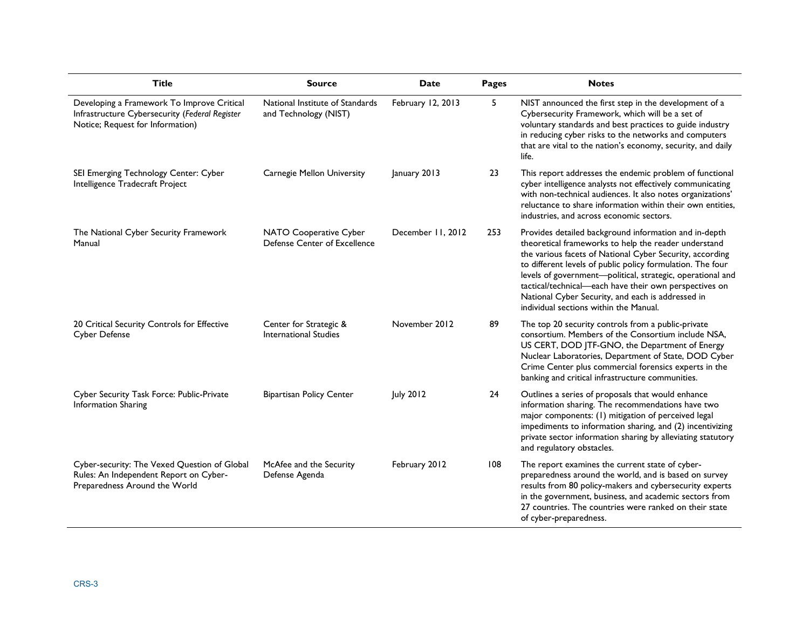| <b>Title</b>                                                                                                                     | <b>Source</b>                                            | <b>Date</b>       | <b>Pages</b> | <b>Notes</b>                                                                                                                                                                                                                                                                                                                                                                                                                                                   |
|----------------------------------------------------------------------------------------------------------------------------------|----------------------------------------------------------|-------------------|--------------|----------------------------------------------------------------------------------------------------------------------------------------------------------------------------------------------------------------------------------------------------------------------------------------------------------------------------------------------------------------------------------------------------------------------------------------------------------------|
| Developing a Framework To Improve Critical<br>Infrastructure Cybersecurity (Federal Register<br>Notice; Request for Information) | National Institute of Standards<br>and Technology (NIST) | February 12, 2013 | 5            | NIST announced the first step in the development of a<br>Cybersecurity Framework, which will be a set of<br>voluntary standards and best practices to guide industry<br>in reducing cyber risks to the networks and computers<br>that are vital to the nation's economy, security, and daily<br>life.                                                                                                                                                          |
| SEI Emerging Technology Center: Cyber<br>Intelligence Tradecraft Project                                                         | Carnegie Mellon University                               | January 2013      | 23           | This report addresses the endemic problem of functional<br>cyber intelligence analysts not effectively communicating<br>with non-technical audiences. It also notes organizations'<br>reluctance to share information within their own entities,<br>industries, and across economic sectors.                                                                                                                                                                   |
| The National Cyber Security Framework<br>Manual                                                                                  | NATO Cooperative Cyber<br>Defense Center of Excellence   | December 11, 2012 | 253          | Provides detailed background information and in-depth<br>theoretical frameworks to help the reader understand<br>the various facets of National Cyber Security, according<br>to different levels of public policy formulation. The four<br>levels of government-political, strategic, operational and<br>tactical/technical-each have their own perspectives on<br>National Cyber Security, and each is addressed in<br>individual sections within the Manual. |
| 20 Critical Security Controls for Effective<br>Cyber Defense                                                                     | Center for Strategic &<br><b>International Studies</b>   | November 2012     | 89           | The top 20 security controls from a public-private<br>consortium. Members of the Consortium include NSA,<br>US CERT, DOD JTF-GNO, the Department of Energy<br>Nuclear Laboratories, Department of State, DOD Cyber<br>Crime Center plus commercial forensics experts in the<br>banking and critical infrastructure communities.                                                                                                                                |
| Cyber Security Task Force: Public-Private<br>Information Sharing                                                                 | <b>Bipartisan Policy Center</b>                          | <b>July 2012</b>  | 24           | Outlines a series of proposals that would enhance<br>information sharing. The recommendations have two<br>major components: (1) mitigation of perceived legal<br>impediments to information sharing, and (2) incentivizing<br>private sector information sharing by alleviating statutory<br>and regulatory obstacles.                                                                                                                                         |
| Cyber-security: The Vexed Question of Global<br>Rules: An Independent Report on Cyber-<br>Preparedness Around the World          | McAfee and the Security<br>Defense Agenda                | February 2012     | 108          | The report examines the current state of cyber-<br>preparedness around the world, and is based on survey<br>results from 80 policy-makers and cybersecurity experts<br>in the government, business, and academic sectors from<br>27 countries. The countries were ranked on their state<br>of cyber-preparedness.                                                                                                                                              |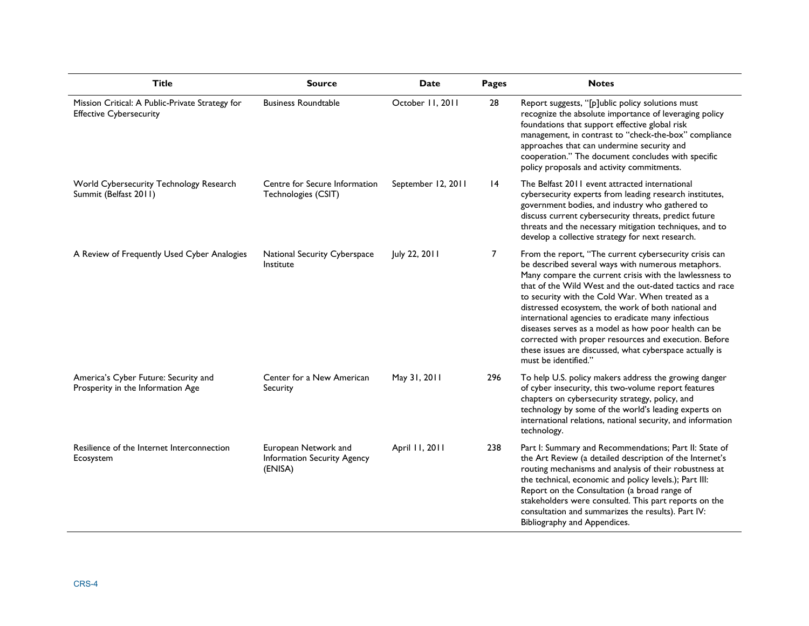| <b>Title</b>                                                                      | <b>Source</b>                                                  | Date               | Pages | <b>Notes</b>                                                                                                                                                                                                                                                                                                                                                                                                                                                                                                                                                                                              |
|-----------------------------------------------------------------------------------|----------------------------------------------------------------|--------------------|-------|-----------------------------------------------------------------------------------------------------------------------------------------------------------------------------------------------------------------------------------------------------------------------------------------------------------------------------------------------------------------------------------------------------------------------------------------------------------------------------------------------------------------------------------------------------------------------------------------------------------|
| Mission Critical: A Public-Private Strategy for<br><b>Effective Cybersecurity</b> | <b>Business Roundtable</b>                                     | October 11, 2011   | 28    | Report suggests, "[p]ublic policy solutions must<br>recognize the absolute importance of leveraging policy<br>foundations that support effective global risk<br>management, in contrast to "check-the-box" compliance<br>approaches that can undermine security and<br>cooperation." The document concludes with specific<br>policy proposals and activity commitments.                                                                                                                                                                                                                                   |
| World Cybersecurity Technology Research<br>Summit (Belfast 2011)                  | Centre for Secure Information<br>Technologies (CSIT)           | September 12, 2011 | 4     | The Belfast 2011 event attracted international<br>cybersecurity experts from leading research institutes,<br>government bodies, and industry who gathered to<br>discuss current cybersecurity threats, predict future<br>threats and the necessary mitigation techniques, and to<br>develop a collective strategy for next research.                                                                                                                                                                                                                                                                      |
| A Review of Frequently Used Cyber Analogies                                       | National Security Cyberspace<br>Institute                      | July 22, 2011      | 7     | From the report, "The current cybersecurity crisis can<br>be described several ways with numerous metaphors.<br>Many compare the current crisis with the lawlessness to<br>that of the Wild West and the out-dated tactics and race<br>to security with the Cold War. When treated as a<br>distressed ecosystem, the work of both national and<br>international agencies to eradicate many infectious<br>diseases serves as a model as how poor health can be<br>corrected with proper resources and execution. Before<br>these issues are discussed, what cyberspace actually is<br>must be identified." |
| America's Cyber Future: Security and<br>Prosperity in the Information Age         | Center for a New American<br>Security                          | May 31, 2011       | 296   | To help U.S. policy makers address the growing danger<br>of cyber insecurity, this two-volume report features<br>chapters on cybersecurity strategy, policy, and<br>technology by some of the world's leading experts on<br>international relations, national security, and information<br>technology.                                                                                                                                                                                                                                                                                                    |
| Resilience of the Internet Interconnection<br>Ecosystem                           | European Network and<br>Information Security Agency<br>(ENISA) | April 11, 2011     | 238   | Part I: Summary and Recommendations; Part II: State of<br>the Art Review (a detailed description of the Internet's<br>routing mechanisms and analysis of their robustness at<br>the technical, economic and policy levels.); Part III:<br>Report on the Consultation (a broad range of<br>stakeholders were consulted. This part reports on the<br>consultation and summarizes the results). Part IV:<br>Bibliography and Appendices.                                                                                                                                                                     |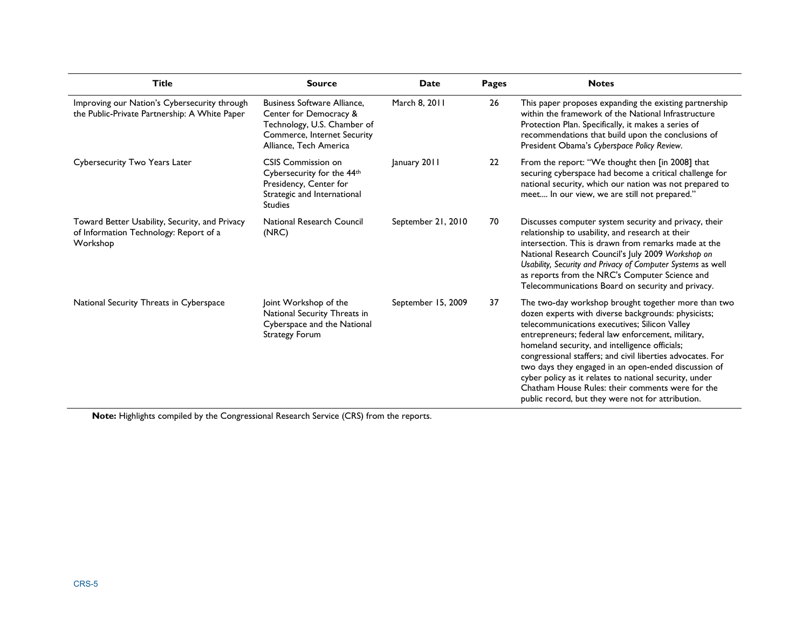| <b>Title</b>                                                                                         | <b>Source</b>                                                                                                                                        | Date               | Pages | <b>Notes</b>                                                                                                                                                                                                                                                                                                                                                                                                                                                                                                                                                |
|------------------------------------------------------------------------------------------------------|------------------------------------------------------------------------------------------------------------------------------------------------------|--------------------|-------|-------------------------------------------------------------------------------------------------------------------------------------------------------------------------------------------------------------------------------------------------------------------------------------------------------------------------------------------------------------------------------------------------------------------------------------------------------------------------------------------------------------------------------------------------------------|
| Improving our Nation's Cybersecurity through<br>the Public-Private Partnership: A White Paper        | <b>Business Software Alliance,</b><br>Center for Democracy &<br>Technology, U.S. Chamber of<br>Commerce, Internet Security<br>Alliance, Tech America | March 8, 2011      | 26    | This paper proposes expanding the existing partnership<br>within the framework of the National Infrastructure<br>Protection Plan. Specifically, it makes a series of<br>recommendations that build upon the conclusions of<br>President Obama's Cyberspace Policy Review.                                                                                                                                                                                                                                                                                   |
| Cybersecurity Two Years Later                                                                        | CSIS Commission on<br>Cybersecurity for the 44th<br>Presidency, Center for<br>Strategic and International<br><b>Studies</b>                          | January 2011       | 22    | From the report: "We thought then [in 2008] that<br>securing cyberspace had become a critical challenge for<br>national security, which our nation was not prepared to<br>meet In our view, we are still not prepared."                                                                                                                                                                                                                                                                                                                                     |
| Toward Better Usability, Security, and Privacy<br>of Information Technology: Report of a<br>Workshop | National Research Council<br>(NRC)                                                                                                                   | September 21, 2010 | 70    | Discusses computer system security and privacy, their<br>relationship to usability, and research at their<br>intersection. This is drawn from remarks made at the<br>National Research Council's July 2009 Workshop on<br>Usability, Security and Privacy of Computer Systems as well<br>as reports from the NRC's Computer Science and<br>Telecommunications Board on security and privacy.                                                                                                                                                                |
| National Security Threats in Cyberspace                                                              | Joint Workshop of the<br>National Security Threats in<br>Cyberspace and the National<br><b>Strategy Forum</b>                                        | September 15, 2009 | 37    | The two-day workshop brought together more than two<br>dozen experts with diverse backgrounds: physicists;<br>telecommunications executives; Silicon Valley<br>entrepreneurs; federal law enforcement, military,<br>homeland security, and intelligence officials;<br>congressional staffers; and civil liberties advocates. For<br>two days they engaged in an open-ended discussion of<br>cyber policy as it relates to national security, under<br>Chatham House Rules: their comments were for the<br>public record, but they were not for attribution. |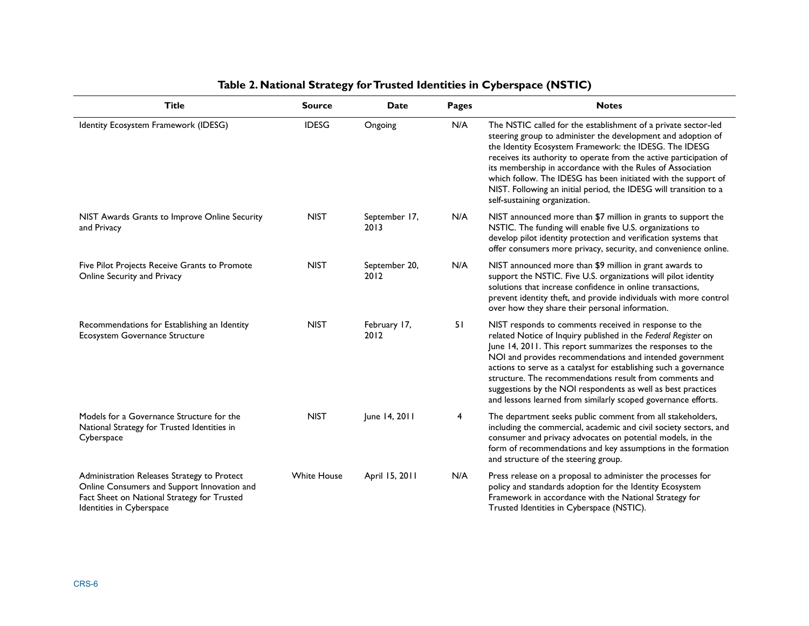| <b>Title</b>                                                                                                                                                          | <b>Source</b>      | <b>Date</b>           | <b>Pages</b> | <b>Notes</b>                                                                                                                                                                                                                                                                                                                                                                                                                                                                                                       |
|-----------------------------------------------------------------------------------------------------------------------------------------------------------------------|--------------------|-----------------------|--------------|--------------------------------------------------------------------------------------------------------------------------------------------------------------------------------------------------------------------------------------------------------------------------------------------------------------------------------------------------------------------------------------------------------------------------------------------------------------------------------------------------------------------|
| Identity Ecosystem Framework (IDESG)                                                                                                                                  | <b>IDESG</b>       | Ongoing               | N/A          | The NSTIC called for the establishment of a private sector-led<br>steering group to administer the development and adoption of<br>the Identity Ecosystem Framework: the IDESG. The IDESG<br>receives its authority to operate from the active participation of<br>its membership in accordance with the Rules of Association<br>which follow. The IDESG has been initiated with the support of<br>NIST. Following an initial period, the IDESG will transition to a<br>self-sustaining organization.               |
| NIST Awards Grants to Improve Online Security<br>and Privacy                                                                                                          | <b>NIST</b>        | September 17,<br>2013 | N/A          | NIST announced more than \$7 million in grants to support the<br>NSTIC. The funding will enable five U.S. organizations to<br>develop pilot identity protection and verification systems that<br>offer consumers more privacy, security, and convenience online.                                                                                                                                                                                                                                                   |
| Five Pilot Projects Receive Grants to Promote<br>Online Security and Privacy                                                                                          | <b>NIST</b>        | September 20,<br>2012 | N/A          | NIST announced more than \$9 million in grant awards to<br>support the NSTIC. Five U.S. organizations will pilot identity<br>solutions that increase confidence in online transactions,<br>prevent identity theft, and provide individuals with more control<br>over how they share their personal information.                                                                                                                                                                                                    |
| Recommendations for Establishing an Identity<br>Ecosystem Governance Structure                                                                                        | <b>NIST</b>        | February 17,<br>2012  | 51           | NIST responds to comments received in response to the<br>related Notice of Inquiry published in the Federal Register on<br>June 14, 2011. This report summarizes the responses to the<br>NOI and provides recommendations and intended government<br>actions to serve as a catalyst for establishing such a governance<br>structure. The recommendations result from comments and<br>suggestions by the NOI respondents as well as best practices<br>and lessons learned from similarly scoped governance efforts. |
| Models for a Governance Structure for the<br>National Strategy for Trusted Identities in<br>Cyberspace                                                                | <b>NIST</b>        | June 14, 2011         | 4            | The department seeks public comment from all stakeholders,<br>including the commercial, academic and civil society sectors, and<br>consumer and privacy advocates on potential models, in the<br>form of recommendations and key assumptions in the formation<br>and structure of the steering group.                                                                                                                                                                                                              |
| Administration Releases Strategy to Protect<br>Online Consumers and Support Innovation and<br>Fact Sheet on National Strategy for Trusted<br>Identities in Cyberspace | <b>White House</b> | April 15, 2011        | N/A          | Press release on a proposal to administer the processes for<br>policy and standards adoption for the Identity Ecosystem<br>Framework in accordance with the National Strategy for<br>Trusted Identities in Cyberspace (NSTIC).                                                                                                                                                                                                                                                                                     |

#### **Table 2. National Strategy for Trusted Identities in Cyberspace (NSTIC)**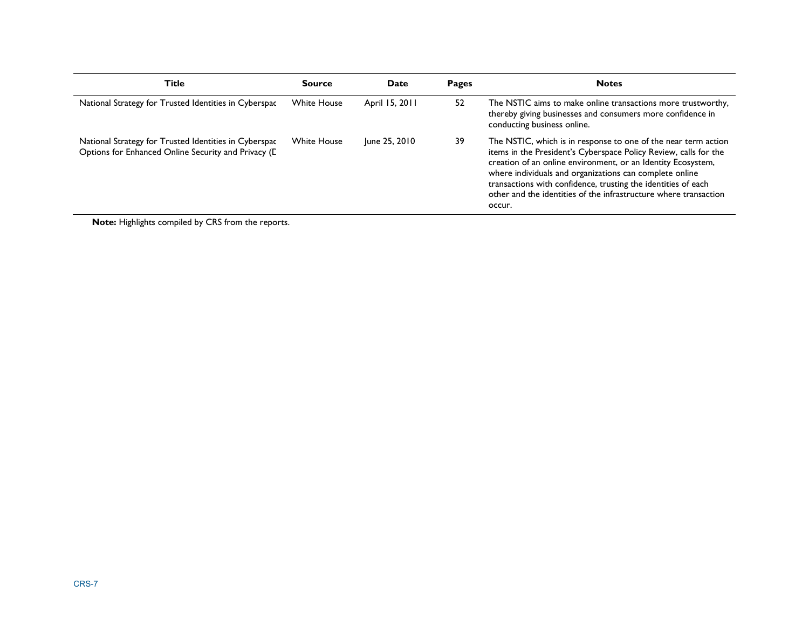| Title                                                                                                        | <b>Source</b>      | Date           | Pages | <b>Notes</b>                                                                                                                                                                                                                                                                                                                                                                                                 |
|--------------------------------------------------------------------------------------------------------------|--------------------|----------------|-------|--------------------------------------------------------------------------------------------------------------------------------------------------------------------------------------------------------------------------------------------------------------------------------------------------------------------------------------------------------------------------------------------------------------|
| National Strategy for Trusted Identities in Cyberspac                                                        | <b>White House</b> | April 15, 2011 | 52    | The NSTIC aims to make online transactions more trustworthy,<br>thereby giving businesses and consumers more confidence in<br>conducting business online.                                                                                                                                                                                                                                                    |
| National Strategy for Trusted Identities in Cyberspac<br>Options for Enhanced Online Security and Privacy (L | <b>White House</b> | June 25, 2010  | 39    | The NSTIC, which is in response to one of the near term action<br>items in the President's Cyberspace Policy Review, calls for the<br>creation of an online environment, or an Identity Ecosystem,<br>where individuals and organizations can complete online<br>transactions with confidence, trusting the identities of each<br>other and the identities of the infrastructure where transaction<br>occur. |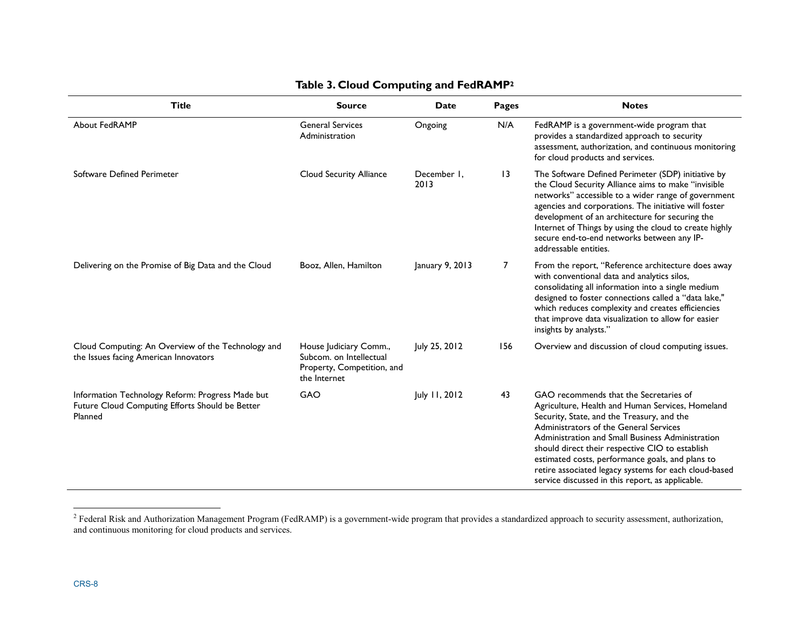| Title                                                                                                          | <b>Source</b>                                                                                   | Date                | <b>Pages</b>    | <b>Notes</b>                                                                                                                                                                                                                                                                                                                                                                                                                                               |
|----------------------------------------------------------------------------------------------------------------|-------------------------------------------------------------------------------------------------|---------------------|-----------------|------------------------------------------------------------------------------------------------------------------------------------------------------------------------------------------------------------------------------------------------------------------------------------------------------------------------------------------------------------------------------------------------------------------------------------------------------------|
| <b>About FedRAMP</b>                                                                                           | <b>General Services</b><br>Administration                                                       | Ongoing             | N/A             | FedRAMP is a government-wide program that<br>provides a standardized approach to security<br>assessment, authorization, and continuous monitoring<br>for cloud products and services.                                                                                                                                                                                                                                                                      |
| Software Defined Perimeter                                                                                     | Cloud Security Alliance                                                                         | December 1,<br>2013 | $\overline{13}$ | The Software Defined Perimeter (SDP) initiative by<br>the Cloud Security Alliance aims to make "invisible<br>networks" accessible to a wider range of government<br>agencies and corporations. The initiative will foster<br>development of an architecture for securing the<br>Internet of Things by using the cloud to create highly<br>secure end-to-end networks between any IP-<br>addressable entities.                                              |
| Delivering on the Promise of Big Data and the Cloud                                                            | Booz, Allen, Hamilton                                                                           | January 9, 2013     | $\overline{7}$  | From the report, "Reference architecture does away<br>with conventional data and analytics silos,<br>consolidating all information into a single medium<br>designed to foster connections called a "data lake,"<br>which reduces complexity and creates efficiencies<br>that improve data visualization to allow for easier<br>insights by analysts."                                                                                                      |
| Cloud Computing: An Overview of the Technology and<br>the Issues facing American Innovators                    | House Judiciary Comm.,<br>Subcom. on Intellectual<br>Property, Competition, and<br>the Internet | July 25, 2012       | 156             | Overview and discussion of cloud computing issues.                                                                                                                                                                                                                                                                                                                                                                                                         |
| Information Technology Reform: Progress Made but<br>Future Cloud Computing Efforts Should be Better<br>Planned | GAO                                                                                             | July 11, 2012       | 43              | GAO recommends that the Secretaries of<br>Agriculture, Health and Human Services, Homeland<br>Security, State, and the Treasury, and the<br>Administrators of the General Services<br>Administration and Small Business Administration<br>should direct their respective CIO to establish<br>estimated costs, performance goals, and plans to<br>retire associated legacy systems for each cloud-based<br>service discussed in this report, as applicable. |

#### **Table 3. Cloud Computing and FedRAMP2**

<sup>&</sup>lt;sup>2</sup> Federal Risk and Authorization Management Program (FedRAMP) is a government-wide program that provides a standardized approach to security assessment, authorization, and continuous monitoring for cloud products and ser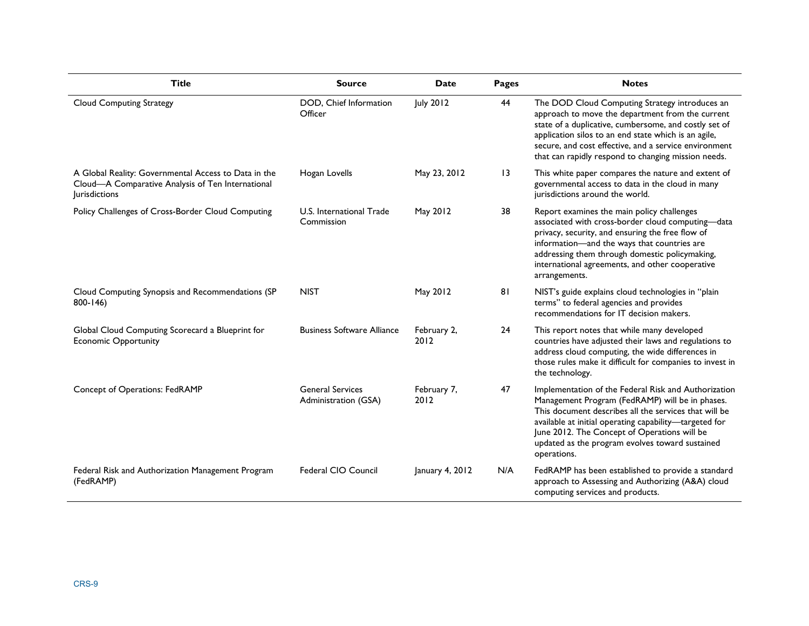| <b>Title</b>                                                                                                                      | <b>Source</b>                                   | Date                | Pages           | <b>Notes</b>                                                                                                                                                                                                                                                                                                                                 |
|-----------------------------------------------------------------------------------------------------------------------------------|-------------------------------------------------|---------------------|-----------------|----------------------------------------------------------------------------------------------------------------------------------------------------------------------------------------------------------------------------------------------------------------------------------------------------------------------------------------------|
| <b>Cloud Computing Strategy</b>                                                                                                   | DOD, Chief Information<br>Officer               | July 2012           | 44              | The DOD Cloud Computing Strategy introduces an<br>approach to move the department from the current<br>state of a duplicative, cumbersome, and costly set of<br>application silos to an end state which is an agile,<br>secure, and cost effective, and a service environment<br>that can rapidly respond to changing mission needs.          |
| A Global Reality: Governmental Access to Data in the<br>Cloud-A Comparative Analysis of Ten International<br><b>lurisdictions</b> | Hogan Lovells                                   | May 23, 2012        | $\overline{13}$ | This white paper compares the nature and extent of<br>governmental access to data in the cloud in many<br>jurisdictions around the world.                                                                                                                                                                                                    |
| Policy Challenges of Cross-Border Cloud Computing                                                                                 | U.S. International Trade<br>Commission          | May 2012            | 38              | Report examines the main policy challenges<br>associated with cross-border cloud computing-data<br>privacy, security, and ensuring the free flow of<br>information-and the ways that countries are<br>addressing them through domestic policymaking,<br>international agreements, and other cooperative<br>arrangements.                     |
| Cloud Computing Synopsis and Recommendations (SP<br>$800 - 146$                                                                   | <b>NIST</b>                                     | May 2012            | 81              | NIST's guide explains cloud technologies in "plain<br>terms" to federal agencies and provides<br>recommendations for IT decision makers.                                                                                                                                                                                                     |
| Global Cloud Computing Scorecard a Blueprint for<br><b>Economic Opportunity</b>                                                   | <b>Business Software Alliance</b>               | February 2,<br>2012 | 24              | This report notes that while many developed<br>countries have adjusted their laws and regulations to<br>address cloud computing, the wide differences in<br>those rules make it difficult for companies to invest in<br>the technology.                                                                                                      |
| Concept of Operations: FedRAMP                                                                                                    | <b>General Services</b><br>Administration (GSA) | February 7,<br>2012 | 47              | Implementation of the Federal Risk and Authorization<br>Management Program (FedRAMP) will be in phases.<br>This document describes all the services that will be<br>available at initial operating capability-targeted for<br>June 2012. The Concept of Operations will be<br>updated as the program evolves toward sustained<br>operations. |
| Federal Risk and Authorization Management Program<br>(FedRAMP)                                                                    | Federal CIO Council                             | January 4, 2012     | N/A             | FedRAMP has been established to provide a standard<br>approach to Assessing and Authorizing (A&A) cloud<br>computing services and products.                                                                                                                                                                                                  |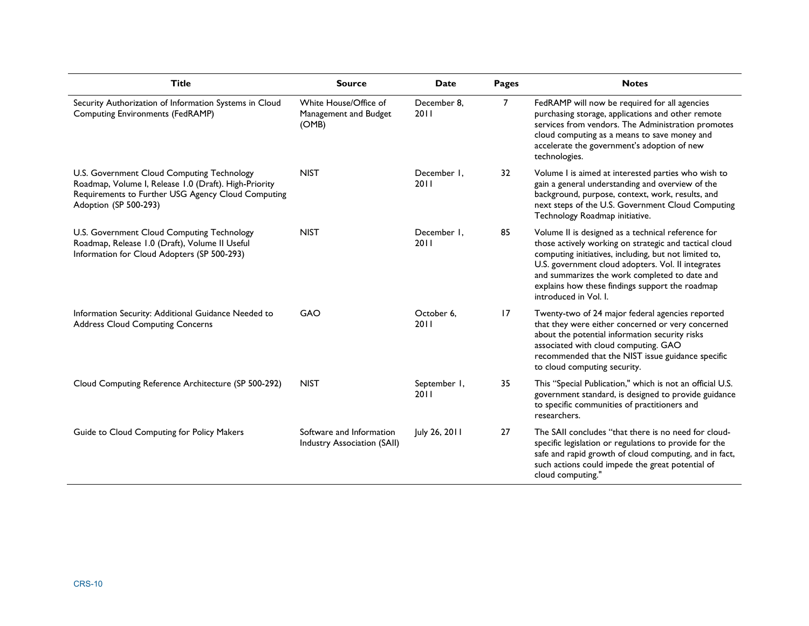| <b>Title</b>                                                                                                                                                                       | <b>Source</b>                                                  | Date                  | <b>Pages</b>   | <b>Notes</b>                                                                                                                                                                                                                                                                                                                                             |
|------------------------------------------------------------------------------------------------------------------------------------------------------------------------------------|----------------------------------------------------------------|-----------------------|----------------|----------------------------------------------------------------------------------------------------------------------------------------------------------------------------------------------------------------------------------------------------------------------------------------------------------------------------------------------------------|
| Security Authorization of Information Systems in Cloud<br>Computing Environments (FedRAMP)                                                                                         | White House/Office of<br>Management and Budget<br>(OMB)        | December 8.<br>20 I I | $\overline{7}$ | FedRAMP will now be required for all agencies<br>purchasing storage, applications and other remote<br>services from vendors. The Administration promotes<br>cloud computing as a means to save money and<br>accelerate the government's adoption of new<br>technologies.                                                                                 |
| U.S. Government Cloud Computing Technology<br>Roadmap, Volume I, Release I.0 (Draft). High-Priority<br>Requirements to Further USG Agency Cloud Computing<br>Adoption (SP 500-293) | <b>NIST</b>                                                    | December 1.<br>2011   | 32             | Volume I is aimed at interested parties who wish to<br>gain a general understanding and overview of the<br>background, purpose, context, work, results, and<br>next steps of the U.S. Government Cloud Computing<br>Technology Roadmap initiative.                                                                                                       |
| U.S. Government Cloud Computing Technology<br>Roadmap, Release 1.0 (Draft), Volume II Useful<br>Information for Cloud Adopters (SP 500-293)                                        | <b>NIST</b>                                                    | December 1.<br>2011   | 85             | Volume II is designed as a technical reference for<br>those actively working on strategic and tactical cloud<br>computing initiatives, including, but not limited to,<br>U.S. government cloud adopters. Vol. II integrates<br>and summarizes the work completed to date and<br>explains how these findings support the roadmap<br>introduced in Vol. I. |
| Information Security: Additional Guidance Needed to<br><b>Address Cloud Computing Concerns</b>                                                                                     | GAO                                                            | October 6.<br>20 I I  | 17             | Twenty-two of 24 major federal agencies reported<br>that they were either concerned or very concerned<br>about the potential information security risks<br>associated with cloud computing. GAO<br>recommended that the NIST issue guidance specific<br>to cloud computing security.                                                                     |
| Cloud Computing Reference Architecture (SP 500-292)                                                                                                                                | <b>NIST</b>                                                    | September 1,<br>2011  | 35             | This "Special Publication," which is not an official U.S.<br>government standard, is designed to provide guidance<br>to specific communities of practitioners and<br>researchers.                                                                                                                                                                        |
| Guide to Cloud Computing for Policy Makers                                                                                                                                         | Software and Information<br><b>Industry Association (SAII)</b> | July 26, 2011         | 27             | The SAII concludes "that there is no need for cloud-<br>specific legislation or regulations to provide for the<br>safe and rapid growth of cloud computing, and in fact,<br>such actions could impede the great potential of<br>cloud computing."                                                                                                        |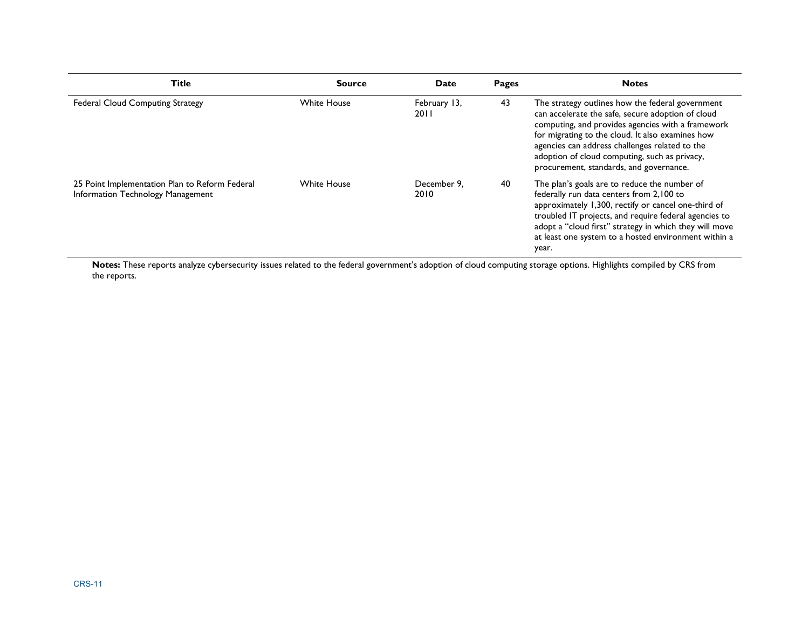| Title                                                                               | <b>Source</b>      | Date                 | Pages | <b>Notes</b>                                                                                                                                                                                                                                                                                                                                                 |
|-------------------------------------------------------------------------------------|--------------------|----------------------|-------|--------------------------------------------------------------------------------------------------------------------------------------------------------------------------------------------------------------------------------------------------------------------------------------------------------------------------------------------------------------|
| <b>Federal Cloud Computing Strategy</b>                                             | <b>White House</b> | February 13,<br>2011 | 43    | The strategy outlines how the federal government<br>can accelerate the safe, secure adoption of cloud<br>computing, and provides agencies with a framework<br>for migrating to the cloud. It also examines how<br>agencies can address challenges related to the<br>adoption of cloud computing, such as privacy,<br>procurement, standards, and governance. |
| 25 Point Implementation Plan to Reform Federal<br>Information Technology Management | <b>White House</b> | December 9.<br>2010  | 40    | The plan's goals are to reduce the number of<br>federally run data centers from 2,100 to<br>approximately 1,300, rectify or cancel one-third of<br>troubled IT projects, and require federal agencies to<br>adopt a "cloud first" strategy in which they will move<br>at least one system to a hosted environment within a<br>year.                          |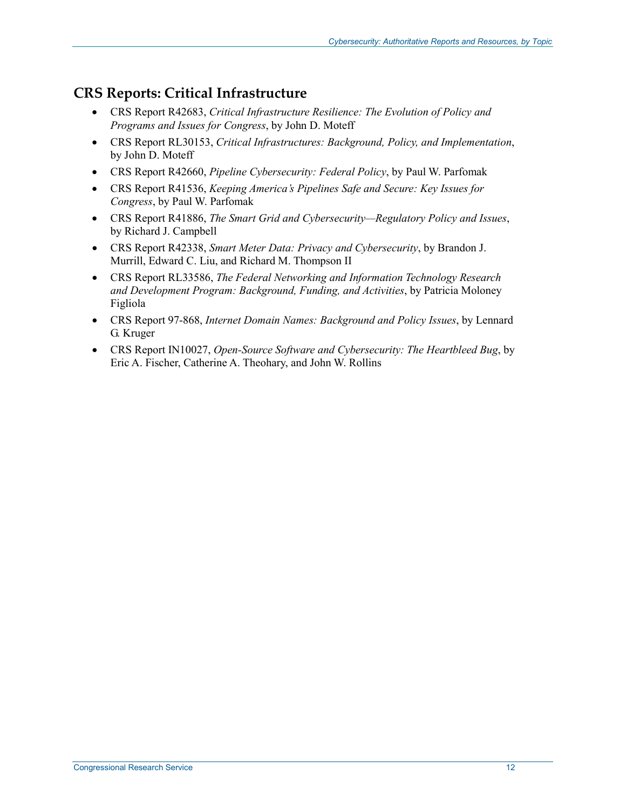#### **CRS Reports: Critical Infrastructure**

- CRS Report R42683, *Critical Infrastructure Resilience: The Evolution of Policy and Programs and Issues for Congress*, by John D. Moteff
- CRS Report RL30153, *Critical Infrastructures: Background, Policy, and Implementation*, by John D. Moteff
- CRS Report R42660, *Pipeline Cybersecurity: Federal Policy*, by Paul W. Parfomak
- CRS Report R41536, *Keeping America's Pipelines Safe and Secure: Key Issues for Congress*, by Paul W. Parfomak
- CRS Report R41886, *The Smart Grid and Cybersecurity—Regulatory Policy and Issues*, by Richard J. Campbell
- CRS Report R42338, *Smart Meter Data: Privacy and Cybersecurity*, by Brandon J. Murrill, Edward C. Liu, and Richard M. Thompson II
- CRS Report RL33586, *The Federal Networking and Information Technology Research and Development Program: Background, Funding, and Activities*, by Patricia Moloney Figliola
- CRS Report 97-868, *Internet Domain Names: Background and Policy Issues*, by Lennard G. Kruger
- CRS Report IN10027, *Open-Source Software and Cybersecurity: The Heartbleed Bug*, by Eric A. Fischer, Catherine A. Theohary, and John W. Rollins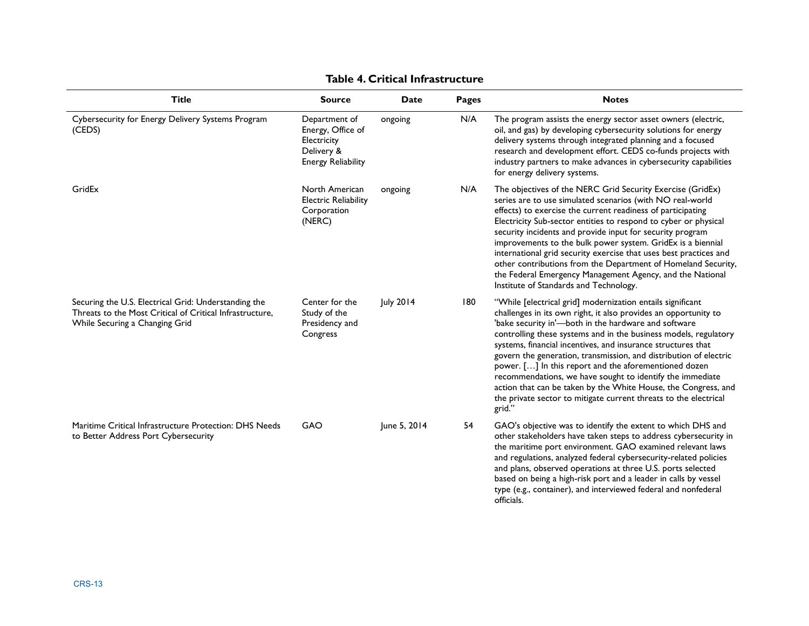| <b>Title</b>                                                                                                                                       | <b>Source</b>                                                                                | Date         | Pages | <b>Notes</b>                                                                                                                                                                                                                                                                                                                                                                                                                                                                                                                                                                                                                                                         |
|----------------------------------------------------------------------------------------------------------------------------------------------------|----------------------------------------------------------------------------------------------|--------------|-------|----------------------------------------------------------------------------------------------------------------------------------------------------------------------------------------------------------------------------------------------------------------------------------------------------------------------------------------------------------------------------------------------------------------------------------------------------------------------------------------------------------------------------------------------------------------------------------------------------------------------------------------------------------------------|
| Cybersecurity for Energy Delivery Systems Program<br>(CEDS)                                                                                        | Department of<br>Energy, Office of<br>Electricity<br>Delivery &<br><b>Energy Reliability</b> | ongoing      | N/A   | The program assists the energy sector asset owners (electric,<br>oil, and gas) by developing cybersecurity solutions for energy<br>delivery systems through integrated planning and a focused<br>research and development effort. CEDS co-funds projects with<br>industry partners to make advances in cybersecurity capabilities<br>for energy delivery systems.                                                                                                                                                                                                                                                                                                    |
| GridEx                                                                                                                                             | North American<br><b>Electric Reliability</b><br>Corporation<br>(NERC)                       | ongoing      | N/A   | The objectives of the NERC Grid Security Exercise (GridEx)<br>series are to use simulated scenarios (with NO real-world<br>effects) to exercise the current readiness of participating<br>Electricity Sub-sector entities to respond to cyber or physical<br>security incidents and provide input for security program<br>improvements to the bulk power system. GridEx is a biennial<br>international grid security exercise that uses best practices and<br>other contributions from the Department of Homeland Security,<br>the Federal Emergency Management Agency, and the National<br>Institute of Standards and Technology.                                   |
| Securing the U.S. Electrical Grid: Understanding the<br>Threats to the Most Critical of Critical Infrastructure.<br>While Securing a Changing Grid | Center for the<br>Study of the<br>Presidency and<br>Congress                                 | July 2014    | 180   | "While [electrical grid] modernization entails significant<br>challenges in its own right, it also provides an opportunity to<br>'bake security in'-both in the hardware and software<br>controlling these systems and in the business models, regulatory<br>systems, financial incentives, and insurance structures that<br>govern the generation, transmission, and distribution of electric<br>power. [] In this report and the aforementioned dozen<br>recommendations, we have sought to identify the immediate<br>action that can be taken by the White House, the Congress, and<br>the private sector to mitigate current threats to the electrical<br>grid." |
| Maritime Critical Infrastructure Protection: DHS Needs<br>to Better Address Port Cybersecurity                                                     | GAO                                                                                          | June 5, 2014 | 54    | GAO's objective was to identify the extent to which DHS and<br>other stakeholders have taken steps to address cybersecurity in<br>the maritime port environment. GAO examined relevant laws<br>and regulations, analyzed federal cybersecurity-related policies<br>and plans, observed operations at three U.S. ports selected<br>based on being a high-risk port and a leader in calls by vessel<br>type (e.g., container), and interviewed federal and nonfederal<br>officials.                                                                                                                                                                                    |

#### **Table 4. Critical Infrastructure**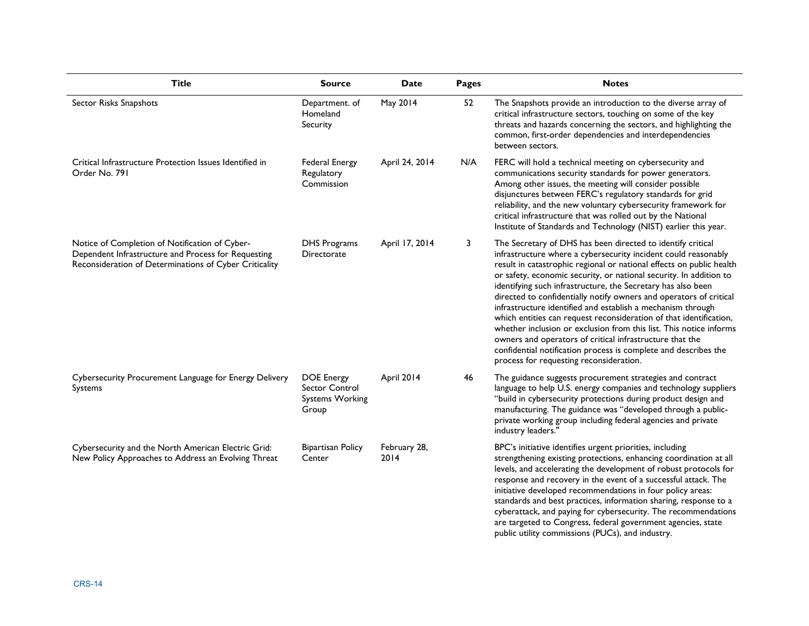| <b>Title</b>                                                                                                                                                    | <b>Source</b>                                                          | <b>Date</b>          | <b>Pages</b> | <b>Notes</b>                                                                                                                                                                                                                                                                                                                                                                                                                                                                                                                                                                                                                                                                                                                                                                                           |
|-----------------------------------------------------------------------------------------------------------------------------------------------------------------|------------------------------------------------------------------------|----------------------|--------------|--------------------------------------------------------------------------------------------------------------------------------------------------------------------------------------------------------------------------------------------------------------------------------------------------------------------------------------------------------------------------------------------------------------------------------------------------------------------------------------------------------------------------------------------------------------------------------------------------------------------------------------------------------------------------------------------------------------------------------------------------------------------------------------------------------|
| Sector Risks Snapshots                                                                                                                                          | Department. of<br>Homeland<br>Security                                 | May 2014             | 52           | The Snapshots provide an introduction to the diverse array of<br>critical infrastructure sectors, touching on some of the key<br>threats and hazards concerning the sectors, and highlighting the<br>common, first-order dependencies and interdependencies<br>between sectors.                                                                                                                                                                                                                                                                                                                                                                                                                                                                                                                        |
| Critical Infrastructure Protection Issues Identified in<br>Order No. 791                                                                                        | <b>Federal Energy</b><br>Regulatory<br>Commission                      | April 24, 2014       | N/A          | FERC will hold a technical meeting on cybersecurity and<br>communications security standards for power generators.<br>Among other issues, the meeting will consider possible<br>disjunctures between FERC's regulatory standards for grid<br>reliability, and the new voluntary cybersecurity framework for<br>critical infrastructure that was rolled out by the National<br>Institute of Standards and Technology (NIST) earlier this year.                                                                                                                                                                                                                                                                                                                                                          |
| Notice of Completion of Notification of Cyber-<br>Dependent Infrastructure and Process for Requesting<br>Reconsideration of Determinations of Cyber Criticality | <b>DHS Programs</b><br>Directorate                                     | April 17, 2014       | 3            | The Secretary of DHS has been directed to identify critical<br>infrastructure where a cybersecurity incident could reasonably<br>result in catastrophic regional or national effects on public health<br>or safety, economic security, or national security. In addition to<br>identifying such infrastructure, the Secretary has also been<br>directed to confidentially notify owners and operators of critical<br>infrastructure identified and establish a mechanism through<br>which entities can request reconsideration of that identification,<br>whether inclusion or exclusion from this list. This notice informs<br>owners and operators of critical infrastructure that the<br>confidential notification process is complete and describes the<br>process for requesting reconsideration. |
| Cybersecurity Procurement Language for Energy Delivery<br>Systems                                                                                               | <b>DOE Energy</b><br>Sector Control<br><b>Systems Working</b><br>Group | April 2014           | 46           | The guidance suggests procurement strategies and contract<br>language to help U.S. energy companies and technology suppliers<br>"build in cybersecurity protections during product design and<br>manufacturing. The guidance was "developed through a public-<br>private working group including federal agencies and private<br>industry leaders."                                                                                                                                                                                                                                                                                                                                                                                                                                                    |
| Cybersecurity and the North American Electric Grid:<br>New Policy Approaches to Address an Evolving Threat                                                      | <b>Bipartisan Policy</b><br>Center                                     | February 28,<br>2014 |              | BPC's initiative identifies urgent priorities, including<br>strengthening existing protections, enhancing coordination at all<br>levels, and accelerating the development of robust protocols for<br>response and recovery in the event of a successful attack. The<br>initiative developed recommendations in four policy areas:<br>standards and best practices, information sharing, response to a<br>cyberattack, and paying for cybersecurity. The recommendations<br>are targeted to Congress, federal government agencies, state<br>public utility commissions (PUCs), and industry.                                                                                                                                                                                                            |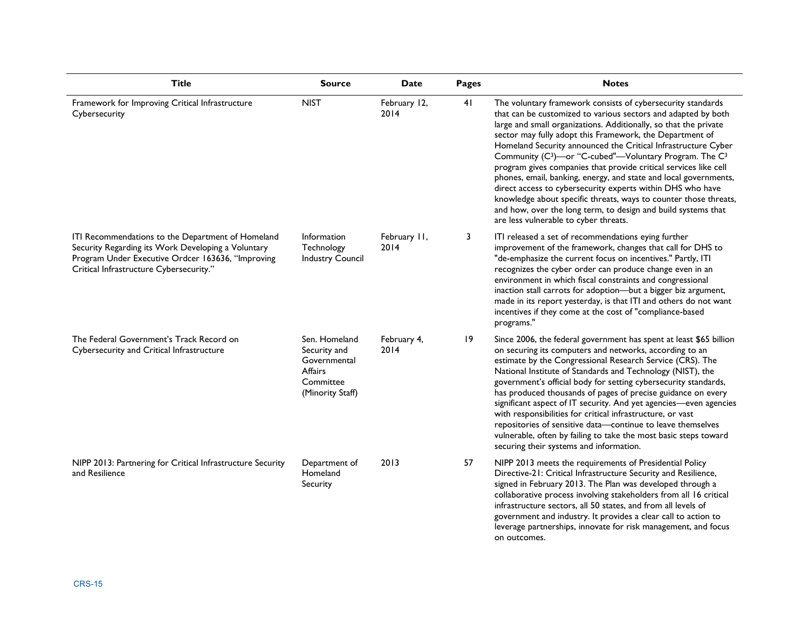| <b>Title</b>                                                                                                                                                                                            | <b>Source</b>                                                                                    | <b>Date</b>          | <b>Pages</b> | <b>Notes</b>                                                                                                                                                                                                                                                                                                                                                                                                                                                                                                                                                                                                                                                                                                                                                                                        |
|---------------------------------------------------------------------------------------------------------------------------------------------------------------------------------------------------------|--------------------------------------------------------------------------------------------------|----------------------|--------------|-----------------------------------------------------------------------------------------------------------------------------------------------------------------------------------------------------------------------------------------------------------------------------------------------------------------------------------------------------------------------------------------------------------------------------------------------------------------------------------------------------------------------------------------------------------------------------------------------------------------------------------------------------------------------------------------------------------------------------------------------------------------------------------------------------|
| Framework for Improving Critical Infrastructure<br>Cybersecurity                                                                                                                                        | <b>NIST</b>                                                                                      | February 12,<br>2014 | 41           | The voluntary framework consists of cybersecurity standards<br>that can be customized to various sectors and adapted by both<br>large and small organizations. Additionally, so that the private<br>sector may fully adopt this Framework, the Department of<br>Homeland Security announced the Critical Infrastructure Cyber<br>Community (C <sup>3</sup> )-or "C-cubed"-Voluntary Program. The C <sup>3</sup><br>program gives companies that provide critical services like cell<br>phones, email, banking, energy, and state and local governments,<br>direct access to cybersecurity experts within DHS who have<br>knowledge about specific threats, ways to counter those threats,<br>and how, over the long term, to design and build systems that<br>are less vulnerable to cyber threats. |
| ITI Recommendations to the Department of Homeland<br>Security Regarding its Work Developing a Voluntary<br>Program Under Executive Ordcer 163636, "Improving<br>Critical Infrastructure Cybersecurity." | Information<br>Technology<br><b>Industry Council</b>                                             | February II,<br>2014 | 3            | ITI released a set of recommendations eying further<br>improvement of the framework, changes that call for DHS to<br>"de-emphasize the current focus on incentives." Partly, ITI<br>recognizes the cyber order can produce change even in an<br>environment in which fiscal constraints and congressional<br>inaction stall carrots for adoption-but a bigger biz argument,<br>made in its report yesterday, is that ITI and others do not want<br>incentives if they come at the cost of "compliance-based<br>programs."                                                                                                                                                                                                                                                                           |
| The Federal Government's Track Record on<br>Cybersecurity and Critical Infrastructure                                                                                                                   | Sen. Homeland<br>Security and<br>Governmental<br><b>Affairs</b><br>Committee<br>(Minority Staff) | February 4,<br>2014  | 19           | Since 2006, the federal government has spent at least \$65 billion<br>on securing its computers and networks, according to an<br>estimate by the Congressional Research Service (CRS). The<br>National Institute of Standards and Technology (NIST), the<br>government's official body for setting cybersecurity standards,<br>has produced thousands of pages of precise guidance on every<br>significant aspect of IT security. And yet agencies-even agencies<br>with responsibilities for critical infrastructure, or vast<br>repositories of sensitive data-continue to leave themselves<br>vulnerable, often by failing to take the most basic steps toward<br>securing their systems and information.                                                                                        |
| NIPP 2013: Partnering for Critical Infrastructure Security<br>and Resilience                                                                                                                            | Department of<br>Homeland<br>Security                                                            | 2013                 | 57           | NIPP 2013 meets the requirements of Presidential Policy<br>Directive-21: Critical Infrastructure Security and Resilience,<br>signed in February 2013. The Plan was developed through a<br>collaborative process involving stakeholders from all 16 critical<br>infrastructure sectors, all 50 states, and from all levels of<br>government and industry. It provides a clear call to action to<br>leverage partnerships, innovate for risk management, and focus<br>on outcomes.                                                                                                                                                                                                                                                                                                                    |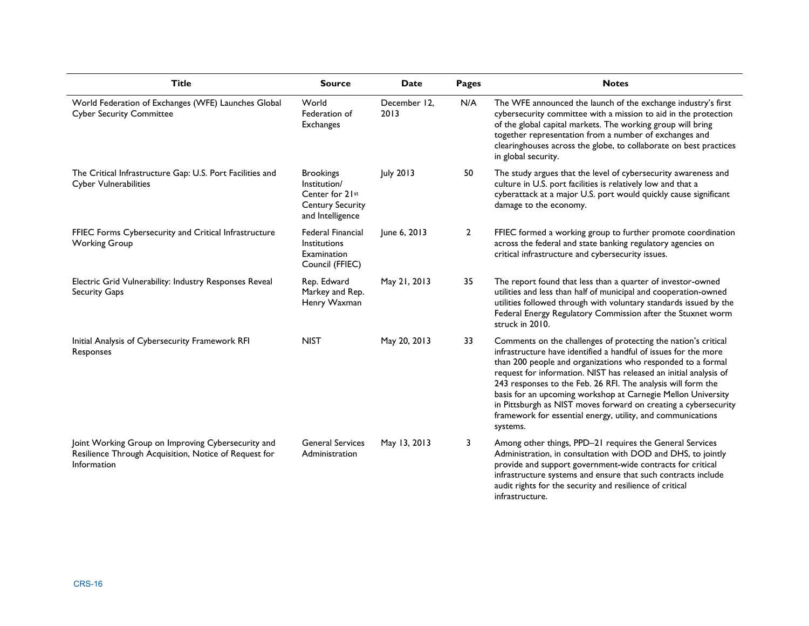| <b>Title</b>                                                                                                               | <b>Source</b>                                                                                      | Date                 | Pages          | <b>Notes</b>                                                                                                                                                                                                                                                                                                                                                                                                                                                                                                                                        |
|----------------------------------------------------------------------------------------------------------------------------|----------------------------------------------------------------------------------------------------|----------------------|----------------|-----------------------------------------------------------------------------------------------------------------------------------------------------------------------------------------------------------------------------------------------------------------------------------------------------------------------------------------------------------------------------------------------------------------------------------------------------------------------------------------------------------------------------------------------------|
| World Federation of Exchanges (WFE) Launches Global<br><b>Cyber Security Committee</b>                                     | World<br>Federation of<br><b>Exchanges</b>                                                         | December 12.<br>2013 | N/A            | The WFE announced the launch of the exchange industry's first<br>cybersecurity committee with a mission to aid in the protection<br>of the global capital markets. The working group will bring<br>together representation from a number of exchanges and<br>clearinghouses across the globe, to collaborate on best practices<br>in global security.                                                                                                                                                                                               |
| The Critical Infrastructure Gap: U.S. Port Facilities and<br>Cyber Vulnerabilities                                         | <b>Brookings</b><br>Institution/<br>Center for 21st<br><b>Century Security</b><br>and Intelligence | <b>July 2013</b>     | 50             | The study argues that the level of cybersecurity awareness and<br>culture in U.S. port facilities is relatively low and that a<br>cyberattack at a major U.S. port would quickly cause significant<br>damage to the economy.                                                                                                                                                                                                                                                                                                                        |
| FFIEC Forms Cybersecurity and Critical Infrastructure<br><b>Working Group</b>                                              | <b>Federal Financial</b><br><b>Institutions</b><br>Examination<br>Council (FFIEC)                  | June 6, 2013         | $\overline{2}$ | FFIEC formed a working group to further promote coordination<br>across the federal and state banking regulatory agencies on<br>critical infrastructure and cybersecurity issues.                                                                                                                                                                                                                                                                                                                                                                    |
| Electric Grid Vulnerability: Industry Responses Reveal<br>Security Gaps                                                    | Rep. Edward<br>Markey and Rep.<br>Henry Waxman                                                     | May 21, 2013         | 35             | The report found that less than a quarter of investor-owned<br>utilities and less than half of municipal and cooperation-owned<br>utilities followed through with voluntary standards issued by the<br>Federal Energy Regulatory Commission after the Stuxnet worm<br>struck in 2010.                                                                                                                                                                                                                                                               |
| Initial Analysis of Cybersecurity Framework RFI<br>Responses                                                               | <b>NIST</b>                                                                                        | May 20, 2013         | 33             | Comments on the challenges of protecting the nation's critical<br>infrastructure have identified a handful of issues for the more<br>than 200 people and organizations who responded to a formal<br>request for information. NIST has released an initial analysis of<br>243 responses to the Feb. 26 RFI. The analysis will form the<br>basis for an upcoming workshop at Carnegie Mellon University<br>in Pittsburgh as NIST moves forward on creating a cybersecurity<br>framework for essential energy, utility, and communications<br>systems. |
| Joint Working Group on Improving Cybersecurity and<br>Resilience Through Acquisition, Notice of Request for<br>Information | <b>General Services</b><br>Administration                                                          | May 13, 2013         | 3              | Among other things, PPD-21 requires the General Services<br>Administration, in consultation with DOD and DHS, to jointly<br>provide and support government-wide contracts for critical<br>infrastructure systems and ensure that such contracts include<br>audit rights for the security and resilience of critical<br>infrastructure.                                                                                                                                                                                                              |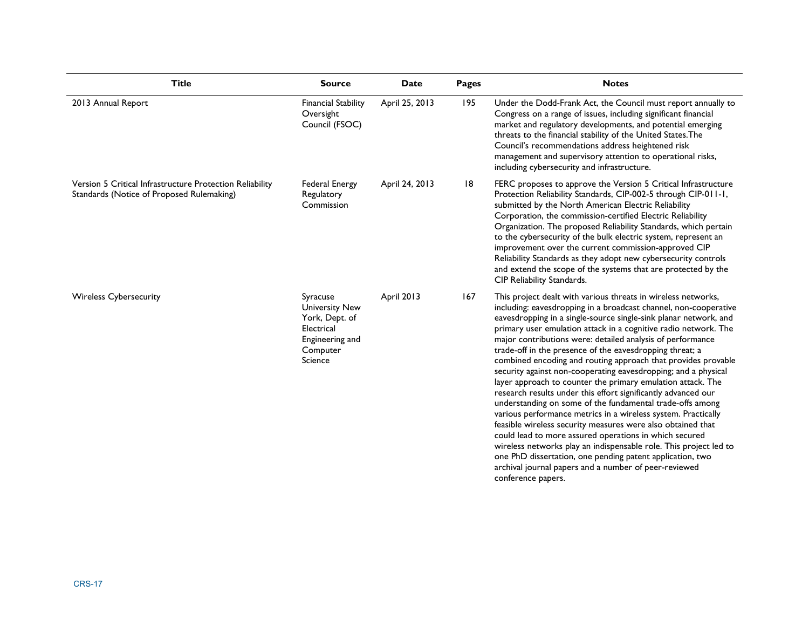| <b>Title</b>                                                                                          | <b>Source</b>                                                                                               | Date           | Pages | <b>Notes</b>                                                                                                                                                                                                                                                                                                                                                                                                                                                                                                                                                                                                                                                                                                                                                                                                                                                                                                                                                                                                                                                                                                                                  |
|-------------------------------------------------------------------------------------------------------|-------------------------------------------------------------------------------------------------------------|----------------|-------|-----------------------------------------------------------------------------------------------------------------------------------------------------------------------------------------------------------------------------------------------------------------------------------------------------------------------------------------------------------------------------------------------------------------------------------------------------------------------------------------------------------------------------------------------------------------------------------------------------------------------------------------------------------------------------------------------------------------------------------------------------------------------------------------------------------------------------------------------------------------------------------------------------------------------------------------------------------------------------------------------------------------------------------------------------------------------------------------------------------------------------------------------|
| 2013 Annual Report                                                                                    | <b>Financial Stability</b><br>Oversight<br>Council (FSOC)                                                   | April 25, 2013 | 195   | Under the Dodd-Frank Act, the Council must report annually to<br>Congress on a range of issues, including significant financial<br>market and regulatory developments, and potential emerging<br>threats to the financial stability of the United States. The<br>Council's recommendations address heightened risk<br>management and supervisory attention to operational risks,<br>including cybersecurity and infrastructure.                                                                                                                                                                                                                                                                                                                                                                                                                                                                                                                                                                                                                                                                                                               |
| Version 5 Critical Infrastructure Protection Reliability<br>Standards (Notice of Proposed Rulemaking) | Federal Energy<br>Regulatory<br>Commission                                                                  | April 24, 2013 | 18    | FERC proposes to approve the Version 5 Critical Infrastructure<br>Protection Reliability Standards, CIP-002-5 through CIP-011-1,<br>submitted by the North American Electric Reliability<br>Corporation, the commission-certified Electric Reliability<br>Organization. The proposed Reliability Standards, which pertain<br>to the cybersecurity of the bulk electric system, represent an<br>improvement over the current commission-approved CIP<br>Reliability Standards as they adopt new cybersecurity controls<br>and extend the scope of the systems that are protected by the<br><b>CIP Reliability Standards.</b>                                                                                                                                                                                                                                                                                                                                                                                                                                                                                                                   |
| <b>Wireless Cybersecurity</b>                                                                         | Syracuse<br><b>University New</b><br>York, Dept. of<br>Electrical<br>Engineering and<br>Computer<br>Science | April 2013     | 167   | This project dealt with various threats in wireless networks,<br>including: eavesdropping in a broadcast channel, non-cooperative<br>eavesdropping in a single-source single-sink planar network, and<br>primary user emulation attack in a cognitive radio network. The<br>major contributions were: detailed analysis of performance<br>trade-off in the presence of the eavesdropping threat; a<br>combined encoding and routing approach that provides provable<br>security against non-cooperating eavesdropping; and a physical<br>layer approach to counter the primary emulation attack. The<br>research results under this effort significantly advanced our<br>understanding on some of the fundamental trade-offs among<br>various performance metrics in a wireless system. Practically<br>feasible wireless security measures were also obtained that<br>could lead to more assured operations in which secured<br>wireless networks play an indispensable role. This project led to<br>one PhD dissertation, one pending patent application, two<br>archival journal papers and a number of peer-reviewed<br>conference papers. |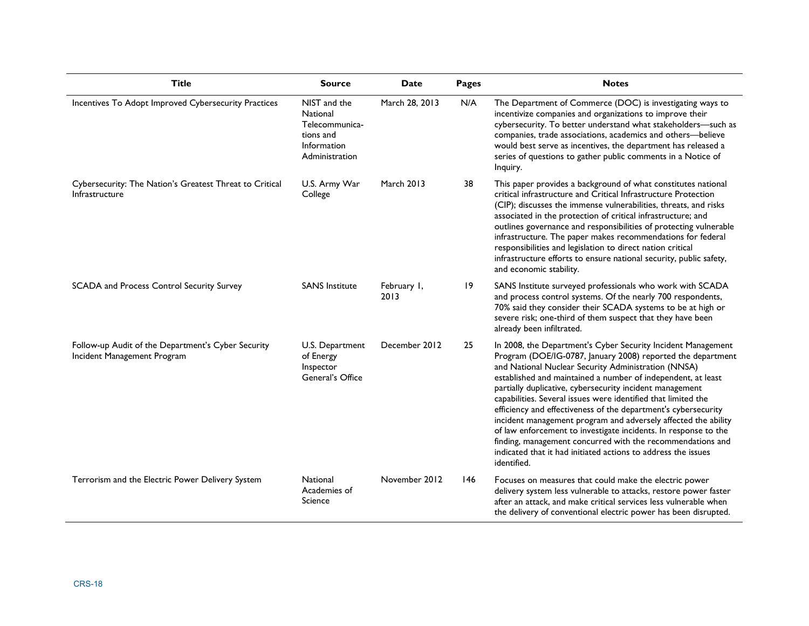| <b>Title</b>                                                                      | <b>Source</b>                                                                            | <b>Date</b>         | Pages           | <b>Notes</b>                                                                                                                                                                                                                                                                                                                                                                                                                                                                                                                                                                                                                                                                                                                         |
|-----------------------------------------------------------------------------------|------------------------------------------------------------------------------------------|---------------------|-----------------|--------------------------------------------------------------------------------------------------------------------------------------------------------------------------------------------------------------------------------------------------------------------------------------------------------------------------------------------------------------------------------------------------------------------------------------------------------------------------------------------------------------------------------------------------------------------------------------------------------------------------------------------------------------------------------------------------------------------------------------|
| Incentives To Adopt Improved Cybersecurity Practices                              | NIST and the<br>National<br>Telecommunica-<br>tions and<br>Information<br>Administration | March 28, 2013      | N/A             | The Department of Commerce (DOC) is investigating ways to<br>incentivize companies and organizations to improve their<br>cybersecurity. To better understand what stakeholders-such as<br>companies, trade associations, academics and others-believe<br>would best serve as incentives, the department has released a<br>series of questions to gather public comments in a Notice of<br>Inquiry.                                                                                                                                                                                                                                                                                                                                   |
| Cybersecurity: The Nation's Greatest Threat to Critical<br>Infrastructure         | U.S. Army War<br>College                                                                 | <b>March 2013</b>   | 38              | This paper provides a background of what constitutes national<br>critical infrastructure and Critical Infrastructure Protection<br>(CIP); discusses the immense vulnerabilities, threats, and risks<br>associated in the protection of critical infrastructure; and<br>outlines governance and responsibilities of protecting vulnerable<br>infrastructure. The paper makes recommendations for federal<br>responsibilities and legislation to direct nation critical<br>infrastructure efforts to ensure national security, public safety,<br>and economic stability.                                                                                                                                                               |
| SCADA and Process Control Security Survey                                         | <b>SANS Institute</b>                                                                    | February I,<br>2013 | $\overline{19}$ | SANS Institute surveyed professionals who work with SCADA<br>and process control systems. Of the nearly 700 respondents,<br>70% said they consider their SCADA systems to be at high or<br>severe risk; one-third of them suspect that they have been<br>already been infiltrated.                                                                                                                                                                                                                                                                                                                                                                                                                                                   |
| Follow-up Audit of the Department's Cyber Security<br>Incident Management Program | U.S. Department<br>of Energy<br>Inspector<br>General's Office                            | December 2012       | 25              | In 2008, the Department's Cyber Security Incident Management<br>Program (DOE/IG-0787, January 2008) reported the department<br>and National Nuclear Security Administration (NNSA)<br>established and maintained a number of independent, at least<br>partially duplicative, cybersecurity incident management<br>capabilities. Several issues were identified that limited the<br>efficiency and effectiveness of the department's cybersecurity<br>incident management program and adversely affected the ability<br>of law enforcement to investigate incidents. In response to the<br>finding, management concurred with the recommendations and<br>indicated that it had initiated actions to address the issues<br>identified. |
| Terrorism and the Electric Power Delivery System                                  | National<br>Academies of<br>Science                                                      | November 2012       | 146             | Focuses on measures that could make the electric power<br>delivery system less vulnerable to attacks, restore power faster<br>after an attack, and make critical services less vulnerable when<br>the delivery of conventional electric power has been disrupted.                                                                                                                                                                                                                                                                                                                                                                                                                                                                    |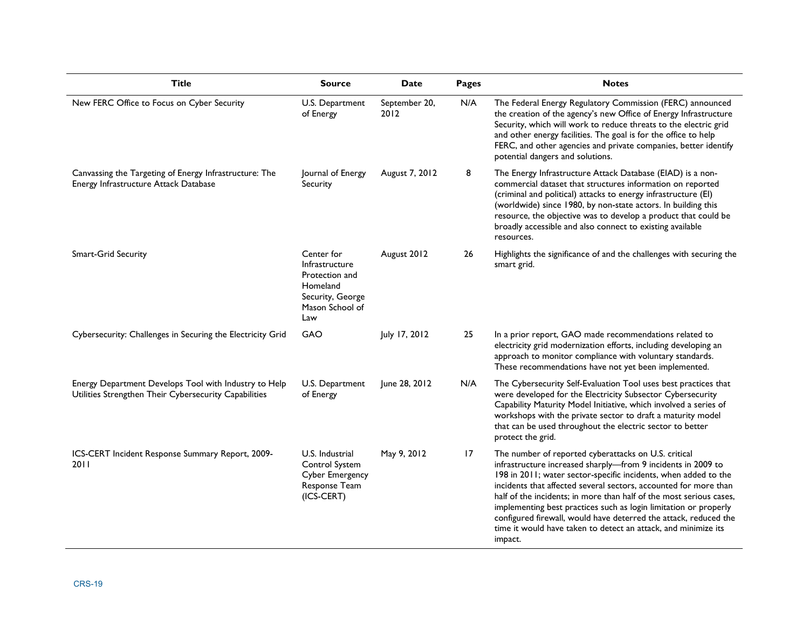| <b>Title</b>                                                                                                   | <b>Source</b>                                                                                            | <b>Date</b>           | Pages | <b>Notes</b>                                                                                                                                                                                                                                                                                                                                                                                                                                                                                                                                            |
|----------------------------------------------------------------------------------------------------------------|----------------------------------------------------------------------------------------------------------|-----------------------|-------|---------------------------------------------------------------------------------------------------------------------------------------------------------------------------------------------------------------------------------------------------------------------------------------------------------------------------------------------------------------------------------------------------------------------------------------------------------------------------------------------------------------------------------------------------------|
| New FERC Office to Focus on Cyber Security                                                                     | U.S. Department<br>of Energy                                                                             | September 20,<br>2012 | N/A   | The Federal Energy Regulatory Commission (FERC) announced<br>the creation of the agency's new Office of Energy Infrastructure<br>Security, which will work to reduce threats to the electric grid<br>and other energy facilities. The goal is for the office to help<br>FERC, and other agencies and private companies, better identify<br>potential dangers and solutions.                                                                                                                                                                             |
| Canvassing the Targeting of Energy Infrastructure: The<br>Energy Infrastructure Attack Database                | Journal of Energy<br>Security                                                                            | August 7, 2012        | 8     | The Energy Infrastructure Attack Database (EIAD) is a non-<br>commercial dataset that structures information on reported<br>(criminal and political) attacks to energy infrastructure (EI)<br>(worldwide) since 1980, by non-state actors. In building this<br>resource, the objective was to develop a product that could be<br>broadly accessible and also connect to existing available<br>resources.                                                                                                                                                |
| Smart-Grid Security                                                                                            | Center for<br>Infrastructure<br>Protection and<br>Homeland<br>Security, George<br>Mason School of<br>Law | August 2012           | 26    | Highlights the significance of and the challenges with securing the<br>smart grid.                                                                                                                                                                                                                                                                                                                                                                                                                                                                      |
| Cybersecurity: Challenges in Securing the Electricity Grid                                                     | GAO                                                                                                      | July 17, 2012         | 25    | In a prior report, GAO made recommendations related to<br>electricity grid modernization efforts, including developing an<br>approach to monitor compliance with voluntary standards.<br>These recommendations have not yet been implemented.                                                                                                                                                                                                                                                                                                           |
| Energy Department Develops Tool with Industry to Help<br>Utilities Strengthen Their Cybersecurity Capabilities | U.S. Department<br>of Energy                                                                             | June 28, 2012         | N/A   | The Cybersecurity Self-Evaluation Tool uses best practices that<br>were developed for the Electricity Subsector Cybersecurity<br>Capability Maturity Model Initiative, which involved a series of<br>workshops with the private sector to draft a maturity model<br>that can be used throughout the electric sector to better<br>protect the grid.                                                                                                                                                                                                      |
| ICS-CERT Incident Response Summary Report, 2009-<br>2011                                                       | U.S. Industrial<br>Control System<br><b>Cyber Emergency</b><br>Response Team<br>(ICS-CERT)               | May 9, 2012           | 17    | The number of reported cyberattacks on U.S. critical<br>infrastructure increased sharply-from 9 incidents in 2009 to<br>198 in 2011; water sector-specific incidents, when added to the<br>incidents that affected several sectors, accounted for more than<br>half of the incidents; in more than half of the most serious cases,<br>implementing best practices such as login limitation or properly<br>configured firewall, would have deterred the attack, reduced the<br>time it would have taken to detect an attack, and minimize its<br>impact. |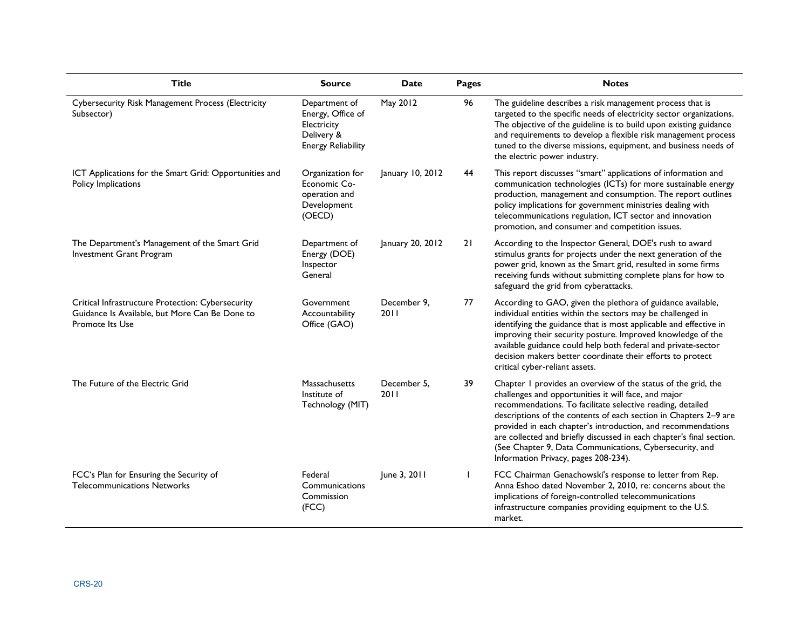| <b>Title</b>                                                                                                                  | <b>Source</b>                                                                                | <b>Date</b>         | Pages | <b>Notes</b>                                                                                                                                                                                                                                                                                                                                                                                                                                                                                       |
|-------------------------------------------------------------------------------------------------------------------------------|----------------------------------------------------------------------------------------------|---------------------|-------|----------------------------------------------------------------------------------------------------------------------------------------------------------------------------------------------------------------------------------------------------------------------------------------------------------------------------------------------------------------------------------------------------------------------------------------------------------------------------------------------------|
| Cybersecurity Risk Management Process (Electricity<br>Subsector)                                                              | Department of<br>Energy, Office of<br>Electricity<br>Delivery &<br><b>Energy Reliability</b> | May 2012            | 96    | The guideline describes a risk management process that is<br>targeted to the specific needs of electricity sector organizations.<br>The objective of the guideline is to build upon existing guidance<br>and requirements to develop a flexible risk management process<br>tuned to the diverse missions, equipment, and business needs of<br>the electric power industry.                                                                                                                         |
| ICT Applications for the Smart Grid: Opportunities and<br>Policy Implications                                                 | Organization for<br>Economic Co-<br>operation and<br>Development<br>(OECD)                   | January 10, 2012    | 44    | This report discusses "smart" applications of information and<br>communication technologies (ICTs) for more sustainable energy<br>production, management and consumption. The report outlines<br>policy implications for government ministries dealing with<br>telecommunications regulation, ICT sector and innovation<br>promotion, and consumer and competition issues.                                                                                                                         |
| The Department's Management of the Smart Grid<br>Investment Grant Program                                                     | Department of<br>Energy (DOE)<br>Inspector<br>General                                        | January 20, 2012    | 21    | According to the Inspector General, DOE's rush to award<br>stimulus grants for projects under the next generation of the<br>power grid, known as the Smart grid, resulted in some firms<br>receiving funds without submitting complete plans for how to<br>safeguard the grid from cyberattacks.                                                                                                                                                                                                   |
| Critical Infrastructure Protection: Cybersecurity<br>Guidance Is Available, but More Can Be Done to<br><b>Promote Its Use</b> | Government<br>Accountability<br>Office (GAO)                                                 | December 9.<br>2011 | 77    | According to GAO, given the plethora of guidance available,<br>individual entities within the sectors may be challenged in<br>identifying the guidance that is most applicable and effective in<br>improving their security posture. Improved knowledge of the<br>available guidance could help both federal and private-sector<br>decision makers better coordinate their efforts to protect<br>critical cyber-reliant assets.                                                                    |
| The Future of the Electric Grid                                                                                               | Massachusetts<br>Institute of<br>Technology (MIT)                                            | December 5,<br>2011 | 39    | Chapter I provides an overview of the status of the grid, the<br>challenges and opportunities it will face, and major<br>recommendations. To facilitate selective reading, detailed<br>descriptions of the contents of each section in Chapters 2-9 are<br>provided in each chapter's introduction, and recommendations<br>are collected and briefly discussed in each chapter's final section.<br>(See Chapter 9, Data Communications, Cybersecurity, and<br>Information Privacy, pages 208-234). |
| FCC's Plan for Ensuring the Security of<br><b>Telecommunications Networks</b>                                                 | Federal<br>Communications<br>Commission<br>(FCC)                                             | June 3, 2011        |       | FCC Chairman Genachowski's response to letter from Rep.<br>Anna Eshoo dated November 2, 2010, re: concerns about the<br>implications of foreign-controlled telecommunications<br>infrastructure companies providing equipment to the U.S.<br>market.                                                                                                                                                                                                                                               |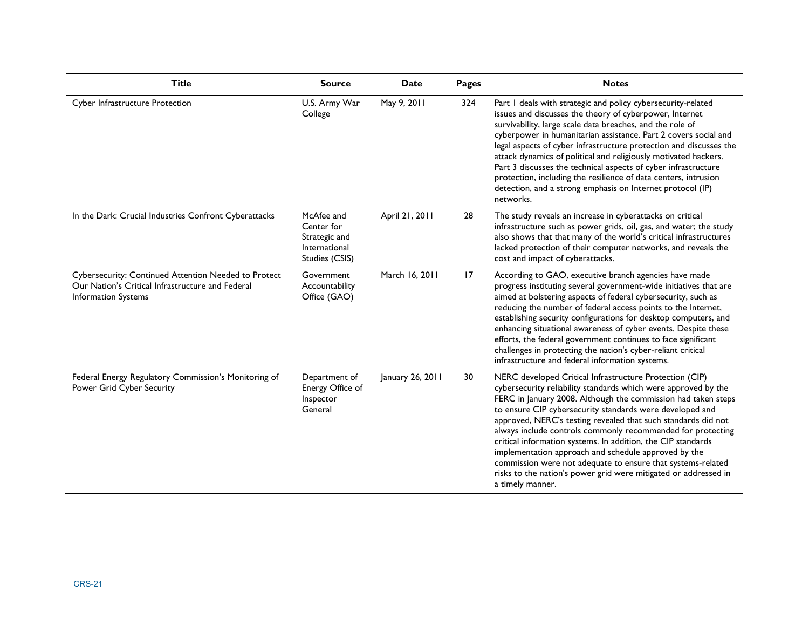| <b>Title</b>                                                                                                                           | <b>Source</b>                                                                | <b>Date</b>      | Pages | <b>Notes</b>                                                                                                                                                                                                                                                                                                                                                                                                                                                                                                                                                                                                                                                         |
|----------------------------------------------------------------------------------------------------------------------------------------|------------------------------------------------------------------------------|------------------|-------|----------------------------------------------------------------------------------------------------------------------------------------------------------------------------------------------------------------------------------------------------------------------------------------------------------------------------------------------------------------------------------------------------------------------------------------------------------------------------------------------------------------------------------------------------------------------------------------------------------------------------------------------------------------------|
| Cyber Infrastructure Protection                                                                                                        | U.S. Army War<br>College                                                     | May 9, 2011      | 324   | Part I deals with strategic and policy cybersecurity-related<br>issues and discusses the theory of cyberpower, Internet<br>survivability, large scale data breaches, and the role of<br>cyberpower in humanitarian assistance. Part 2 covers social and<br>legal aspects of cyber infrastructure protection and discusses the<br>attack dynamics of political and religiously motivated hackers.<br>Part 3 discusses the technical aspects of cyber infrastructure<br>protection, including the resilience of data centers, intrusion<br>detection, and a strong emphasis on Internet protocol (IP)<br>networks.                                                     |
| In the Dark: Crucial Industries Confront Cyberattacks                                                                                  | McAfee and<br>Center for<br>Strategic and<br>International<br>Studies (CSIS) | April 21, 2011   | 28    | The study reveals an increase in cyberattacks on critical<br>infrastructure such as power grids, oil, gas, and water; the study<br>also shows that that many of the world's critical infrastructures<br>lacked protection of their computer networks, and reveals the<br>cost and impact of cyberattacks.                                                                                                                                                                                                                                                                                                                                                            |
| <b>Cybersecurity: Continued Attention Needed to Protect</b><br>Our Nation's Critical Infrastructure and Federal<br>Information Systems | Government<br>Accountability<br>Office (GAO)                                 | March 16, 2011   | 17    | According to GAO, executive branch agencies have made<br>progress instituting several government-wide initiatives that are<br>aimed at bolstering aspects of federal cybersecurity, such as<br>reducing the number of federal access points to the Internet,<br>establishing security configurations for desktop computers, and<br>enhancing situational awareness of cyber events. Despite these<br>efforts, the federal government continues to face significant<br>challenges in protecting the nation's cyber-reliant critical<br>infrastructure and federal information systems.                                                                                |
| Federal Energy Regulatory Commission's Monitoring of<br>Power Grid Cyber Security                                                      | Department of<br>Energy Office of<br>Inspector<br>General                    | January 26, 2011 | 30    | NERC developed Critical Infrastructure Protection (CIP)<br>cybersecurity reliability standards which were approved by the<br>FERC in January 2008. Although the commission had taken steps<br>to ensure CIP cybersecurity standards were developed and<br>approved, NERC's testing revealed that such standards did not<br>always include controls commonly recommended for protecting<br>critical information systems. In addition, the CIP standards<br>implementation approach and schedule approved by the<br>commission were not adequate to ensure that systems-related<br>risks to the nation's power grid were mitigated or addressed in<br>a timely manner. |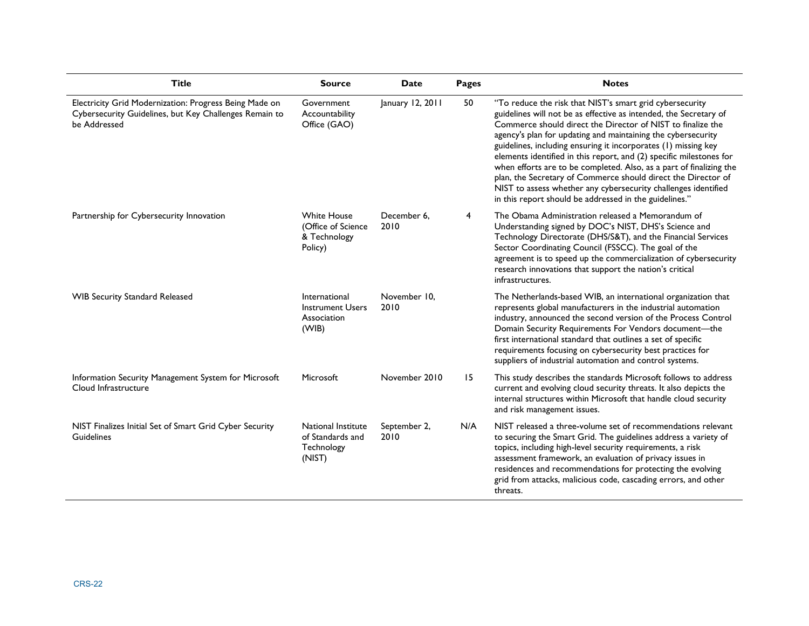| <b>Title</b>                                                                                                                     | <b>Source</b>                                                       | Date                 | Pages | <b>Notes</b>                                                                                                                                                                                                                                                                                                                                                                                                                                                                                                                                                                                                                                                              |
|----------------------------------------------------------------------------------------------------------------------------------|---------------------------------------------------------------------|----------------------|-------|---------------------------------------------------------------------------------------------------------------------------------------------------------------------------------------------------------------------------------------------------------------------------------------------------------------------------------------------------------------------------------------------------------------------------------------------------------------------------------------------------------------------------------------------------------------------------------------------------------------------------------------------------------------------------|
| Electricity Grid Modernization: Progress Being Made on<br>Cybersecurity Guidelines, but Key Challenges Remain to<br>be Addressed | Government<br>Accountability<br>Office (GAO)                        | January 12, 2011     | 50    | "To reduce the risk that NIST's smart grid cybersecurity<br>guidelines will not be as effective as intended, the Secretary of<br>Commerce should direct the Director of NIST to finalize the<br>agency's plan for updating and maintaining the cybersecurity<br>guidelines, including ensuring it incorporates (1) missing key<br>elements identified in this report, and (2) specific milestones for<br>when efforts are to be completed. Also, as a part of finalizing the<br>plan, the Secretary of Commerce should direct the Director of<br>NIST to assess whether any cybersecurity challenges identified<br>in this report should be addressed in the guidelines." |
| Partnership for Cybersecurity Innovation                                                                                         | <b>White House</b><br>(Office of Science<br>& Technology<br>Policy) | December 6.<br>2010  | 4     | The Obama Administration released a Memorandum of<br>Understanding signed by DOC's NIST, DHS's Science and<br>Technology Directorate (DHS/S&T), and the Financial Services<br>Sector Coordinating Council (FSSCC). The goal of the<br>agreement is to speed up the commercialization of cybersecurity<br>research innovations that support the nation's critical<br>infrastructures.                                                                                                                                                                                                                                                                                      |
| <b>WIB Security Standard Released</b>                                                                                            | International<br><b>Instrument Users</b><br>Association<br>(WIB)    | November 10.<br>2010 |       | The Netherlands-based WIB, an international organization that<br>represents global manufacturers in the industrial automation<br>industry, announced the second version of the Process Control<br>Domain Security Requirements For Vendors document-the<br>first international standard that outlines a set of specific<br>requirements focusing on cybersecurity best practices for<br>suppliers of industrial automation and control systems.                                                                                                                                                                                                                           |
| Information Security Management System for Microsoft<br>Cloud Infrastructure                                                     | Microsoft                                                           | November 2010        | 15    | This study describes the standards Microsoft follows to address<br>current and evolving cloud security threats. It also depicts the<br>internal structures within Microsoft that handle cloud security<br>and risk management issues.                                                                                                                                                                                                                                                                                                                                                                                                                                     |
| NIST Finalizes Initial Set of Smart Grid Cyber Security<br>Guidelines                                                            | National Institute<br>of Standards and<br>Technology<br>(NIST)      | September 2,<br>2010 | N/A   | NIST released a three-volume set of recommendations relevant<br>to securing the Smart Grid. The guidelines address a variety of<br>topics, including high-level security requirements, a risk<br>assessment framework, an evaluation of privacy issues in<br>residences and recommendations for protecting the evolving<br>grid from attacks, malicious code, cascading errors, and other<br>threats.                                                                                                                                                                                                                                                                     |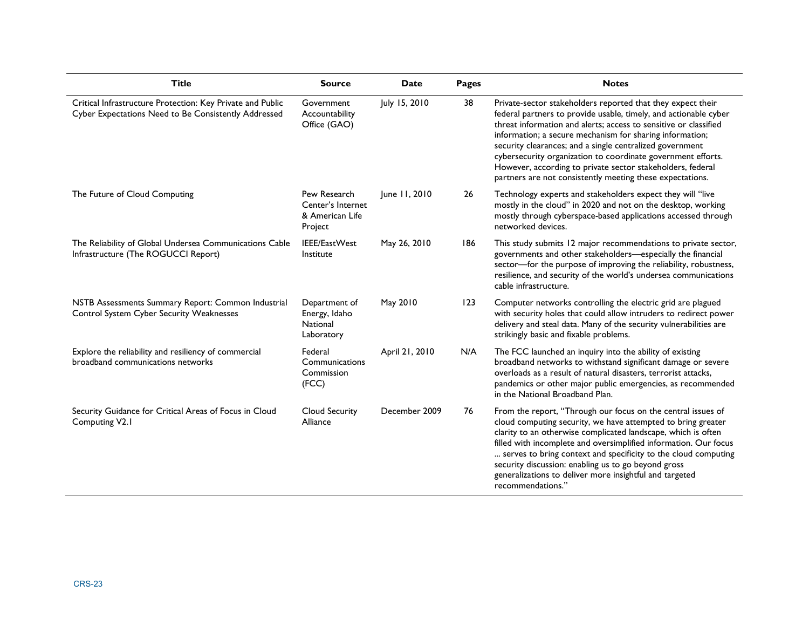| <b>Title</b>                                                                                                       | <b>Source</b>                                                   | <b>Date</b>    | Pages | <b>Notes</b>                                                                                                                                                                                                                                                                                                                                                                                                                                                                                                           |
|--------------------------------------------------------------------------------------------------------------------|-----------------------------------------------------------------|----------------|-------|------------------------------------------------------------------------------------------------------------------------------------------------------------------------------------------------------------------------------------------------------------------------------------------------------------------------------------------------------------------------------------------------------------------------------------------------------------------------------------------------------------------------|
| Critical Infrastructure Protection: Key Private and Public<br>Cyber Expectations Need to Be Consistently Addressed | Government<br>Accountability<br>Office (GAO)                    | July 15, 2010  | 38    | Private-sector stakeholders reported that they expect their<br>federal partners to provide usable, timely, and actionable cyber<br>threat information and alerts; access to sensitive or classified<br>information; a secure mechanism for sharing information;<br>security clearances; and a single centralized government<br>cybersecurity organization to coordinate government efforts.<br>However, according to private sector stakeholders, federal<br>partners are not consistently meeting these expectations. |
| The Future of Cloud Computing                                                                                      | Pew Research<br>Center's Internet<br>& American Life<br>Project | June 11, 2010  | 26    | Technology experts and stakeholders expect they will "live<br>mostly in the cloud" in 2020 and not on the desktop, working<br>mostly through cyberspace-based applications accessed through<br>networked devices.                                                                                                                                                                                                                                                                                                      |
| The Reliability of Global Undersea Communications Cable<br>Infrastructure (The ROGUCCI Report)                     | IEEE/EastWest<br>Institute                                      | May 26, 2010   | 186   | This study submits 12 major recommendations to private sector,<br>governments and other stakeholders-especially the financial<br>sector-for the purpose of improving the reliability, robustness,<br>resilience, and security of the world's undersea communications<br>cable infrastructure.                                                                                                                                                                                                                          |
| NSTB Assessments Summary Report: Common Industrial<br>Control System Cyber Security Weaknesses                     | Department of<br>Energy, Idaho<br>National<br>Laboratory        | May 2010       | 123   | Computer networks controlling the electric grid are plagued<br>with security holes that could allow intruders to redirect power<br>delivery and steal data. Many of the security vulnerabilities are<br>strikingly basic and fixable problems.                                                                                                                                                                                                                                                                         |
| Explore the reliability and resiliency of commercial<br>broadband communications networks                          | Federal<br>Communications<br>Commission<br>(FCC)                | April 21, 2010 | N/A   | The FCC launched an inquiry into the ability of existing<br>broadband networks to withstand significant damage or severe<br>overloads as a result of natural disasters, terrorist attacks,<br>pandemics or other major public emergencies, as recommended<br>in the National Broadband Plan.                                                                                                                                                                                                                           |
| Security Guidance for Critical Areas of Focus in Cloud<br>Computing V2.1                                           | Cloud Security<br>Alliance                                      | December 2009  | 76    | From the report, "Through our focus on the central issues of<br>cloud computing security, we have attempted to bring greater<br>clarity to an otherwise complicated landscape, which is often<br>filled with incomplete and oversimplified information. Our focus<br>serves to bring context and specificity to the cloud computing<br>security discussion: enabling us to go beyond gross<br>generalizations to deliver more insightful and targeted<br>recommendations."                                             |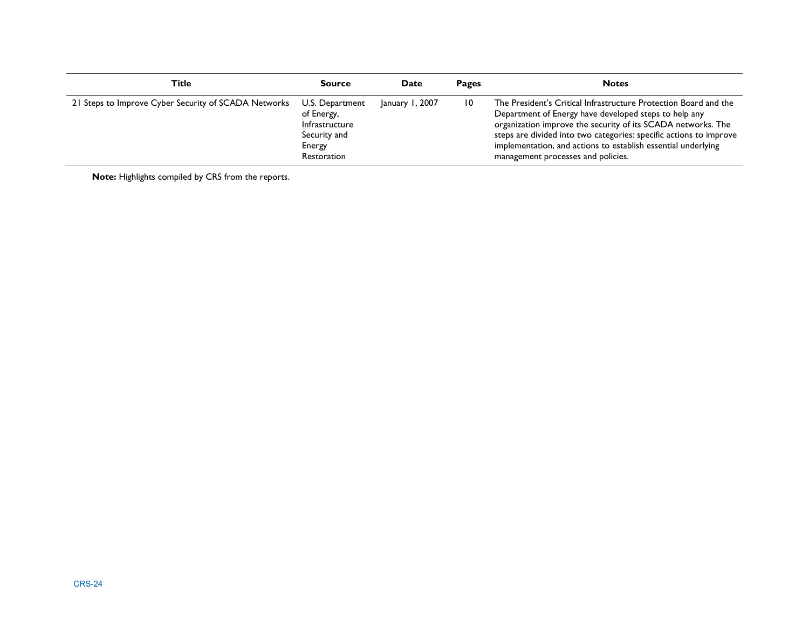| Title                                                | <b>Source</b>                                                                            | Date            | Pages | <b>Notes</b>                                                                                                                                                                                                                                                                                                                                                           |
|------------------------------------------------------|------------------------------------------------------------------------------------------|-----------------|-------|------------------------------------------------------------------------------------------------------------------------------------------------------------------------------------------------------------------------------------------------------------------------------------------------------------------------------------------------------------------------|
| 21 Steps to Improve Cyber Security of SCADA Networks | U.S. Department<br>of Energy,<br>Infrastructure<br>Security and<br>Energy<br>Restoration | January 1, 2007 | 10    | The President's Critical Infrastructure Protection Board and the<br>Department of Energy have developed steps to help any<br>organization improve the security of its SCADA networks. The<br>steps are divided into two categories: specific actions to improve<br>implementation, and actions to establish essential underlying<br>management processes and policies. |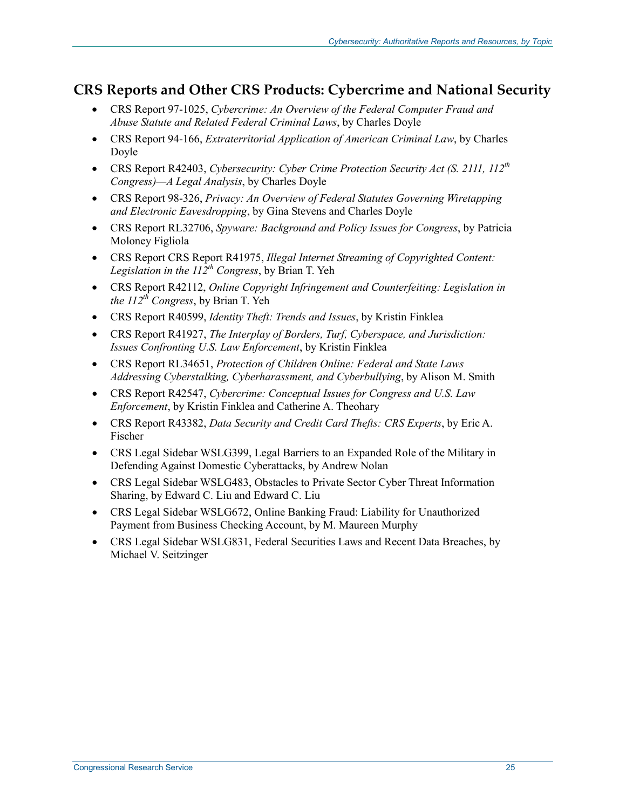### **CRS Reports and Other CRS Products: Cybercrime and National Security**

- CRS Report 97-1025, *Cybercrime: An Overview of the Federal Computer Fraud and Abuse Statute and Related Federal Criminal Laws*, by Charles Doyle
- CRS Report 94-166, *Extraterritorial Application of American Criminal Law*, by Charles Doyle
- CRS Report R42403, *Cybersecurity: Cyber Crime Protection Security Act (S. 2111, 112<sup>th</sup> Congress)—A Legal Analysis*, by Charles Doyle
- CRS Report 98-326, *Privacy: An Overview of Federal Statutes Governing Wiretapping and Electronic Eavesdropping*, by Gina Stevens and Charles Doyle
- CRS Report RL32706, *Spyware: Background and Policy Issues for Congress*, by Patricia Moloney Figliola
- CRS Report CRS Report R41975, *Illegal Internet Streaming of Copyrighted Content:*  Legislation in the  $II<sup>2</sup>th$  Congress, by Brian T. Yeh
- CRS Report R42112, *Online Copyright Infringement and Counterfeiting: Legislation in the 112th Congress*, by Brian T. Yeh
- CRS Report R40599, *Identity Theft: Trends and Issues*, by Kristin Finklea
- CRS Report R41927, *The Interplay of Borders, Turf, Cyberspace, and Jurisdiction: Issues Confronting U.S. Law Enforcement*, by Kristin Finklea
- CRS Report RL34651, *Protection of Children Online: Federal and State Laws Addressing Cyberstalking, Cyberharassment, and Cyberbullying*, by Alison M. Smith
- CRS Report R42547, *Cybercrime: Conceptual Issues for Congress and U.S. Law Enforcement*, by Kristin Finklea and Catherine A. Theohary
- CRS Report R43382, *Data Security and Credit Card Thefts: CRS Experts*, by Eric A. Fischer
- CRS Legal Sidebar WSLG399, Legal Barriers to an Expanded Role of the Military in Defending Against Domestic Cyberattacks, by Andrew Nolan
- CRS Legal Sidebar WSLG483, Obstacles to Private Sector Cyber Threat Information Sharing, by Edward C. Liu and Edward C. Liu
- CRS Legal Sidebar WSLG672, Online Banking Fraud: Liability for Unauthorized Payment from Business Checking Account, by M. Maureen Murphy
- CRS Legal Sidebar WSLG831, Federal Securities Laws and Recent Data Breaches, by Michael V. Seitzinger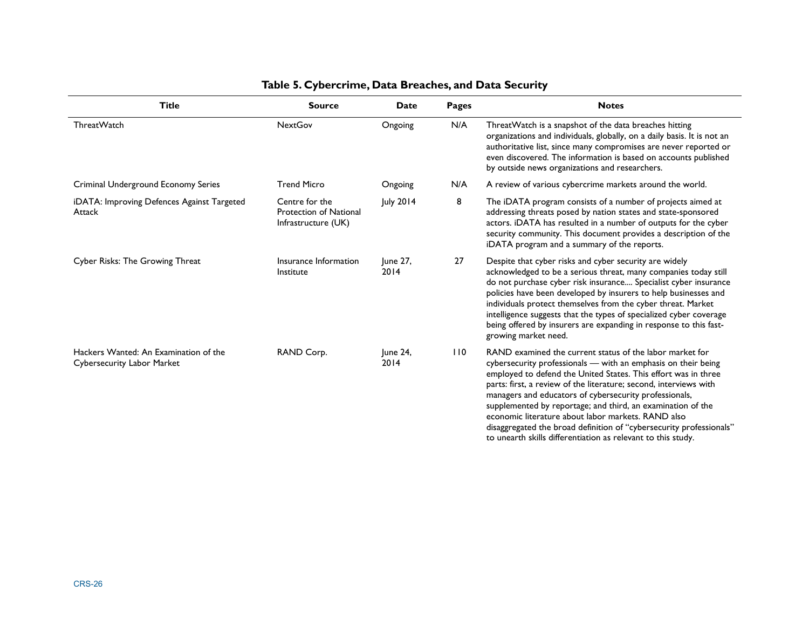| <b>Title</b>                                                        | <b>Source</b>                                                          | Date             | <b>Pages</b> | <b>Notes</b>                                                                                                                                                                                                                                                                                                                                                                                                                                                                                                                                                                           |
|---------------------------------------------------------------------|------------------------------------------------------------------------|------------------|--------------|----------------------------------------------------------------------------------------------------------------------------------------------------------------------------------------------------------------------------------------------------------------------------------------------------------------------------------------------------------------------------------------------------------------------------------------------------------------------------------------------------------------------------------------------------------------------------------------|
| ThreatWatch                                                         | <b>NextGov</b>                                                         | Ongoing          | N/A          | ThreatWatch is a snapshot of the data breaches hitting<br>organizations and individuals, globally, on a daily basis. It is not an<br>authoritative list, since many compromises are never reported or<br>even discovered. The information is based on accounts published<br>by outside news organizations and researchers.                                                                                                                                                                                                                                                             |
| Criminal Underground Economy Series                                 | <b>Trend Micro</b>                                                     | Ongoing          | N/A          | A review of various cybercrime markets around the world.                                                                                                                                                                                                                                                                                                                                                                                                                                                                                                                               |
| iDATA: Improving Defences Against Targeted<br>Attack                | Centre for the<br><b>Protection of National</b><br>Infrastructure (UK) | July 2014        | 8            | The iDATA program consists of a number of projects aimed at<br>addressing threats posed by nation states and state-sponsored<br>actors. iDATA has resulted in a number of outputs for the cyber<br>security community. This document provides a description of the<br>iDATA program and a summary of the reports.                                                                                                                                                                                                                                                                      |
| Cyber Risks: The Growing Threat                                     | Insurance Information<br>Institute                                     | June 27,<br>2014 | 27           | Despite that cyber risks and cyber security are widely<br>acknowledged to be a serious threat, many companies today still<br>do not purchase cyber risk insurance Specialist cyber insurance<br>policies have been developed by insurers to help businesses and<br>individuals protect themselves from the cyber threat. Market<br>intelligence suggests that the types of specialized cyber coverage<br>being offered by insurers are expanding in response to this fast-<br>growing market need.                                                                                     |
| Hackers Wanted: An Examination of the<br>Cybersecurity Labor Market | RAND Corp.                                                             | June 24,<br>2014 | 110          | RAND examined the current status of the labor market for<br>cybersecurity professionals - with an emphasis on their being<br>employed to defend the United States. This effort was in three<br>parts: first, a review of the literature; second, interviews with<br>managers and educators of cybersecurity professionals,<br>supplemented by reportage; and third, an examination of the<br>economic literature about labor markets. RAND also<br>disaggregated the broad definition of "cybersecurity professionals"<br>to unearth skills differentiation as relevant to this study. |

#### **Table 5. Cybercrime, Data Breaches, and Data Security**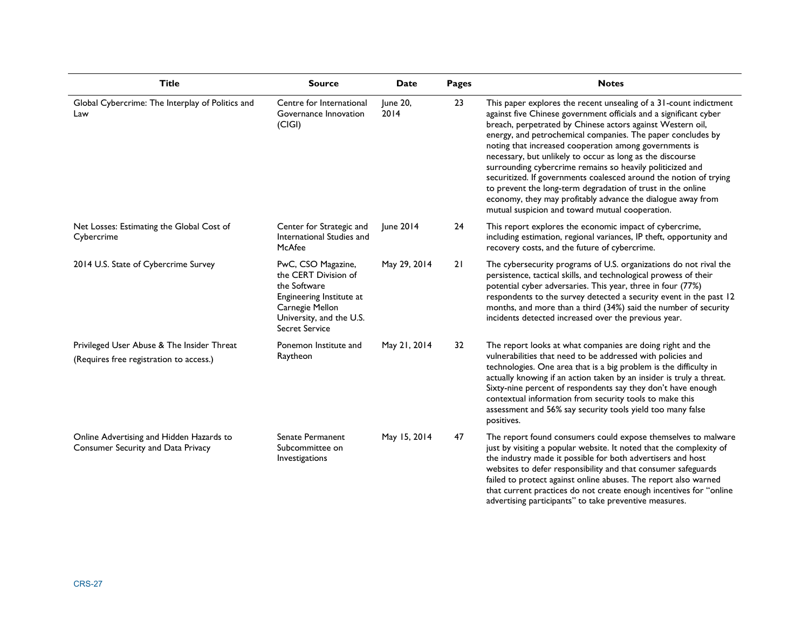| <b>Title</b>                                                                          | <b>Source</b>                                                                                                                                           | <b>Date</b>      | Pages | <b>Notes</b>                                                                                                                                                                                                                                                                                                                                                                                                                                                                                                                                                                                                                                                                                                  |
|---------------------------------------------------------------------------------------|---------------------------------------------------------------------------------------------------------------------------------------------------------|------------------|-------|---------------------------------------------------------------------------------------------------------------------------------------------------------------------------------------------------------------------------------------------------------------------------------------------------------------------------------------------------------------------------------------------------------------------------------------------------------------------------------------------------------------------------------------------------------------------------------------------------------------------------------------------------------------------------------------------------------------|
| Global Cybercrime: The Interplay of Politics and<br>Law                               | Centre for International<br>Governance Innovation<br>(C G )                                                                                             | June 20,<br>2014 | 23    | This paper explores the recent unsealing of a 31-count indictment<br>against five Chinese government officials and a significant cyber<br>breach, perpetrated by Chinese actors against Western oil,<br>energy, and petrochemical companies. The paper concludes by<br>noting that increased cooperation among governments is<br>necessary, but unlikely to occur as long as the discourse<br>surrounding cybercrime remains so heavily politicized and<br>securitized. If governments coalesced around the notion of trying<br>to prevent the long-term degradation of trust in the online<br>economy, they may profitably advance the dialogue away from<br>mutual suspicion and toward mutual cooperation. |
| Net Losses: Estimating the Global Cost of<br>Cybercrime                               | Center for Strategic and<br>International Studies and<br>McAfee                                                                                         | June 2014        | 24    | This report explores the economic impact of cybercrime,<br>including estimation, regional variances, IP theft, opportunity and<br>recovery costs, and the future of cybercrime.                                                                                                                                                                                                                                                                                                                                                                                                                                                                                                                               |
| 2014 U.S. State of Cybercrime Survey                                                  | PwC, CSO Magazine,<br>the CERT Division of<br>the Software<br>Engineering Institute at<br>Carnegie Mellon<br>University, and the U.S.<br>Secret Service | May 29, 2014     | 21    | The cybersecurity programs of U.S. organizations do not rival the<br>persistence, tactical skills, and technological prowess of their<br>potential cyber adversaries. This year, three in four (77%)<br>respondents to the survey detected a security event in the past 12<br>months, and more than a third (34%) said the number of security<br>incidents detected increased over the previous year.                                                                                                                                                                                                                                                                                                         |
| Privileged User Abuse & The Insider Threat<br>(Requires free registration to access.) | Ponemon Institute and<br>Raytheon                                                                                                                       | May 21, 2014     | 32    | The report looks at what companies are doing right and the<br>vulnerabilities that need to be addressed with policies and<br>technologies. One area that is a big problem is the difficulty in<br>actually knowing if an action taken by an insider is truly a threat.<br>Sixty-nine percent of respondents say they don't have enough<br>contextual information from security tools to make this<br>assessment and 56% say security tools yield too many false<br>positives.                                                                                                                                                                                                                                 |
| Online Advertising and Hidden Hazards to<br>Consumer Security and Data Privacy        | Senate Permanent<br>Subcommittee on<br>Investigations                                                                                                   | May 15, 2014     | 47    | The report found consumers could expose themselves to malware<br>just by visiting a popular website. It noted that the complexity of<br>the industry made it possible for both advertisers and host<br>websites to defer responsibility and that consumer safeguards<br>failed to protect against online abuses. The report also warned<br>that current practices do not create enough incentives for "online<br>advertising participants" to take preventive measures.                                                                                                                                                                                                                                       |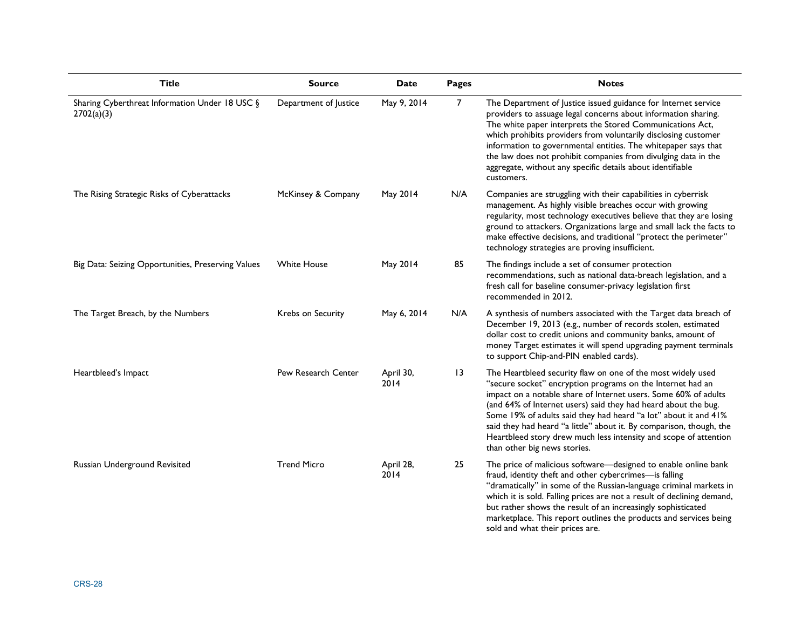| <b>Title</b>                                                 | <b>Source</b>         | Date              | Pages           | <b>Notes</b>                                                                                                                                                                                                                                                                                                                                                                                                                                                                                                 |
|--------------------------------------------------------------|-----------------------|-------------------|-----------------|--------------------------------------------------------------------------------------------------------------------------------------------------------------------------------------------------------------------------------------------------------------------------------------------------------------------------------------------------------------------------------------------------------------------------------------------------------------------------------------------------------------|
| Sharing Cyberthreat Information Under 18 USC §<br>2702(a)(3) | Department of Justice | May 9, 2014       | 7               | The Department of Justice issued guidance for Internet service<br>providers to assuage legal concerns about information sharing.<br>The white paper interprets the Stored Communications Act,<br>which prohibits providers from voluntarily disclosing customer<br>information to governmental entities. The whitepaper says that<br>the law does not prohibit companies from divulging data in the<br>aggregate, without any specific details about identifiable<br>customers.                              |
| The Rising Strategic Risks of Cyberattacks                   | McKinsey & Company    | May 2014          | N/A             | Companies are struggling with their capabilities in cyberrisk<br>management. As highly visible breaches occur with growing<br>regularity, most technology executives believe that they are losing<br>ground to attackers. Organizations large and small lack the facts to<br>make effective decisions, and traditional "protect the perimeter"<br>technology strategies are proving insufficient.                                                                                                            |
| Big Data: Seizing Opportunities, Preserving Values           | <b>White House</b>    | May 2014          | 85              | The findings include a set of consumer protection<br>recommendations, such as national data-breach legislation, and a<br>fresh call for baseline consumer-privacy legislation first<br>recommended in 2012.                                                                                                                                                                                                                                                                                                  |
| The Target Breach, by the Numbers                            | Krebs on Security     | May 6, 2014       | N/A             | A synthesis of numbers associated with the Target data breach of<br>December 19, 2013 (e.g., number of records stolen, estimated<br>dollar cost to credit unions and community banks, amount of<br>money Target estimates it will spend upgrading payment terminals<br>to support Chip-and-PIN enabled cards).                                                                                                                                                                                               |
| Heartbleed's Impact                                          | Pew Research Center   | April 30,<br>2014 | $\overline{13}$ | The Heartbleed security flaw on one of the most widely used<br>"secure socket" encryption programs on the Internet had an<br>impact on a notable share of Internet users. Some 60% of adults<br>(and 64% of Internet users) said they had heard about the bug.<br>Some 19% of adults said they had heard "a lot" about it and 41%<br>said they had heard "a little" about it. By comparison, though, the<br>Heartbleed story drew much less intensity and scope of attention<br>than other big news stories. |
| Russian Underground Revisited                                | <b>Trend Micro</b>    | April 28,<br>2014 | 25              | The price of malicious software-designed to enable online bank<br>fraud, identity theft and other cybercrimes-is falling<br>"dramatically" in some of the Russian-language criminal markets in<br>which it is sold. Falling prices are not a result of declining demand,<br>but rather shows the result of an increasingly sophisticated<br>marketplace. This report outlines the products and services being<br>sold and what their prices are.                                                             |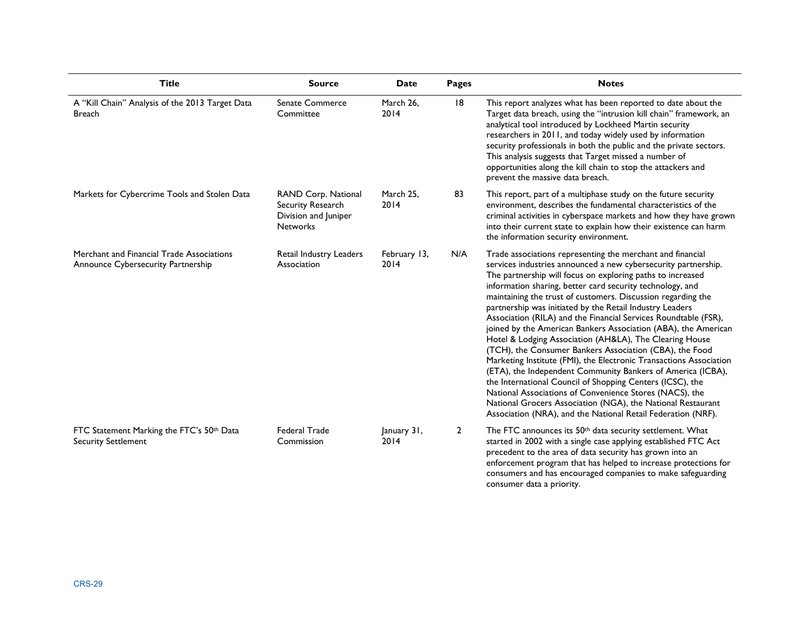| <b>Title</b>                                                                    | <b>Source</b>                                                                       | Date                 | Pages          | <b>Notes</b>                                                                                                                                                                                                                                                                                                                                                                                                                                                                                                                                                                                                                                                                                                                                                                                                                                                                                                                                                                                                                               |
|---------------------------------------------------------------------------------|-------------------------------------------------------------------------------------|----------------------|----------------|--------------------------------------------------------------------------------------------------------------------------------------------------------------------------------------------------------------------------------------------------------------------------------------------------------------------------------------------------------------------------------------------------------------------------------------------------------------------------------------------------------------------------------------------------------------------------------------------------------------------------------------------------------------------------------------------------------------------------------------------------------------------------------------------------------------------------------------------------------------------------------------------------------------------------------------------------------------------------------------------------------------------------------------------|
| A "Kill Chain" Analysis of the 2013 Target Data<br><b>Breach</b>                | Senate Commerce<br>Committee                                                        | March 26,<br>2014    | 8              | This report analyzes what has been reported to date about the<br>Target data breach, using the "intrusion kill chain" framework, an<br>analytical tool introduced by Lockheed Martin security<br>researchers in 2011, and today widely used by information<br>security professionals in both the public and the private sectors.<br>This analysis suggests that Target missed a number of<br>opportunities along the kill chain to stop the attackers and<br>prevent the massive data breach.                                                                                                                                                                                                                                                                                                                                                                                                                                                                                                                                              |
| Markets for Cybercrime Tools and Stolen Data                                    | RAND Corp. National<br>Security Research<br>Division and Juniper<br><b>Networks</b> | March 25,<br>2014    | 83             | This report, part of a multiphase study on the future security<br>environment, describes the fundamental characteristics of the<br>criminal activities in cyberspace markets and how they have grown<br>into their current state to explain how their existence can harm<br>the information security environment.                                                                                                                                                                                                                                                                                                                                                                                                                                                                                                                                                                                                                                                                                                                          |
| Merchant and Financial Trade Associations<br>Announce Cybersecurity Partnership | Retail Industry Leaders<br>Association                                              | February 13,<br>2014 | N/A            | Trade associations representing the merchant and financial<br>services industries announced a new cybersecurity partnership.<br>The partnership will focus on exploring paths to increased<br>information sharing, better card security technology, and<br>maintaining the trust of customers. Discussion regarding the<br>partnership was initiated by the Retail Industry Leaders<br>Association (RILA) and the Financial Services Roundtable (FSR),<br>joined by the American Bankers Association (ABA), the American<br>Hotel & Lodging Association (AH&LA), The Clearing House<br>(TCH), the Consumer Bankers Association (CBA), the Food<br>Marketing Institute (FMI), the Electronic Transactions Association<br>(ETA), the Independent Community Bankers of America (ICBA),<br>the International Council of Shopping Centers (ICSC), the<br>National Associations of Convenience Stores (NACS), the<br>National Grocers Association (NGA), the National Restaurant<br>Association (NRA), and the National Retail Federation (NRF). |
| FTC Statement Marking the FTC's 50th Data<br><b>Security Settlement</b>         | <b>Federal Trade</b><br>Commission                                                  | January 31,<br>2014  | $\overline{2}$ | The FTC announces its 50 <sup>th</sup> data security settlement. What<br>started in 2002 with a single case applying established FTC Act<br>precedent to the area of data security has grown into an<br>enforcement program that has helped to increase protections for<br>consumers and has encouraged companies to make safeguarding<br>consumer data a priority.                                                                                                                                                                                                                                                                                                                                                                                                                                                                                                                                                                                                                                                                        |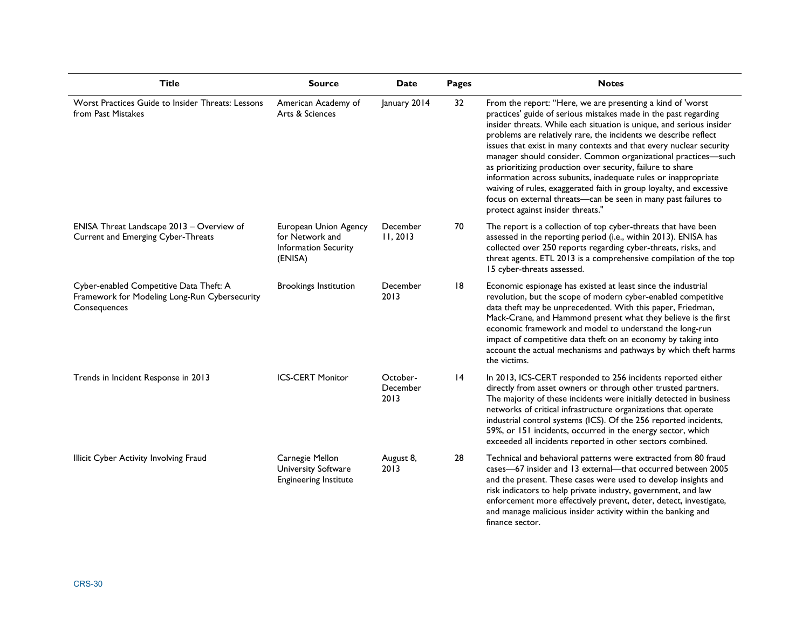| <b>Title</b>                                                                                             | <b>Source</b>                                                                      | Date                         | Pages | <b>Notes</b>                                                                                                                                                                                                                                                                                                                                                                                                                                                                                                                                                                                                                                                                                                                  |
|----------------------------------------------------------------------------------------------------------|------------------------------------------------------------------------------------|------------------------------|-------|-------------------------------------------------------------------------------------------------------------------------------------------------------------------------------------------------------------------------------------------------------------------------------------------------------------------------------------------------------------------------------------------------------------------------------------------------------------------------------------------------------------------------------------------------------------------------------------------------------------------------------------------------------------------------------------------------------------------------------|
| Worst Practices Guide to Insider Threats: Lessons<br>from Past Mistakes                                  | American Academy of<br>Arts & Sciences                                             | January 2014                 | 32    | From the report: "Here, we are presenting a kind of 'worst<br>practices' guide of serious mistakes made in the past regarding<br>insider threats. While each situation is unique, and serious insider<br>problems are relatively rare, the incidents we describe reflect<br>issues that exist in many contexts and that every nuclear security<br>manager should consider. Common organizational practices-such<br>as prioritizing production over security, failure to share<br>information across subunits, inadequate rules or inappropriate<br>waiving of rules, exaggerated faith in group loyalty, and excessive<br>focus on external threats-can be seen in many past failures to<br>protect against insider threats." |
| ENISA Threat Landscape 2013 - Overview of<br>Current and Emerging Cyber-Threats                          | European Union Agency<br>for Network and<br><b>Information Security</b><br>(ENISA) | December<br>11, 2013         | 70    | The report is a collection of top cyber-threats that have been<br>assessed in the reporting period (i.e., within 2013). ENISA has<br>collected over 250 reports regarding cyber-threats, risks, and<br>threat agents. ETL 2013 is a comprehensive compilation of the top<br>15 cyber-threats assessed.                                                                                                                                                                                                                                                                                                                                                                                                                        |
| Cyber-enabled Competitive Data Theft: A<br>Framework for Modeling Long-Run Cybersecurity<br>Consequences | <b>Brookings Institution</b>                                                       | December<br>2013             | 18    | Economic espionage has existed at least since the industrial<br>revolution, but the scope of modern cyber-enabled competitive<br>data theft may be unprecedented. With this paper, Friedman,<br>Mack-Crane, and Hammond present what they believe is the first<br>economic framework and model to understand the long-run<br>impact of competitive data theft on an economy by taking into<br>account the actual mechanisms and pathways by which theft harms<br>the victims.                                                                                                                                                                                                                                                 |
| Trends in Incident Response in 2013                                                                      | <b>ICS-CERT Monitor</b>                                                            | October-<br>December<br>2013 | 14    | In 2013, ICS-CERT responded to 256 incidents reported either<br>directly from asset owners or through other trusted partners.<br>The majority of these incidents were initially detected in business<br>networks of critical infrastructure organizations that operate<br>industrial control systems (ICS). Of the 256 reported incidents,<br>59%, or 151 incidents, occurred in the energy sector, which<br>exceeded all incidents reported in other sectors combined.                                                                                                                                                                                                                                                       |
| Illicit Cyber Activity Involving Fraud                                                                   | Carnegie Mellon<br>University Software<br><b>Engineering Institute</b>             | August 8,<br>2013            | 28    | Technical and behavioral patterns were extracted from 80 fraud<br>cases-67 insider and 13 external-that occurred between 2005<br>and the present. These cases were used to develop insights and<br>risk indicators to help private industry, government, and law<br>enforcement more effectively prevent, deter, detect, investigate,<br>and manage malicious insider activity within the banking and<br>finance sector.                                                                                                                                                                                                                                                                                                      |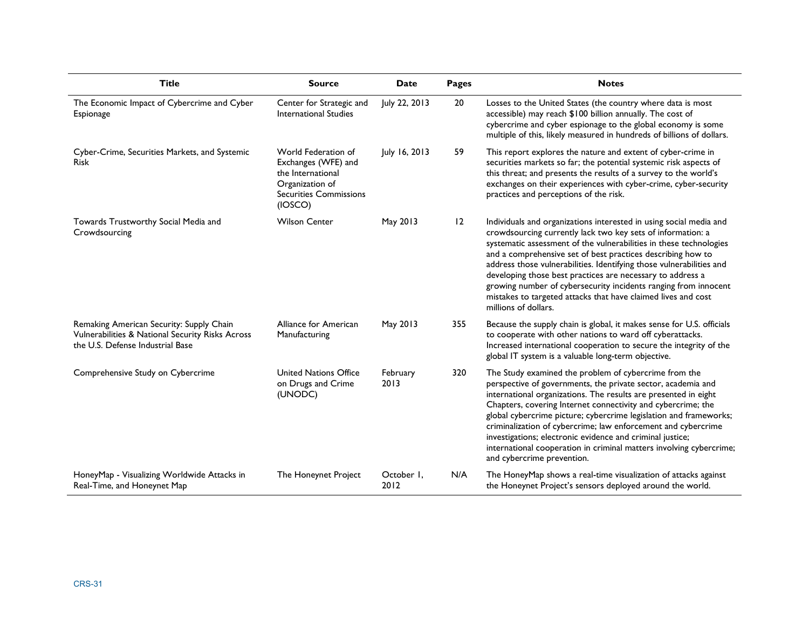| <b>Title</b>                                                                                                                     | <b>Source</b>                                                                                                                  | <b>Date</b>        | Pages | <b>Notes</b>                                                                                                                                                                                                                                                                                                                                                                                                                                                                                                                                                             |
|----------------------------------------------------------------------------------------------------------------------------------|--------------------------------------------------------------------------------------------------------------------------------|--------------------|-------|--------------------------------------------------------------------------------------------------------------------------------------------------------------------------------------------------------------------------------------------------------------------------------------------------------------------------------------------------------------------------------------------------------------------------------------------------------------------------------------------------------------------------------------------------------------------------|
| The Economic Impact of Cybercrime and Cyber<br>Espionage                                                                         | Center for Strategic and<br>International Studies                                                                              | July 22, 2013      | 20    | Losses to the United States (the country where data is most<br>accessible) may reach \$100 billion annually. The cost of<br>cybercrime and cyber espionage to the global economy is some<br>multiple of this, likely measured in hundreds of billions of dollars.                                                                                                                                                                                                                                                                                                        |
| Cyber-Crime, Securities Markets, and Systemic<br><b>Risk</b>                                                                     | World Federation of<br>Exchanges (WFE) and<br>the International<br>Organization of<br><b>Securities Commissions</b><br>(IOSCO) | July 16, 2013      | 59    | This report explores the nature and extent of cyber-crime in<br>securities markets so far; the potential systemic risk aspects of<br>this threat; and presents the results of a survey to the world's<br>exchanges on their experiences with cyber-crime, cyber-security<br>practices and perceptions of the risk.                                                                                                                                                                                                                                                       |
| Towards Trustworthy Social Media and<br>Crowdsourcing                                                                            | <b>Wilson Center</b>                                                                                                           | May 2013           | 12    | Individuals and organizations interested in using social media and<br>crowdsourcing currently lack two key sets of information: a<br>systematic assessment of the vulnerabilities in these technologies<br>and a comprehensive set of best practices describing how to<br>address those vulnerabilities. Identifying those vulnerabilities and<br>developing those best practices are necessary to address a<br>growing number of cybersecurity incidents ranging from innocent<br>mistakes to targeted attacks that have claimed lives and cost<br>millions of dollars. |
| Remaking American Security: Supply Chain<br>Vulnerabilities & National Security Risks Across<br>the U.S. Defense Industrial Base | Alliance for American<br>Manufacturing                                                                                         | May 2013           | 355   | Because the supply chain is global, it makes sense for U.S. officials<br>to cooperate with other nations to ward off cyberattacks.<br>Increased international cooperation to secure the integrity of the<br>global IT system is a valuable long-term objective.                                                                                                                                                                                                                                                                                                          |
| Comprehensive Study on Cybercrime                                                                                                | <b>United Nations Office</b><br>on Drugs and Crime<br>(UNODC)                                                                  | February<br>2013   | 320   | The Study examined the problem of cybercrime from the<br>perspective of governments, the private sector, academia and<br>international organizations. The results are presented in eight<br>Chapters, covering Internet connectivity and cybercrime; the<br>global cybercrime picture; cybercrime legislation and frameworks;<br>criminalization of cybercrime; law enforcement and cybercrime<br>investigations; electronic evidence and criminal justice;<br>international cooperation in criminal matters involving cybercrime;<br>and cybercrime prevention.         |
| HoneyMap - Visualizing Worldwide Attacks in<br>Real-Time, and Honeynet Map                                                       | The Honeynet Project                                                                                                           | October I,<br>2012 | N/A   | The HoneyMap shows a real-time visualization of attacks against<br>the Honeynet Project's sensors deployed around the world.                                                                                                                                                                                                                                                                                                                                                                                                                                             |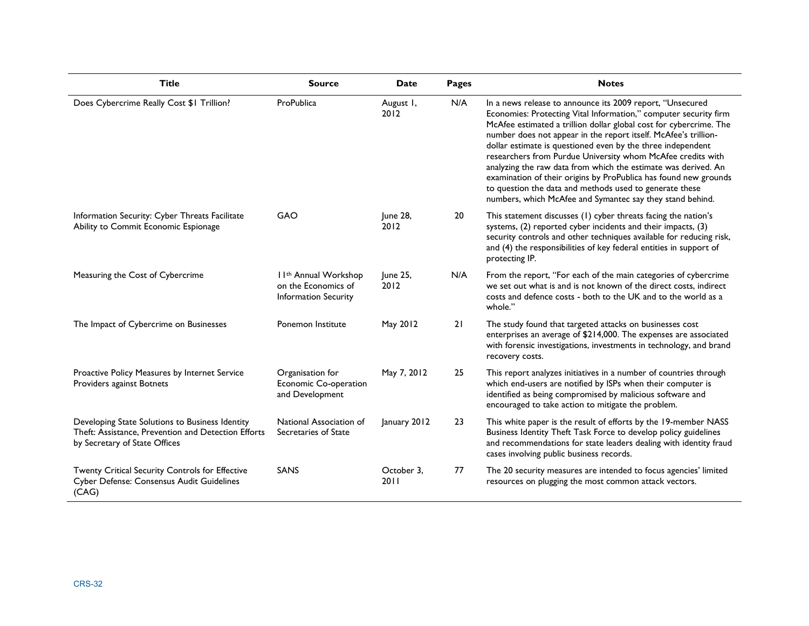| <b>Title</b>                                                                                                                            | <b>Source</b>                                                                           | Date               | Pages | <b>Notes</b>                                                                                                                                                                                                                                                                                                                                                                                                                                                                                                                                                                                                                                                       |
|-----------------------------------------------------------------------------------------------------------------------------------------|-----------------------------------------------------------------------------------------|--------------------|-------|--------------------------------------------------------------------------------------------------------------------------------------------------------------------------------------------------------------------------------------------------------------------------------------------------------------------------------------------------------------------------------------------------------------------------------------------------------------------------------------------------------------------------------------------------------------------------------------------------------------------------------------------------------------------|
| Does Cybercrime Really Cost \$1 Trillion?                                                                                               | ProPublica                                                                              | August I,<br>2012  | N/A   | In a news release to announce its 2009 report, "Unsecured<br>Economies: Protecting Vital Information," computer security firm<br>McAfee estimated a trillion dollar global cost for cybercrime. The<br>number does not appear in the report itself. McAfee's trillion-<br>dollar estimate is questioned even by the three independent<br>researchers from Purdue University whom McAfee credits with<br>analyzing the raw data from which the estimate was derived. An<br>examination of their origins by ProPublica has found new grounds<br>to question the data and methods used to generate these<br>numbers, which McAfee and Symantec say they stand behind. |
| Information Security: Cyber Threats Facilitate<br>Ability to Commit Economic Espionage                                                  | GAO                                                                                     | June 28,<br>2012   | 20    | This statement discusses (1) cyber threats facing the nation's<br>systems, (2) reported cyber incidents and their impacts, (3)<br>security controls and other techniques available for reducing risk,<br>and (4) the responsibilities of key federal entities in support of<br>protecting IP.                                                                                                                                                                                                                                                                                                                                                                      |
| Measuring the Cost of Cybercrime                                                                                                        | I I <sup>th</sup> Annual Workshop<br>on the Economics of<br><b>Information Security</b> | June 25,<br>2012   | N/A   | From the report, "For each of the main categories of cybercrime<br>we set out what is and is not known of the direct costs, indirect<br>costs and defence costs - both to the UK and to the world as a<br>whole."                                                                                                                                                                                                                                                                                                                                                                                                                                                  |
| The Impact of Cybercrime on Businesses                                                                                                  | Ponemon Institute                                                                       | May 2012           | 21    | The study found that targeted attacks on businesses cost<br>enterprises an average of \$214,000. The expenses are associated<br>with forensic investigations, investments in technology, and brand<br>recovery costs.                                                                                                                                                                                                                                                                                                                                                                                                                                              |
| Proactive Policy Measures by Internet Service<br>Providers against Botnets                                                              | Organisation for<br>Economic Co-operation<br>and Development                            | May 7, 2012        | 25    | This report analyzes initiatives in a number of countries through<br>which end-users are notified by ISPs when their computer is<br>identified as being compromised by malicious software and<br>encouraged to take action to mitigate the problem.                                                                                                                                                                                                                                                                                                                                                                                                                |
| Developing State Solutions to Business Identity<br>Theft: Assistance, Prevention and Detection Efforts<br>by Secretary of State Offices | National Association of<br>Secretaries of State                                         | January 2012       | 23    | This white paper is the result of efforts by the 19-member NASS<br>Business Identity Theft Task Force to develop policy guidelines<br>and recommendations for state leaders dealing with identity fraud<br>cases involving public business records.                                                                                                                                                                                                                                                                                                                                                                                                                |
| Twenty Critical Security Controls for Effective<br>Cyber Defense: Consensus Audit Guidelines<br>(CAG)                                   | SANS                                                                                    | October 3.<br>2011 | 77    | The 20 security measures are intended to focus agencies' limited<br>resources on plugging the most common attack vectors.                                                                                                                                                                                                                                                                                                                                                                                                                                                                                                                                          |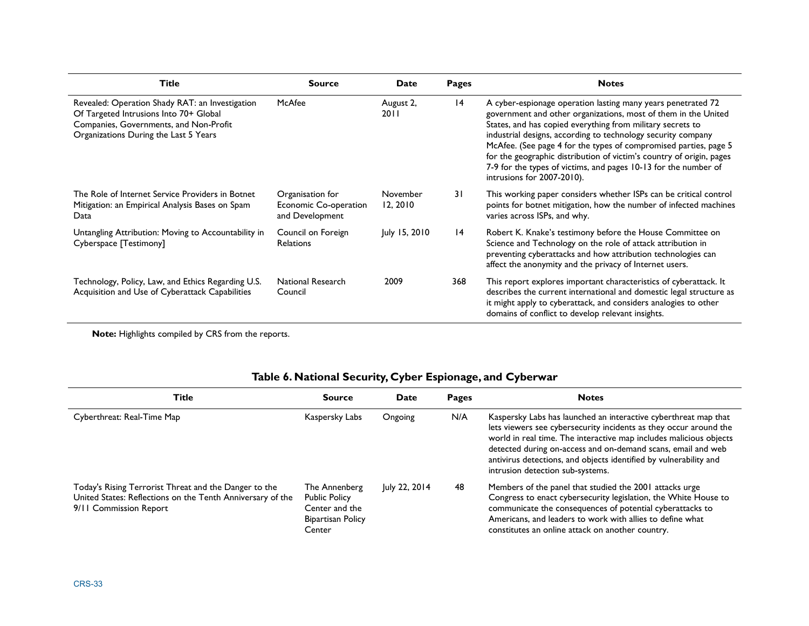| <b>Title</b>                                                                                                                                                                 | <b>Source</b>                                                              | <b>Date</b>          | Pages        | <b>Notes</b>                                                                                                                                                                                                                                                                                                                                                                                                                                                                                              |
|------------------------------------------------------------------------------------------------------------------------------------------------------------------------------|----------------------------------------------------------------------------|----------------------|--------------|-----------------------------------------------------------------------------------------------------------------------------------------------------------------------------------------------------------------------------------------------------------------------------------------------------------------------------------------------------------------------------------------------------------------------------------------------------------------------------------------------------------|
| Revealed: Operation Shady RAT: an Investigation<br>Of Targeted Intrusions Into 70+ Global<br>Companies, Governments, and Non-Profit<br>Organizations During the Last 5 Years | McAfee                                                                     | August 2,<br>2011    | 4            | A cyber-espionage operation lasting many years penetrated 72<br>government and other organizations, most of them in the United<br>States, and has copied everything from military secrets to<br>industrial designs, according to technology security company<br>McAfee. (See page 4 for the types of compromised parties, page 5<br>for the geographic distribution of victim's country of origin, pages<br>7-9 for the types of victims, and pages 10-13 for the number of<br>intrusions for 2007-2010). |
| The Role of Internet Service Providers in Botnet<br>Mitigation: an Empirical Analysis Bases on Spam<br>Data                                                                  | Organisation for<br>Economic Co-operation<br>and Development               | November<br>12, 2010 | 31           | This working paper considers whether ISPs can be critical control<br>points for botnet mitigation, how the number of infected machines<br>varies across ISPs, and why.                                                                                                                                                                                                                                                                                                                                    |
| Untangling Attribution: Moving to Accountability in<br>Cyberspace [Testimony]                                                                                                | Council on Foreign<br><b>Relations</b>                                     | July 15, 2010        | 4            | Robert K. Knake's testimony before the House Committee on<br>Science and Technology on the role of attack attribution in<br>preventing cyberattacks and how attribution technologies can<br>affect the anonymity and the privacy of Internet users.                                                                                                                                                                                                                                                       |
| Technology, Policy, Law, and Ethics Regarding U.S.<br>Acquisition and Use of Cyberattack Capabilities                                                                        | <b>National Research</b><br>Council                                        | 2009                 | 368          | This report explores important characteristics of cyberattack. It<br>describes the current international and domestic legal structure as<br>it might apply to cyberattack, and considers analogies to other<br>domains of conflict to develop relevant insights.                                                                                                                                                                                                                                          |
| Note: Highlights compiled by CRS from the reports.<br><b>Title</b>                                                                                                           | Table 6. National Security, Cyber Espionage, and Cyberwar<br><b>Source</b> | Date                 | <b>Pages</b> | <b>Notes</b>                                                                                                                                                                                                                                                                                                                                                                                                                                                                                              |
|                                                                                                                                                                              |                                                                            |                      |              |                                                                                                                                                                                                                                                                                                                                                                                                                                                                                                           |
| Cyberthreat: Real-Time Map                                                                                                                                                   | Kaspersky Labs                                                             | Ongoing              | N/A          | Kaspersky Labs has launched an interactive cyberthreat map that<br>lets viewers see cybersecurity incidents as they occur around the<br>world in real time. The interactive map includes malicious objects<br>detected during on-access and on-demand scans, email and web<br>antivirus detections, and objects identified by vulnerability and<br>intrusion detection sub-systems.                                                                                                                       |

### **Table 6. National Security, Cyber Espionage, and Cyberwar**

| <b>Title</b>                                                                                                                                  | <b>Source</b>                                                                                 | Date          | Pages | <b>Notes</b>                                                                                                                                                                                                                                                                                                                                                                        |
|-----------------------------------------------------------------------------------------------------------------------------------------------|-----------------------------------------------------------------------------------------------|---------------|-------|-------------------------------------------------------------------------------------------------------------------------------------------------------------------------------------------------------------------------------------------------------------------------------------------------------------------------------------------------------------------------------------|
| Cyberthreat: Real-Time Map                                                                                                                    | Kaspersky Labs                                                                                | Ongoing       | N/A   | Kaspersky Labs has launched an interactive cyberthreat map that<br>lets viewers see cybersecurity incidents as they occur around the<br>world in real time. The interactive map includes malicious objects<br>detected during on-access and on-demand scans, email and web<br>antivirus detections, and objects identified by vulnerability and<br>intrusion detection sub-systems. |
| Today's Rising Terrorist Threat and the Danger to the<br>United States: Reflections on the Tenth Anniversary of the<br>9/11 Commission Report | The Annenberg<br><b>Public Policy</b><br>Center and the<br><b>Bipartisan Policy</b><br>Center | July 22, 2014 | 48    | Members of the panel that studied the 2001 attacks urge<br>Congress to enact cybersecurity legislation, the White House to<br>communicate the consequences of potential cyberattacks to<br>Americans, and leaders to work with allies to define what<br>constitutes an online attack on another country.                                                                            |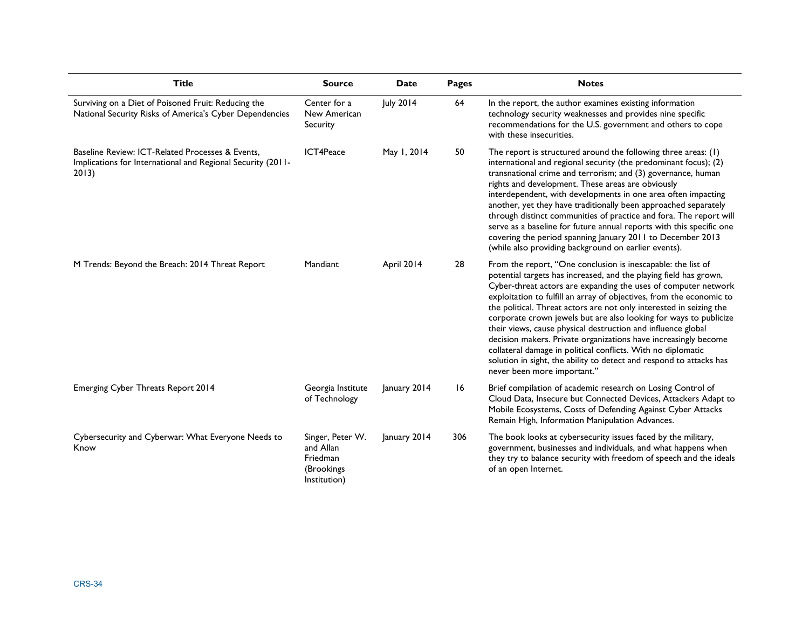| <b>Title</b>                                                                                                             | <b>Source</b>                                                           | <b>Date</b>  | Pages | <b>Notes</b>                                                                                                                                                                                                                                                                                                                                                                                                                                                                                                                                                                                                                                                                                                                     |
|--------------------------------------------------------------------------------------------------------------------------|-------------------------------------------------------------------------|--------------|-------|----------------------------------------------------------------------------------------------------------------------------------------------------------------------------------------------------------------------------------------------------------------------------------------------------------------------------------------------------------------------------------------------------------------------------------------------------------------------------------------------------------------------------------------------------------------------------------------------------------------------------------------------------------------------------------------------------------------------------------|
| Surviving on a Diet of Poisoned Fruit: Reducing the<br>National Security Risks of America's Cyber Dependencies           | Center for a<br>New American<br>Security                                | July 2014    | 64    | In the report, the author examines existing information<br>technology security weaknesses and provides nine specific<br>recommendations for the U.S. government and others to cope<br>with these insecurities.                                                                                                                                                                                                                                                                                                                                                                                                                                                                                                                   |
| Baseline Review: ICT-Related Processes & Events.<br>Implications for International and Regional Security (2011-<br>2013) | ICT4Peace                                                               | May 1, 2014  | 50    | The report is structured around the following three areas: (1)<br>international and regional security (the predominant focus); (2)<br>transnational crime and terrorism; and (3) governance, human<br>rights and development. These areas are obviously<br>interdependent, with developments in one area often impacting<br>another, yet they have traditionally been approached separately<br>through distinct communities of practice and fora. The report will<br>serve as a baseline for future annual reports with this specific one<br>covering the period spanning January 2011 to December 2013<br>(while also providing background on earlier events).                                                                  |
| M Trends: Beyond the Breach: 2014 Threat Report                                                                          | Mandiant                                                                | April 2014   | 28    | From the report, "One conclusion is inescapable: the list of<br>potential targets has increased, and the playing field has grown,<br>Cyber-threat actors are expanding the uses of computer network<br>exploitation to fulfill an array of objectives, from the economic to<br>the political. Threat actors are not only interested in seizing the<br>corporate crown jewels but are also looking for ways to publicize<br>their views, cause physical destruction and influence global<br>decision makers. Private organizations have increasingly become<br>collateral damage in political conflicts. With no diplomatic<br>solution in sight, the ability to detect and respond to attacks has<br>never been more important." |
| Emerging Cyber Threats Report 2014                                                                                       | Georgia Institute<br>of Technology                                      | January 2014 | 16    | Brief compilation of academic research on Losing Control of<br>Cloud Data, Insecure but Connected Devices, Attackers Adapt to<br>Mobile Ecosystems, Costs of Defending Against Cyber Attacks<br>Remain High, Information Manipulation Advances.                                                                                                                                                                                                                                                                                                                                                                                                                                                                                  |
| Cybersecurity and Cyberwar: What Everyone Needs to<br>Know                                                               | Singer, Peter W.<br>and Allan<br>Friedman<br>(Brookings<br>Institution) | January 2014 | 306   | The book looks at cybersecurity issues faced by the military,<br>government, businesses and individuals, and what happens when<br>they try to balance security with freedom of speech and the ideals<br>of an open Internet.                                                                                                                                                                                                                                                                                                                                                                                                                                                                                                     |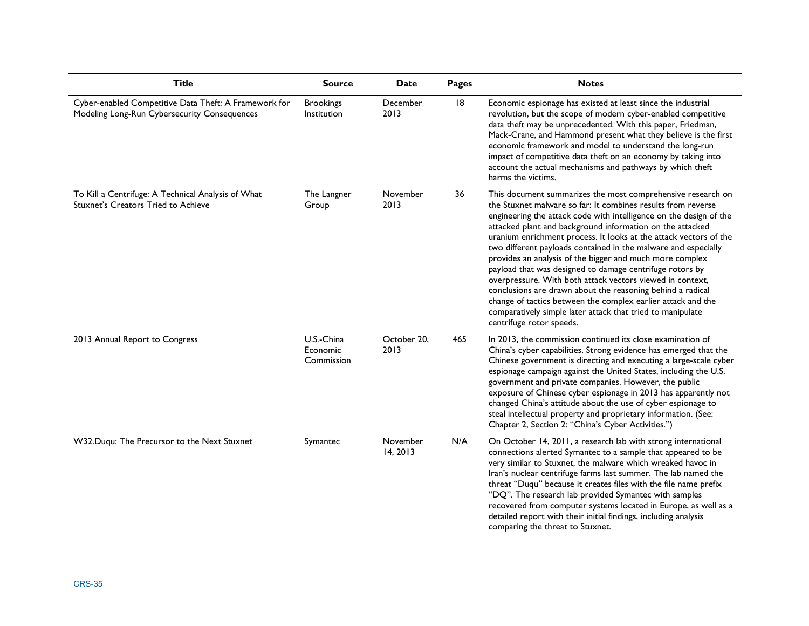| <b>Title</b>                                                                                          | <b>Source</b>                        | Date                 | <b>Pages</b> | <b>Notes</b>                                                                                                                                                                                                                                                                                                                                                                                                                                                                                                                                                                                                                                                                                                                                                                                                       |
|-------------------------------------------------------------------------------------------------------|--------------------------------------|----------------------|--------------|--------------------------------------------------------------------------------------------------------------------------------------------------------------------------------------------------------------------------------------------------------------------------------------------------------------------------------------------------------------------------------------------------------------------------------------------------------------------------------------------------------------------------------------------------------------------------------------------------------------------------------------------------------------------------------------------------------------------------------------------------------------------------------------------------------------------|
| Cyber-enabled Competitive Data Theft: A Framework for<br>Modeling Long-Run Cybersecurity Consequences | <b>Brookings</b><br>Institution      | December<br>2013     | 8            | Economic espionage has existed at least since the industrial<br>revolution, but the scope of modern cyber-enabled competitive<br>data theft may be unprecedented. With this paper, Friedman,<br>Mack-Crane, and Hammond present what they believe is the first<br>economic framework and model to understand the long-run<br>impact of competitive data theft on an economy by taking into<br>account the actual mechanisms and pathways by which theft<br>harms the victims.                                                                                                                                                                                                                                                                                                                                      |
| To Kill a Centrifuge: A Technical Analysis of What<br>Stuxnet's Creators Tried to Achieve             | The Langner<br>Group                 | November<br>2013     | 36           | This document summarizes the most comprehensive research on<br>the Stuxnet malware so far: It combines results from reverse<br>engineering the attack code with intelligence on the design of the<br>attacked plant and background information on the attacked<br>uranium enrichment process. It looks at the attack vectors of the<br>two different payloads contained in the malware and especially<br>provides an analysis of the bigger and much more complex<br>payload that was designed to damage centrifuge rotors by<br>overpressure. With both attack vectors viewed in context,<br>conclusions are drawn about the reasoning behind a radical<br>change of tactics between the complex earlier attack and the<br>comparatively simple later attack that tried to manipulate<br>centrifuge rotor speeds. |
| 2013 Annual Report to Congress                                                                        | U.S.-China<br>Economic<br>Commission | October 20,<br>2013  | 465          | In 2013, the commission continued its close examination of<br>China's cyber capabilities. Strong evidence has emerged that the<br>Chinese government is directing and executing a large-scale cyber<br>espionage campaign against the United States, including the U.S.<br>government and private companies. However, the public<br>exposure of Chinese cyber espionage in 2013 has apparently not<br>changed China's attitude about the use of cyber espionage to<br>steal intellectual property and proprietary information. (See:<br>Chapter 2, Section 2: "China's Cyber Activities.")                                                                                                                                                                                                                         |
| W32.Duqu: The Precursor to the Next Stuxnet                                                           | Symantec                             | November<br>14, 2013 | N/A          | On October 14, 2011, a research lab with strong international<br>connections alerted Symantec to a sample that appeared to be<br>very similar to Stuxnet, the malware which wreaked havoc in<br>Iran's nuclear centrifuge farms last summer. The lab named the<br>threat "Duqu" because it creates files with the file name prefix<br>"DQ". The research lab provided Symantec with samples<br>recovered from computer systems located in Europe, as well as a<br>detailed report with their initial findings, including analysis<br>comparing the threat to Stuxnet.                                                                                                                                                                                                                                              |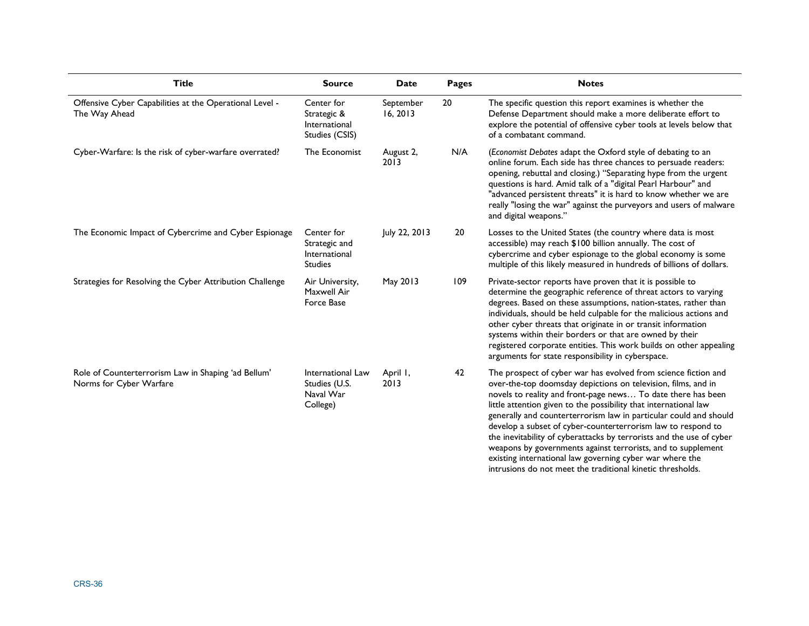| <b>Title</b>                                                                   | <b>Source</b>                                                  | <b>Date</b>           | <b>Pages</b> | <b>Notes</b>                                                                                                                                                                                                                                                                                                                                                                                                                                                                                                                                                                                                                                                               |
|--------------------------------------------------------------------------------|----------------------------------------------------------------|-----------------------|--------------|----------------------------------------------------------------------------------------------------------------------------------------------------------------------------------------------------------------------------------------------------------------------------------------------------------------------------------------------------------------------------------------------------------------------------------------------------------------------------------------------------------------------------------------------------------------------------------------------------------------------------------------------------------------------------|
| Offensive Cyber Capabilities at the Operational Level -<br>The Way Ahead       | Center for<br>Strategic &<br>International<br>Studies (CSIS)   | September<br>16, 2013 | 20           | The specific question this report examines is whether the<br>Defense Department should make a more deliberate effort to<br>explore the potential of offensive cyber tools at levels below that<br>of a combatant command.                                                                                                                                                                                                                                                                                                                                                                                                                                                  |
| Cyber-Warfare: Is the risk of cyber-warfare overrated?                         | The Economist                                                  | August 2,<br>2013     | N/A          | (Economist Debates adapt the Oxford style of debating to an<br>online forum. Each side has three chances to persuade readers:<br>opening, rebuttal and closing.) "Separating hype from the urgent<br>questions is hard. Amid talk of a "digital Pearl Harbour" and<br>"advanced persistent threats" it is hard to know whether we are<br>really "losing the war" against the purveyors and users of malware<br>and digital weapons."                                                                                                                                                                                                                                       |
| The Economic Impact of Cybercrime and Cyber Espionage                          | Center for<br>Strategic and<br>International<br><b>Studies</b> | July 22, 2013         | 20           | Losses to the United States (the country where data is most<br>accessible) may reach \$100 billion annually. The cost of<br>cybercrime and cyber espionage to the global economy is some<br>multiple of this likely measured in hundreds of billions of dollars.                                                                                                                                                                                                                                                                                                                                                                                                           |
| Strategies for Resolving the Cyber Attribution Challenge                       | Air University,<br>Maxwell Air<br>Force Base                   | May 2013              | 109          | Private-sector reports have proven that it is possible to<br>determine the geographic reference of threat actors to varying<br>degrees. Based on these assumptions, nation-states, rather than<br>individuals, should be held culpable for the malicious actions and<br>other cyber threats that originate in or transit information<br>systems within their borders or that are owned by their<br>registered corporate entities. This work builds on other appealing<br>arguments for state responsibility in cyberspace.                                                                                                                                                 |
| Role of Counterterrorism Law in Shaping 'ad Bellum'<br>Norms for Cyber Warfare | International Law<br>Studies (U.S.<br>Naval War<br>College)    | April I,<br>2013      | 42           | The prospect of cyber war has evolved from science fiction and<br>over-the-top doomsday depictions on television, films, and in<br>novels to reality and front-page news To date there has been<br>little attention given to the possibility that international law<br>generally and counterterrorism law in particular could and should<br>develop a subset of cyber-counterterrorism law to respond to<br>the inevitability of cyberattacks by terrorists and the use of cyber<br>weapons by governments against terrorists, and to supplement<br>existing international law governing cyber war where the<br>intrusions do not meet the traditional kinetic thresholds. |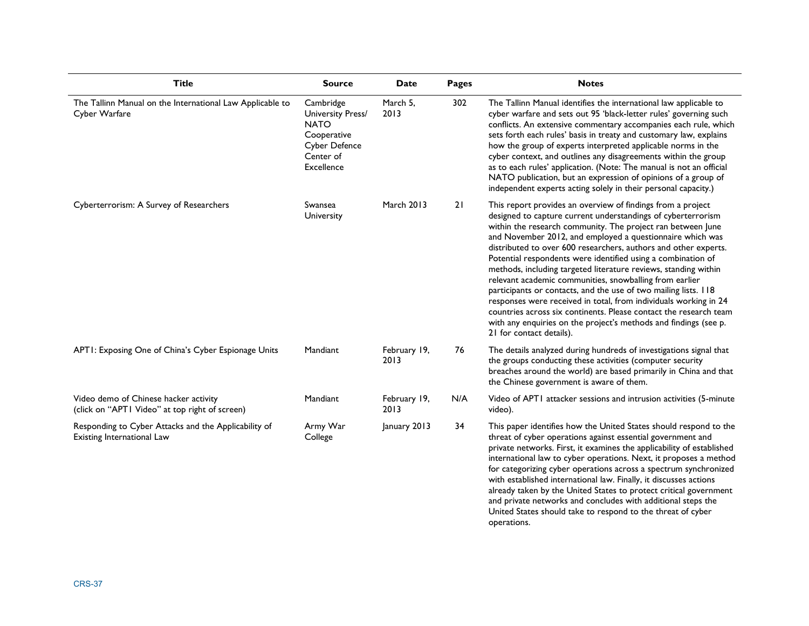| <b>Title</b>                                                                            | <b>Source</b>                                                                                            | <b>Date</b>          | <b>Pages</b> | <b>Notes</b>                                                                                                                                                                                                                                                                                                                                                                                                                                                                                                                                                                                                                                                                                                                                                                                                                          |
|-----------------------------------------------------------------------------------------|----------------------------------------------------------------------------------------------------------|----------------------|--------------|---------------------------------------------------------------------------------------------------------------------------------------------------------------------------------------------------------------------------------------------------------------------------------------------------------------------------------------------------------------------------------------------------------------------------------------------------------------------------------------------------------------------------------------------------------------------------------------------------------------------------------------------------------------------------------------------------------------------------------------------------------------------------------------------------------------------------------------|
| The Tallinn Manual on the International Law Applicable to<br>Cyber Warfare              | Cambridge<br>University Press/<br><b>NATO</b><br>Cooperative<br>Cyber Defence<br>Center of<br>Excellence | March 5,<br>2013     | 302          | The Tallinn Manual identifies the international law applicable to<br>cyber warfare and sets out 95 'black-letter rules' governing such<br>conflicts. An extensive commentary accompanies each rule, which<br>sets forth each rules' basis in treaty and customary law, explains<br>how the group of experts interpreted applicable norms in the<br>cyber context, and outlines any disagreements within the group<br>as to each rules' application. (Note: The manual is not an official<br>NATO publication, but an expression of opinions of a group of<br>independent experts acting solely in their personal capacity.)                                                                                                                                                                                                           |
| Cyberterrorism: A Survey of Researchers                                                 | Swansea<br>University                                                                                    | <b>March 2013</b>    | 21           | This report provides an overview of findings from a project<br>designed to capture current understandings of cyberterrorism<br>within the research community. The project ran between June<br>and November 2012, and employed a questionnaire which was<br>distributed to over 600 researchers, authors and other experts.<br>Potential respondents were identified using a combination of<br>methods, including targeted literature reviews, standing within<br>relevant academic communities, snowballing from earlier<br>participants or contacts, and the use of two mailing lists. I 18<br>responses were received in total, from individuals working in 24<br>countries across six continents. Please contact the research team<br>with any enquiries on the project's methods and findings (see p.<br>21 for contact details). |
| APTI: Exposing One of China's Cyber Espionage Units                                     | Mandiant                                                                                                 | February 19,<br>2013 | 76           | The details analyzed during hundreds of investigations signal that<br>the groups conducting these activities (computer security<br>breaches around the world) are based primarily in China and that<br>the Chinese government is aware of them.                                                                                                                                                                                                                                                                                                                                                                                                                                                                                                                                                                                       |
| Video demo of Chinese hacker activity<br>(click on "APTI Video" at top right of screen) | Mandiant                                                                                                 | February 19,<br>2013 | N/A          | Video of APT1 attacker sessions and intrusion activities (5-minute<br>video).                                                                                                                                                                                                                                                                                                                                                                                                                                                                                                                                                                                                                                                                                                                                                         |
| Responding to Cyber Attacks and the Applicability of<br>Existing International Law      | Army War<br>College                                                                                      | January 2013         | 34           | This paper identifies how the United States should respond to the<br>threat of cyber operations against essential government and<br>private networks. First, it examines the applicability of established<br>international law to cyber operations. Next, it proposes a method<br>for categorizing cyber operations across a spectrum synchronized<br>with established international law. Finally, it discusses actions<br>already taken by the United States to protect critical government<br>and private networks and concludes with additional steps the<br>United States should take to respond to the threat of cyber<br>operations.                                                                                                                                                                                            |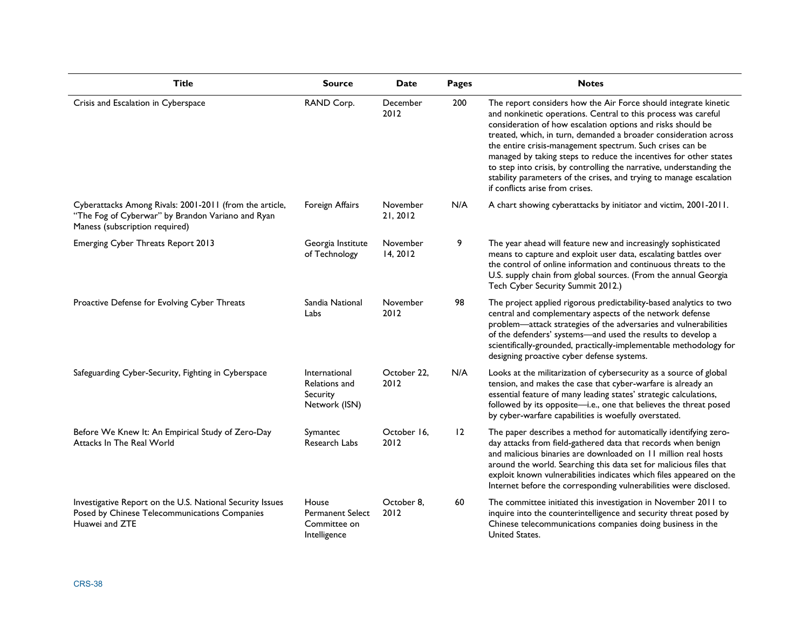| <b>Title</b>                                                                                                                                   | <b>Source</b>                                                    | Date                 | Pages          | <b>Notes</b>                                                                                                                                                                                                                                                                                                                                                                                                                                                                                                                                                                             |
|------------------------------------------------------------------------------------------------------------------------------------------------|------------------------------------------------------------------|----------------------|----------------|------------------------------------------------------------------------------------------------------------------------------------------------------------------------------------------------------------------------------------------------------------------------------------------------------------------------------------------------------------------------------------------------------------------------------------------------------------------------------------------------------------------------------------------------------------------------------------------|
| Crisis and Escalation in Cyberspace                                                                                                            | RAND Corp.                                                       | December<br>2012     | 200            | The report considers how the Air Force should integrate kinetic<br>and nonkinetic operations. Central to this process was careful<br>consideration of how escalation options and risks should be<br>treated, which, in turn, demanded a broader consideration across<br>the entire crisis-management spectrum. Such crises can be<br>managed by taking steps to reduce the incentives for other states<br>to step into crisis, by controlling the narrative, understanding the<br>stability parameters of the crises, and trying to manage escalation<br>if conflicts arise from crises. |
| Cyberattacks Among Rivals: 2001-2011 (from the article,<br>"The Fog of Cyberwar" by Brandon Variano and Ryan<br>Maness (subscription required) | Foreign Affairs                                                  | November<br>21, 2012 | N/A            | A chart showing cyberattacks by initiator and victim, 2001-2011.                                                                                                                                                                                                                                                                                                                                                                                                                                                                                                                         |
| <b>Emerging Cyber Threats Report 2013</b>                                                                                                      | Georgia Institute<br>of Technology                               | November<br>14, 2012 | 9              | The year ahead will feature new and increasingly sophisticated<br>means to capture and exploit user data, escalating battles over<br>the control of online information and continuous threats to the<br>U.S. supply chain from global sources. (From the annual Georgia<br>Tech Cyber Security Summit 2012.)                                                                                                                                                                                                                                                                             |
| Proactive Defense for Evolving Cyber Threats                                                                                                   | Sandia National<br>Labs                                          | November<br>2012     | 98             | The project applied rigorous predictability-based analytics to two<br>central and complementary aspects of the network defense<br>problem-attack strategies of the adversaries and vulnerabilities<br>of the defenders' systems-and used the results to develop a<br>scientifically-grounded, practically-implementable methodology for<br>designing proactive cyber defense systems.                                                                                                                                                                                                    |
| Safeguarding Cyber-Security, Fighting in Cyberspace                                                                                            | International<br>Relations and<br>Security<br>Network (ISN)      | October 22,<br>2012  | N/A            | Looks at the militarization of cybersecurity as a source of global<br>tension, and makes the case that cyber-warfare is already an<br>essential feature of many leading states' strategic calculations,<br>followed by its opposite-i.e., one that believes the threat posed<br>by cyber-warfare capabilities is woefully overstated.                                                                                                                                                                                                                                                    |
| Before We Knew It: An Empirical Study of Zero-Day<br>Attacks In The Real World                                                                 | Symantec<br>Research Labs                                        | October 16,<br>2012  | $\overline{2}$ | The paper describes a method for automatically identifying zero-<br>day attacks from field-gathered data that records when benign<br>and malicious binaries are downloaded on 11 million real hosts<br>around the world. Searching this data set for malicious files that<br>exploit known vulnerabilities indicates which files appeared on the<br>Internet before the corresponding vulnerabilities were disclosed.                                                                                                                                                                    |
| Investigative Report on the U.S. National Security Issues<br>Posed by Chinese Telecommunications Companies<br>Huawei and ZTE                   | House<br><b>Permanent Select</b><br>Committee on<br>Intelligence | October 8,<br>2012   | 60             | The committee initiated this investigation in November 2011 to<br>inquire into the counterintelligence and security threat posed by<br>Chinese telecommunications companies doing business in the<br>United States.                                                                                                                                                                                                                                                                                                                                                                      |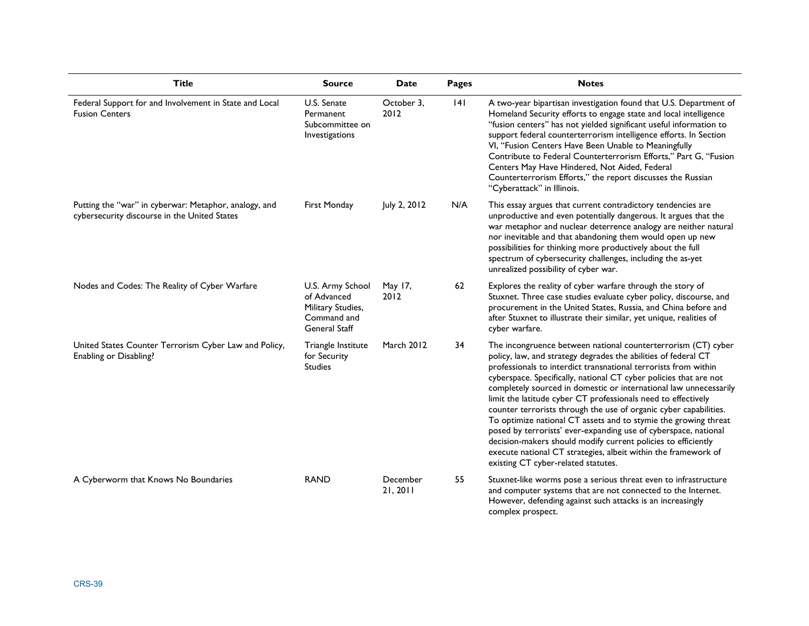| <b>Title</b>                                                                                          | <b>Source</b>                                                                               | Date                 | Pages | <b>Notes</b>                                                                                                                                                                                                                                                                                                                                                                                                                                                                                                                                                                                                                                                                                                                                                                                       |
|-------------------------------------------------------------------------------------------------------|---------------------------------------------------------------------------------------------|----------------------|-------|----------------------------------------------------------------------------------------------------------------------------------------------------------------------------------------------------------------------------------------------------------------------------------------------------------------------------------------------------------------------------------------------------------------------------------------------------------------------------------------------------------------------------------------------------------------------------------------------------------------------------------------------------------------------------------------------------------------------------------------------------------------------------------------------------|
| Federal Support for and Involvement in State and Local<br><b>Fusion Centers</b>                       | U.S. Senate<br>Permanent<br>Subcommittee on<br>Investigations                               | October 3.<br>2012   | 4     | A two-year bipartisan investigation found that U.S. Department of<br>Homeland Security efforts to engage state and local intelligence<br>"fusion centers" has not yielded significant useful information to<br>support federal counterterrorism intelligence efforts. In Section<br>VI, "Fusion Centers Have Been Unable to Meaningfully<br>Contribute to Federal Counterterrorism Efforts," Part G, "Fusion<br>Centers May Have Hindered, Not Aided, Federal<br>Counterterrorism Efforts," the report discusses the Russian<br>"Cyberattack" in Illinois.                                                                                                                                                                                                                                         |
| Putting the "war" in cyberwar: Metaphor, analogy, and<br>cybersecurity discourse in the United States | First Monday                                                                                | July 2, 2012         | N/A   | This essay argues that current contradictory tendencies are<br>unproductive and even potentially dangerous. It argues that the<br>war metaphor and nuclear deterrence analogy are neither natural<br>nor inevitable and that abandoning them would open up new<br>possibilities for thinking more productively about the full<br>spectrum of cybersecurity challenges, including the as-yet<br>unrealized possibility of cyber war.                                                                                                                                                                                                                                                                                                                                                                |
| Nodes and Codes: The Reality of Cyber Warfare                                                         | U.S. Army School<br>of Advanced<br>Military Studies,<br>Command and<br><b>General Staff</b> | May 17,<br>2012      | 62    | Explores the reality of cyber warfare through the story of<br>Stuxnet. Three case studies evaluate cyber policy, discourse, and<br>procurement in the United States, Russia, and China before and<br>after Stuxnet to illustrate their similar, yet unique, realities of<br>cyber warfare.                                                                                                                                                                                                                                                                                                                                                                                                                                                                                                         |
| United States Counter Terrorism Cyber Law and Policy,<br>Enabling or Disabling?                       | Triangle Institute<br>for Security<br><b>Studies</b>                                        | <b>March 2012</b>    | 34    | The incongruence between national counterterrorism (CT) cyber<br>policy, law, and strategy degrades the abilities of federal CT<br>professionals to interdict transnational terrorists from within<br>cyberspace. Specifically, national CT cyber policies that are not<br>completely sourced in domestic or international law unnecessarily<br>limit the latitude cyber CT professionals need to effectively<br>counter terrorists through the use of organic cyber capabilities.<br>To optimize national CT assets and to stymie the growing threat<br>posed by terrorists' ever-expanding use of cyberspace, national<br>decision-makers should modify current policies to efficiently<br>execute national CT strategies, albeit within the framework of<br>existing CT cyber-related statutes. |
| A Cyberworm that Knows No Boundaries                                                                  | <b>RAND</b>                                                                                 | December<br>21, 2011 | 55    | Stuxnet-like worms pose a serious threat even to infrastructure<br>and computer systems that are not connected to the Internet.<br>However, defending against such attacks is an increasingly<br>complex prospect.                                                                                                                                                                                                                                                                                                                                                                                                                                                                                                                                                                                 |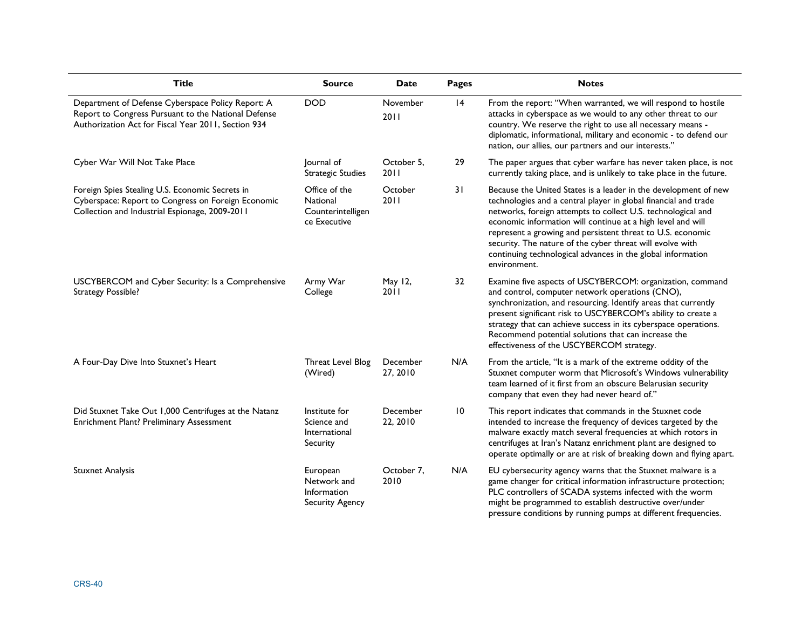| <b>Title</b>                                                                                                                                                    | <b>Source</b>                                                    | Date                 | <b>Pages</b>    | <b>Notes</b>                                                                                                                                                                                                                                                                                                                                                                                                                                                                |
|-----------------------------------------------------------------------------------------------------------------------------------------------------------------|------------------------------------------------------------------|----------------------|-----------------|-----------------------------------------------------------------------------------------------------------------------------------------------------------------------------------------------------------------------------------------------------------------------------------------------------------------------------------------------------------------------------------------------------------------------------------------------------------------------------|
| Department of Defense Cyberspace Policy Report: A<br>Report to Congress Pursuant to the National Defense<br>Authorization Act for Fiscal Year 2011, Section 934 | <b>DOD</b>                                                       | November<br>2011     | 4               | From the report: "When warranted, we will respond to hostile<br>attacks in cyberspace as we would to any other threat to our<br>country. We reserve the right to use all necessary means -<br>diplomatic, informational, military and economic - to defend our<br>nation, our allies, our partners and our interests."                                                                                                                                                      |
| Cyber War Will Not Take Place                                                                                                                                   | Journal of<br><b>Strategic Studies</b>                           | October 5,<br>2011   | 29              | The paper argues that cyber warfare has never taken place, is not<br>currently taking place, and is unlikely to take place in the future.                                                                                                                                                                                                                                                                                                                                   |
| Foreign Spies Stealing U.S. Economic Secrets in<br>Cyberspace: Report to Congress on Foreign Economic<br>Collection and Industrial Espionage, 2009-2011         | Office of the<br>National<br>Counterintelligen<br>ce Executive   | October<br>2011      | 31              | Because the United States is a leader in the development of new<br>technologies and a central player in global financial and trade<br>networks, foreign attempts to collect U.S. technological and<br>economic information will continue at a high level and will<br>represent a growing and persistent threat to U.S. economic<br>security. The nature of the cyber threat will evolve with<br>continuing technological advances in the global information<br>environment. |
| USCYBERCOM and Cyber Security: Is a Comprehensive<br><b>Strategy Possible?</b>                                                                                  | Army War<br>College                                              | May 12,<br>2011      | 32              | Examine five aspects of USCYBERCOM: organization, command<br>and control, computer network operations (CNO),<br>synchronization, and resourcing. Identify areas that currently<br>present significant risk to USCYBERCOM's ability to create a<br>strategy that can achieve success in its cyberspace operations.<br>Recommend potential solutions that can increase the<br>effectiveness of the USCYBERCOM strategy.                                                       |
| A Four-Day Dive Into Stuxnet's Heart                                                                                                                            | Threat Level Blog<br>(Wired)                                     | December<br>27, 2010 | N/A             | From the article, "It is a mark of the extreme oddity of the<br>Stuxnet computer worm that Microsoft's Windows vulnerability<br>team learned of it first from an obscure Belarusian security<br>company that even they had never heard of."                                                                                                                                                                                                                                 |
| Did Stuxnet Take Out 1,000 Centrifuges at the Natanz<br>Enrichment Plant? Preliminary Assessment                                                                | Institute for<br>Science and<br>International<br>Security        | December<br>22, 2010 | $\overline{10}$ | This report indicates that commands in the Stuxnet code<br>intended to increase the frequency of devices targeted by the<br>malware exactly match several frequencies at which rotors in<br>centrifuges at Iran's Natanz enrichment plant are designed to<br>operate optimally or are at risk of breaking down and flying apart.                                                                                                                                            |
| <b>Stuxnet Analysis</b>                                                                                                                                         | European<br>Network and<br>Information<br><b>Security Agency</b> | October 7,<br>2010   | N/A             | EU cybersecurity agency warns that the Stuxnet malware is a<br>game changer for critical information infrastructure protection;<br>PLC controllers of SCADA systems infected with the worm<br>might be programmed to establish destructive over/under<br>pressure conditions by running pumps at different frequencies.                                                                                                                                                     |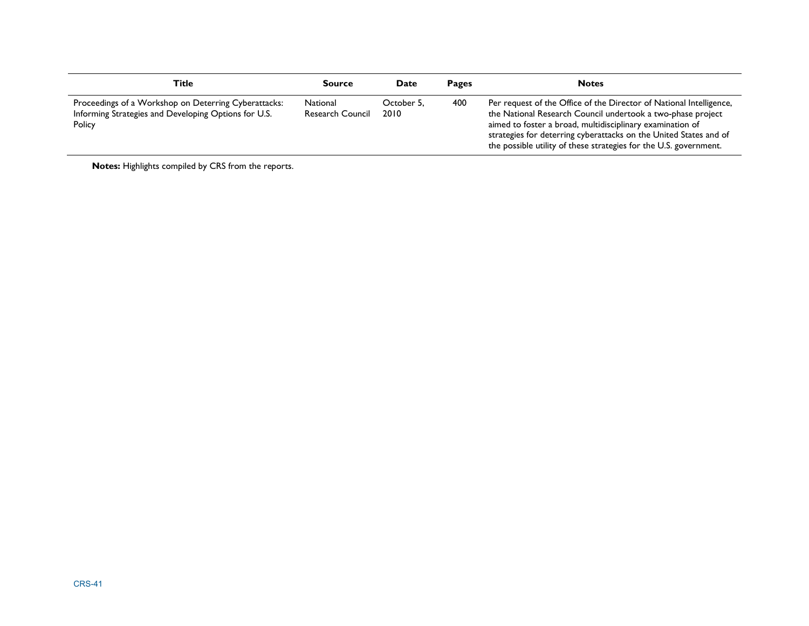| Title                                                                                                                  | <b>Source</b>                | Date               | <b>Pages</b> | <b>Notes</b>                                                                                                                                                                                                                                                                                                                              |
|------------------------------------------------------------------------------------------------------------------------|------------------------------|--------------------|--------------|-------------------------------------------------------------------------------------------------------------------------------------------------------------------------------------------------------------------------------------------------------------------------------------------------------------------------------------------|
| Proceedings of a Workshop on Deterring Cyberattacks:<br>Informing Strategies and Developing Options for U.S.<br>Policy | National<br>Research Council | October 5.<br>2010 | 400          | Per request of the Office of the Director of National Intelligence,<br>the National Research Council undertook a two-phase project<br>aimed to foster a broad, multidisciplinary examination of<br>strategies for deterring cyberattacks on the United States and of<br>the possible utility of these strategies for the U.S. government. |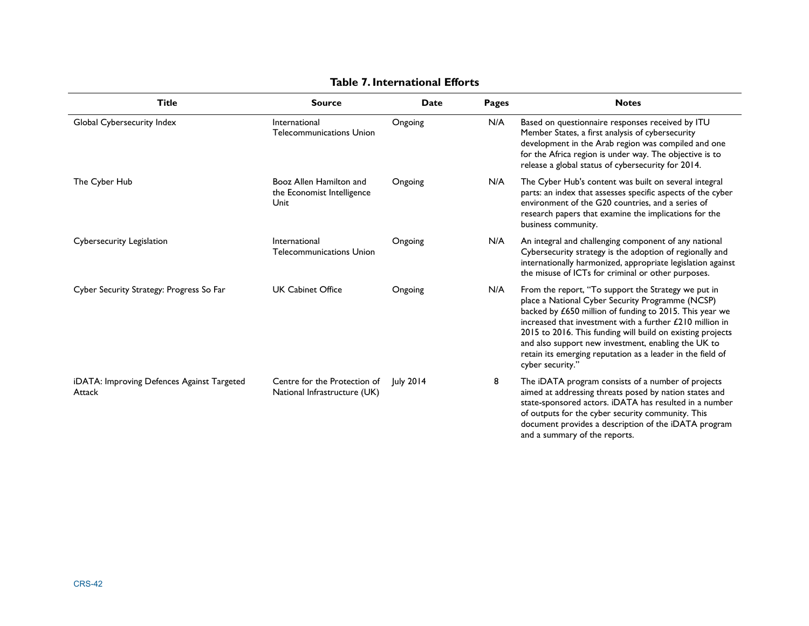| <b>Title</b>                                         | <b>Source</b>                                                 | <b>Date</b> | <b>Pages</b> | <b>Notes</b>                                                                                                                                                                                                                                                                                                                                                                                                                          |
|------------------------------------------------------|---------------------------------------------------------------|-------------|--------------|---------------------------------------------------------------------------------------------------------------------------------------------------------------------------------------------------------------------------------------------------------------------------------------------------------------------------------------------------------------------------------------------------------------------------------------|
| Global Cybersecurity Index                           | International<br><b>Telecommunications Union</b>              | Ongoing     | N/A          | Based on questionnaire responses received by ITU<br>Member States, a first analysis of cybersecurity<br>development in the Arab region was compiled and one<br>for the Africa region is under way. The objective is to<br>release a global status of cybersecurity for 2014.                                                                                                                                                          |
| The Cyber Hub                                        | Booz Allen Hamilton and<br>the Economist Intelligence<br>Unit | Ongoing     | N/A          | The Cyber Hub's content was built on several integral<br>parts: an index that assesses specific aspects of the cyber<br>environment of the G20 countries, and a series of<br>research papers that examine the implications for the<br>business community.                                                                                                                                                                             |
| Cybersecurity Legislation                            | International<br><b>Telecommunications Union</b>              | Ongoing     | N/A          | An integral and challenging component of any national<br>Cybersecurity strategy is the adoption of regionally and<br>internationally harmonized, appropriate legislation against<br>the misuse of ICTs for criminal or other purposes.                                                                                                                                                                                                |
| Cyber Security Strategy: Progress So Far             | <b>UK Cabinet Office</b>                                      | Ongoing     | N/A          | From the report, "To support the Strategy we put in<br>place a National Cyber Security Programme (NCSP)<br>backed by £650 million of funding to 2015. This year we<br>increased that investment with a further £210 million in<br>2015 to 2016. This funding will build on existing projects<br>and also support new investment, enabling the UK to<br>retain its emerging reputation as a leader in the field of<br>cyber security." |
| iDATA: Improving Defences Against Targeted<br>Attack | Centre for the Protection of<br>National Infrastructure (UK)  | July 2014   | 8            | The iDATA program consists of a number of projects<br>aimed at addressing threats posed by nation states and<br>state-sponsored actors. iDATA has resulted in a number<br>of outputs for the cyber security community. This<br>document provides a description of the iDATA program<br>and a summary of the reports.                                                                                                                  |

#### **Table 7. International Efforts**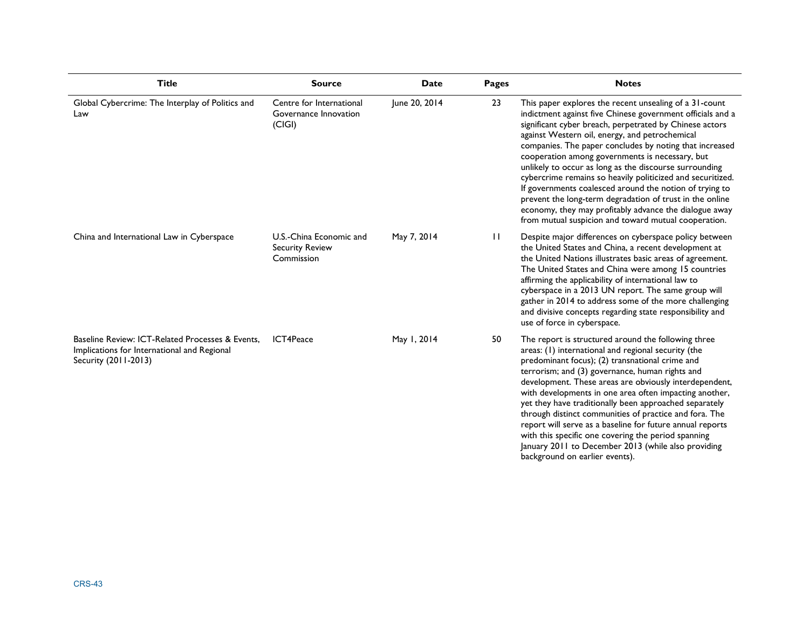| <b>Title</b>                                                                                                            | <b>Source</b>                                                   | <b>Date</b>   | Pages        | <b>Notes</b>                                                                                                                                                                                                                                                                                                                                                                                                                                                                                                                                                                                                                                                                                                     |
|-------------------------------------------------------------------------------------------------------------------------|-----------------------------------------------------------------|---------------|--------------|------------------------------------------------------------------------------------------------------------------------------------------------------------------------------------------------------------------------------------------------------------------------------------------------------------------------------------------------------------------------------------------------------------------------------------------------------------------------------------------------------------------------------------------------------------------------------------------------------------------------------------------------------------------------------------------------------------------|
| Global Cybercrime: The Interplay of Politics and<br>Law                                                                 | Centre for International<br>Governance Innovation<br>(C G )     | June 20, 2014 | 23           | This paper explores the recent unsealing of a 31-count<br>indictment against five Chinese government officials and a<br>significant cyber breach, perpetrated by Chinese actors<br>against Western oil, energy, and petrochemical<br>companies. The paper concludes by noting that increased<br>cooperation among governments is necessary, but<br>unlikely to occur as long as the discourse surrounding<br>cybercrime remains so heavily politicized and securitized.<br>If governments coalesced around the notion of trying to<br>prevent the long-term degradation of trust in the online<br>economy, they may profitably advance the dialogue away<br>from mutual suspicion and toward mutual cooperation. |
| China and International Law in Cyberspace                                                                               | U.S.-China Economic and<br><b>Security Review</b><br>Commission | May 7, 2014   | $\mathbf{H}$ | Despite major differences on cyberspace policy between<br>the United States and China, a recent development at<br>the United Nations illustrates basic areas of agreement.<br>The United States and China were among 15 countries<br>affirming the applicability of international law to<br>cyberspace in a 2013 UN report. The same group will<br>gather in 2014 to address some of the more challenging<br>and divisive concepts regarding state responsibility and<br>use of force in cyberspace.                                                                                                                                                                                                             |
| Baseline Review: ICT-Related Processes & Events.<br>Implications for International and Regional<br>Security (2011-2013) | ICT4Peace                                                       | May 1, 2014   | 50           | The report is structured around the following three<br>areas: (1) international and regional security (the<br>predominant focus); (2) transnational crime and<br>terrorism; and (3) governance, human rights and<br>development. These areas are obviously interdependent,<br>with developments in one area often impacting another,<br>yet they have traditionally been approached separately<br>through distinct communities of practice and fora. The<br>report will serve as a baseline for future annual reports<br>with this specific one covering the period spanning<br>January 2011 to December 2013 (while also providing<br>background on earlier events).                                            |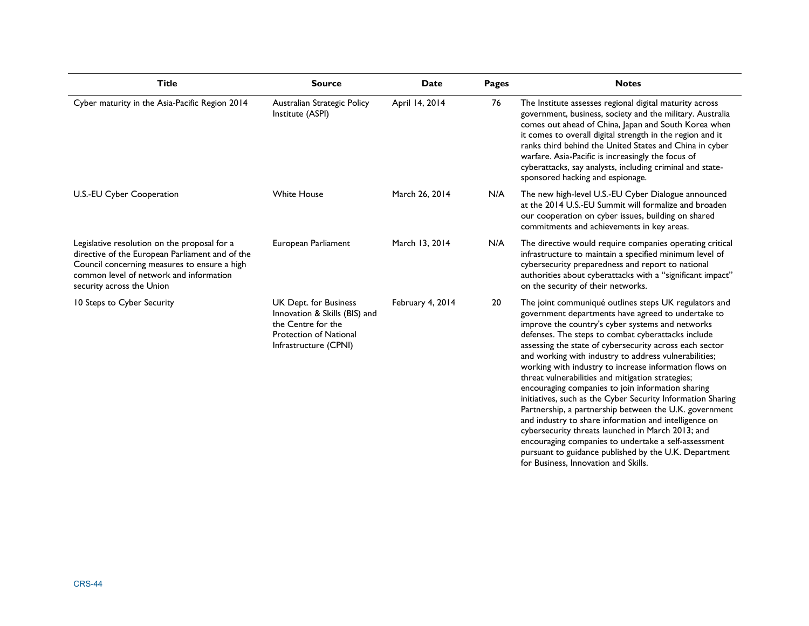| <b>Title</b>                                                                                                                                                                                                            | Source                                                                                                                                 | Date             | <b>Pages</b> | <b>Notes</b>                                                                                                                                                                                                                                                                                                                                                                                                                                                                                                                                                                                                                                                                                                                                                                                                                                                                                                  |
|-------------------------------------------------------------------------------------------------------------------------------------------------------------------------------------------------------------------------|----------------------------------------------------------------------------------------------------------------------------------------|------------------|--------------|---------------------------------------------------------------------------------------------------------------------------------------------------------------------------------------------------------------------------------------------------------------------------------------------------------------------------------------------------------------------------------------------------------------------------------------------------------------------------------------------------------------------------------------------------------------------------------------------------------------------------------------------------------------------------------------------------------------------------------------------------------------------------------------------------------------------------------------------------------------------------------------------------------------|
| Cyber maturity in the Asia-Pacific Region 2014                                                                                                                                                                          | Australian Strategic Policy<br>Institute (ASPI)                                                                                        | April 14, 2014   | 76           | The Institute assesses regional digital maturity across<br>government, business, society and the military. Australia<br>comes out ahead of China, Japan and South Korea when<br>it comes to overall digital strength in the region and it<br>ranks third behind the United States and China in cyber<br>warfare. Asia-Pacific is increasingly the focus of<br>cyberattacks, say analysts, including criminal and state-<br>sponsored hacking and espionage.                                                                                                                                                                                                                                                                                                                                                                                                                                                   |
| U.S.-EU Cyber Cooperation                                                                                                                                                                                               | <b>White House</b>                                                                                                                     | March 26, 2014   | N/A          | The new high-level U.S.-EU Cyber Dialogue announced<br>at the 2014 U.S.-EU Summit will formalize and broaden<br>our cooperation on cyber issues, building on shared<br>commitments and achievements in key areas.                                                                                                                                                                                                                                                                                                                                                                                                                                                                                                                                                                                                                                                                                             |
| Legislative resolution on the proposal for a<br>directive of the European Parliament and of the<br>Council concerning measures to ensure a high<br>common level of network and information<br>security across the Union | European Parliament                                                                                                                    | March 13, 2014   | N/A          | The directive would require companies operating critical<br>infrastructure to maintain a specified minimum level of<br>cybersecurity preparedness and report to national<br>authorities about cyberattacks with a "significant impact"<br>on the security of their networks.                                                                                                                                                                                                                                                                                                                                                                                                                                                                                                                                                                                                                                  |
| 10 Steps to Cyber Security                                                                                                                                                                                              | UK Dept. for Business<br>Innovation & Skills (BIS) and<br>the Centre for the<br><b>Protection of National</b><br>Infrastructure (CPNI) | February 4, 2014 | 20           | The joint communiqué outlines steps UK regulators and<br>government departments have agreed to undertake to<br>improve the country's cyber systems and networks<br>defenses. The steps to combat cyberattacks include<br>assessing the state of cybersecurity across each sector<br>and working with industry to address vulnerabilities;<br>working with industry to increase information flows on<br>threat vulnerabilities and mitigation strategies;<br>encouraging companies to join information sharing<br>initiatives, such as the Cyber Security Information Sharing<br>Partnership, a partnership between the U.K. government<br>and industry to share information and intelligence on<br>cybersecurity threats launched in March 2013; and<br>encouraging companies to undertake a self-assessment<br>pursuant to guidance published by the U.K. Department<br>for Business, Innovation and Skills. |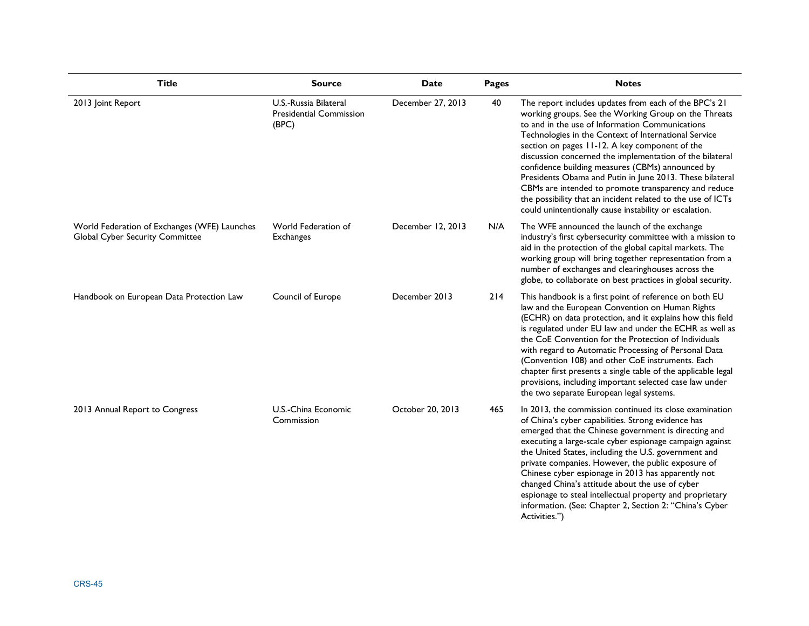| <b>Title</b>                                                                    | <b>Source</b>                                                    | Date              | Pages | <b>Notes</b>                                                                                                                                                                                                                                                                                                                                                                                                                                                                                                                                                                                                                            |
|---------------------------------------------------------------------------------|------------------------------------------------------------------|-------------------|-------|-----------------------------------------------------------------------------------------------------------------------------------------------------------------------------------------------------------------------------------------------------------------------------------------------------------------------------------------------------------------------------------------------------------------------------------------------------------------------------------------------------------------------------------------------------------------------------------------------------------------------------------------|
| 2013 Joint Report                                                               | U.S.-Russia Bilateral<br><b>Presidential Commission</b><br>(BPC) | December 27, 2013 | 40    | The report includes updates from each of the BPC's 21<br>working groups. See the Working Group on the Threats<br>to and in the use of Information Communications<br>Technologies in the Context of International Service<br>section on pages 11-12. A key component of the<br>discussion concerned the implementation of the bilateral<br>confidence building measures (CBMs) announced by<br>Presidents Obama and Putin in June 2013. These bilateral<br>CBMs are intended to promote transparency and reduce<br>the possibility that an incident related to the use of ICTs<br>could unintentionally cause instability or escalation. |
| World Federation of Exchanges (WFE) Launches<br>Global Cyber Security Committee | World Federation of<br><b>Exchanges</b>                          | December 12, 2013 | N/A   | The WFE announced the launch of the exchange<br>industry's first cybersecurity committee with a mission to<br>aid in the protection of the global capital markets. The<br>working group will bring together representation from a<br>number of exchanges and clearinghouses across the<br>globe, to collaborate on best practices in global security.                                                                                                                                                                                                                                                                                   |
| Handbook on European Data Protection Law                                        | Council of Europe                                                | December 2013     | 214   | This handbook is a first point of reference on both EU<br>law and the European Convention on Human Rights<br>(ECHR) on data protection, and it explains how this field<br>is regulated under EU law and under the ECHR as well as<br>the CoE Convention for the Protection of Individuals<br>with regard to Automatic Processing of Personal Data<br>(Convention 108) and other CoE instruments. Each<br>chapter first presents a single table of the applicable legal<br>provisions, including important selected case law under<br>the two separate European legal systems.                                                           |
| 2013 Annual Report to Congress                                                  | U.S.-China Economic<br>Commission                                | October 20, 2013  | 465   | In 2013, the commission continued its close examination<br>of China's cyber capabilities. Strong evidence has<br>emerged that the Chinese government is directing and<br>executing a large-scale cyber espionage campaign against<br>the United States, including the U.S. government and<br>private companies. However, the public exposure of<br>Chinese cyber espionage in 2013 has apparently not<br>changed China's attitude about the use of cyber<br>espionage to steal intellectual property and proprietary<br>information. (See: Chapter 2, Section 2: "China's Cyber<br>Activities.")                                        |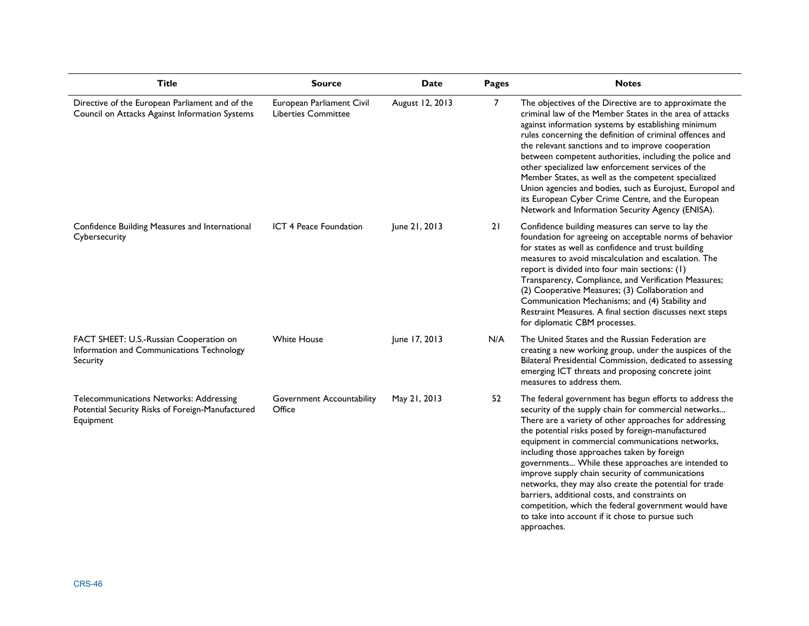| <b>Title</b>                                                                                             | <b>Source</b>                                           | <b>Date</b>     | Pages | <b>Notes</b>                                                                                                                                                                                                                                                                                                                                                                                                                                                                                                                                                                                                                                                                     |
|----------------------------------------------------------------------------------------------------------|---------------------------------------------------------|-----------------|-------|----------------------------------------------------------------------------------------------------------------------------------------------------------------------------------------------------------------------------------------------------------------------------------------------------------------------------------------------------------------------------------------------------------------------------------------------------------------------------------------------------------------------------------------------------------------------------------------------------------------------------------------------------------------------------------|
| Directive of the European Parliament and of the<br>Council on Attacks Against Information Systems        | European Parliament Civil<br><b>Liberties Committee</b> | August 12, 2013 | 7     | The objectives of the Directive are to approximate the<br>criminal law of the Member States in the area of attacks<br>against information systems by establishing minimum<br>rules concerning the definition of criminal offences and<br>the relevant sanctions and to improve cooperation<br>between competent authorities, including the police and<br>other specialized law enforcement services of the<br>Member States, as well as the competent specialized<br>Union agencies and bodies, such as Eurojust, Europol and<br>its European Cyber Crime Centre, and the European<br>Network and Information Security Agency (ENISA).                                           |
| Confidence Building Measures and International<br>Cybersecurity                                          | ICT 4 Peace Foundation                                  | June 21, 2013   | 21    | Confidence building measures can serve to lay the<br>foundation for agreeing on acceptable norms of behavior<br>for states as well as confidence and trust building<br>measures to avoid miscalculation and escalation. The<br>report is divided into four main sections: (1)<br>Transparency, Compliance, and Verification Measures;<br>(2) Cooperative Measures; (3) Collaboration and<br>Communication Mechanisms; and (4) Stability and<br>Restraint Measures. A final section discusses next steps<br>for diplomatic CBM processes.                                                                                                                                         |
| FACT SHEET: U.S.-Russian Cooperation on<br>Information and Communications Technology<br>Security         | <b>White House</b>                                      | June 17, 2013   | N/A   | The United States and the Russian Federation are<br>creating a new working group, under the auspices of the<br>Bilateral Presidential Commission, dedicated to assessing<br>emerging ICT threats and proposing concrete joint<br>measures to address them.                                                                                                                                                                                                                                                                                                                                                                                                                       |
| Telecommunications Networks: Addressing<br>Potential Security Risks of Foreign-Manufactured<br>Equipment | <b>Government Accountability</b><br>Office              | May 21, 2013    | 52    | The federal government has begun efforts to address the<br>security of the supply chain for commercial networks<br>There are a variety of other approaches for addressing<br>the potential risks posed by foreign-manufactured<br>equipment in commercial communications networks,<br>including those approaches taken by foreign<br>governments While these approaches are intended to<br>improve supply chain security of communications<br>networks, they may also create the potential for trade<br>barriers, additional costs, and constraints on<br>competition, which the federal government would have<br>to take into account if it chose to pursue such<br>approaches. |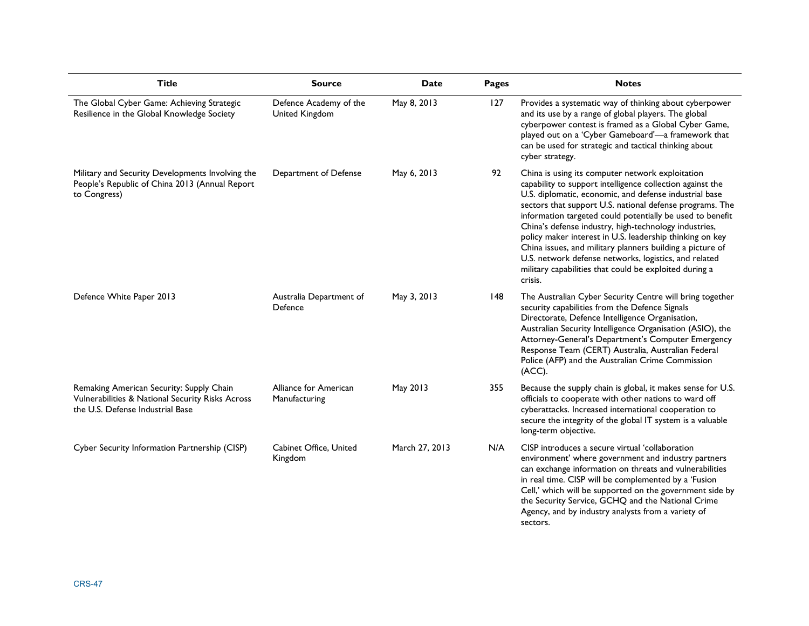| <b>Title</b>                                                                                                                     | <b>Source</b>                            | <b>Date</b>    | Pages | <b>Notes</b>                                                                                                                                                                                                                                                                                                                                                                                                                                                                                                                                                                                                     |
|----------------------------------------------------------------------------------------------------------------------------------|------------------------------------------|----------------|-------|------------------------------------------------------------------------------------------------------------------------------------------------------------------------------------------------------------------------------------------------------------------------------------------------------------------------------------------------------------------------------------------------------------------------------------------------------------------------------------------------------------------------------------------------------------------------------------------------------------------|
| The Global Cyber Game: Achieving Strategic<br>Resilience in the Global Knowledge Society                                         | Defence Academy of the<br>United Kingdom | May 8, 2013    | 127   | Provides a systematic way of thinking about cyberpower<br>and its use by a range of global players. The global<br>cyberpower contest is framed as a Global Cyber Game,<br>played out on a 'Cyber Gameboard'-a framework that<br>can be used for strategic and tactical thinking about<br>cyber strategy.                                                                                                                                                                                                                                                                                                         |
| Military and Security Developments Involving the<br>People's Republic of China 2013 (Annual Report<br>to Congress)               | Department of Defense                    | May 6, 2013    | 92    | China is using its computer network exploitation<br>capability to support intelligence collection against the<br>U.S. diplomatic, economic, and defense industrial base<br>sectors that support U.S. national defense programs. The<br>information targeted could potentially be used to benefit<br>China's defense industry, high-technology industries,<br>policy maker interest in U.S. leadership thinking on key<br>China issues, and military planners building a picture of<br>U.S. network defense networks, logistics, and related<br>military capabilities that could be exploited during a<br>crisis. |
| Defence White Paper 2013                                                                                                         | Australia Department of<br>Defence       | May 3, 2013    | 148   | The Australian Cyber Security Centre will bring together<br>security capabilities from the Defence Signals<br>Directorate, Defence Intelligence Organisation,<br>Australian Security Intelligence Organisation (ASIO), the<br>Attorney-General's Department's Computer Emergency<br>Response Team (CERT) Australia, Australian Federal<br>Police (AFP) and the Australian Crime Commission<br>(ACC).                                                                                                                                                                                                             |
| Remaking American Security: Supply Chain<br>Vulnerabilities & National Security Risks Across<br>the U.S. Defense Industrial Base | Alliance for American<br>Manufacturing   | May 2013       | 355   | Because the supply chain is global, it makes sense for U.S.<br>officials to cooperate with other nations to ward off<br>cyberattacks. Increased international cooperation to<br>secure the integrity of the global IT system is a valuable<br>long-term objective.                                                                                                                                                                                                                                                                                                                                               |
| Cyber Security Information Partnership (CISP)                                                                                    | Cabinet Office, United<br>Kingdom        | March 27, 2013 | N/A   | CISP introduces a secure virtual 'collaboration<br>environment' where government and industry partners<br>can exchange information on threats and vulnerabilities<br>in real time. CISP will be complemented by a 'Fusion<br>Cell,' which will be supported on the government side by<br>the Security Service, GCHQ and the National Crime<br>Agency, and by industry analysts from a variety of<br>sectors.                                                                                                                                                                                                     |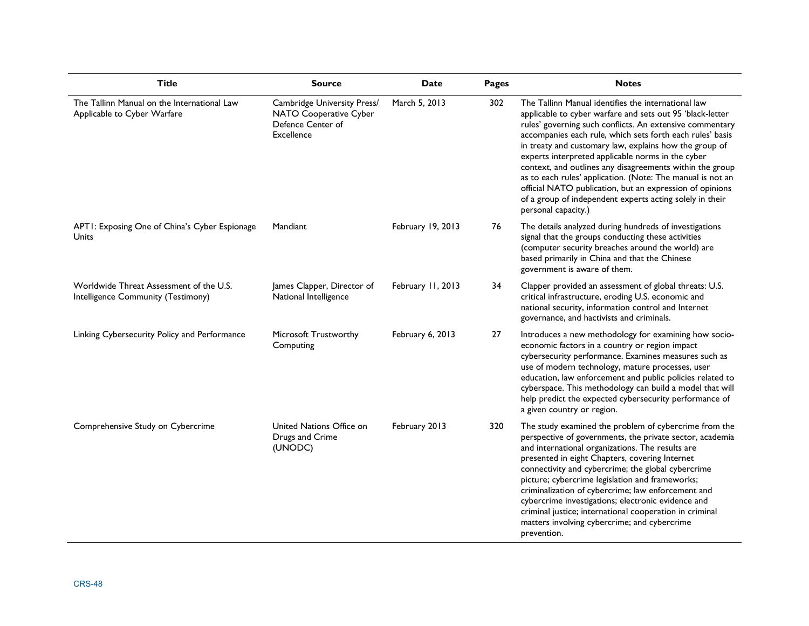| <b>Title</b>                                                                  | <b>Source</b>                                                                            | <b>Date</b>       | Pages | <b>Notes</b>                                                                                                                                                                                                                                                                                                                                                                                                                                                                                                                                                                                                                      |
|-------------------------------------------------------------------------------|------------------------------------------------------------------------------------------|-------------------|-------|-----------------------------------------------------------------------------------------------------------------------------------------------------------------------------------------------------------------------------------------------------------------------------------------------------------------------------------------------------------------------------------------------------------------------------------------------------------------------------------------------------------------------------------------------------------------------------------------------------------------------------------|
| The Tallinn Manual on the International Law<br>Applicable to Cyber Warfare    | Cambridge University Press/<br>NATO Cooperative Cyber<br>Defence Center of<br>Excellence | March 5, 2013     | 302   | The Tallinn Manual identifies the international law<br>applicable to cyber warfare and sets out 95 'black-letter<br>rules' governing such conflicts. An extensive commentary<br>accompanies each rule, which sets forth each rules' basis<br>in treaty and customary law, explains how the group of<br>experts interpreted applicable norms in the cyber<br>context, and outlines any disagreements within the group<br>as to each rules' application. (Note: The manual is not an<br>official NATO publication, but an expression of opinions<br>of a group of independent experts acting solely in their<br>personal capacity.) |
| APTI: Exposing One of China's Cyber Espionage<br><b>Units</b>                 | Mandiant                                                                                 | February 19, 2013 | 76    | The details analyzed during hundreds of investigations<br>signal that the groups conducting these activities<br>(computer security breaches around the world) are<br>based primarily in China and that the Chinese<br>government is aware of them.                                                                                                                                                                                                                                                                                                                                                                                |
| Worldwide Threat Assessment of the U.S.<br>Intelligence Community (Testimony) | James Clapper, Director of<br>National Intelligence                                      | February 11, 2013 | 34    | Clapper provided an assessment of global threats: U.S.<br>critical infrastructure, eroding U.S. economic and<br>national security, information control and Internet<br>governance, and hactivists and criminals.                                                                                                                                                                                                                                                                                                                                                                                                                  |
| Linking Cybersecurity Policy and Performance                                  | Microsoft Trustworthy<br>Computing                                                       | February 6, 2013  | 27    | Introduces a new methodology for examining how socio-<br>economic factors in a country or region impact<br>cybersecurity performance. Examines measures such as<br>use of modern technology, mature processes, user<br>education, law enforcement and public policies related to<br>cyberspace. This methodology can build a model that will<br>help predict the expected cybersecurity performance of<br>a given country or region.                                                                                                                                                                                              |
| Comprehensive Study on Cybercrime                                             | United Nations Office on<br>Drugs and Crime<br>(UNODC)                                   | February 2013     | 320   | The study examined the problem of cybercrime from the<br>perspective of governments, the private sector, academia<br>and international organizations. The results are<br>presented in eight Chapters, covering Internet<br>connectivity and cybercrime; the global cybercrime<br>picture; cybercrime legislation and frameworks;<br>criminalization of cybercrime; law enforcement and<br>cybercrime investigations; electronic evidence and<br>criminal justice; international cooperation in criminal<br>matters involving cybercrime; and cybercrime<br>prevention.                                                            |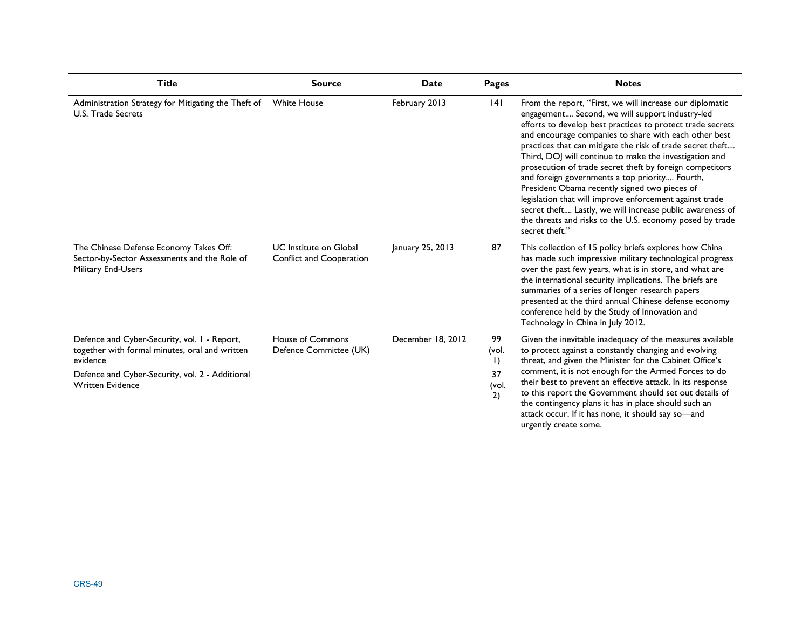| <b>Title</b>                                                                                                                                                                             | <b>Source</b>                                                    | Date              | <b>Pages</b>                                     | <b>Notes</b>                                                                                                                                                                                                                                                                                                                                                                                                                                                                                                                                                                                                                                                                                                                    |
|------------------------------------------------------------------------------------------------------------------------------------------------------------------------------------------|------------------------------------------------------------------|-------------------|--------------------------------------------------|---------------------------------------------------------------------------------------------------------------------------------------------------------------------------------------------------------------------------------------------------------------------------------------------------------------------------------------------------------------------------------------------------------------------------------------------------------------------------------------------------------------------------------------------------------------------------------------------------------------------------------------------------------------------------------------------------------------------------------|
| Administration Strategy for Mitigating the Theft of<br><b>U.S. Trade Secrets</b>                                                                                                         | <b>White House</b>                                               | February 2013     | 4                                                | From the report, "First, we will increase our diplomatic<br>engagement Second, we will support industry-led<br>efforts to develop best practices to protect trade secrets<br>and encourage companies to share with each other best<br>practices that can mitigate the risk of trade secret theft<br>Third, DOJ will continue to make the investigation and<br>prosecution of trade secret theft by foreign competitors<br>and foreign governments a top priority Fourth,<br>President Obama recently signed two pieces of<br>legislation that will improve enforcement against trade<br>secret theft Lastly, we will increase public awareness of<br>the threats and risks to the U.S. economy posed by trade<br>secret theft." |
| The Chinese Defense Economy Takes Off:<br>Sector-by-Sector Assessments and the Role of<br>Military End-Users                                                                             | <b>UC</b> Institute on Global<br><b>Conflict and Cooperation</b> | January 25, 2013  | 87                                               | This collection of 15 policy briefs explores how China<br>has made such impressive military technological progress<br>over the past few years, what is in store, and what are<br>the international security implications. The briefs are<br>summaries of a series of longer research papers<br>presented at the third annual Chinese defense economy<br>conference held by the Study of Innovation and<br>Technology in China in July 2012.                                                                                                                                                                                                                                                                                     |
| Defence and Cyber-Security, vol. I - Report,<br>together with formal minutes, oral and written<br>evidence<br>Defence and Cyber-Security, vol. 2 - Additional<br><b>Written Evidence</b> | House of Commons<br>Defence Committee (UK)                       | December 18, 2012 | 99<br>(vol.<br>$\mathsf{I}$<br>37<br>(vol.<br>2) | Given the inevitable inadequacy of the measures available<br>to protect against a constantly changing and evolving<br>threat, and given the Minister for the Cabinet Office's<br>comment, it is not enough for the Armed Forces to do<br>their best to prevent an effective attack. In its response<br>to this report the Government should set out details of<br>the contingency plans it has in place should such an<br>attack occur. If it has none, it should say so-and<br>urgently create some.                                                                                                                                                                                                                           |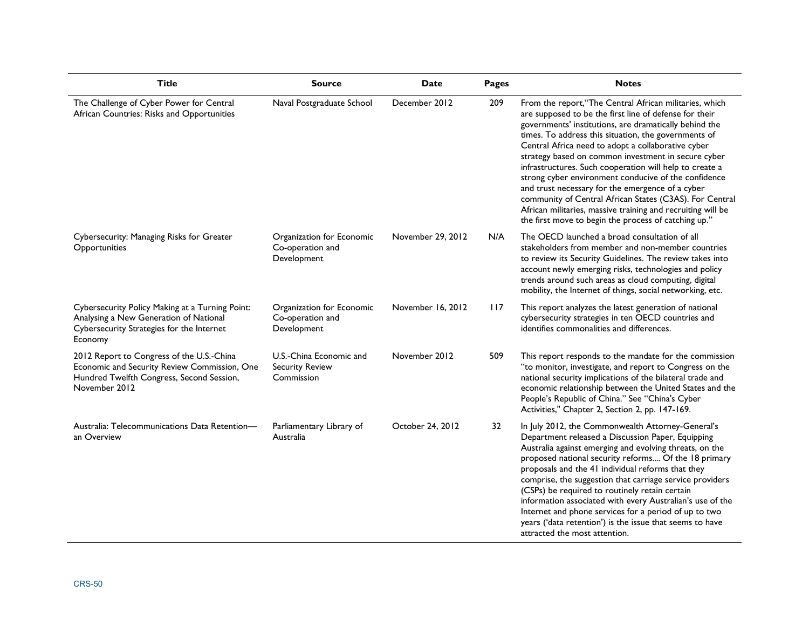| <b>Title</b>                                                                                                                                            | <b>Source</b>                                                   | <b>Date</b>       | Pages | <b>Notes</b>                                                                                                                                                                                                                                                                                                                                                                                                                                                                                                                                                                                                                                                                                              |
|---------------------------------------------------------------------------------------------------------------------------------------------------------|-----------------------------------------------------------------|-------------------|-------|-----------------------------------------------------------------------------------------------------------------------------------------------------------------------------------------------------------------------------------------------------------------------------------------------------------------------------------------------------------------------------------------------------------------------------------------------------------------------------------------------------------------------------------------------------------------------------------------------------------------------------------------------------------------------------------------------------------|
| The Challenge of Cyber Power for Central<br>African Countries: Risks and Opportunities                                                                  | Naval Postgraduate School                                       | December 2012     | 209   | From the report, "The Central African militaries, which<br>are supposed to be the first line of defense for their<br>governments' institutions, are dramatically behind the<br>times. To address this situation, the governments of<br>Central Africa need to adopt a collaborative cyber<br>strategy based on common investment in secure cyber<br>infrastructures. Such cooperation will help to create a<br>strong cyber environment conducive of the confidence<br>and trust necessary for the emergence of a cyber<br>community of Central African States (C3AS). For Central<br>African militaries, massive training and recruiting will be<br>the first move to begin the process of catching up." |
| Cybersecurity: Managing Risks for Greater<br>Opportunities                                                                                              | Organization for Economic<br>Co-operation and<br>Development    | November 29, 2012 | N/A   | The OECD launched a broad consultation of all<br>stakeholders from member and non-member countries<br>to review its Security Guidelines. The review takes into<br>account newly emerging risks, technologies and policy<br>trends around such areas as cloud computing, digital<br>mobility, the Internet of things, social networking, etc.                                                                                                                                                                                                                                                                                                                                                              |
| Cybersecurity Policy Making at a Turning Point:<br>Analysing a New Generation of National<br>Cybersecurity Strategies for the Internet<br>Economy       | Organization for Economic<br>Co-operation and<br>Development    | November 16, 2012 | 117   | This report analyzes the latest generation of national<br>cybersecurity strategies in ten OECD countries and<br>identifies commonalities and differences.                                                                                                                                                                                                                                                                                                                                                                                                                                                                                                                                                 |
| 2012 Report to Congress of the U.S.-China<br>Economic and Security Review Commission, One<br>Hundred Twelfth Congress, Second Session,<br>November 2012 | U.S.-China Economic and<br><b>Security Review</b><br>Commission | November 2012     | 509   | This report responds to the mandate for the commission<br>"to monitor, investigate, and report to Congress on the<br>national security implications of the bilateral trade and<br>economic relationship between the United States and the<br>People's Republic of China." See "China's Cyber<br>Activities," Chapter 2, Section 2, pp. 147-169.                                                                                                                                                                                                                                                                                                                                                           |
| Australia: Telecommunications Data Retention-<br>an Overview                                                                                            | Parliamentary Library of<br>Australia                           | October 24, 2012  | 32    | In July 2012, the Commonwealth Attorney-General's<br>Department released a Discussion Paper, Equipping<br>Australia against emerging and evolving threats, on the<br>proposed national security reforms Of the 18 primary<br>proposals and the 41 individual reforms that they<br>comprise, the suggestion that carriage service providers<br>(CSPs) be required to routinely retain certain<br>information associated with every Australian's use of the<br>Internet and phone services for a period of up to two<br>years ('data retention') is the issue that seems to have<br>attracted the most attention.                                                                                           |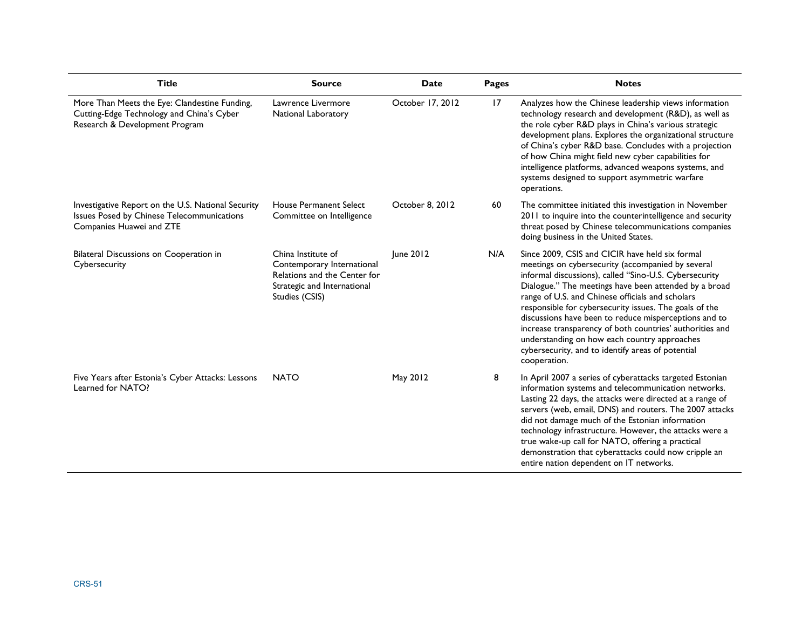| <b>Title</b>                                                                                                                 | <b>Source</b>                                                                                                                     | Date             | Pages | <b>Notes</b>                                                                                                                                                                                                                                                                                                                                                                                                                                                                                                                                                                    |
|------------------------------------------------------------------------------------------------------------------------------|-----------------------------------------------------------------------------------------------------------------------------------|------------------|-------|---------------------------------------------------------------------------------------------------------------------------------------------------------------------------------------------------------------------------------------------------------------------------------------------------------------------------------------------------------------------------------------------------------------------------------------------------------------------------------------------------------------------------------------------------------------------------------|
| More Than Meets the Eye: Clandestine Funding,<br>Cutting-Edge Technology and China's Cyber<br>Research & Development Program | Lawrence Livermore<br>National Laboratory                                                                                         | October 17, 2012 | 17    | Analyzes how the Chinese leadership views information<br>technology research and development (R&D), as well as<br>the role cyber R&D plays in China's various strategic<br>development plans. Explores the organizational structure<br>of China's cyber R&D base. Concludes with a projection<br>of how China might field new cyber capabilities for<br>intelligence platforms, advanced weapons systems, and<br>systems designed to support asymmetric warfare<br>operations.                                                                                                  |
| Investigative Report on the U.S. National Security<br>Issues Posed by Chinese Telecommunications<br>Companies Huawei and ZTE | House Permanent Select<br>Committee on Intelligence                                                                               | October 8, 2012  | 60    | The committee initiated this investigation in November<br>2011 to inquire into the counterintelligence and security<br>threat posed by Chinese telecommunications companies<br>doing business in the United States.                                                                                                                                                                                                                                                                                                                                                             |
| Bilateral Discussions on Cooperation in<br>Cybersecurity                                                                     | China Institute of<br>Contemporary International<br>Relations and the Center for<br>Strategic and International<br>Studies (CSIS) | June 2012        | N/A   | Since 2009, CSIS and CICIR have held six formal<br>meetings on cybersecurity (accompanied by several<br>informal discussions), called "Sino-U.S. Cybersecurity<br>Dialogue." The meetings have been attended by a broad<br>range of U.S. and Chinese officials and scholars<br>responsible for cybersecurity issues. The goals of the<br>discussions have been to reduce misperceptions and to<br>increase transparency of both countries' authorities and<br>understanding on how each country approaches<br>cybersecurity, and to identify areas of potential<br>cooperation. |
| Five Years after Estonia's Cyber Attacks: Lessons<br>Learned for NATO?                                                       | <b>NATO</b>                                                                                                                       | May 2012         | 8     | In April 2007 a series of cyberattacks targeted Estonian<br>information systems and telecommunication networks.<br>Lasting 22 days, the attacks were directed at a range of<br>servers (web, email, DNS) and routers. The 2007 attacks<br>did not damage much of the Estonian information<br>technology infrastructure. However, the attacks were a<br>true wake-up call for NATO, offering a practical<br>demonstration that cyberattacks could now cripple an<br>entire nation dependent on IT networks.                                                                      |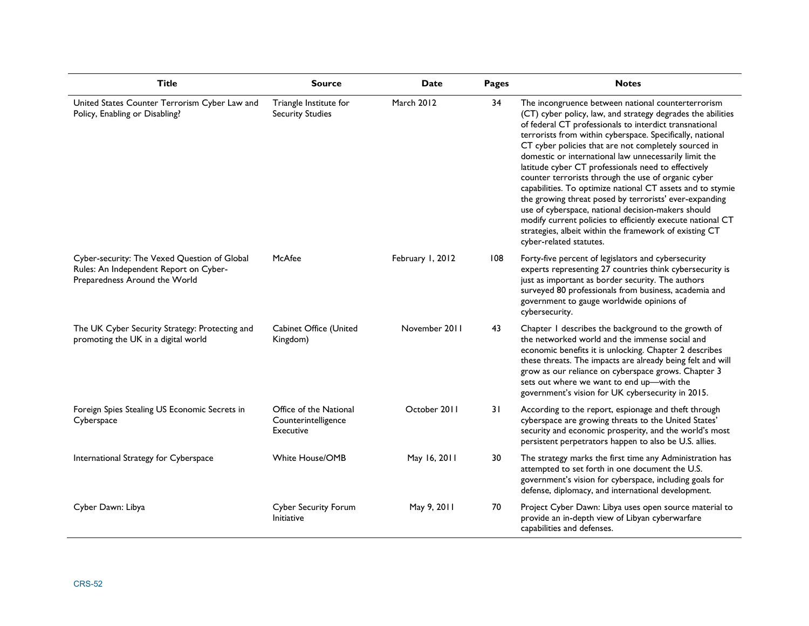| <b>Title</b>                                                                                                            | <b>Source</b>                                              | <b>Date</b>      | Pages | <b>Notes</b>                                                                                                                                                                                                                                                                                                                                                                                                                                                                                                                                                                                                                                                                                                                                                                                             |
|-------------------------------------------------------------------------------------------------------------------------|------------------------------------------------------------|------------------|-------|----------------------------------------------------------------------------------------------------------------------------------------------------------------------------------------------------------------------------------------------------------------------------------------------------------------------------------------------------------------------------------------------------------------------------------------------------------------------------------------------------------------------------------------------------------------------------------------------------------------------------------------------------------------------------------------------------------------------------------------------------------------------------------------------------------|
| United States Counter Terrorism Cyber Law and<br>Policy, Enabling or Disabling?                                         | Triangle Institute for<br><b>Security Studies</b>          | March 2012       | 34    | The incongruence between national counterterrorism<br>(CT) cyber policy, law, and strategy degrades the abilities<br>of federal CT professionals to interdict transnational<br>terrorists from within cyberspace. Specifically, national<br>CT cyber policies that are not completely sourced in<br>domestic or international law unnecessarily limit the<br>latitude cyber CT professionals need to effectively<br>counter terrorists through the use of organic cyber<br>capabilities. To optimize national CT assets and to stymie<br>the growing threat posed by terrorists' ever-expanding<br>use of cyberspace, national decision-makers should<br>modify current policies to efficiently execute national CT<br>strategies, albeit within the framework of existing CT<br>cyber-related statutes. |
| Cyber-security: The Vexed Question of Global<br>Rules: An Independent Report on Cyber-<br>Preparedness Around the World | McAfee                                                     | February 1, 2012 | 108   | Forty-five percent of legislators and cybersecurity<br>experts representing 27 countries think cybersecurity is<br>just as important as border security. The authors<br>surveyed 80 professionals from business, academia and<br>government to gauge worldwide opinions of<br>cybersecurity.                                                                                                                                                                                                                                                                                                                                                                                                                                                                                                             |
| The UK Cyber Security Strategy: Protecting and<br>promoting the UK in a digital world                                   | Cabinet Office (United<br>Kingdom)                         | November 2011    | 43    | Chapter I describes the background to the growth of<br>the networked world and the immense social and<br>economic benefits it is unlocking. Chapter 2 describes<br>these threats. The impacts are already being felt and will<br>grow as our reliance on cyberspace grows. Chapter 3<br>sets out where we want to end up-with the<br>government's vision for UK cybersecurity in 2015.                                                                                                                                                                                                                                                                                                                                                                                                                   |
| Foreign Spies Stealing US Economic Secrets in<br>Cyberspace                                                             | Office of the National<br>Counterintelligence<br>Executive | October 2011     | 31    | According to the report, espionage and theft through<br>cyberspace are growing threats to the United States'<br>security and economic prosperity, and the world's most<br>persistent perpetrators happen to also be U.S. allies.                                                                                                                                                                                                                                                                                                                                                                                                                                                                                                                                                                         |
| International Strategy for Cyberspace                                                                                   | <b>White House/OMB</b>                                     | May 16, 2011     | 30    | The strategy marks the first time any Administration has<br>attempted to set forth in one document the U.S.<br>government's vision for cyberspace, including goals for<br>defense, diplomacy, and international development.                                                                                                                                                                                                                                                                                                                                                                                                                                                                                                                                                                             |
| Cyber Dawn: Libya                                                                                                       | <b>Cyber Security Forum</b><br>Initiative                  | May 9, 2011      | 70    | Project Cyber Dawn: Libya uses open source material to<br>provide an in-depth view of Libyan cyberwarfare<br>capabilities and defenses.                                                                                                                                                                                                                                                                                                                                                                                                                                                                                                                                                                                                                                                                  |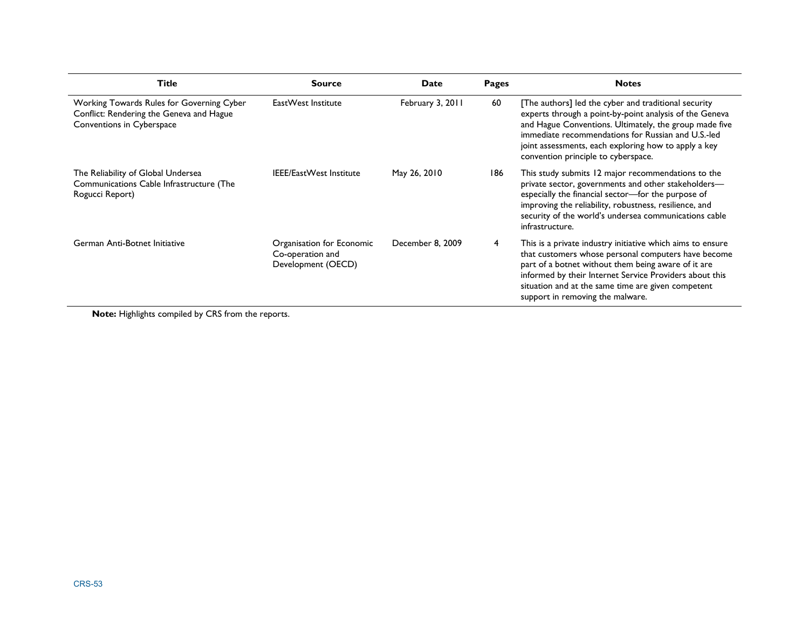| <b>Title</b>                                                                                                       | <b>Source</b>                                                       | Date             | Pages | <b>Notes</b>                                                                                                                                                                                                                                                                                                                   |
|--------------------------------------------------------------------------------------------------------------------|---------------------------------------------------------------------|------------------|-------|--------------------------------------------------------------------------------------------------------------------------------------------------------------------------------------------------------------------------------------------------------------------------------------------------------------------------------|
| Working Towards Rules for Governing Cyber<br>Conflict: Rendering the Geneva and Hague<br>Conventions in Cyberspace | EastWest Institute                                                  | February 3, 2011 | 60    | [The authors] led the cyber and traditional security<br>experts through a point-by-point analysis of the Geneva<br>and Hague Conventions. Ultimately, the group made five<br>immediate recommendations for Russian and U.S.-led<br>joint assessments, each exploring how to apply a key<br>convention principle to cyberspace. |
| The Reliability of Global Undersea<br>Communications Cable Infrastructure (The<br>Rogucci Report)                  | <b>IEEE/EastWest Institute</b>                                      | May 26, 2010     | 186   | This study submits 12 major recommendations to the<br>private sector, governments and other stakeholders-<br>especially the financial sector-for the purpose of<br>improving the reliability, robustness, resilience, and<br>security of the world's undersea communications cable<br>infrastructure.                          |
| German Anti-Botnet Initiative                                                                                      | Organisation for Economic<br>Co-operation and<br>Development (OECD) | December 8, 2009 | 4     | This is a private industry initiative which aims to ensure<br>that customers whose personal computers have become<br>part of a botnet without them being aware of it are<br>informed by their Internet Service Providers about this<br>situation and at the same time are given competent<br>support in removing the malware.  |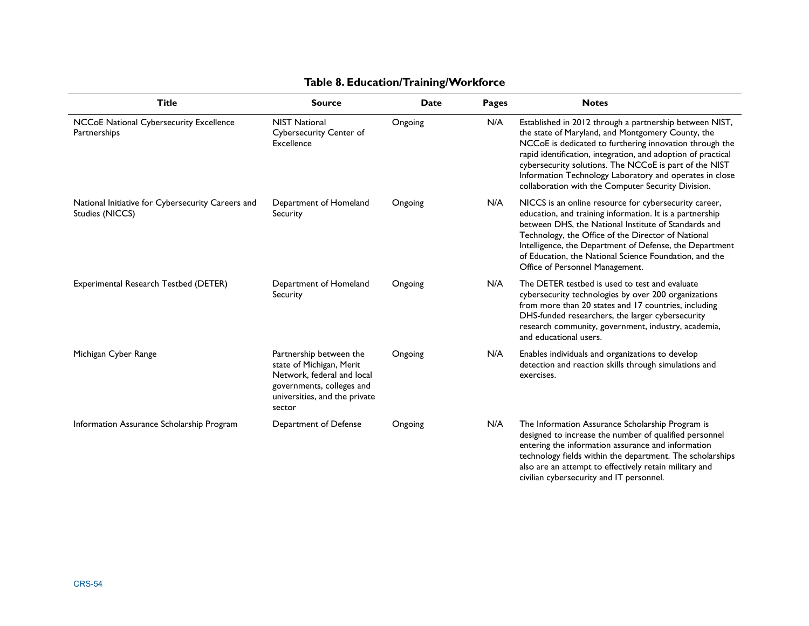| <b>Title</b>                                                         | <b>Source</b>                                                                                                                                             | Date    | <b>Pages</b> | <b>Notes</b>                                                                                                                                                                                                                                                                                                                                                                                                       |
|----------------------------------------------------------------------|-----------------------------------------------------------------------------------------------------------------------------------------------------------|---------|--------------|--------------------------------------------------------------------------------------------------------------------------------------------------------------------------------------------------------------------------------------------------------------------------------------------------------------------------------------------------------------------------------------------------------------------|
| NCCoE National Cybersecurity Excellence<br>Partnerships              | <b>NIST National</b><br>Cybersecurity Center of<br>Excellence                                                                                             | Ongoing | N/A          | Established in 2012 through a partnership between NIST,<br>the state of Maryland, and Montgomery County, the<br>NCCoE is dedicated to furthering innovation through the<br>rapid identification, integration, and adoption of practical<br>cybersecurity solutions. The NCCoE is part of the NIST<br>Information Technology Laboratory and operates in close<br>collaboration with the Computer Security Division. |
| National Initiative for Cybersecurity Careers and<br>Studies (NICCS) | Department of Homeland<br>Security                                                                                                                        | Ongoing | N/A          | NICCS is an online resource for cybersecurity career,<br>education, and training information. It is a partnership<br>between DHS, the National Institute of Standards and<br>Technology, the Office of the Director of National<br>Intelligence, the Department of Defense, the Department<br>of Education, the National Science Foundation, and the<br>Office of Personnel Management.                            |
| Experimental Research Testbed (DETER)                                | Department of Homeland<br>Security                                                                                                                        | Ongoing | N/A          | The DETER testbed is used to test and evaluate<br>cybersecurity technologies by over 200 organizations<br>from more than 20 states and 17 countries, including<br>DHS-funded researchers, the larger cybersecurity<br>research community, government, industry, academia,<br>and educational users.                                                                                                                |
| Michigan Cyber Range                                                 | Partnership between the<br>state of Michigan, Merit<br>Network, federal and local<br>governments, colleges and<br>universities, and the private<br>sector | Ongoing | N/A          | Enables individuals and organizations to develop<br>detection and reaction skills through simulations and<br>exercises.                                                                                                                                                                                                                                                                                            |
| Information Assurance Scholarship Program                            | Department of Defense                                                                                                                                     | Ongoing | N/A          | The Information Assurance Scholarship Program is<br>designed to increase the number of qualified personnel<br>entering the information assurance and information<br>technology fields within the department. The scholarships<br>also are an attempt to effectively retain military and<br>civilian cybersecurity and IT personnel.                                                                                |

## **Table 8. Education/Training/Workforce**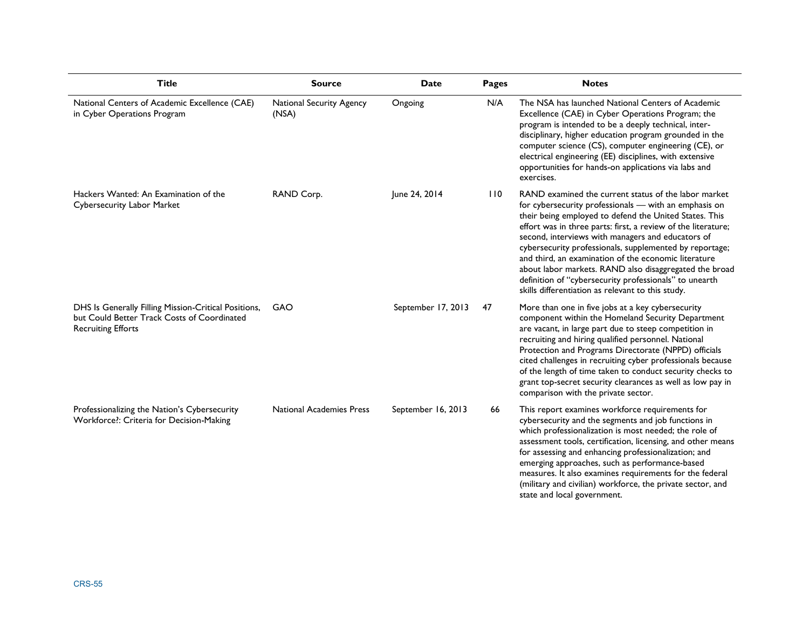| <b>Title</b>                                                                                                                     | <b>Source</b>                     | Date               | <b>Pages</b> | <b>Notes</b>                                                                                                                                                                                                                                                                                                                                                                                                                                                                                                                                                                              |
|----------------------------------------------------------------------------------------------------------------------------------|-----------------------------------|--------------------|--------------|-------------------------------------------------------------------------------------------------------------------------------------------------------------------------------------------------------------------------------------------------------------------------------------------------------------------------------------------------------------------------------------------------------------------------------------------------------------------------------------------------------------------------------------------------------------------------------------------|
| National Centers of Academic Excellence (CAE)<br>in Cyber Operations Program                                                     | National Security Agency<br>(NSA) | Ongoing            | N/A          | The NSA has launched National Centers of Academic<br>Excellence (CAE) in Cyber Operations Program; the<br>program is intended to be a deeply technical, inter-<br>disciplinary, higher education program grounded in the<br>computer science (CS), computer engineering (CE), or<br>electrical engineering (EE) disciplines, with extensive<br>opportunities for hands-on applications via labs and<br>exercises.                                                                                                                                                                         |
| Hackers Wanted: An Examination of the<br>Cybersecurity Labor Market                                                              | RAND Corp.                        | June 24, 2014      | 110          | RAND examined the current status of the labor market<br>for cybersecurity professionals - with an emphasis on<br>their being employed to defend the United States. This<br>effort was in three parts: first, a review of the literature;<br>second, interviews with managers and educators of<br>cybersecurity professionals, supplemented by reportage;<br>and third, an examination of the economic literature<br>about labor markets. RAND also disaggregated the broad<br>definition of "cybersecurity professionals" to unearth<br>skills differentiation as relevant to this study. |
| DHS Is Generally Filling Mission-Critical Positions,<br>but Could Better Track Costs of Coordinated<br><b>Recruiting Efforts</b> | GAO                               | September 17, 2013 | 47           | More than one in five jobs at a key cybersecurity<br>component within the Homeland Security Department<br>are vacant, in large part due to steep competition in<br>recruiting and hiring qualified personnel. National<br>Protection and Programs Directorate (NPPD) officials<br>cited challenges in recruiting cyber professionals because<br>of the length of time taken to conduct security checks to<br>grant top-secret security clearances as well as low pay in<br>comparison with the private sector.                                                                            |
| Professionalizing the Nation's Cybersecurity<br>Workforce?: Criteria for Decision-Making                                         | National Academies Press          | September 16, 2013 | 66           | This report examines workforce requirements for<br>cybersecurity and the segments and job functions in<br>which professionalization is most needed; the role of<br>assessment tools, certification, licensing, and other means<br>for assessing and enhancing professionalization; and<br>emerging approaches, such as performance-based<br>measures. It also examines requirements for the federal<br>(military and civilian) workforce, the private sector, and<br>state and local government.                                                                                          |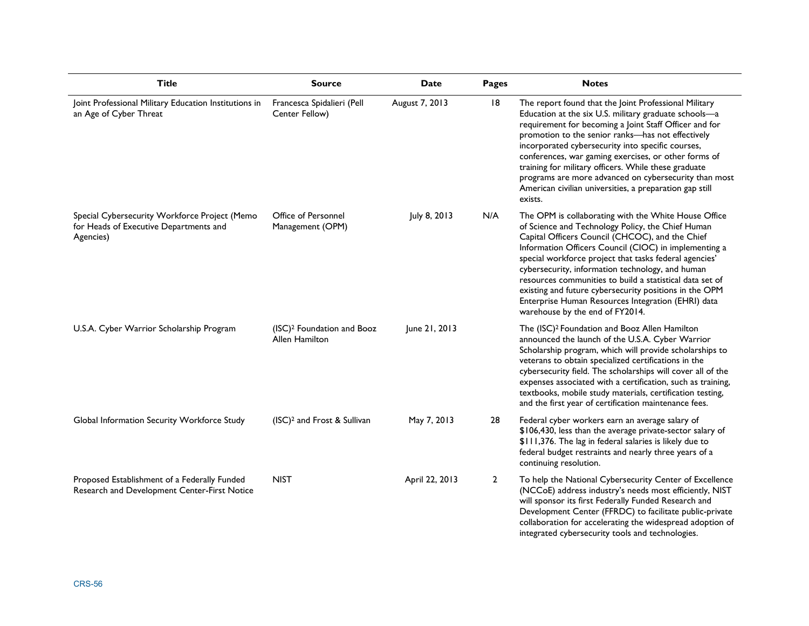| <b>Title</b>                                                                                         | <b>Source</b>                                            | <b>Date</b>    | <b>Pages</b>   | <b>Notes</b>                                                                                                                                                                                                                                                                                                                                                                                                                                                                                                                                       |
|------------------------------------------------------------------------------------------------------|----------------------------------------------------------|----------------|----------------|----------------------------------------------------------------------------------------------------------------------------------------------------------------------------------------------------------------------------------------------------------------------------------------------------------------------------------------------------------------------------------------------------------------------------------------------------------------------------------------------------------------------------------------------------|
| Joint Professional Military Education Institutions in<br>an Age of Cyber Threat                      | Francesca Spidalieri (Pell<br>Center Fellow)             | August 7, 2013 | 18             | The report found that the Joint Professional Military<br>Education at the six U.S. military graduate schools-a<br>requirement for becoming a Joint Staff Officer and for<br>promotion to the senior ranks-has not effectively<br>incorporated cybersecurity into specific courses,<br>conferences, war gaming exercises, or other forms of<br>training for military officers. While these graduate<br>programs are more advanced on cybersecurity than most<br>American civilian universities, a preparation gap still<br>exists.                  |
| Special Cybersecurity Workforce Project (Memo<br>for Heads of Executive Departments and<br>Agencies) | Office of Personnel<br>Management (OPM)                  | July 8, 2013   | N/A            | The OPM is collaborating with the White House Office<br>of Science and Technology Policy, the Chief Human<br>Capital Officers Council (CHCOC), and the Chief<br>Information Officers Council (CIOC) in implementing a<br>special workforce project that tasks federal agencies'<br>cybersecurity, information technology, and human<br>resources communities to build a statistical data set of<br>existing and future cybersecurity positions in the OPM<br>Enterprise Human Resources Integration (EHRI) data<br>warehouse by the end of FY2014. |
| U.S.A. Cyber Warrior Scholarship Program                                                             | (ISC) <sup>2</sup> Foundation and Booz<br>Allen Hamilton | June 21, 2013  |                | The (ISC) <sup>2</sup> Foundation and Booz Allen Hamilton<br>announced the launch of the U.S.A. Cyber Warrior<br>Scholarship program, which will provide scholarships to<br>veterans to obtain specialized certifications in the<br>cybersecurity field. The scholarships will cover all of the<br>expenses associated with a certification, such as training,<br>textbooks, mobile study materials, certification testing,<br>and the first year of certification maintenance fees.                                                               |
| Global Information Security Workforce Study                                                          | (ISC) <sup>2</sup> and Frost & Sullivan                  | May 7, 2013    | 28             | Federal cyber workers earn an average salary of<br>\$106,430, less than the average private-sector salary of<br>\$111,376. The lag in federal salaries is likely due to<br>federal budget restraints and nearly three years of a<br>continuing resolution.                                                                                                                                                                                                                                                                                         |
| Proposed Establishment of a Federally Funded<br>Research and Development Center-First Notice         | <b>NIST</b>                                              | April 22, 2013 | $\overline{2}$ | To help the National Cybersecurity Center of Excellence<br>(NCCoE) address industry's needs most efficiently, NIST<br>will sponsor its first Federally Funded Research and<br>Development Center (FFRDC) to facilitate public-private<br>collaboration for accelerating the widespread adoption of<br>integrated cybersecurity tools and technologies.                                                                                                                                                                                             |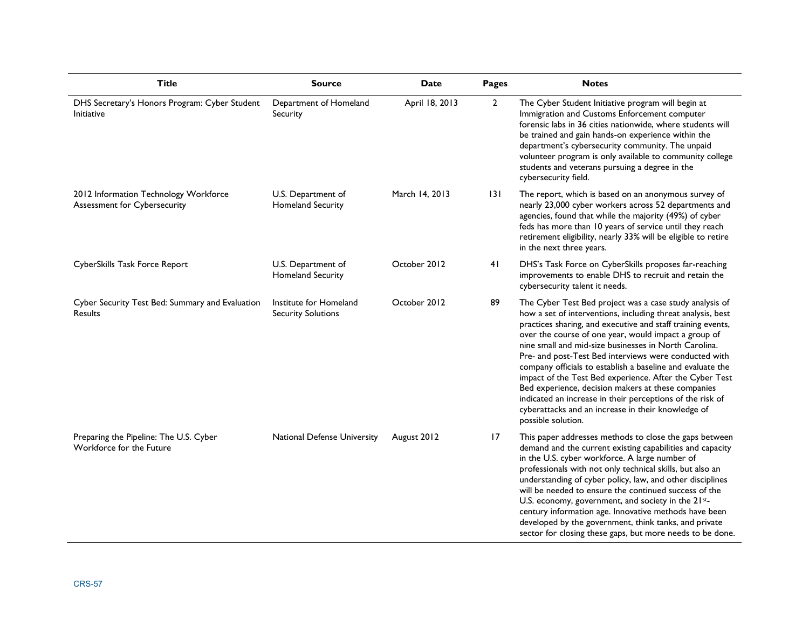| <b>Title</b>                                                          | <b>Source</b>                                       | <b>Date</b>    | <b>Pages</b>   | <b>Notes</b>                                                                                                                                                                                                                                                                                                                                                                                                                                                                                                                                                                                                                                                                            |
|-----------------------------------------------------------------------|-----------------------------------------------------|----------------|----------------|-----------------------------------------------------------------------------------------------------------------------------------------------------------------------------------------------------------------------------------------------------------------------------------------------------------------------------------------------------------------------------------------------------------------------------------------------------------------------------------------------------------------------------------------------------------------------------------------------------------------------------------------------------------------------------------------|
| DHS Secretary's Honors Program: Cyber Student<br><b>Initiative</b>    | Department of Homeland<br>Security                  | April 18, 2013 | $\overline{2}$ | The Cyber Student Initiative program will begin at<br>Immigration and Customs Enforcement computer<br>forensic labs in 36 cities nationwide, where students will<br>be trained and gain hands-on experience within the<br>department's cybersecurity community. The unpaid<br>volunteer program is only available to community college<br>students and veterans pursuing a degree in the<br>cybersecurity field.                                                                                                                                                                                                                                                                        |
| 2012 Information Technology Workforce<br>Assessment for Cybersecurity | U.S. Department of<br><b>Homeland Security</b>      | March 14, 2013 | 3              | The report, which is based on an anonymous survey of<br>nearly 23,000 cyber workers across 52 departments and<br>agencies, found that while the majority (49%) of cyber<br>feds has more than 10 years of service until they reach<br>retirement eligibility, nearly 33% will be eligible to retire<br>in the next three years.                                                                                                                                                                                                                                                                                                                                                         |
| CyberSkills Task Force Report                                         | U.S. Department of<br><b>Homeland Security</b>      | October 2012   | 41             | DHS's Task Force on CyberSkills proposes far-reaching<br>improvements to enable DHS to recruit and retain the<br>cybersecurity talent it needs.                                                                                                                                                                                                                                                                                                                                                                                                                                                                                                                                         |
| Cyber Security Test Bed: Summary and Evaluation<br><b>Results</b>     | Institute for Homeland<br><b>Security Solutions</b> | October 2012   | 89             | The Cyber Test Bed project was a case study analysis of<br>how a set of interventions, including threat analysis, best<br>practices sharing, and executive and staff training events,<br>over the course of one year, would impact a group of<br>nine small and mid-size businesses in North Carolina.<br>Pre- and post-Test Bed interviews were conducted with<br>company officials to establish a baseline and evaluate the<br>impact of the Test Bed experience. After the Cyber Test<br>Bed experience, decision makers at these companies<br>indicated an increase in their perceptions of the risk of<br>cyberattacks and an increase in their knowledge of<br>possible solution. |
| Preparing the Pipeline: The U.S. Cyber<br>Workforce for the Future    | National Defense University                         | August 2012    | 17             | This paper addresses methods to close the gaps between<br>demand and the current existing capabilities and capacity<br>in the U.S. cyber workforce. A large number of<br>professionals with not only technical skills, but also an<br>understanding of cyber policy, law, and other disciplines<br>will be needed to ensure the continued success of the<br>U.S. economy, government, and society in the 21st-<br>century information age. Innovative methods have been<br>developed by the government, think tanks, and private<br>sector for closing these gaps, but more needs to be done.                                                                                           |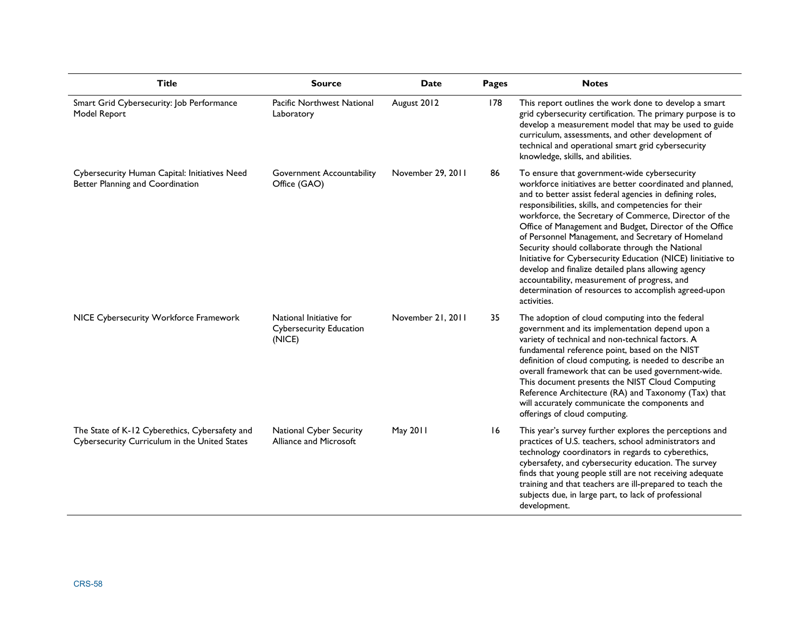| <b>Title</b>                                                                                    | <b>Source</b>                                                       | Date              | <b>Pages</b> | <b>Notes</b>                                                                                                                                                                                                                                                                                                                                                                                                                                                                                                                                                                                                                                                                                              |
|-------------------------------------------------------------------------------------------------|---------------------------------------------------------------------|-------------------|--------------|-----------------------------------------------------------------------------------------------------------------------------------------------------------------------------------------------------------------------------------------------------------------------------------------------------------------------------------------------------------------------------------------------------------------------------------------------------------------------------------------------------------------------------------------------------------------------------------------------------------------------------------------------------------------------------------------------------------|
| Smart Grid Cybersecurity: Job Performance<br>Model Report                                       | Pacific Northwest National<br>Laboratory                            | August 2012       | 178          | This report outlines the work done to develop a smart<br>grid cybersecurity certification. The primary purpose is to<br>develop a measurement model that may be used to guide<br>curriculum, assessments, and other development of<br>technical and operational smart grid cybersecurity<br>knowledge, skills, and abilities.                                                                                                                                                                                                                                                                                                                                                                             |
| Cybersecurity Human Capital: Initiatives Need<br>Better Planning and Coordination               | <b>Government Accountability</b><br>Office (GAO)                    | November 29, 2011 | 86           | To ensure that government-wide cybersecurity<br>workforce initiatives are better coordinated and planned,<br>and to better assist federal agencies in defining roles,<br>responsibilities, skills, and competencies for their<br>workforce, the Secretary of Commerce, Director of the<br>Office of Management and Budget, Director of the Office<br>of Personnel Management, and Secretary of Homeland<br>Security should collaborate through the National<br>Initiative for Cybersecurity Education (NICE) linitiative to<br>develop and finalize detailed plans allowing agency<br>accountability, measurement of progress, and<br>determination of resources to accomplish agreed-upon<br>activities. |
| NICE Cybersecurity Workforce Framework                                                          | National Initiative for<br><b>Cybersecurity Education</b><br>(NICE) | November 21, 2011 | 35           | The adoption of cloud computing into the federal<br>government and its implementation depend upon a<br>variety of technical and non-technical factors. A<br>fundamental reference point, based on the NIST<br>definition of cloud computing, is needed to describe an<br>overall framework that can be used government-wide.<br>This document presents the NIST Cloud Computing<br>Reference Architecture (RA) and Taxonomy (Tax) that<br>will accurately communicate the components and<br>offerings of cloud computing.                                                                                                                                                                                 |
| The State of K-12 Cyberethics, Cybersafety and<br>Cybersecurity Curriculum in the United States | National Cyber Security<br>Alliance and Microsoft                   | May 2011          | 16           | This year's survey further explores the perceptions and<br>practices of U.S. teachers, school administrators and<br>technology coordinators in regards to cyberethics,<br>cybersafety, and cybersecurity education. The survey<br>finds that young people still are not receiving adequate<br>training and that teachers are ill-prepared to teach the<br>subjects due, in large part, to lack of professional<br>development.                                                                                                                                                                                                                                                                            |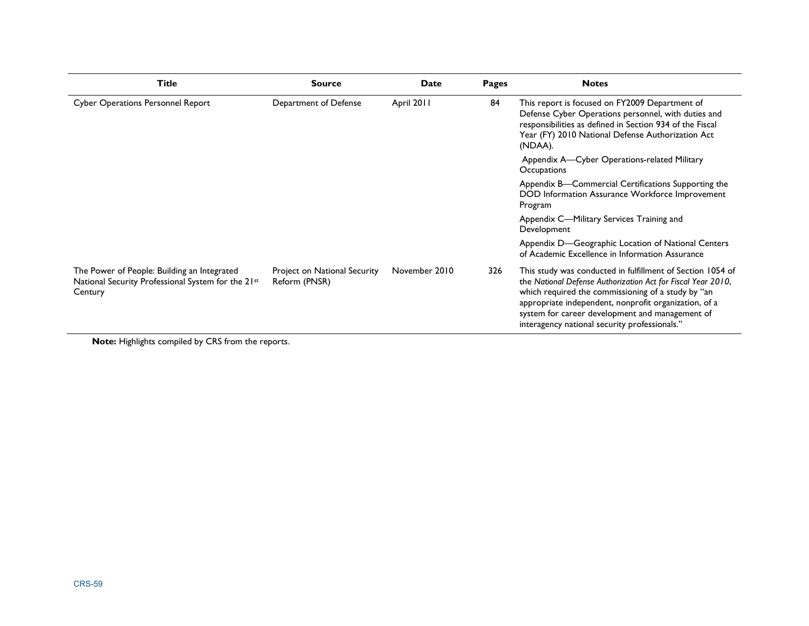| <b>Title</b>                                                                                                 | <b>Source</b>                                 | Date          | Pages                                                                                                             | <b>Notes</b>                                                                                                                                                                                                                                                                                                                                  |
|--------------------------------------------------------------------------------------------------------------|-----------------------------------------------|---------------|-------------------------------------------------------------------------------------------------------------------|-----------------------------------------------------------------------------------------------------------------------------------------------------------------------------------------------------------------------------------------------------------------------------------------------------------------------------------------------|
| <b>Cyber Operations Personnel Report</b>                                                                     | Department of Defense                         | April 2011    | 84                                                                                                                | This report is focused on FY2009 Department of<br>Defense Cyber Operations personnel, with duties and<br>responsibilities as defined in Section 934 of the Fiscal<br>Year (FY) 2010 National Defense Authorization Act<br>(NDAA).                                                                                                             |
|                                                                                                              |                                               |               | Appendix A—Cyber Operations-related Military<br>Occupations                                                       |                                                                                                                                                                                                                                                                                                                                               |
|                                                                                                              |                                               |               | Appendix B—Commercial Certifications Supporting the<br>DOD Information Assurance Workforce Improvement<br>Program |                                                                                                                                                                                                                                                                                                                                               |
|                                                                                                              |                                               |               |                                                                                                                   | Appendix C—Military Services Training and<br>Development                                                                                                                                                                                                                                                                                      |
|                                                                                                              |                                               |               |                                                                                                                   | Appendix D-Geographic Location of National Centers<br>of Academic Excellence in Information Assurance                                                                                                                                                                                                                                         |
| The Power of People: Building an Integrated<br>National Security Professional System for the 21st<br>Century | Project on National Security<br>Reform (PNSR) | November 2010 | 326                                                                                                               | This study was conducted in fulfillment of Section 1054 of<br>the National Defense Authorization Act for Fiscal Year 2010,<br>which required the commissioning of a study by "an<br>appropriate independent, nonprofit organization, of a<br>system for career development and management of<br>interagency national security professionals." |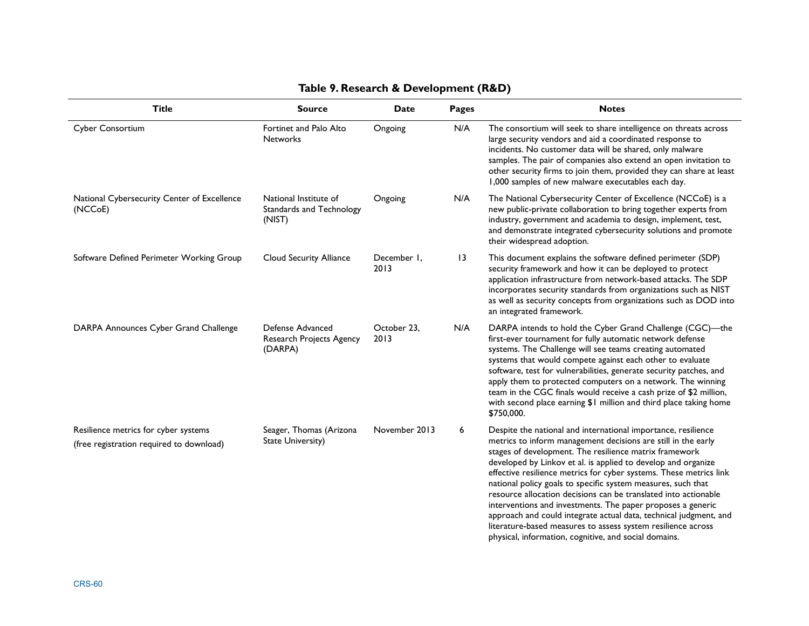| <b>Title</b>                                                                     | <b>Source</b>                                               | <b>Date</b>         | Pages | <b>Notes</b>                                                                                                                                                                                                                                                                                                                                                                                                                                                                                                                                                                                                                                                                                                                    |
|----------------------------------------------------------------------------------|-------------------------------------------------------------|---------------------|-------|---------------------------------------------------------------------------------------------------------------------------------------------------------------------------------------------------------------------------------------------------------------------------------------------------------------------------------------------------------------------------------------------------------------------------------------------------------------------------------------------------------------------------------------------------------------------------------------------------------------------------------------------------------------------------------------------------------------------------------|
| Cyber Consortium                                                                 | Fortinet and Palo Alto<br><b>Networks</b>                   | Ongoing             | N/A   | The consortium will seek to share intelligence on threats across<br>large security vendors and aid a coordinated response to<br>incidents. No customer data will be shared, only malware<br>samples. The pair of companies also extend an open invitation to<br>other security firms to join them, provided they can share at least<br>1,000 samples of new malware executables each day.                                                                                                                                                                                                                                                                                                                                       |
| National Cybersecurity Center of Excellence<br>(NCCoE)                           | National Institute of<br>Standards and Technology<br>(NIST) | Ongoing             | N/A   | The National Cybersecurity Center of Excellence (NCCoE) is a<br>new public-private collaboration to bring together experts from<br>industry, government and academia to design, implement, test,<br>and demonstrate integrated cybersecurity solutions and promote<br>their widespread adoption.                                                                                                                                                                                                                                                                                                                                                                                                                                |
| Software Defined Perimeter Working Group                                         | Cloud Security Alliance                                     | December 1,<br>2013 | 13    | This document explains the software defined perimeter (SDP)<br>security framework and how it can be deployed to protect<br>application infrastructure from network-based attacks. The SDP<br>incorporates security standards from organizations such as NIST<br>as well as security concepts from organizations such as DOD into<br>an integrated framework.                                                                                                                                                                                                                                                                                                                                                                    |
| DARPA Announces Cyber Grand Challenge                                            | Defense Advanced<br>Research Projects Agency<br>(DARPA)     | October 23.<br>2013 | N/A   | DARPA intends to hold the Cyber Grand Challenge (CGC)-the<br>first-ever tournament for fully automatic network defense<br>systems. The Challenge will see teams creating automated<br>systems that would compete against each other to evaluate<br>software, test for vulnerabilities, generate security patches, and<br>apply them to protected computers on a network. The winning<br>team in the CGC finals would receive a cash prize of \$2 million,<br>with second place earning \$1 million and third place taking home<br>\$750,000.                                                                                                                                                                                    |
| Resilience metrics for cyber systems<br>(free registration required to download) | Seager, Thomas (Arizona<br><b>State University)</b>         | November 2013       | 6     | Despite the national and international importance, resilience<br>metrics to inform management decisions are still in the early<br>stages of development. The resilience matrix framework<br>developed by Linkov et al. is applied to develop and organize<br>effective resilience metrics for cyber systems. These metrics link<br>national policy goals to specific system measures, such that<br>resource allocation decisions can be translated into actionable<br>interventions and investments. The paper proposes a generic<br>approach and could integrate actual data, technical judgment, and<br>literature-based measures to assess system resilience across<br>physical, information, cognitive, and social domains. |

### **Table 9. Research & Development (R&D)**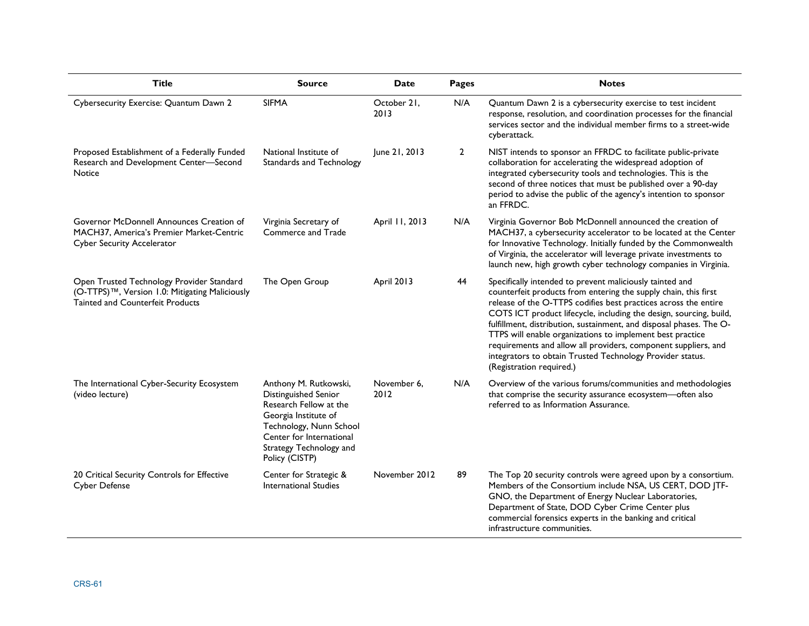| <b>Title</b>                                                                                                                    | <b>Source</b>                                                                                                                                                                                       | Date                | Pages          | <b>Notes</b>                                                                                                                                                                                                                                                                                                                                                                                                                                                                                                                                                        |
|---------------------------------------------------------------------------------------------------------------------------------|-----------------------------------------------------------------------------------------------------------------------------------------------------------------------------------------------------|---------------------|----------------|---------------------------------------------------------------------------------------------------------------------------------------------------------------------------------------------------------------------------------------------------------------------------------------------------------------------------------------------------------------------------------------------------------------------------------------------------------------------------------------------------------------------------------------------------------------------|
| Cybersecurity Exercise: Quantum Dawn 2                                                                                          | <b>SIFMA</b>                                                                                                                                                                                        | October 21,<br>2013 | N/A            | Quantum Dawn 2 is a cybersecurity exercise to test incident<br>response, resolution, and coordination processes for the financial<br>services sector and the individual member firms to a street-wide<br>cyberattack.                                                                                                                                                                                                                                                                                                                                               |
| Proposed Establishment of a Federally Funded<br>Research and Development Center-Second<br>Notice                                | National Institute of<br>Standards and Technology                                                                                                                                                   | June 21, 2013       | $\overline{2}$ | NIST intends to sponsor an FFRDC to facilitate public-private<br>collaboration for accelerating the widespread adoption of<br>integrated cybersecurity tools and technologies. This is the<br>second of three notices that must be published over a 90-day<br>period to advise the public of the agency's intention to sponsor<br>an FFRDC.                                                                                                                                                                                                                         |
| Governor McDonnell Announces Creation of<br>MACH37, America's Premier Market-Centric<br><b>Cyber Security Accelerator</b>       | Virginia Secretary of<br>Commerce and Trade                                                                                                                                                         | April 11, 2013      | N/A            | Virginia Governor Bob McDonnell announced the creation of<br>MACH37, a cybersecurity accelerator to be located at the Center<br>for Innovative Technology. Initially funded by the Commonwealth<br>of Virginia, the accelerator will leverage private investments to<br>launch new, high growth cyber technology companies in Virginia.                                                                                                                                                                                                                             |
| Open Trusted Technology Provider Standard<br>(O-TTPS)™, Version 1.0: Mitigating Maliciously<br>Tainted and Counterfeit Products | The Open Group                                                                                                                                                                                      | April 2013          | 44             | Specifically intended to prevent maliciously tainted and<br>counterfeit products from entering the supply chain, this first<br>release of the O-TTPS codifies best practices across the entire<br>COTS ICT product lifecycle, including the design, sourcing, build,<br>fulfillment, distribution, sustainment, and disposal phases. The O-<br>TTPS will enable organizations to implement best practice<br>requirements and allow all providers, component suppliers, and<br>integrators to obtain Trusted Technology Provider status.<br>(Registration required.) |
| The International Cyber-Security Ecosystem<br>(video lecture)                                                                   | Anthony M. Rutkowski,<br>Distinguished Senior<br>Research Fellow at the<br>Georgia Institute of<br>Technology, Nunn School<br>Center for International<br>Strategy Technology and<br>Policy (CISTP) | November 6.<br>2012 | N/A            | Overview of the various forums/communities and methodologies<br>that comprise the security assurance ecosystem-often also<br>referred to as Information Assurance.                                                                                                                                                                                                                                                                                                                                                                                                  |
| 20 Critical Security Controls for Effective<br>Cyber Defense                                                                    | Center for Strategic &<br><b>International Studies</b>                                                                                                                                              | November 2012       | 89             | The Top 20 security controls were agreed upon by a consortium.<br>Members of the Consortium include NSA, US CERT, DOD  TF-<br>GNO, the Department of Energy Nuclear Laboratories,<br>Department of State, DOD Cyber Crime Center plus<br>commercial forensics experts in the banking and critical<br>infrastructure communities.                                                                                                                                                                                                                                    |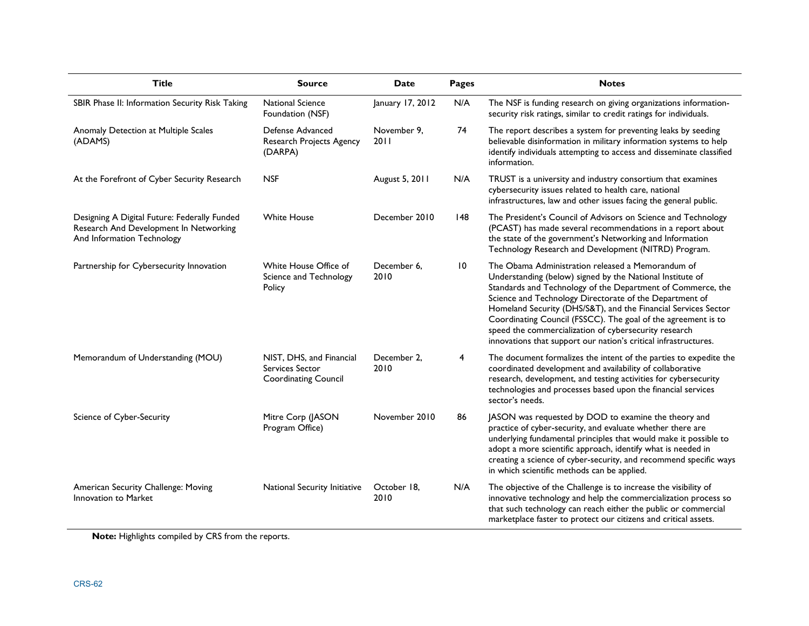| <b>Title</b>                                                                                                         | <b>Source</b>                                                              | Date                | <b>Pages</b> | <b>Notes</b>                                                                                                                                                                                                                                                                                                                                                                                                                                                                                            |
|----------------------------------------------------------------------------------------------------------------------|----------------------------------------------------------------------------|---------------------|--------------|---------------------------------------------------------------------------------------------------------------------------------------------------------------------------------------------------------------------------------------------------------------------------------------------------------------------------------------------------------------------------------------------------------------------------------------------------------------------------------------------------------|
| SBIR Phase II: Information Security Risk Taking                                                                      | <b>National Science</b><br>Foundation (NSF)                                | January 17, 2012    | N/A          | The NSF is funding research on giving organizations information-<br>security risk ratings, similar to credit ratings for individuals.                                                                                                                                                                                                                                                                                                                                                                   |
| Anomaly Detection at Multiple Scales<br>(ADAMS)                                                                      | Defense Advanced<br>Research Projects Agency<br>(DARPA)                    | November 9,<br>2011 | 74           | The report describes a system for preventing leaks by seeding<br>believable disinformation in military information systems to help<br>identify individuals attempting to access and disseminate classified<br>information.                                                                                                                                                                                                                                                                              |
| At the Forefront of Cyber Security Research                                                                          | <b>NSF</b>                                                                 | August 5, 2011      | N/A          | TRUST is a university and industry consortium that examines<br>cybersecurity issues related to health care, national<br>infrastructures, law and other issues facing the general public.                                                                                                                                                                                                                                                                                                                |
| Designing A Digital Future: Federally Funded<br>Research And Development In Networking<br>And Information Technology | <b>White House</b>                                                         | December 2010       | 148          | The President's Council of Advisors on Science and Technology<br>(PCAST) has made several recommendations in a report about<br>the state of the government's Networking and Information<br>Technology Research and Development (NITRD) Program.                                                                                                                                                                                                                                                         |
| Partnership for Cybersecurity Innovation                                                                             | White House Office of<br>Science and Technology<br>Policy                  | December 6.<br>2010 | 10           | The Obama Administration released a Memorandum of<br>Understanding (below) signed by the National Institute of<br>Standards and Technology of the Department of Commerce, the<br>Science and Technology Directorate of the Department of<br>Homeland Security (DHS/S&T), and the Financial Services Sector<br>Coordinating Council (FSSCC). The goal of the agreement is to<br>speed the commercialization of cybersecurity research<br>innovations that support our nation's critical infrastructures. |
| Memorandum of Understanding (MOU)                                                                                    | NIST, DHS, and Financial<br>Services Sector<br><b>Coordinating Council</b> | December 2,<br>2010 | 4            | The document formalizes the intent of the parties to expedite the<br>coordinated development and availability of collaborative<br>research, development, and testing activities for cybersecurity<br>technologies and processes based upon the financial services<br>sector's needs.                                                                                                                                                                                                                    |
| Science of Cyber-Security                                                                                            | Mitre Corp (JASON<br>Program Office)                                       | November 2010       | 86           | JASON was requested by DOD to examine the theory and<br>practice of cyber-security, and evaluate whether there are<br>underlying fundamental principles that would make it possible to<br>adopt a more scientific approach, identify what is needed in<br>creating a science of cyber-security, and recommend specific ways<br>in which scientific methods can be applied.                                                                                                                              |
| American Security Challenge: Moving<br>Innovation to Market                                                          | National Security Initiative                                               | October 18,<br>2010 | N/A          | The objective of the Challenge is to increase the visibility of<br>innovative technology and help the commercialization process so<br>that such technology can reach either the public or commercial<br>marketplace faster to protect our citizens and critical assets.                                                                                                                                                                                                                                 |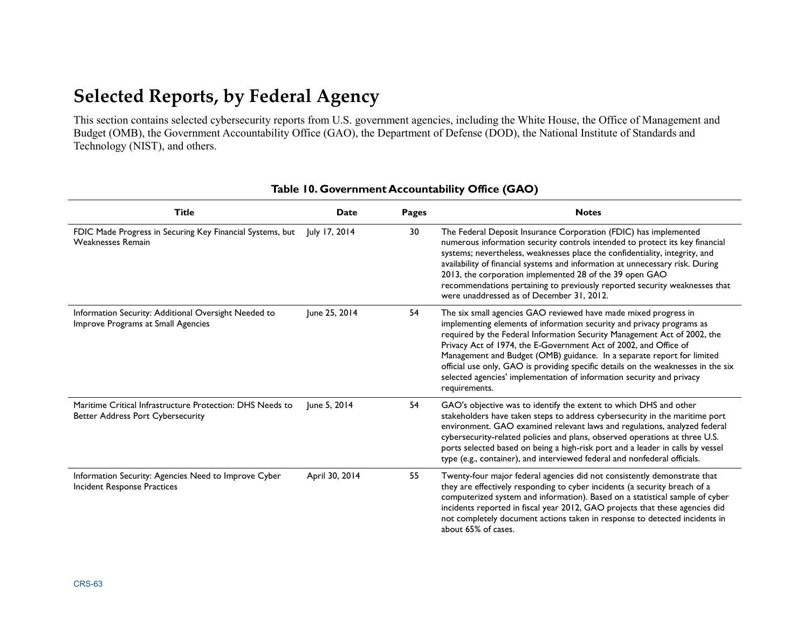# **Selected Reports, by Federal Agency**

| Technology (NIST), and others.                                                                        |                |              | This section contains selected cybersecurity reports from U.S. government agencies, including the White House, the Office of Management and<br>Budget (OMB), the Government Accountability Office (GAO), the Department of Defense (DOD), the National Institute of Standards and                                                                                                                                                                                                                                                                 |
|-------------------------------------------------------------------------------------------------------|----------------|--------------|---------------------------------------------------------------------------------------------------------------------------------------------------------------------------------------------------------------------------------------------------------------------------------------------------------------------------------------------------------------------------------------------------------------------------------------------------------------------------------------------------------------------------------------------------|
|                                                                                                       |                |              | Table 10. Government Accountability Office (GAO)                                                                                                                                                                                                                                                                                                                                                                                                                                                                                                  |
| <b>Title</b>                                                                                          | <b>Date</b>    | <b>Pages</b> | <b>Notes</b>                                                                                                                                                                                                                                                                                                                                                                                                                                                                                                                                      |
| FDIC Made Progress in Securing Key Financial Systems, but<br><b>Weaknesses Remain</b>                 | July 17, 2014  | 30           | The Federal Deposit Insurance Corporation (FDIC) has implemented<br>numerous information security controls intended to protect its key financial<br>systems; nevertheless, weaknesses place the confidentiality, integrity, and<br>availability of financial systems and information at unnecessary risk. During<br>2013, the corporation implemented 28 of the 39 open GAO<br>recommendations pertaining to previously reported security weaknesses that<br>were unaddressed as of December 31, 2012.                                            |
| Information Security: Additional Oversight Needed to<br>Improve Programs at Small Agencies            | June 25, 2014  | 54           | The six small agencies GAO reviewed have made mixed progress in<br>implementing elements of information security and privacy programs as<br>required by the Federal Information Security Management Act of 2002, the<br>Privacy Act of 1974, the E-Government Act of 2002, and Office of<br>Management and Budget (OMB) guidance. In a separate report for limited<br>official use only, GAO is providing specific details on the weaknesses in the six<br>selected agencies' implementation of information security and privacy<br>requirements. |
| Maritime Critical Infrastructure Protection: DHS Needs to<br><b>Better Address Port Cybersecurity</b> | June 5, 2014   | 54           | GAO's objective was to identify the extent to which DHS and other<br>stakeholders have taken steps to address cybersecurity in the maritime port<br>environment. GAO examined relevant laws and regulations, analyzed federal<br>cybersecurity-related policies and plans, observed operations at three U.S.<br>ports selected based on being a high-risk port and a leader in calls by vessel<br>type (e.g., container), and interviewed federal and nonfederal officials.                                                                       |
| Information Security: Agencies Need to Improve Cyber<br>Incident Response Practices                   | April 30, 2014 | 55           | Twenty-four major federal agencies did not consistently demonstrate that<br>they are effectively responding to cyber incidents (a security breach of a<br>computerized system and information). Based on a statistical sample of cyber<br>incidents reported in fiscal year 2012, GAO projects that these agencies did<br>not completely document actions taken in response to detected incidents in<br>about 65% of cases.                                                                                                                       |

#### **Table 10. Government Accountability Office (GAO)**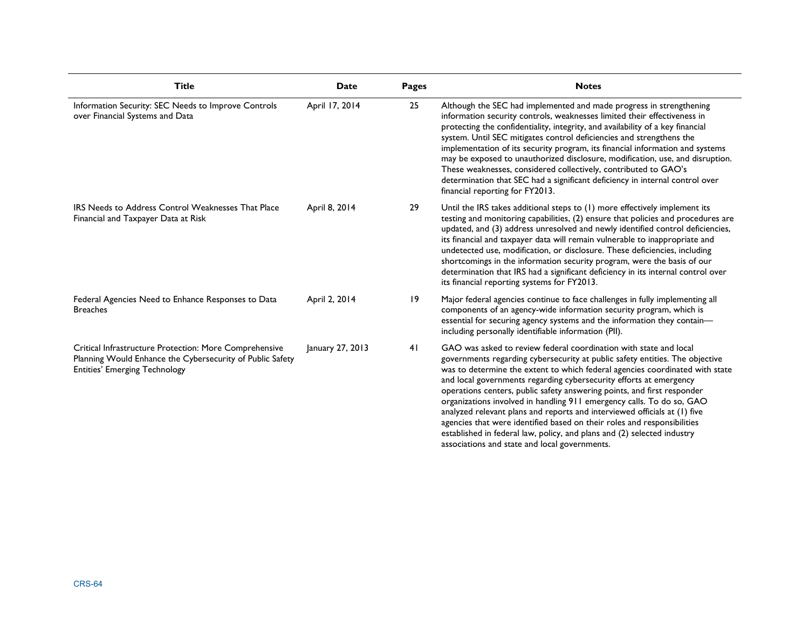| <b>Title</b>                                                                                                                                                | Date             | <b>Pages</b> | <b>Notes</b>                                                                                                                                                                                                                                                                                                                                                                                                                                                                                                                                                                                                                                                                                                                                    |
|-------------------------------------------------------------------------------------------------------------------------------------------------------------|------------------|--------------|-------------------------------------------------------------------------------------------------------------------------------------------------------------------------------------------------------------------------------------------------------------------------------------------------------------------------------------------------------------------------------------------------------------------------------------------------------------------------------------------------------------------------------------------------------------------------------------------------------------------------------------------------------------------------------------------------------------------------------------------------|
| Information Security: SEC Needs to Improve Controls<br>over Financial Systems and Data                                                                      | April 17, 2014   | 25           | Although the SEC had implemented and made progress in strengthening<br>information security controls, weaknesses limited their effectiveness in<br>protecting the confidentiality, integrity, and availability of a key financial<br>system. Until SEC mitigates control deficiencies and strengthens the<br>implementation of its security program, its financial information and systems<br>may be exposed to unauthorized disclosure, modification, use, and disruption.<br>These weaknesses, considered collectively, contributed to GAO's<br>determination that SEC had a significant deficiency in internal control over<br>financial reporting for FY2013.                                                                               |
| IRS Needs to Address Control Weaknesses That Place<br>Financial and Taxpayer Data at Risk                                                                   | April 8, 2014    | 29           | Until the IRS takes additional steps to (1) more effectively implement its<br>testing and monitoring capabilities, (2) ensure that policies and procedures are<br>updated, and (3) address unresolved and newly identified control deficiencies,<br>its financial and taxpayer data will remain vulnerable to inappropriate and<br>undetected use, modification, or disclosure. These deficiencies, including<br>shortcomings in the information security program, were the basis of our<br>determination that IRS had a significant deficiency in its internal control over<br>its financial reporting systems for FY2013.                                                                                                                     |
| Federal Agencies Need to Enhance Responses to Data<br><b>Breaches</b>                                                                                       | April 2, 2014    | 9            | Major federal agencies continue to face challenges in fully implementing all<br>components of an agency-wide information security program, which is<br>essential for securing agency systems and the information they contain-<br>including personally identifiable information (PII).                                                                                                                                                                                                                                                                                                                                                                                                                                                          |
| Critical Infrastructure Protection: More Comprehensive<br>Planning Would Enhance the Cybersecurity of Public Safety<br><b>Entities' Emerging Technology</b> | January 27, 2013 | 41           | GAO was asked to review federal coordination with state and local<br>governments regarding cybersecurity at public safety entities. The objective<br>was to determine the extent to which federal agencies coordinated with state<br>and local governments regarding cybersecurity efforts at emergency<br>operations centers, public safety answering points, and first responder<br>organizations involved in handling 911 emergency calls. To do so, GAO<br>analyzed relevant plans and reports and interviewed officials at (1) five<br>agencies that were identified based on their roles and responsibilities<br>established in federal law, policy, and plans and (2) selected industry<br>associations and state and local governments. |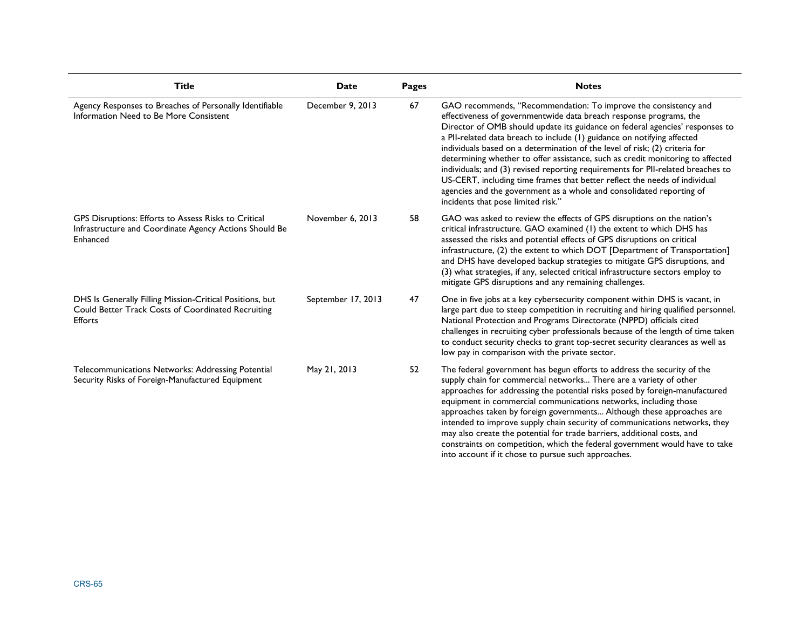| <b>Title</b>                                                                                                               | <b>Date</b>        | <b>Pages</b> | <b>Notes</b>                                                                                                                                                                                                                                                                                                                                                                                                                                                                                                                                                                                                                                                                                                                                     |
|----------------------------------------------------------------------------------------------------------------------------|--------------------|--------------|--------------------------------------------------------------------------------------------------------------------------------------------------------------------------------------------------------------------------------------------------------------------------------------------------------------------------------------------------------------------------------------------------------------------------------------------------------------------------------------------------------------------------------------------------------------------------------------------------------------------------------------------------------------------------------------------------------------------------------------------------|
| Agency Responses to Breaches of Personally Identifiable<br>Information Need to Be More Consistent                          | December 9, 2013   | 67           | GAO recommends, "Recommendation: To improve the consistency and<br>effectiveness of governmentwide data breach response programs, the<br>Director of OMB should update its guidance on federal agencies' responses to<br>a PII-related data breach to include (1) guidance on notifying affected<br>individuals based on a determination of the level of risk; (2) criteria for<br>determining whether to offer assistance, such as credit monitoring to affected<br>individuals; and (3) revised reporting requirements for PII-related breaches to<br>US-CERT, including time frames that better reflect the needs of individual<br>agencies and the government as a whole and consolidated reporting of<br>incidents that pose limited risk." |
| GPS Disruptions: Efforts to Assess Risks to Critical<br>Infrastructure and Coordinate Agency Actions Should Be<br>Enhanced | November 6, 2013   | 58           | GAO was asked to review the effects of GPS disruptions on the nation's<br>critical infrastructure. GAO examined (1) the extent to which DHS has<br>assessed the risks and potential effects of GPS disruptions on critical<br>infrastructure, (2) the extent to which DOT [Department of Transportation]<br>and DHS have developed backup strategies to mitigate GPS disruptions, and<br>(3) what strategies, if any, selected critical infrastructure sectors employ to<br>mitigate GPS disruptions and any remaining challenges.                                                                                                                                                                                                               |
| DHS Is Generally Filling Mission-Critical Positions, but<br>Could Better Track Costs of Coordinated Recruiting<br>Efforts  | September 17, 2013 | 47           | One in five jobs at a key cybersecurity component within DHS is vacant, in<br>large part due to steep competition in recruiting and hiring qualified personnel.<br>National Protection and Programs Directorate (NPPD) officials cited<br>challenges in recruiting cyber professionals because of the length of time taken<br>to conduct security checks to grant top-secret security clearances as well as<br>low pay in comparison with the private sector.                                                                                                                                                                                                                                                                                    |
| Telecommunications Networks: Addressing Potential<br>Security Risks of Foreign-Manufactured Equipment                      | May 21, 2013       | 52           | The federal government has begun efforts to address the security of the<br>supply chain for commercial networks There are a variety of other<br>approaches for addressing the potential risks posed by foreign-manufactured<br>equipment in commercial communications networks, including those<br>approaches taken by foreign governments Although these approaches are<br>intended to improve supply chain security of communications networks, they<br>may also create the potential for trade barriers, additional costs, and<br>constraints on competition, which the federal government would have to take<br>into account if it chose to pursue such approaches.                                                                          |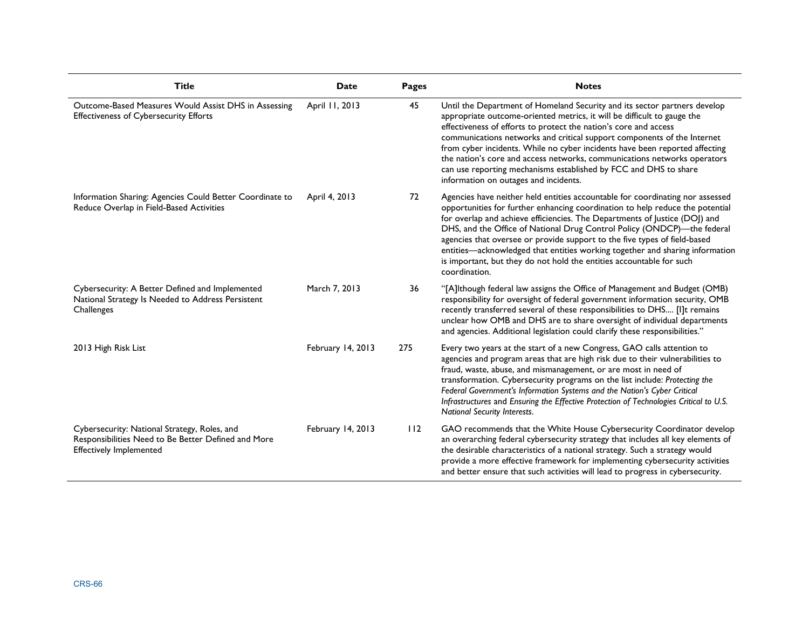| <b>Title</b>                                                                                                                          | <b>Date</b>       | Pages | <b>Notes</b>                                                                                                                                                                                                                                                                                                                                                                                                                                                                                                                                                                  |
|---------------------------------------------------------------------------------------------------------------------------------------|-------------------|-------|-------------------------------------------------------------------------------------------------------------------------------------------------------------------------------------------------------------------------------------------------------------------------------------------------------------------------------------------------------------------------------------------------------------------------------------------------------------------------------------------------------------------------------------------------------------------------------|
| Outcome-Based Measures Would Assist DHS in Assessing<br><b>Effectiveness of Cybersecurity Efforts</b>                                 | April 11, 2013    | 45    | Until the Department of Homeland Security and its sector partners develop<br>appropriate outcome-oriented metrics, it will be difficult to gauge the<br>effectiveness of efforts to protect the nation's core and access<br>communications networks and critical support components of the Internet<br>from cyber incidents. While no cyber incidents have been reported affecting<br>the nation's core and access networks, communications networks operators<br>can use reporting mechanisms established by FCC and DHS to share<br>information on outages and incidents.   |
| Information Sharing: Agencies Could Better Coordinate to<br>Reduce Overlap in Field-Based Activities                                  | April 4, 2013     | 72    | Agencies have neither held entities accountable for coordinating nor assessed<br>opportunities for further enhancing coordination to help reduce the potential<br>for overlap and achieve efficiencies. The Departments of Justice (DOJ) and<br>DHS, and the Office of National Drug Control Policy (ONDCP)-the federal<br>agencies that oversee or provide support to the five types of field-based<br>entities-acknowledged that entities working together and sharing information<br>is important, but they do not hold the entities accountable for such<br>coordination. |
| Cybersecurity: A Better Defined and Implemented<br>National Strategy Is Needed to Address Persistent<br>Challenges                    | March 7, 2013     | 36    | "[A]lthough federal law assigns the Office of Management and Budget (OMB)<br>responsibility for oversight of federal government information security, OMB<br>recently transferred several of these responsibilities to DHS [I]t remains<br>unclear how OMB and DHS are to share oversight of individual departments<br>and agencies. Additional legislation could clarify these responsibilities."                                                                                                                                                                            |
| 2013 High Risk List                                                                                                                   | February 14, 2013 | 275   | Every two years at the start of a new Congress, GAO calls attention to<br>agencies and program areas that are high risk due to their vulnerabilities to<br>fraud, waste, abuse, and mismanagement, or are most in need of<br>transformation. Cybersecurity programs on the list include: Protecting the<br>Federal Government's Information Systems and the Nation's Cyber Critical<br>Infrastructures and Ensuring the Effective Protection of Technologies Critical to U.S.<br>National Security Interests.                                                                 |
| Cybersecurity: National Strategy, Roles, and<br>Responsibilities Need to Be Better Defined and More<br><b>Effectively Implemented</b> | February 14, 2013 | 112   | GAO recommends that the White House Cybersecurity Coordinator develop<br>an overarching federal cybersecurity strategy that includes all key elements of<br>the desirable characteristics of a national strategy. Such a strategy would<br>provide a more effective framework for implementing cybersecurity activities<br>and better ensure that such activities will lead to progress in cybersecurity.                                                                                                                                                                     |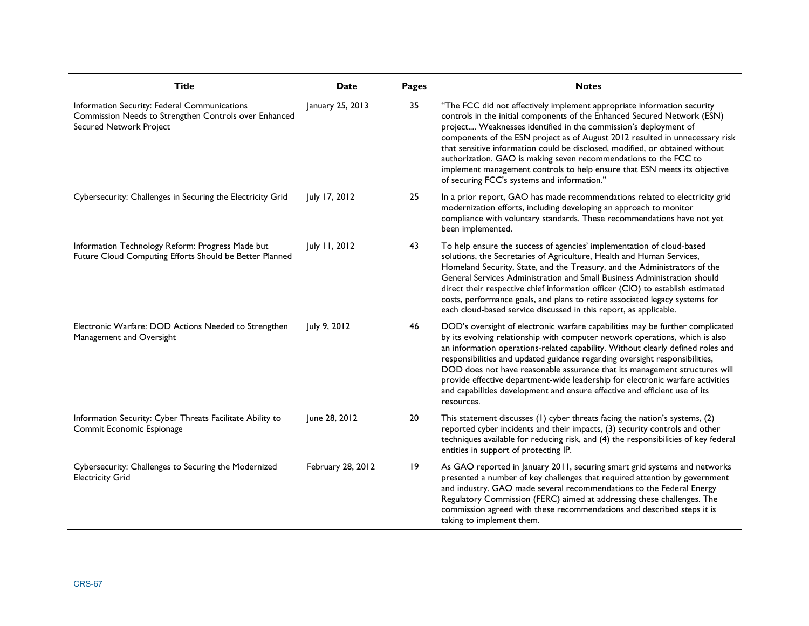| <b>Title</b>                                                                                                                            | <b>Date</b>       | Pages | <b>Notes</b>                                                                                                                                                                                                                                                                                                                                                                                                                                                                                                                                                                                |
|-----------------------------------------------------------------------------------------------------------------------------------------|-------------------|-------|---------------------------------------------------------------------------------------------------------------------------------------------------------------------------------------------------------------------------------------------------------------------------------------------------------------------------------------------------------------------------------------------------------------------------------------------------------------------------------------------------------------------------------------------------------------------------------------------|
| Information Security: Federal Communications<br>Commission Needs to Strengthen Controls over Enhanced<br><b>Secured Network Project</b> | January 25, 2013  | 35    | "The FCC did not effectively implement appropriate information security<br>controls in the initial components of the Enhanced Secured Network (ESN)<br>project Weaknesses identified in the commission's deployment of<br>components of the ESN project as of August 2012 resulted in unnecessary risk<br>that sensitive information could be disclosed, modified, or obtained without<br>authorization. GAO is making seven recommendations to the FCC to<br>implement management controls to help ensure that ESN meets its objective<br>of securing FCC's systems and information."      |
| Cybersecurity: Challenges in Securing the Electricity Grid                                                                              | July 17, 2012     | 25    | In a prior report, GAO has made recommendations related to electricity grid<br>modernization efforts, including developing an approach to monitor<br>compliance with voluntary standards. These recommendations have not yet<br>been implemented.                                                                                                                                                                                                                                                                                                                                           |
| Information Technology Reform: Progress Made but<br>Future Cloud Computing Efforts Should be Better Planned                             | July 11, 2012     | 43    | To help ensure the success of agencies' implementation of cloud-based<br>solutions, the Secretaries of Agriculture, Health and Human Services,<br>Homeland Security, State, and the Treasury, and the Administrators of the<br>General Services Administration and Small Business Administration should<br>direct their respective chief information officer (CIO) to establish estimated<br>costs, performance goals, and plans to retire associated legacy systems for<br>each cloud-based service discussed in this report, as applicable.                                               |
| Electronic Warfare: DOD Actions Needed to Strengthen<br>Management and Oversight                                                        | July 9, 2012      | 46    | DOD's oversight of electronic warfare capabilities may be further complicated<br>by its evolving relationship with computer network operations, which is also<br>an information operations-related capability. Without clearly defined roles and<br>responsibilities and updated guidance regarding oversight responsibilities,<br>DOD does not have reasonable assurance that its management structures will<br>provide effective department-wide leadership for electronic warfare activities<br>and capabilities development and ensure effective and efficient use of its<br>resources. |
| Information Security: Cyber Threats Facilitate Ability to<br>Commit Economic Espionage                                                  | June 28, 2012     | 20    | This statement discusses (1) cyber threats facing the nation's systems, (2)<br>reported cyber incidents and their impacts, (3) security controls and other<br>techniques available for reducing risk, and (4) the responsibilities of key federal<br>entities in support of protecting IP.                                                                                                                                                                                                                                                                                                  |
| Cybersecurity: Challenges to Securing the Modernized<br><b>Electricity Grid</b>                                                         | February 28, 2012 | 19    | As GAO reported in January 2011, securing smart grid systems and networks<br>presented a number of key challenges that required attention by government<br>and industry. GAO made several recommendations to the Federal Energy<br>Regulatory Commission (FERC) aimed at addressing these challenges. The<br>commission agreed with these recommendations and described steps it is<br>taking to implement them.                                                                                                                                                                            |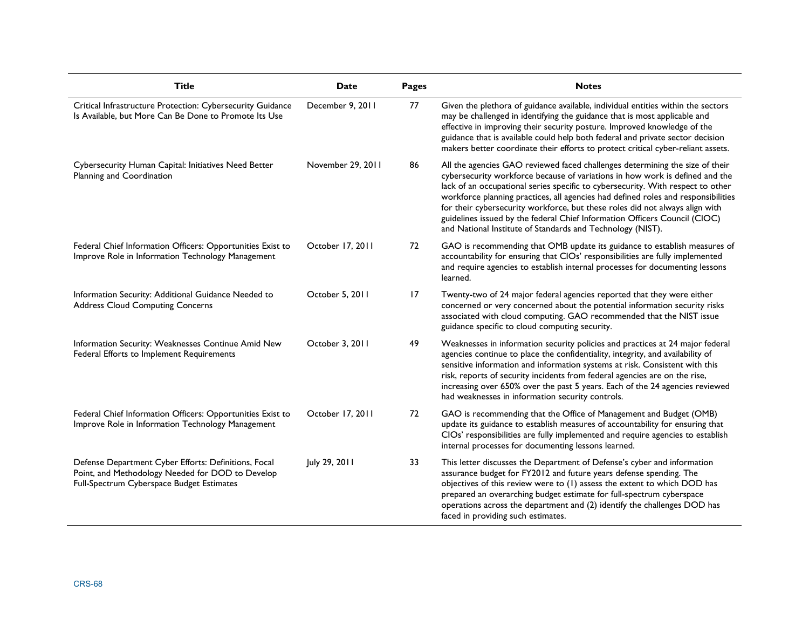| <b>Title</b>                                                                                                                                          | <b>Date</b>       | <b>Pages</b> | <b>Notes</b>                                                                                                                                                                                                                                                                                                                                                                                                                                                                                                                                                     |
|-------------------------------------------------------------------------------------------------------------------------------------------------------|-------------------|--------------|------------------------------------------------------------------------------------------------------------------------------------------------------------------------------------------------------------------------------------------------------------------------------------------------------------------------------------------------------------------------------------------------------------------------------------------------------------------------------------------------------------------------------------------------------------------|
| Critical Infrastructure Protection: Cybersecurity Guidance<br>Is Available, but More Can Be Done to Promote Its Use                                   | December 9, 2011  | 77           | Given the plethora of guidance available, individual entities within the sectors<br>may be challenged in identifying the guidance that is most applicable and<br>effective in improving their security posture. Improved knowledge of the<br>guidance that is available could help both federal and private sector decision<br>makers better coordinate their efforts to protect critical cyber-reliant assets.                                                                                                                                                  |
| Cybersecurity Human Capital: Initiatives Need Better<br>Planning and Coordination                                                                     | November 29, 2011 | 86           | All the agencies GAO reviewed faced challenges determining the size of their<br>cybersecurity workforce because of variations in how work is defined and the<br>lack of an occupational series specific to cybersecurity. With respect to other<br>workforce planning practices, all agencies had defined roles and responsibilities<br>for their cybersecurity workforce, but these roles did not always align with<br>guidelines issued by the federal Chief Information Officers Council (CIOC)<br>and National Institute of Standards and Technology (NIST). |
| Federal Chief Information Officers: Opportunities Exist to<br>Improve Role in Information Technology Management                                       | October 17, 2011  | 72           | GAO is recommending that OMB update its guidance to establish measures of<br>accountability for ensuring that CIOs' responsibilities are fully implemented<br>and require agencies to establish internal processes for documenting lessons<br>learned.                                                                                                                                                                                                                                                                                                           |
| Information Security: Additional Guidance Needed to<br><b>Address Cloud Computing Concerns</b>                                                        | October 5, 2011   | 17           | Twenty-two of 24 major federal agencies reported that they were either<br>concerned or very concerned about the potential information security risks<br>associated with cloud computing. GAO recommended that the NIST issue<br>guidance specific to cloud computing security.                                                                                                                                                                                                                                                                                   |
| Information Security: Weaknesses Continue Amid New<br>Federal Efforts to Implement Requirements                                                       | October 3, 2011   | 49           | Weaknesses in information security policies and practices at 24 major federal<br>agencies continue to place the confidentiality, integrity, and availability of<br>sensitive information and information systems at risk. Consistent with this<br>risk, reports of security incidents from federal agencies are on the rise,<br>increasing over 650% over the past 5 years. Each of the 24 agencies reviewed<br>had weaknesses in information security controls.                                                                                                 |
| Federal Chief Information Officers: Opportunities Exist to<br>Improve Role in Information Technology Management                                       | October 17, 2011  | 72           | GAO is recommending that the Office of Management and Budget (OMB)<br>update its guidance to establish measures of accountability for ensuring that<br>CIOs' responsibilities are fully implemented and require agencies to establish<br>internal processes for documenting lessons learned.                                                                                                                                                                                                                                                                     |
| Defense Department Cyber Efforts: Definitions, Focal<br>Point, and Methodology Needed for DOD to Develop<br>Full-Spectrum Cyberspace Budget Estimates | July 29, 2011     | 33           | This letter discusses the Department of Defense's cyber and information<br>assurance budget for FY2012 and future years defense spending. The<br>objectives of this review were to (1) assess the extent to which DOD has<br>prepared an overarching budget estimate for full-spectrum cyberspace<br>operations across the department and (2) identify the challenges DOD has<br>faced in providing such estimates.                                                                                                                                              |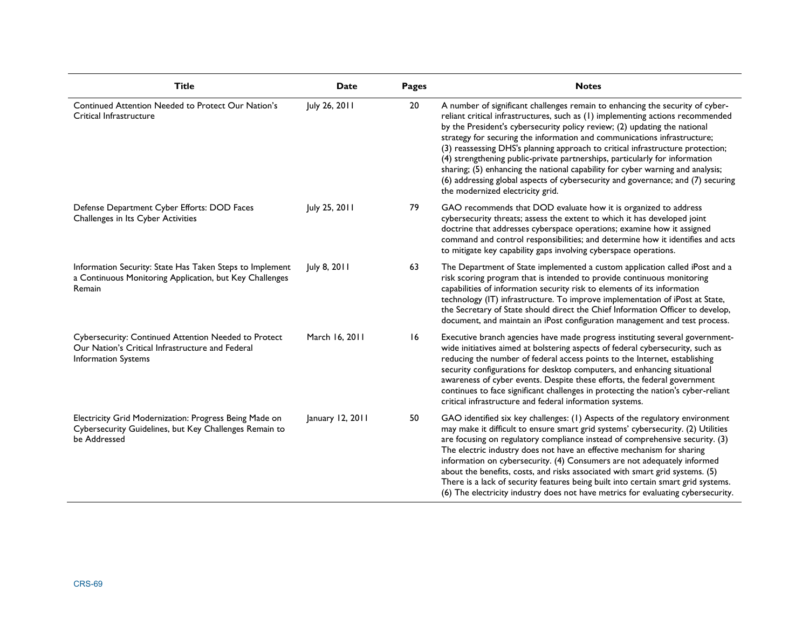| <b>Title</b>                                                                                                                     | Date             | Pages | <b>Notes</b>                                                                                                                                                                                                                                                                                                                                                                                                                                                                                                                                                                                                                                                                                       |
|----------------------------------------------------------------------------------------------------------------------------------|------------------|-------|----------------------------------------------------------------------------------------------------------------------------------------------------------------------------------------------------------------------------------------------------------------------------------------------------------------------------------------------------------------------------------------------------------------------------------------------------------------------------------------------------------------------------------------------------------------------------------------------------------------------------------------------------------------------------------------------------|
| Continued Attention Needed to Protect Our Nation's<br>Critical Infrastructure                                                    | July 26, 2011    | 20    | A number of significant challenges remain to enhancing the security of cyber-<br>reliant critical infrastructures, such as (1) implementing actions recommended<br>by the President's cybersecurity policy review; (2) updating the national<br>strategy for securing the information and communications infrastructure;<br>(3) reassessing DHS's planning approach to critical infrastructure protection;<br>(4) strengthening public-private partnerships, particularly for information<br>sharing; (5) enhancing the national capability for cyber warning and analysis;<br>(6) addressing global aspects of cybersecurity and governance; and (7) securing<br>the modernized electricity grid. |
| Defense Department Cyber Efforts: DOD Faces<br>Challenges in Its Cyber Activities                                                | July 25, 2011    | 79    | GAO recommends that DOD evaluate how it is organized to address<br>cybersecurity threats; assess the extent to which it has developed joint<br>doctrine that addresses cyberspace operations; examine how it assigned<br>command and control responsibilities; and determine how it identifies and acts<br>to mitigate key capability gaps involving cyberspace operations.                                                                                                                                                                                                                                                                                                                        |
| Information Security: State Has Taken Steps to Implement<br>a Continuous Monitoring Application, but Key Challenges<br>Remain    | July 8, 2011     | 63    | The Department of State implemented a custom application called iPost and a<br>risk scoring program that is intended to provide continuous monitoring<br>capabilities of information security risk to elements of its information<br>technology (IT) infrastructure. To improve implementation of iPost at State,<br>the Secretary of State should direct the Chief Information Officer to develop,<br>document, and maintain an iPost configuration management and test process.                                                                                                                                                                                                                  |
| Cybersecurity: Continued Attention Needed to Protect<br>Our Nation's Critical Infrastructure and Federal<br>Information Systems  | March 16, 2011   | 16    | Executive branch agencies have made progress instituting several government-<br>wide initiatives aimed at bolstering aspects of federal cybersecurity, such as<br>reducing the number of federal access points to the Internet, establishing<br>security configurations for desktop computers, and enhancing situational<br>awareness of cyber events. Despite these efforts, the federal government<br>continues to face significant challenges in protecting the nation's cyber-reliant<br>critical infrastructure and federal information systems.                                                                                                                                              |
| Electricity Grid Modernization: Progress Being Made on<br>Cybersecurity Guidelines, but Key Challenges Remain to<br>be Addressed | January 12, 2011 | 50    | GAO identified six key challenges: (1) Aspects of the regulatory environment<br>may make it difficult to ensure smart grid systems' cybersecurity. (2) Utilities<br>are focusing on regulatory compliance instead of comprehensive security. (3)<br>The electric industry does not have an effective mechanism for sharing<br>information on cybersecurity. (4) Consumers are not adequately informed<br>about the benefits, costs, and risks associated with smart grid systems. (5)<br>There is a lack of security features being built into certain smart grid systems.<br>(6) The electricity industry does not have metrics for evaluating cybersecurity.                                     |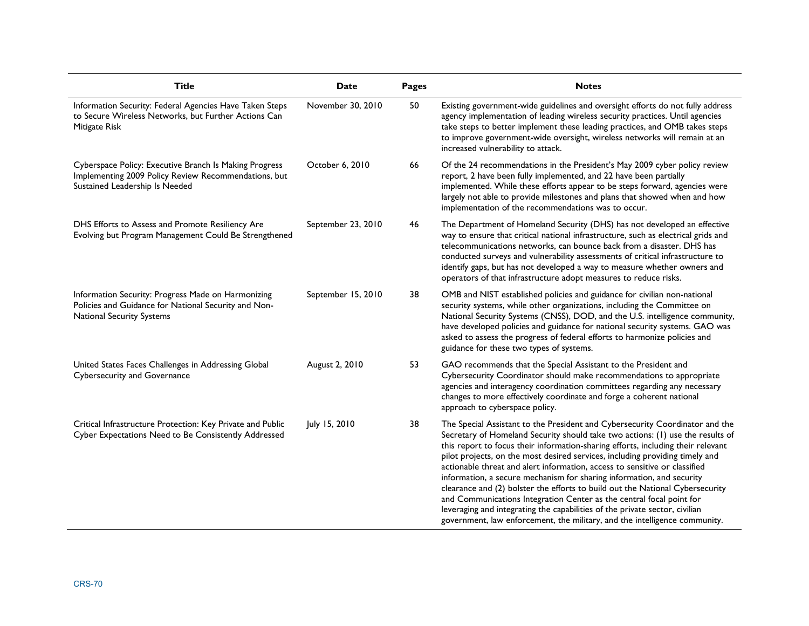| <b>Title</b>                                                                                                                                     | Date               | Pages | <b>Notes</b>                                                                                                                                                                                                                                                                                                                                                                                                                                                                                                                                                                                                                                                                                                                                                                                                    |
|--------------------------------------------------------------------------------------------------------------------------------------------------|--------------------|-------|-----------------------------------------------------------------------------------------------------------------------------------------------------------------------------------------------------------------------------------------------------------------------------------------------------------------------------------------------------------------------------------------------------------------------------------------------------------------------------------------------------------------------------------------------------------------------------------------------------------------------------------------------------------------------------------------------------------------------------------------------------------------------------------------------------------------|
| Information Security: Federal Agencies Have Taken Steps<br>to Secure Wireless Networks, but Further Actions Can<br>Mitigate Risk                 | November 30, 2010  | 50    | Existing government-wide guidelines and oversight efforts do not fully address<br>agency implementation of leading wireless security practices. Until agencies<br>take steps to better implement these leading practices, and OMB takes steps<br>to improve government-wide oversight, wireless networks will remain at an<br>increased vulnerability to attack.                                                                                                                                                                                                                                                                                                                                                                                                                                                |
| Cyberspace Policy: Executive Branch Is Making Progress<br>Implementing 2009 Policy Review Recommendations, but<br>Sustained Leadership Is Needed | October 6, 2010    | 66    | Of the 24 recommendations in the President's May 2009 cyber policy review<br>report, 2 have been fully implemented, and 22 have been partially<br>implemented. While these efforts appear to be steps forward, agencies were<br>largely not able to provide milestones and plans that showed when and how<br>implementation of the recommendations was to occur.                                                                                                                                                                                                                                                                                                                                                                                                                                                |
| DHS Efforts to Assess and Promote Resiliency Are<br>Evolving but Program Management Could Be Strengthened                                        | September 23, 2010 | 46    | The Department of Homeland Security (DHS) has not developed an effective<br>way to ensure that critical national infrastructure, such as electrical grids and<br>telecommunications networks, can bounce back from a disaster. DHS has<br>conducted surveys and vulnerability assessments of critical infrastructure to<br>identify gaps, but has not developed a way to measure whether owners and<br>operators of that infrastructure adopt measures to reduce risks.                                                                                                                                                                                                                                                                                                                                         |
| Information Security: Progress Made on Harmonizing<br>Policies and Guidance for National Security and Non-<br><b>National Security Systems</b>   | September 15, 2010 | 38    | OMB and NIST established policies and guidance for civilian non-national<br>security systems, while other organizations, including the Committee on<br>National Security Systems (CNSS), DOD, and the U.S. intelligence community,<br>have developed policies and guidance for national security systems. GAO was<br>asked to assess the progress of federal efforts to harmonize policies and<br>guidance for these two types of systems.                                                                                                                                                                                                                                                                                                                                                                      |
| United States Faces Challenges in Addressing Global<br><b>Cybersecurity and Governance</b>                                                       | August 2, 2010     | 53    | GAO recommends that the Special Assistant to the President and<br>Cybersecurity Coordinator should make recommendations to appropriate<br>agencies and interagency coordination committees regarding any necessary<br>changes to more effectively coordinate and forge a coherent national<br>approach to cyberspace policy.                                                                                                                                                                                                                                                                                                                                                                                                                                                                                    |
| Critical Infrastructure Protection: Key Private and Public<br>Cyber Expectations Need to Be Consistently Addressed                               | July 15, 2010      | 38    | The Special Assistant to the President and Cybersecurity Coordinator and the<br>Secretary of Homeland Security should take two actions: (1) use the results of<br>this report to focus their information-sharing efforts, including their relevant<br>pilot projects, on the most desired services, including providing timely and<br>actionable threat and alert information, access to sensitive or classified<br>information, a secure mechanism for sharing information, and security<br>clearance and (2) bolster the efforts to build out the National Cybersecurity<br>and Communications Integration Center as the central focal point for<br>leveraging and integrating the capabilities of the private sector, civilian<br>government, law enforcement, the military, and the intelligence community. |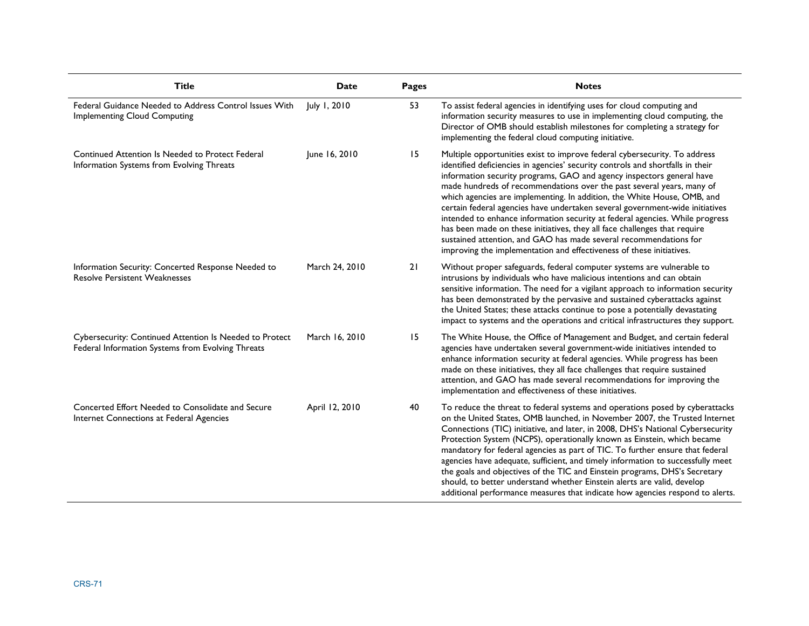| <b>Title</b>                                                                                                 | Date           | Pages | <b>Notes</b>                                                                                                                                                                                                                                                                                                                                                                                                                                                                                                                                                                                                                                                                                                                                                                       |
|--------------------------------------------------------------------------------------------------------------|----------------|-------|------------------------------------------------------------------------------------------------------------------------------------------------------------------------------------------------------------------------------------------------------------------------------------------------------------------------------------------------------------------------------------------------------------------------------------------------------------------------------------------------------------------------------------------------------------------------------------------------------------------------------------------------------------------------------------------------------------------------------------------------------------------------------------|
| Federal Guidance Needed to Address Control Issues With<br><b>Implementing Cloud Computing</b>                | July 1, 2010   | 53    | To assist federal agencies in identifying uses for cloud computing and<br>information security measures to use in implementing cloud computing, the<br>Director of OMB should establish milestones for completing a strategy for<br>implementing the federal cloud computing initiative.                                                                                                                                                                                                                                                                                                                                                                                                                                                                                           |
| Continued Attention Is Needed to Protect Federal<br>Information Systems from Evolving Threats                | June 16, 2010  | 15    | Multiple opportunities exist to improve federal cybersecurity. To address<br>identified deficiencies in agencies' security controls and shortfalls in their<br>information security programs, GAO and agency inspectors general have<br>made hundreds of recommendations over the past several years, many of<br>which agencies are implementing. In addition, the White House, OMB, and<br>certain federal agencies have undertaken several government-wide initiatives<br>intended to enhance information security at federal agencies. While progress<br>has been made on these initiatives, they all face challenges that require<br>sustained attention, and GAO has made several recommendations for<br>improving the implementation and effectiveness of these initiatives. |
| Information Security: Concerted Response Needed to<br><b>Resolve Persistent Weaknesses</b>                   | March 24, 2010 | 21    | Without proper safeguards, federal computer systems are vulnerable to<br>intrusions by individuals who have malicious intentions and can obtain<br>sensitive information. The need for a vigilant approach to information security<br>has been demonstrated by the pervasive and sustained cyberattacks against<br>the United States; these attacks continue to pose a potentially devastating<br>impact to systems and the operations and critical infrastructures they support.                                                                                                                                                                                                                                                                                                  |
| Cybersecurity: Continued Attention Is Needed to Protect<br>Federal Information Systems from Evolving Threats | March 16, 2010 | 15    | The White House, the Office of Management and Budget, and certain federal<br>agencies have undertaken several government-wide initiatives intended to<br>enhance information security at federal agencies. While progress has been<br>made on these initiatives, they all face challenges that require sustained<br>attention, and GAO has made several recommendations for improving the<br>implementation and effectiveness of these initiatives.                                                                                                                                                                                                                                                                                                                                |
| Concerted Effort Needed to Consolidate and Secure<br>Internet Connections at Federal Agencies                | April 12, 2010 | 40    | To reduce the threat to federal systems and operations posed by cyberattacks<br>on the United States, OMB launched, in November 2007, the Trusted Internet<br>Connections (TIC) initiative, and later, in 2008, DHS's National Cybersecurity<br>Protection System (NCPS), operationally known as Einstein, which became<br>mandatory for federal agencies as part of TIC. To further ensure that federal<br>agencies have adequate, sufficient, and timely information to successfully meet<br>the goals and objectives of the TIC and Einstein programs, DHS's Secretary<br>should, to better understand whether Einstein alerts are valid, develop<br>additional performance measures that indicate how agencies respond to alerts.                                              |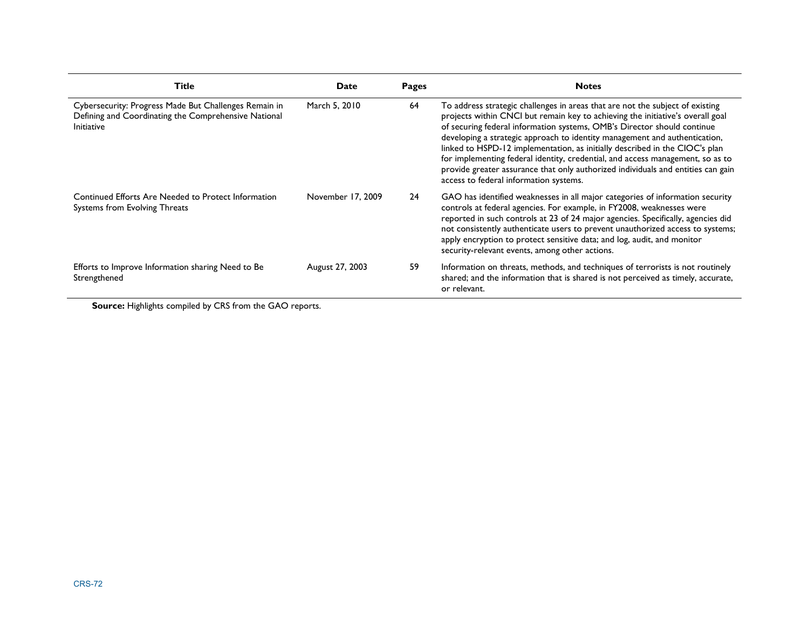| <b>Title</b>                                                                                                                       | Date              | Pages | <b>Notes</b>                                                                                                                                                                                                                                                                                                                                                                                                                                                                                                                                                                                                            |
|------------------------------------------------------------------------------------------------------------------------------------|-------------------|-------|-------------------------------------------------------------------------------------------------------------------------------------------------------------------------------------------------------------------------------------------------------------------------------------------------------------------------------------------------------------------------------------------------------------------------------------------------------------------------------------------------------------------------------------------------------------------------------------------------------------------------|
| Cybersecurity: Progress Made But Challenges Remain in<br>Defining and Coordinating the Comprehensive National<br><b>Initiative</b> | March 5, 2010     | 64    | To address strategic challenges in areas that are not the subject of existing<br>projects within CNCI but remain key to achieving the initiative's overall goal<br>of securing federal information systems, OMB's Director should continue<br>developing a strategic approach to identity management and authentication,<br>linked to HSPD-12 implementation, as initially described in the CIOC's plan<br>for implementing federal identity, credential, and access management, so as to<br>provide greater assurance that only authorized individuals and entities can gain<br>access to federal information systems. |
| Continued Efforts Are Needed to Protect Information<br>Systems from Evolving Threats                                               | November 17, 2009 | 24    | GAO has identified weaknesses in all major categories of information security<br>controls at federal agencies. For example, in FY2008, weaknesses were<br>reported in such controls at 23 of 24 major agencies. Specifically, agencies did<br>not consistently authenticate users to prevent unauthorized access to systems;<br>apply encryption to protect sensitive data; and log, audit, and monitor<br>security-relevant events, among other actions.                                                                                                                                                               |
| Efforts to Improve Information sharing Need to Be<br>Strengthened                                                                  | August 27, 2003   | 59    | Information on threats, methods, and techniques of terrorists is not routinely<br>shared; and the information that is shared is not perceived as timely, accurate,<br>or relevant.                                                                                                                                                                                                                                                                                                                                                                                                                                      |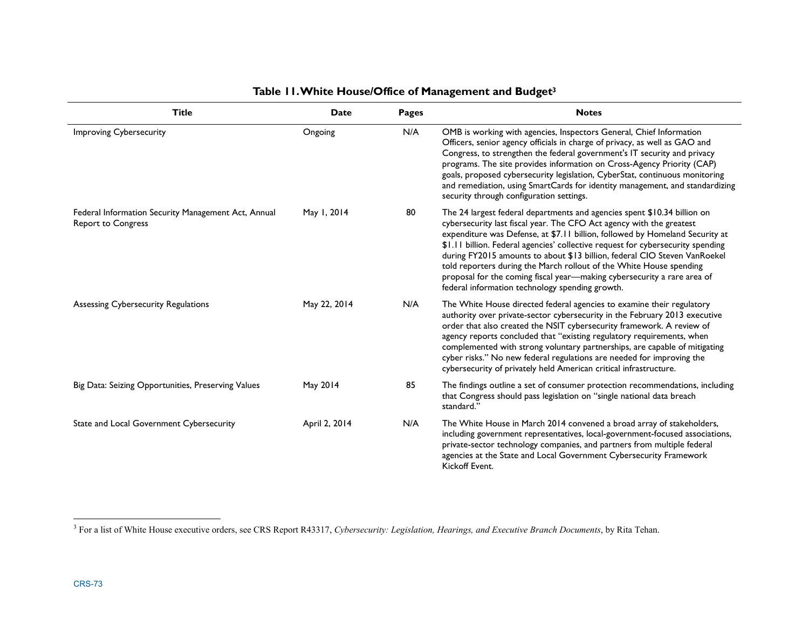| <b>Title</b>                                                                     | <b>Date</b>   | Pages | <b>Notes</b>                                                                                                                                                                                                                                                                                                                                                                                                                                                                                                                                                                                          |  |  |  |
|----------------------------------------------------------------------------------|---------------|-------|-------------------------------------------------------------------------------------------------------------------------------------------------------------------------------------------------------------------------------------------------------------------------------------------------------------------------------------------------------------------------------------------------------------------------------------------------------------------------------------------------------------------------------------------------------------------------------------------------------|--|--|--|
| <b>Improving Cybersecurity</b>                                                   | Ongoing       | N/A   | OMB is working with agencies, Inspectors General, Chief Information<br>Officers, senior agency officials in charge of privacy, as well as GAO and<br>Congress, to strengthen the federal government's IT security and privacy<br>programs. The site provides information on Cross-Agency Priority (CAP)<br>goals, proposed cybersecurity legislation, CyberStat, continuous monitoring<br>and remediation, using SmartCards for identity management, and standardizing<br>security through configuration settings.                                                                                    |  |  |  |
| Federal Information Security Management Act, Annual<br><b>Report to Congress</b> | May 1, 2014   | 80    | The 24 largest federal departments and agencies spent \$10.34 billion on<br>cybersecurity last fiscal year. The CFO Act agency with the greatest<br>expenditure was Defense, at \$7.11 billion, followed by Homeland Security at<br>\$1.11 billion. Federal agencies' collective request for cybersecurity spending<br>during FY2015 amounts to about \$13 billion, federal CIO Steven VanRoekel<br>told reporters during the March rollout of the White House spending<br>proposal for the coming fiscal year-making cybersecurity a rare area of<br>federal information technology spending growth. |  |  |  |
| Assessing Cybersecurity Regulations                                              | May 22, 2014  | N/A   | The White House directed federal agencies to examine their regulatory<br>authority over private-sector cybersecurity in the February 2013 executive<br>order that also created the NSIT cybersecurity framework. A review of<br>agency reports concluded that "existing regulatory requirements, when<br>complemented with strong voluntary partnerships, are capable of mitigating<br>cyber risks." No new federal regulations are needed for improving the<br>cybersecurity of privately held American critical infrastructure.                                                                     |  |  |  |
| Big Data: Seizing Opportunities, Preserving Values                               | May 2014      | 85    | The findings outline a set of consumer protection recommendations, including<br>that Congress should pass legislation on "single national data breach<br>standard."                                                                                                                                                                                                                                                                                                                                                                                                                                   |  |  |  |
| State and Local Government Cybersecurity                                         | April 2, 2014 | N/A   | The White House in March 2014 convened a broad array of stakeholders,<br>including government representatives, local-government-focused associations,<br>private-sector technology companies, and partners from multiple federal<br>agencies at the State and Local Government Cybersecurity Framework<br>Kickoff Event.                                                                                                                                                                                                                                                                              |  |  |  |

# **Table 11. White House/Office of Management and Budget3**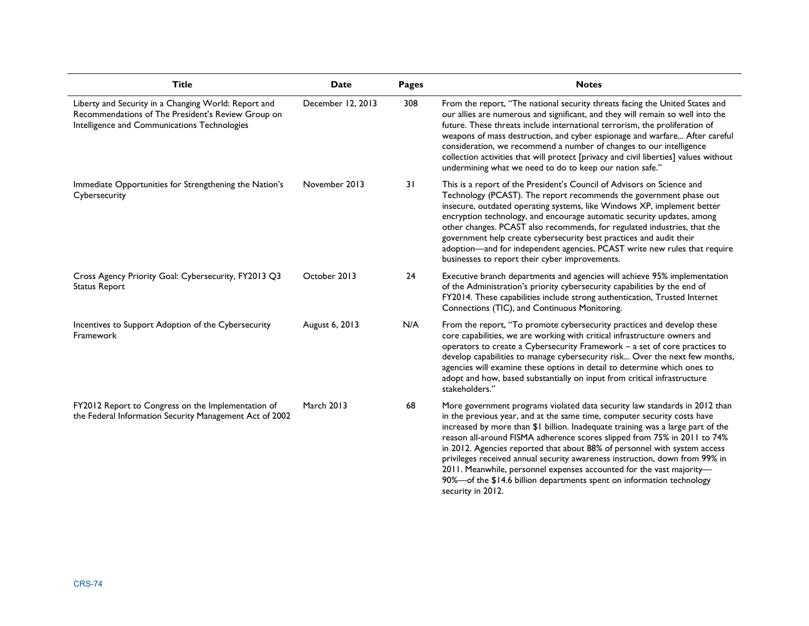| <b>Title</b>                                                                                                                                               | <b>Date</b>       | <b>Pages</b> | <b>Notes</b>                                                                                                                                                                                                                                                                                                                                                                                                                                                                                                                                                                                                                                            |  |  |  |
|------------------------------------------------------------------------------------------------------------------------------------------------------------|-------------------|--------------|---------------------------------------------------------------------------------------------------------------------------------------------------------------------------------------------------------------------------------------------------------------------------------------------------------------------------------------------------------------------------------------------------------------------------------------------------------------------------------------------------------------------------------------------------------------------------------------------------------------------------------------------------------|--|--|--|
| Liberty and Security in a Changing World: Report and<br>Recommendations of The President's Review Group on<br>Intelligence and Communications Technologies | December 12, 2013 | 308          | From the report, "The national security threats facing the United States and<br>our allies are numerous and significant, and they will remain so well into the<br>future. These threats include international terrorism, the proliferation of<br>weapons of mass destruction, and cyber espionage and warfare After careful<br>consideration, we recommend a number of changes to our intelligence<br>collection activities that will protect [privacy and civil liberties] values without<br>undermining what we need to do to keep our nation safe."                                                                                                  |  |  |  |
| Immediate Opportunities for Strengthening the Nation's<br>Cybersecurity                                                                                    | November 2013     | 31           | This is a report of the President's Council of Advisors on Science and<br>Technology (PCAST). The report recommends the government phase out<br>insecure, outdated operating systems, like Windows XP, implement better<br>encryption technology, and encourage automatic security updates, among<br>other changes. PCAST also recommends, for regulated industries, that the<br>government help create cybersecurity best practices and audit their<br>adoption-and for independent agencies, PCAST write new rules that require<br>businesses to report their cyber improvements.                                                                     |  |  |  |
| Cross Agency Priority Goal: Cybersecurity, FY2013 Q3<br><b>Status Report</b>                                                                               | October 2013      | 24           | Executive branch departments and agencies will achieve 95% implementation<br>of the Administration's priority cybersecurity capabilities by the end of<br>FY2014. These capabilities include strong authentication, Trusted Internet<br>Connections (TIC), and Continuous Monitoring.                                                                                                                                                                                                                                                                                                                                                                   |  |  |  |
| Incentives to Support Adoption of the Cybersecurity<br>Framework                                                                                           | August 6, 2013    | N/A          | From the report, "To promote cybersecurity practices and develop these<br>core capabilities, we are working with critical infrastructure owners and<br>operators to create a Cybersecurity Framework - a set of core practices to<br>develop capabilities to manage cybersecurity risk Over the next few months,<br>agencies will examine these options in detail to determine which ones to<br>adopt and how, based substantially on input from critical infrastructure<br>stakeholders."                                                                                                                                                              |  |  |  |
| FY2012 Report to Congress on the Implementation of<br>the Federal Information Security Management Act of 2002                                              | <b>March 2013</b> | 68           | More government programs violated data security law standards in 2012 than<br>in the previous year, and at the same time, computer security costs have<br>increased by more than \$1 billion. Inadequate training was a large part of the<br>reason all-around FISMA adherence scores slipped from 75% in 2011 to 74%<br>in 2012. Agencies reported that about 88% of personnel with system access<br>privileges received annual security awareness instruction, down from 99% in<br>2011. Meanwhile, personnel expenses accounted for the vast majority-<br>90%-of the \$14.6 billion departments spent on information technology<br>security in 2012. |  |  |  |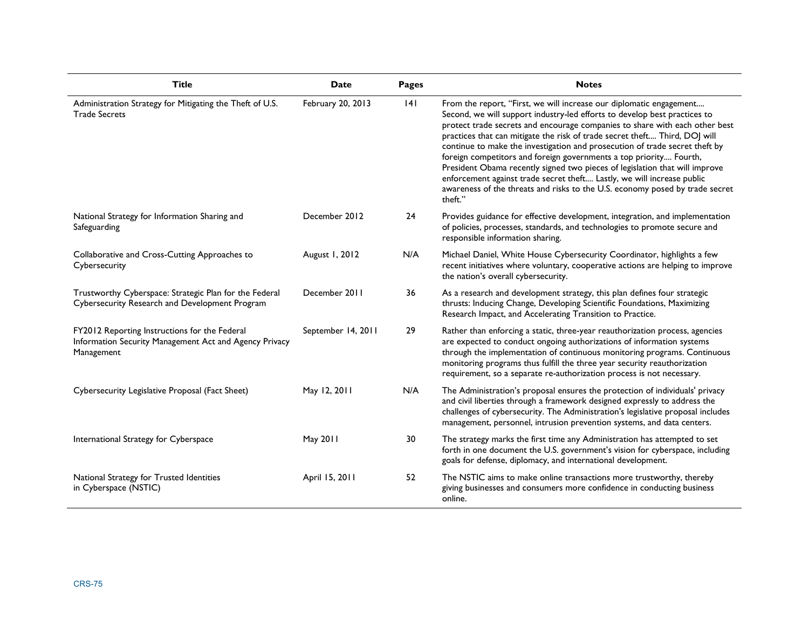| <b>Title</b>                                                                                                          | Date               | <b>Pages</b> | <b>Notes</b>                                                                                                                                                                                                                                                                                                                                                                                                                                                                                                                                                                                                                                                                                                           |
|-----------------------------------------------------------------------------------------------------------------------|--------------------|--------------|------------------------------------------------------------------------------------------------------------------------------------------------------------------------------------------------------------------------------------------------------------------------------------------------------------------------------------------------------------------------------------------------------------------------------------------------------------------------------------------------------------------------------------------------------------------------------------------------------------------------------------------------------------------------------------------------------------------------|
| Administration Strategy for Mitigating the Theft of U.S.<br><b>Trade Secrets</b>                                      | February 20, 2013  | 4            | From the report, "First, we will increase our diplomatic engagement<br>Second, we will support industry-led efforts to develop best practices to<br>protect trade secrets and encourage companies to share with each other best<br>practices that can mitigate the risk of trade secret theft Third, DOJ will<br>continue to make the investigation and prosecution of trade secret theft by<br>foreign competitors and foreign governments a top priority Fourth,<br>President Obama recently signed two pieces of legislation that will improve<br>enforcement against trade secret theft Lastly, we will increase public<br>awareness of the threats and risks to the U.S. economy posed by trade secret<br>theft." |
| National Strategy for Information Sharing and<br>Safeguarding                                                         | December 2012      | 24           | Provides guidance for effective development, integration, and implementation<br>of policies, processes, standards, and technologies to promote secure and<br>responsible information sharing.                                                                                                                                                                                                                                                                                                                                                                                                                                                                                                                          |
| Collaborative and Cross-Cutting Approaches to<br>Cybersecurity                                                        | August 1, 2012     | N/A          | Michael Daniel, White House Cybersecurity Coordinator, highlights a few<br>recent initiatives where voluntary, cooperative actions are helping to improve<br>the nation's overall cybersecurity.                                                                                                                                                                                                                                                                                                                                                                                                                                                                                                                       |
| Trustworthy Cyberspace: Strategic Plan for the Federal<br>Cybersecurity Research and Development Program              | December 2011      | 36           | As a research and development strategy, this plan defines four strategic<br>thrusts: Inducing Change, Developing Scientific Foundations, Maximizing<br>Research Impact, and Accelerating Transition to Practice.                                                                                                                                                                                                                                                                                                                                                                                                                                                                                                       |
| FY2012 Reporting Instructions for the Federal<br>Information Security Management Act and Agency Privacy<br>Management | September 14, 2011 | 29           | Rather than enforcing a static, three-year reauthorization process, agencies<br>are expected to conduct ongoing authorizations of information systems<br>through the implementation of continuous monitoring programs. Continuous<br>monitoring programs thus fulfill the three year security reauthorization<br>requirement, so a separate re-authorization process is not necessary.                                                                                                                                                                                                                                                                                                                                 |
| Cybersecurity Legislative Proposal (Fact Sheet)                                                                       | May 12, 2011       | N/A          | The Administration's proposal ensures the protection of individuals' privacy<br>and civil liberties through a framework designed expressly to address the<br>challenges of cybersecurity. The Administration's legislative proposal includes<br>management, personnel, intrusion prevention systems, and data centers.                                                                                                                                                                                                                                                                                                                                                                                                 |
| International Strategy for Cyberspace                                                                                 | May 2011           | 30           | The strategy marks the first time any Administration has attempted to set<br>forth in one document the U.S. government's vision for cyberspace, including<br>goals for defense, diplomacy, and international development.                                                                                                                                                                                                                                                                                                                                                                                                                                                                                              |
| National Strategy for Trusted Identities<br>in Cyberspace (NSTIC)                                                     | April 15, 2011     | 52           | The NSTIC aims to make online transactions more trustworthy, thereby<br>giving businesses and consumers more confidence in conducting business<br>online.                                                                                                                                                                                                                                                                                                                                                                                                                                                                                                                                                              |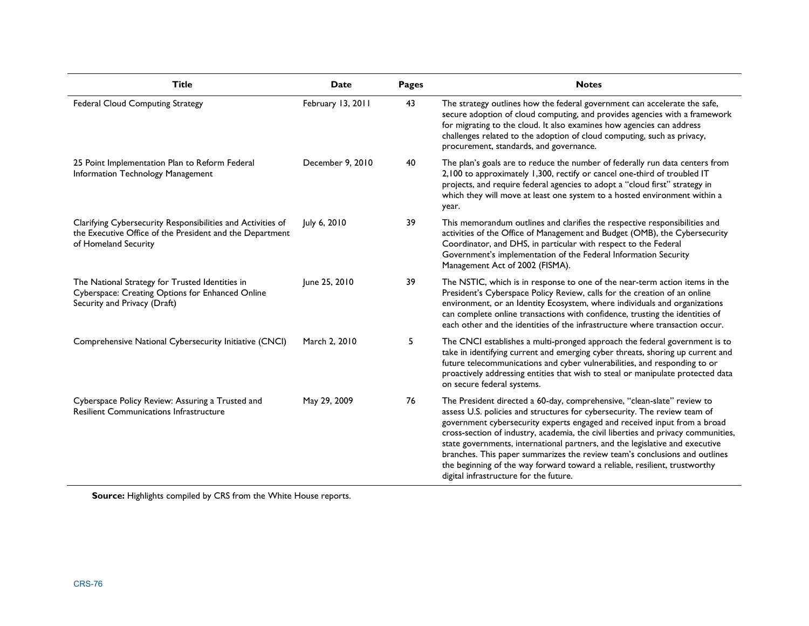| <b>Title</b>                                                                                                                                    | Date              | Pages | <b>Notes</b>                                                                                                                                                                                                                                                                                                                                                                                                                                                                                                                                                                                                |
|-------------------------------------------------------------------------------------------------------------------------------------------------|-------------------|-------|-------------------------------------------------------------------------------------------------------------------------------------------------------------------------------------------------------------------------------------------------------------------------------------------------------------------------------------------------------------------------------------------------------------------------------------------------------------------------------------------------------------------------------------------------------------------------------------------------------------|
| <b>Federal Cloud Computing Strategy</b>                                                                                                         | February 13, 2011 | 43    | The strategy outlines how the federal government can accelerate the safe,<br>secure adoption of cloud computing, and provides agencies with a framework<br>for migrating to the cloud. It also examines how agencies can address<br>challenges related to the adoption of cloud computing, such as privacy,<br>procurement, standards, and governance.                                                                                                                                                                                                                                                      |
| 25 Point Implementation Plan to Reform Federal<br>Information Technology Management                                                             | December 9, 2010  | 40    | The plan's goals are to reduce the number of federally run data centers from<br>2,100 to approximately 1,300, rectify or cancel one-third of troubled IT<br>projects, and require federal agencies to adopt a "cloud first" strategy in<br>which they will move at least one system to a hosted environment within a<br>year.                                                                                                                                                                                                                                                                               |
| Clarifying Cybersecurity Responsibilities and Activities of<br>the Executive Office of the President and the Department<br>of Homeland Security | July 6, 2010      | 39    | This memorandum outlines and clarifies the respective responsibilities and<br>activities of the Office of Management and Budget (OMB), the Cybersecurity<br>Coordinator, and DHS, in particular with respect to the Federal<br>Government's implementation of the Federal Information Security<br>Management Act of 2002 (FISMA).                                                                                                                                                                                                                                                                           |
| The National Strategy for Trusted Identities in<br>Cyberspace: Creating Options for Enhanced Online<br>Security and Privacy (Draft)             | June 25, 2010     | 39    | The NSTIC, which is in response to one of the near-term action items in the<br>President's Cyberspace Policy Review, calls for the creation of an online<br>environment, or an Identity Ecosystem, where individuals and organizations<br>can complete online transactions with confidence, trusting the identities of<br>each other and the identities of the infrastructure where transaction occur.                                                                                                                                                                                                      |
| Comprehensive National Cybersecurity Initiative (CNCI)                                                                                          | March 2, 2010     | 5     | The CNCI establishes a multi-pronged approach the federal government is to<br>take in identifying current and emerging cyber threats, shoring up current and<br>future telecommunications and cyber vulnerabilities, and responding to or<br>proactively addressing entities that wish to steal or manipulate protected data<br>on secure federal systems.                                                                                                                                                                                                                                                  |
| Cyberspace Policy Review: Assuring a Trusted and<br><b>Resilient Communications Infrastructure</b>                                              | May 29, 2009      | 76    | The President directed a 60-day, comprehensive, "clean-slate" review to<br>assess U.S. policies and structures for cybersecurity. The review team of<br>government cybersecurity experts engaged and received input from a broad<br>cross-section of industry, academia, the civil liberties and privacy communities,<br>state governments, international partners, and the legislative and executive<br>branches. This paper summarizes the review team's conclusions and outlines<br>the beginning of the way forward toward a reliable, resilient, trustworthy<br>digital infrastructure for the future. |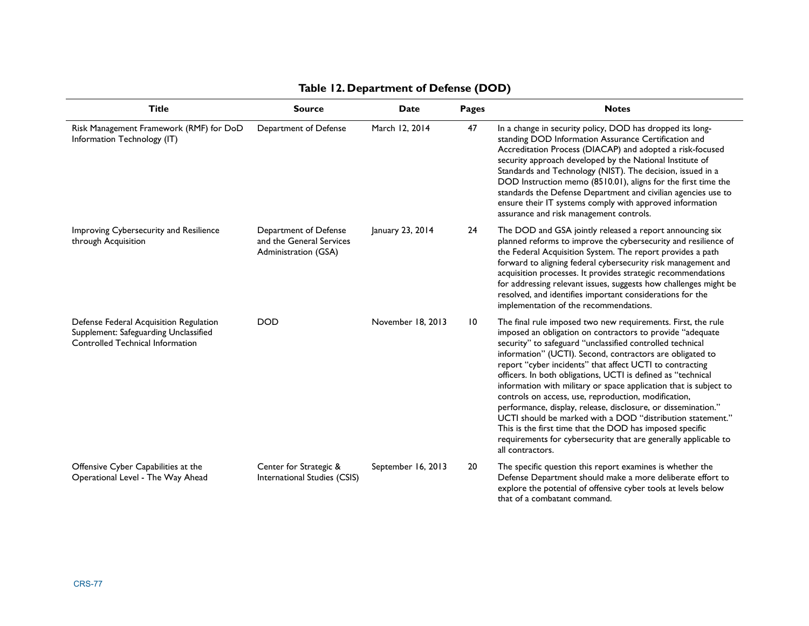| <b>Title</b>                                                                                                        | <b>Source</b>                                                             | <b>Date</b>        | <b>Pages</b> | <b>Notes</b>                                                                                                                                                                                                                                                                                                                                                                                                                                                                                                                                                                                                                                                                                                                                                                                   |
|---------------------------------------------------------------------------------------------------------------------|---------------------------------------------------------------------------|--------------------|--------------|------------------------------------------------------------------------------------------------------------------------------------------------------------------------------------------------------------------------------------------------------------------------------------------------------------------------------------------------------------------------------------------------------------------------------------------------------------------------------------------------------------------------------------------------------------------------------------------------------------------------------------------------------------------------------------------------------------------------------------------------------------------------------------------------|
| Risk Management Framework (RMF) for DoD<br>Information Technology (IT)                                              | Department of Defense                                                     | March 12, 2014     | 47           | In a change in security policy, DOD has dropped its long-<br>standing DOD Information Assurance Certification and<br>Accreditation Process (DIACAP) and adopted a risk-focused<br>security approach developed by the National Institute of<br>Standards and Technology (NIST). The decision, issued in a<br>DOD Instruction memo (8510.01), aligns for the first time the<br>standards the Defense Department and civilian agencies use to<br>ensure their IT systems comply with approved information<br>assurance and risk management controls.                                                                                                                                                                                                                                              |
| Improving Cybersecurity and Resilience<br>through Acquisition                                                       | Department of Defense<br>and the General Services<br>Administration (GSA) | January 23, 2014   | 24           | The DOD and GSA jointly released a report announcing six<br>planned reforms to improve the cybersecurity and resilience of<br>the Federal Acquisition System. The report provides a path<br>forward to aligning federal cybersecurity risk management and<br>acquisition processes. It provides strategic recommendations<br>for addressing relevant issues, suggests how challenges might be<br>resolved, and identifies important considerations for the<br>implementation of the recommendations.                                                                                                                                                                                                                                                                                           |
| Defense Federal Acquisition Regulation<br>Supplement: Safeguarding Unclassified<br>Controlled Technical Information | <b>DOD</b>                                                                | November 18, 2013  | 10           | The final rule imposed two new requirements. First, the rule<br>imposed an obligation on contractors to provide "adequate<br>security" to safeguard "unclassified controlled technical<br>information" (UCTI). Second, contractors are obligated to<br>report "cyber incidents" that affect UCTI to contracting<br>officers. In both obligations, UCTI is defined as "technical<br>information with military or space application that is subject to<br>controls on access, use, reproduction, modification,<br>performance, display, release, disclosure, or dissemination."<br>UCTI should be marked with a DOD "distribution statement."<br>This is the first time that the DOD has imposed specific<br>requirements for cybersecurity that are generally applicable to<br>all contractors. |
| Offensive Cyber Capabilities at the<br>Operational Level - The Way Ahead                                            | Center for Strategic &<br>International Studies (CSIS)                    | September 16, 2013 | 20           | The specific question this report examines is whether the<br>Defense Department should make a more deliberate effort to<br>explore the potential of offensive cyber tools at levels below<br>that of a combatant command.                                                                                                                                                                                                                                                                                                                                                                                                                                                                                                                                                                      |

### **Table 12. Department of Defense (DOD)**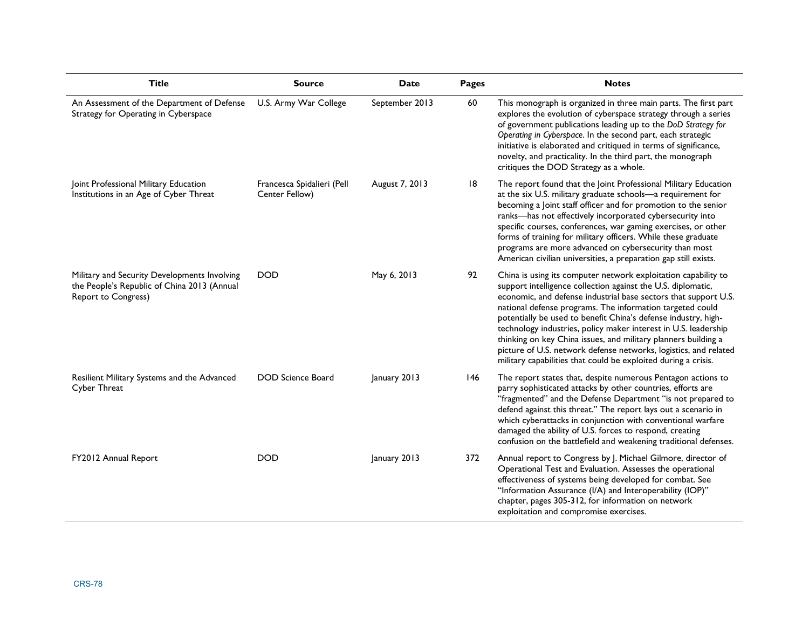| <b>Title</b>                                                                                                              | <b>Source</b>                                | <b>Date</b>    | Pages | <b>Notes</b>                                                                                                                                                                                                                                                                                                                                                                                                                                                                                                                                                                                                |
|---------------------------------------------------------------------------------------------------------------------------|----------------------------------------------|----------------|-------|-------------------------------------------------------------------------------------------------------------------------------------------------------------------------------------------------------------------------------------------------------------------------------------------------------------------------------------------------------------------------------------------------------------------------------------------------------------------------------------------------------------------------------------------------------------------------------------------------------------|
| An Assessment of the Department of Defense<br>Strategy for Operating in Cyberspace                                        | U.S. Army War College                        | September 2013 | 60    | This monograph is organized in three main parts. The first part<br>explores the evolution of cyberspace strategy through a series<br>of government publications leading up to the DoD Strategy for<br>Operating in Cyberspace. In the second part, each strategic<br>initiative is elaborated and critiqued in terms of significance,<br>novelty, and practicality. In the third part, the monograph<br>critiques the DOD Strategy as a whole.                                                                                                                                                              |
| Joint Professional Military Education<br>Institutions in an Age of Cyber Threat                                           | Francesca Spidalieri (Pell<br>Center Fellow) | August 7, 2013 | 18    | The report found that the Joint Professional Military Education<br>at the six U.S. military graduate schools-a requirement for<br>becoming a Joint staff officer and for promotion to the senior<br>ranks-has not effectively incorporated cybersecurity into<br>specific courses, conferences, war gaming exercises, or other<br>forms of training for military officers. While these graduate<br>programs are more advanced on cybersecurity than most<br>American civilian universities, a preparation gap still exists.                                                                                 |
| Military and Security Developments Involving<br>the People's Republic of China 2013 (Annual<br><b>Report to Congress)</b> | <b>DOD</b>                                   | May 6, 2013    | 92    | China is using its computer network exploitation capability to<br>support intelligence collection against the U.S. diplomatic,<br>economic, and defense industrial base sectors that support U.S.<br>national defense programs. The information targeted could<br>potentially be used to benefit China's defense industry, high-<br>technology industries, policy maker interest in U.S. leadership<br>thinking on key China issues, and military planners building a<br>picture of U.S. network defense networks, logistics, and related<br>military capabilities that could be exploited during a crisis. |
| Resilient Military Systems and the Advanced<br>Cyber Threat                                                               | <b>DOD</b> Science Board                     | January 2013   | 146   | The report states that, despite numerous Pentagon actions to<br>parry sophisticated attacks by other countries, efforts are<br>"fragmented" and the Defense Department "is not prepared to<br>defend against this threat." The report lays out a scenario in<br>which cyberattacks in conjunction with conventional warfare<br>damaged the ability of U.S. forces to respond, creating<br>confusion on the battlefield and weakening traditional defenses.                                                                                                                                                  |
| FY2012 Annual Report                                                                                                      | <b>DOD</b>                                   | January 2013   | 372   | Annual report to Congress by J. Michael Gilmore, director of<br>Operational Test and Evaluation. Assesses the operational<br>effectiveness of systems being developed for combat. See<br>"Information Assurance (I/A) and Interoperability (IOP)"<br>chapter, pages 305-312, for information on network<br>exploitation and compromise exercises.                                                                                                                                                                                                                                                           |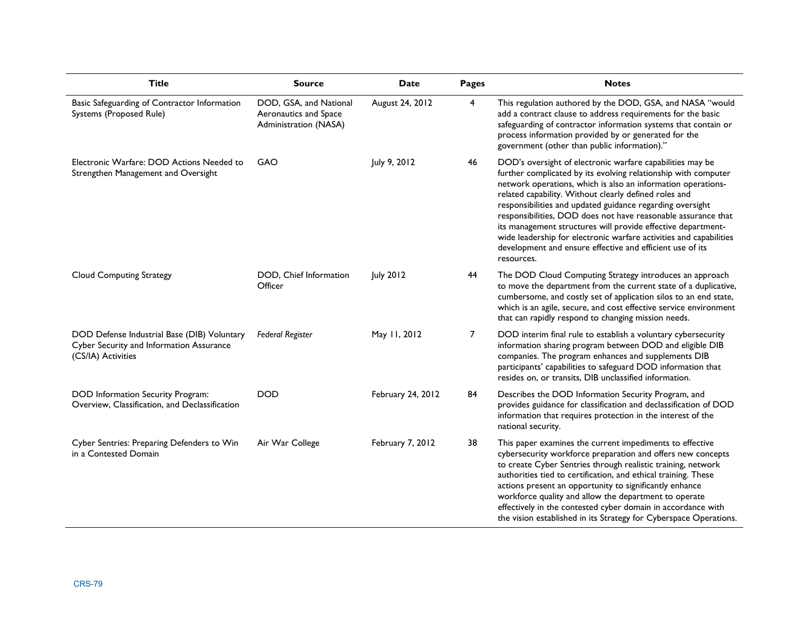| <b>Title</b>                                                                                                  | <b>Source</b>                                                            | <b>Date</b>       | <b>Pages</b>   | <b>Notes</b>                                                                                                                                                                                                                                                                                                                                                                                                                                                                                                                                                                                        |
|---------------------------------------------------------------------------------------------------------------|--------------------------------------------------------------------------|-------------------|----------------|-----------------------------------------------------------------------------------------------------------------------------------------------------------------------------------------------------------------------------------------------------------------------------------------------------------------------------------------------------------------------------------------------------------------------------------------------------------------------------------------------------------------------------------------------------------------------------------------------------|
| Basic Safeguarding of Contractor Information<br>Systems (Proposed Rule)                                       | DOD, GSA, and National<br>Aeronautics and Space<br>Administration (NASA) | August 24, 2012   | $\overline{4}$ | This regulation authored by the DOD, GSA, and NASA "would<br>add a contract clause to address requirements for the basic<br>safeguarding of contractor information systems that contain or<br>process information provided by or generated for the<br>government (other than public information)."                                                                                                                                                                                                                                                                                                  |
| Electronic Warfare: DOD Actions Needed to<br>Strengthen Management and Oversight                              | GAO                                                                      | July 9, 2012      | 46             | DOD's oversight of electronic warfare capabilities may be<br>further complicated by its evolving relationship with computer<br>network operations, which is also an information operations-<br>related capability. Without clearly defined roles and<br>responsibilities and updated guidance regarding oversight<br>responsibilities, DOD does not have reasonable assurance that<br>its management structures will provide effective department-<br>wide leadership for electronic warfare activities and capabilities<br>development and ensure effective and efficient use of its<br>resources. |
| <b>Cloud Computing Strategy</b>                                                                               | DOD, Chief Information<br>Officer                                        | <b>July 2012</b>  | 44             | The DOD Cloud Computing Strategy introduces an approach<br>to move the department from the current state of a duplicative,<br>cumbersome, and costly set of application silos to an end state,<br>which is an agile, secure, and cost effective service environment<br>that can rapidly respond to changing mission needs.                                                                                                                                                                                                                                                                          |
| DOD Defense Industrial Base (DIB) Voluntary<br>Cyber Security and Information Assurance<br>(CS/IA) Activities | <b>Federal Register</b>                                                  | May 11, 2012      | 7              | DOD interim final rule to establish a voluntary cybersecurity<br>information sharing program between DOD and eligible DIB<br>companies. The program enhances and supplements DIB<br>participants' capabilities to safeguard DOD information that<br>resides on, or transits, DIB unclassified information.                                                                                                                                                                                                                                                                                          |
| DOD Information Security Program:<br>Overview, Classification, and Declassification                           | <b>DOD</b>                                                               | February 24, 2012 | 84             | Describes the DOD Information Security Program, and<br>provides guidance for classification and declassification of DOD<br>information that requires protection in the interest of the<br>national security.                                                                                                                                                                                                                                                                                                                                                                                        |
| Cyber Sentries: Preparing Defenders to Win<br>in a Contested Domain                                           | Air War College                                                          | February 7, 2012  | 38             | This paper examines the current impediments to effective<br>cybersecurity workforce preparation and offers new concepts<br>to create Cyber Sentries through realistic training, network<br>authorities tied to certification, and ethical training. These<br>actions present an opportunity to significantly enhance<br>workforce quality and allow the department to operate<br>effectively in the contested cyber domain in accordance with<br>the vision established in its Strategy for Cyberspace Operations.                                                                                  |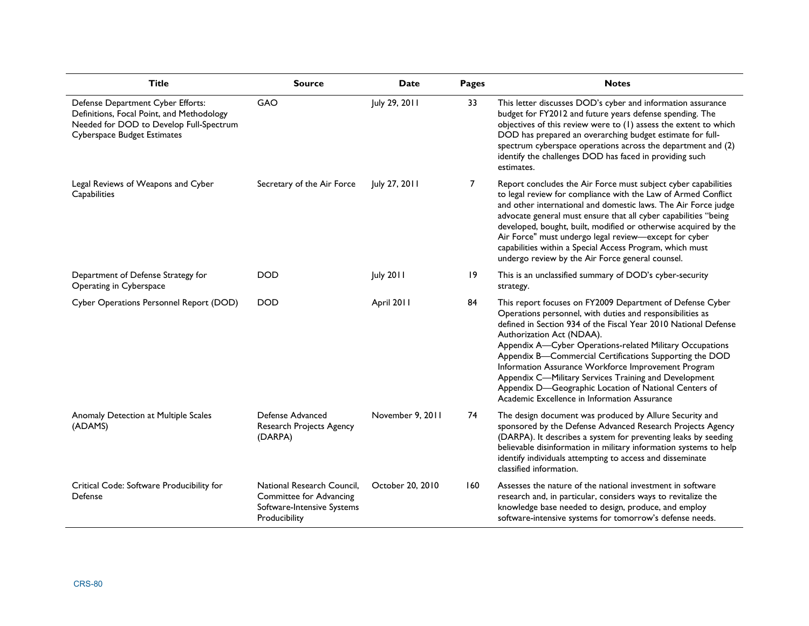| <b>Title</b>                                                                                                                                                    | <b>Source</b>                                                                                        | <b>Date</b>      | Pages          | <b>Notes</b>                                                                                                                                                                                                                                                                                                                                                                                                                                                                                                                                                           |
|-----------------------------------------------------------------------------------------------------------------------------------------------------------------|------------------------------------------------------------------------------------------------------|------------------|----------------|------------------------------------------------------------------------------------------------------------------------------------------------------------------------------------------------------------------------------------------------------------------------------------------------------------------------------------------------------------------------------------------------------------------------------------------------------------------------------------------------------------------------------------------------------------------------|
| Defense Department Cyber Efforts:<br>Definitions, Focal Point, and Methodology<br>Needed for DOD to Develop Full-Spectrum<br><b>Cyberspace Budget Estimates</b> | GAO                                                                                                  | July 29, 2011    | 33             | This letter discusses DOD's cyber and information assurance<br>budget for FY2012 and future years defense spending. The<br>objectives of this review were to (1) assess the extent to which<br>DOD has prepared an overarching budget estimate for full-<br>spectrum cyberspace operations across the department and (2)<br>identify the challenges DOD has faced in providing such<br>estimates.                                                                                                                                                                      |
| Legal Reviews of Weapons and Cyber<br>Capabilities                                                                                                              | Secretary of the Air Force                                                                           | July 27, 2011    | $\overline{7}$ | Report concludes the Air Force must subject cyber capabilities<br>to legal review for compliance with the Law of Armed Conflict<br>and other international and domestic laws. The Air Force judge<br>advocate general must ensure that all cyber capabilities "being<br>developed, bought, built, modified or otherwise acquired by the<br>Air Force" must undergo legal review-except for cyber<br>capabilities within a Special Access Program, which must<br>undergo review by the Air Force general counsel.                                                       |
| Department of Defense Strategy for<br>Operating in Cyberspace                                                                                                   | <b>DOD</b>                                                                                           | <b>July 2011</b> | 19             | This is an unclassified summary of DOD's cyber-security<br>strategy.                                                                                                                                                                                                                                                                                                                                                                                                                                                                                                   |
| Cyber Operations Personnel Report (DOD)                                                                                                                         | <b>DOD</b>                                                                                           | April 2011       | 84             | This report focuses on FY2009 Department of Defense Cyber<br>Operations personnel, with duties and responsibilities as<br>defined in Section 934 of the Fiscal Year 2010 National Defense<br>Authorization Act (NDAA).<br>Appendix A-Cyber Operations-related Military Occupations<br>Appendix B-Commercial Certifications Supporting the DOD<br>Information Assurance Workforce Improvement Program<br>Appendix C-Military Services Training and Development<br>Appendix D-Geographic Location of National Centers of<br>Academic Excellence in Information Assurance |
| Anomaly Detection at Multiple Scales<br>(ADAMS)                                                                                                                 | Defense Advanced<br>Research Projects Agency<br>(DARPA)                                              | November 9, 2011 | 74             | The design document was produced by Allure Security and<br>sponsored by the Defense Advanced Research Projects Agency<br>(DARPA). It describes a system for preventing leaks by seeding<br>believable disinformation in military information systems to help<br>identify individuals attempting to access and disseminate<br>classified information.                                                                                                                                                                                                                   |
| Critical Code: Software Producibility for<br>Defense                                                                                                            | National Research Council,<br>Committee for Advancing<br>Software-Intensive Systems<br>Producibility | October 20, 2010 | 160            | Assesses the nature of the national investment in software<br>research and, in particular, considers ways to revitalize the<br>knowledge base needed to design, produce, and employ<br>software-intensive systems for tomorrow's defense needs.                                                                                                                                                                                                                                                                                                                        |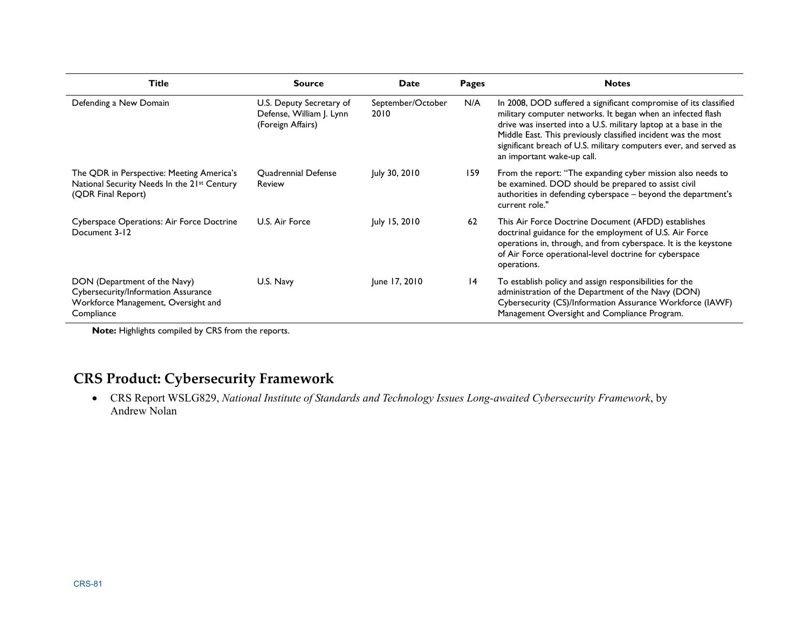| <b>Title</b>                                                                                                             | <b>Source</b>                                                             | Date                      | Pages           | <b>Notes</b>                                                                                                                                                                                                                                                                                                                                                           |
|--------------------------------------------------------------------------------------------------------------------------|---------------------------------------------------------------------------|---------------------------|-----------------|------------------------------------------------------------------------------------------------------------------------------------------------------------------------------------------------------------------------------------------------------------------------------------------------------------------------------------------------------------------------|
| Defending a New Domain                                                                                                   | U.S. Deputy Secretary of<br>Defense, William J. Lynn<br>(Foreign Affairs) | September/October<br>2010 | N/A             | In 2008, DOD suffered a significant compromise of its classified<br>military computer networks. It began when an infected flash<br>drive was inserted into a U.S. military laptop at a base in the<br>Middle East. This previously classified incident was the most<br>significant breach of U.S. military computers ever, and served as<br>an important wake-up call. |
| The QDR in Perspective: Meeting America's<br>National Security Needs In the 21st Century<br>(QDR Final Report)           | <b>Ouadrennial Defense</b><br>Review                                      | July 30, 2010             | 159             | From the report: "The expanding cyber mission also needs to<br>be examined. DOD should be prepared to assist civil<br>authorities in defending cyberspace - beyond the department's<br>current role."                                                                                                                                                                  |
| Cyberspace Operations: Air Force Doctrine<br>Document 3-12                                                               | U.S. Air Force                                                            | July 15, 2010             | 62              | This Air Force Doctrine Document (AFDD) establishes<br>doctrinal guidance for the employment of U.S. Air Force<br>operations in, through, and from cyberspace. It is the keystone<br>of Air Force operational-level doctrine for cyberspace<br>operations.                                                                                                             |
| DON (Department of the Navy)<br>Cybersecurity/Information Assurance<br>Workforce Management, Oversight and<br>Compliance | U.S. Navy                                                                 | June 17, 2010             | $\overline{14}$ | To establish policy and assign responsibilities for the<br>administration of the Department of the Navy (DON)<br>Cybersecurity (CS)/Information Assurance Workforce (IAWF)<br>Management Oversight and Compliance Program.                                                                                                                                             |

# **CRS Product: Cybersecurity Framework**

• CRS Report WSLG829, *National Institute of Standards and Technology Issues Long-awaited Cybersecurity Framework*, by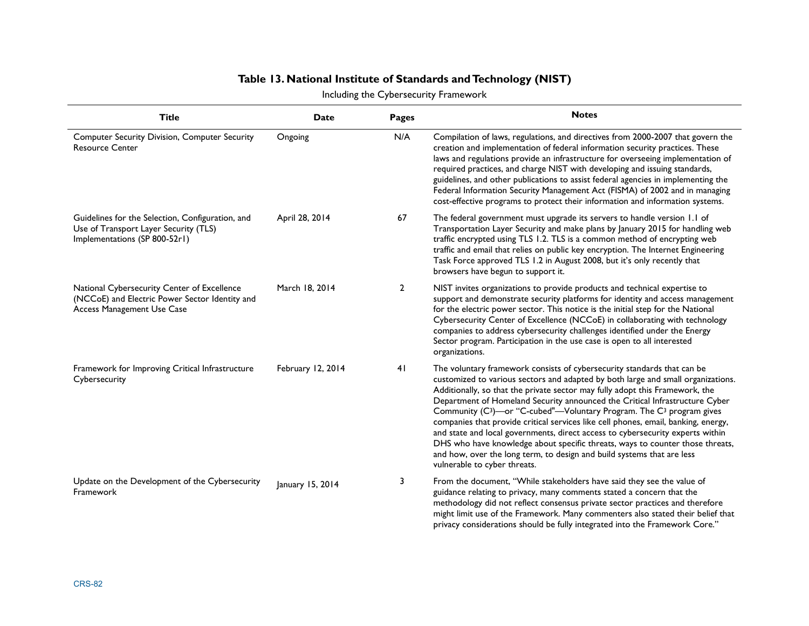### **Table 13. National Institute of Standards and Technology (NIST)**

|                                                                                                                             |                   |                | Including the Cybersecurity Framework                                                                                                                                                                                                                                                                                                                                                                                                                                                                                                                                                                                                                                                                                                                                                         |
|-----------------------------------------------------------------------------------------------------------------------------|-------------------|----------------|-----------------------------------------------------------------------------------------------------------------------------------------------------------------------------------------------------------------------------------------------------------------------------------------------------------------------------------------------------------------------------------------------------------------------------------------------------------------------------------------------------------------------------------------------------------------------------------------------------------------------------------------------------------------------------------------------------------------------------------------------------------------------------------------------|
| <b>Title</b>                                                                                                                | Date              | <b>Pages</b>   | <b>Notes</b>                                                                                                                                                                                                                                                                                                                                                                                                                                                                                                                                                                                                                                                                                                                                                                                  |
| <b>Computer Security Division, Computer Security</b><br><b>Resource Center</b>                                              | Ongoing           | N/A            | Compilation of laws, regulations, and directives from 2000-2007 that govern the<br>creation and implementation of federal information security practices. These<br>laws and regulations provide an infrastructure for overseeing implementation of<br>required practices, and charge NIST with developing and issuing standards,<br>guidelines, and other publications to assist federal agencies in implementing the<br>Federal Information Security Management Act (FISMA) of 2002 and in managing<br>cost-effective programs to protect their information and information systems.                                                                                                                                                                                                         |
| Guidelines for the Selection, Configuration, and<br>Use of Transport Layer Security (TLS)<br>Implementations (SP 800-52r1)  | April 28, 2014    | 67             | The federal government must upgrade its servers to handle version 1.1 of<br>Transportation Layer Security and make plans by January 2015 for handling web<br>traffic encrypted using TLS 1.2. TLS is a common method of encrypting web<br>traffic and email that relies on public key encryption. The Internet Engineering<br>Task Force approved TLS 1.2 in August 2008, but it's only recently that<br>browsers have begun to support it.                                                                                                                                                                                                                                                                                                                                                   |
| National Cybersecurity Center of Excellence<br>(NCCoE) and Electric Power Sector Identity and<br>Access Management Use Case | March 18, 2014    | $\overline{2}$ | NIST invites organizations to provide products and technical expertise to<br>support and demonstrate security platforms for identity and access management<br>for the electric power sector. This notice is the initial step for the National<br>Cybersecurity Center of Excellence (NCCoE) in collaborating with technology<br>companies to address cybersecurity challenges identified under the Energy<br>Sector program. Participation in the use case is open to all interested<br>organizations.                                                                                                                                                                                                                                                                                        |
| Framework for Improving Critical Infrastructure<br>Cybersecurity                                                            | February 12, 2014 | 41             | The voluntary framework consists of cybersecurity standards that can be<br>customized to various sectors and adapted by both large and small organizations.<br>Additionally, so that the private sector may fully adopt this Framework, the<br>Department of Homeland Security announced the Critical Infrastructure Cyber<br>Community (C <sup>3</sup> )—or "C-cubed"—Voluntary Program. The C <sup>3</sup> program gives<br>companies that provide critical services like cell phones, email, banking, energy,<br>and state and local governments, direct access to cybersecurity experts within<br>DHS who have knowledge about specific threats, ways to counter those threats,<br>and how, over the long term, to design and build systems that are less<br>vulnerable to cyber threats. |
| Update on the Development of the Cybersecurity<br>Framework                                                                 | January 15, 2014  | 3              | From the document, "While stakeholders have said they see the value of<br>guidance relating to privacy, many comments stated a concern that the<br>methodology did not reflect consensus private sector practices and therefore<br>might limit use of the Framework. Many commenters also stated their belief that<br>privacy considerations should be fully integrated into the Framework Core."                                                                                                                                                                                                                                                                                                                                                                                             |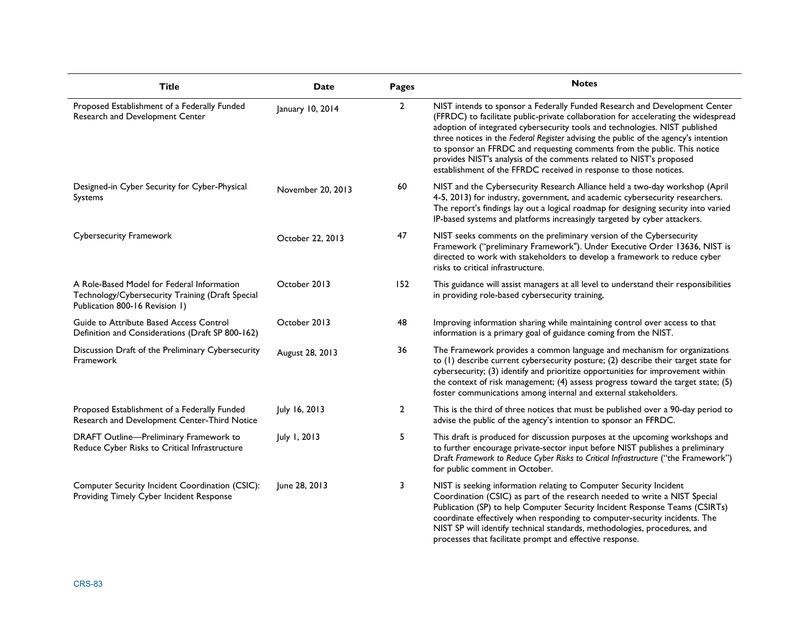| <b>Title</b>                                                                                                                     | Date              | Pages          | <b>Notes</b>                                                                                                                                                                                                                                                                                                                                                                                                                                                                                                                                                   |  |  |  |
|----------------------------------------------------------------------------------------------------------------------------------|-------------------|----------------|----------------------------------------------------------------------------------------------------------------------------------------------------------------------------------------------------------------------------------------------------------------------------------------------------------------------------------------------------------------------------------------------------------------------------------------------------------------------------------------------------------------------------------------------------------------|--|--|--|
| Proposed Establishment of a Federally Funded<br>January 10, 2014<br>Research and Development Center                              |                   | $\overline{2}$ | NIST intends to sponsor a Federally Funded Research and Development Center<br>(FFRDC) to facilitate public-private collaboration for accelerating the widespread<br>adoption of integrated cybersecurity tools and technologies. NIST published<br>three notices in the Federal Register advising the public of the agency's intention<br>to sponsor an FFRDC and requesting comments from the public. This notice<br>provides NIST's analysis of the comments related to NIST's proposed<br>establishment of the FFRDC received in response to those notices. |  |  |  |
| Designed-in Cyber Security for Cyber-Physical<br>Systems                                                                         | November 20, 2013 | 60             | NIST and the Cybersecurity Research Alliance held a two-day workshop (April<br>4-5, 2013) for industry, government, and academic cybersecurity researchers.<br>The report's findings lay out a logical roadmap for designing security into varied<br>IP-based systems and platforms increasingly targeted by cyber attackers.                                                                                                                                                                                                                                  |  |  |  |
| <b>Cybersecurity Framework</b>                                                                                                   | October 22, 2013  | 47             | NIST seeks comments on the preliminary version of the Cybersecurity<br>Framework ("preliminary Framework"). Under Executive Order 13636, NIST is<br>directed to work with stakeholders to develop a framework to reduce cyber<br>risks to critical infrastructure.                                                                                                                                                                                                                                                                                             |  |  |  |
| A Role-Based Model for Federal Information<br>Technology/Cybersecurity Training (Draft Special<br>Publication 800-16 Revision 1) | October 2013      | 152            | This guidance will assist managers at all level to understand their responsibilities<br>in providing role-based cybersecurity training,                                                                                                                                                                                                                                                                                                                                                                                                                        |  |  |  |
| Guide to Attribute Based Access Control<br>Definition and Considerations (Draft SP 800-162)                                      | October 2013      | 48             | Improving information sharing while maintaining control over access to that<br>information is a primary goal of guidance coming from the NIST.                                                                                                                                                                                                                                                                                                                                                                                                                 |  |  |  |
| Discussion Draft of the Preliminary Cybersecurity<br>Framework                                                                   | August 28, 2013   | 36             | The Framework provides a common language and mechanism for organizations<br>to (1) describe current cybersecurity posture; (2) describe their target state for<br>cybersecurity; (3) identify and prioritize opportunities for improvement within<br>the context of risk management; (4) assess progress toward the target state; (5)<br>foster communications among internal and external stakeholders.                                                                                                                                                       |  |  |  |
| Proposed Establishment of a Federally Funded<br>Research and Development Center-Third Notice                                     | July 16, 2013     | $\overline{2}$ | This is the third of three notices that must be published over a 90-day period to<br>advise the public of the agency's intention to sponsor an FFRDC.                                                                                                                                                                                                                                                                                                                                                                                                          |  |  |  |
| DRAFT Outline-Preliminary Framework to<br>Reduce Cyber Risks to Critical Infrastructure                                          | July 1, 2013      | 5              | This draft is produced for discussion purposes at the upcoming workshops and<br>to further encourage private-sector input before NIST publishes a preliminary<br>Draft Framework to Reduce Cyber Risks to Critical Infrastructure ("the Framework")<br>for public comment in October.                                                                                                                                                                                                                                                                          |  |  |  |
| Computer Security Incident Coordination (CSIC):<br>Providing Timely Cyber Incident Response                                      | June 28, 2013     | 3              | NIST is seeking information relating to Computer Security Incident<br>Coordination (CSIC) as part of the research needed to write a NIST Special<br>Publication (SP) to help Computer Security Incident Response Teams (CSIRTs)<br>coordinate effectively when responding to computer-security incidents. The<br>NIST SP will identify technical standards, methodologies, procedures, and<br>processes that facilitate prompt and effective response.                                                                                                         |  |  |  |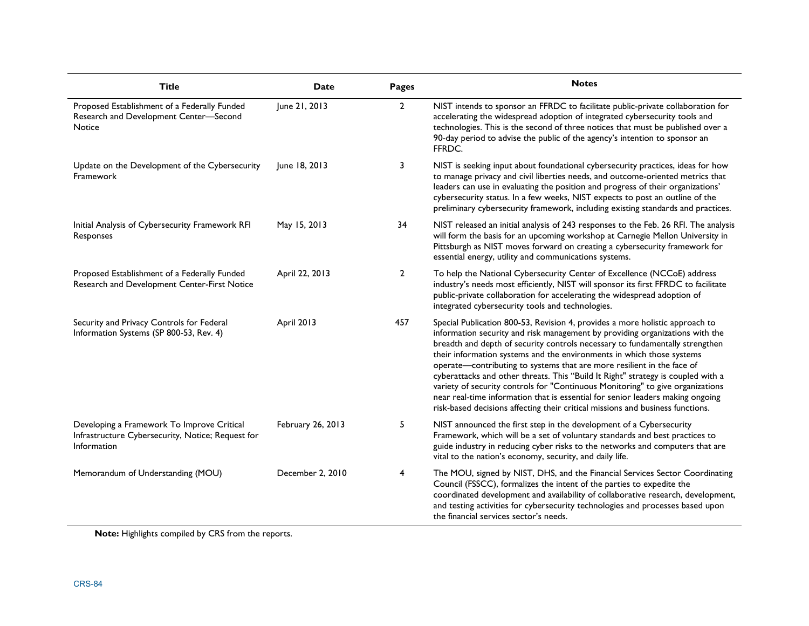| <b>Title</b>                                                                                                   | Date              | Pages          | <b>Notes</b>                                                                                                                                                                                                                                                                                                                                                                                                                                                                                                                                                                                                                                                                                                                              |
|----------------------------------------------------------------------------------------------------------------|-------------------|----------------|-------------------------------------------------------------------------------------------------------------------------------------------------------------------------------------------------------------------------------------------------------------------------------------------------------------------------------------------------------------------------------------------------------------------------------------------------------------------------------------------------------------------------------------------------------------------------------------------------------------------------------------------------------------------------------------------------------------------------------------------|
| Proposed Establishment of a Federally Funded<br>Research and Development Center-Second<br><b>Notice</b>        | June 21, 2013     | $\overline{2}$ | NIST intends to sponsor an FFRDC to facilitate public-private collaboration for<br>accelerating the widespread adoption of integrated cybersecurity tools and<br>technologies. This is the second of three notices that must be published over a<br>90-day period to advise the public of the agency's intention to sponsor an<br>FFRDC.                                                                                                                                                                                                                                                                                                                                                                                                  |
| Update on the Development of the Cybersecurity<br>Framework                                                    | June 18, 2013     | 3              | NIST is seeking input about foundational cybersecurity practices, ideas for how<br>to manage privacy and civil liberties needs, and outcome-oriented metrics that<br>leaders can use in evaluating the position and progress of their organizations'<br>cybersecurity status. In a few weeks, NIST expects to post an outline of the<br>preliminary cybersecurity framework, including existing standards and practices.                                                                                                                                                                                                                                                                                                                  |
| Initial Analysis of Cybersecurity Framework RFI<br>Responses                                                   | May 15, 2013      | 34             | NIST released an initial analysis of 243 responses to the Feb. 26 RFI. The analysis<br>will form the basis for an upcoming workshop at Carnegie Mellon University in<br>Pittsburgh as NIST moves forward on creating a cybersecurity framework for<br>essential energy, utility and communications systems.                                                                                                                                                                                                                                                                                                                                                                                                                               |
| Proposed Establishment of a Federally Funded<br>Research and Development Center-First Notice                   | April 22, 2013    | $\overline{2}$ | To help the National Cybersecurity Center of Excellence (NCCoE) address<br>industry's needs most efficiently, NIST will sponsor its first FFRDC to facilitate<br>public-private collaboration for accelerating the widespread adoption of<br>integrated cybersecurity tools and technologies.                                                                                                                                                                                                                                                                                                                                                                                                                                             |
| Security and Privacy Controls for Federal<br>Information Systems (SP 800-53, Rev. 4)                           | April 2013        | 457            | Special Publication 800-53, Revision 4, provides a more holistic approach to<br>information security and risk management by providing organizations with the<br>breadth and depth of security controls necessary to fundamentally strengthen<br>their information systems and the environments in which those systems<br>operate-contributing to systems that are more resilient in the face of<br>cyberattacks and other threats. This "Build It Right" strategy is coupled with a<br>variety of security controls for "Continuous Monitoring" to give organizations<br>near real-time information that is essential for senior leaders making ongoing<br>risk-based decisions affecting their critical missions and business functions. |
| Developing a Framework To Improve Critical<br>Infrastructure Cybersecurity, Notice; Request for<br>Information | February 26, 2013 | 5              | NIST announced the first step in the development of a Cybersecurity<br>Framework, which will be a set of voluntary standards and best practices to<br>guide industry in reducing cyber risks to the networks and computers that are<br>vital to the nation's economy, security, and daily life.                                                                                                                                                                                                                                                                                                                                                                                                                                           |
| Memorandum of Understanding (MOU)                                                                              | December 2, 2010  | 4              | The MOU, signed by NIST, DHS, and the Financial Services Sector Coordinating<br>Council (FSSCC), formalizes the intent of the parties to expedite the<br>coordinated development and availability of collaborative research, development,<br>and testing activities for cybersecurity technologies and processes based upon<br>the financial services sector's needs.                                                                                                                                                                                                                                                                                                                                                                     |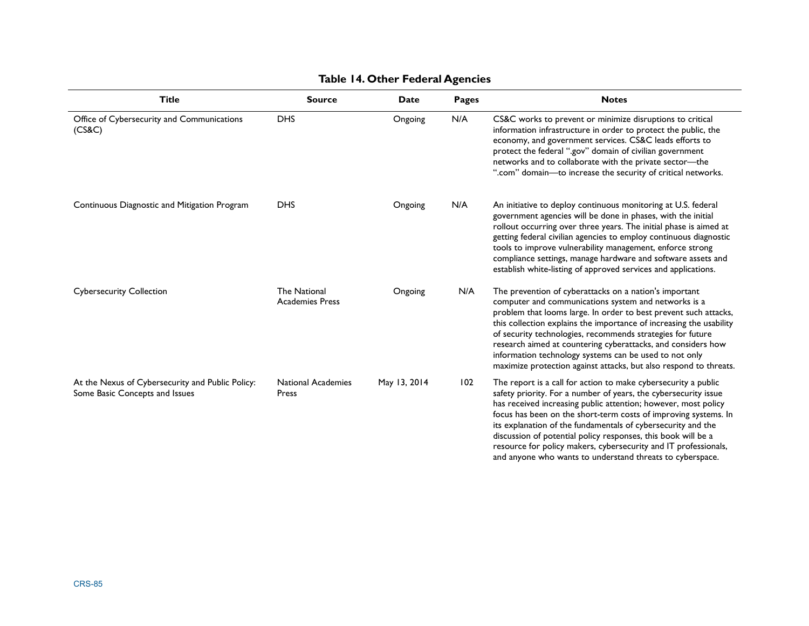| <b>Title</b>                                                                       | <b>Source</b>                                 | Date         | <b>Pages</b> | <b>Notes</b>                                                                                                                                                                                                                                                                                                                                                                                                                                                                                                                            |
|------------------------------------------------------------------------------------|-----------------------------------------------|--------------|--------------|-----------------------------------------------------------------------------------------------------------------------------------------------------------------------------------------------------------------------------------------------------------------------------------------------------------------------------------------------------------------------------------------------------------------------------------------------------------------------------------------------------------------------------------------|
| Office of Cybersecurity and Communications<br>(CS&C)                               | <b>DHS</b>                                    | Ongoing      | N/A          | CS&C works to prevent or minimize disruptions to critical<br>information infrastructure in order to protect the public, the<br>economy, and government services. CS&C leads efforts to<br>protect the federal ".gov" domain of civilian government<br>networks and to collaborate with the private sector-the<br>".com" domain-to increase the security of critical networks.                                                                                                                                                           |
| Continuous Diagnostic and Mitigation Program                                       | <b>DHS</b>                                    | Ongoing      | N/A          | An initiative to deploy continuous monitoring at U.S. federal<br>government agencies will be done in phases, with the initial<br>rollout occurring over three years. The initial phase is aimed at<br>getting federal civilian agencies to employ continuous diagnostic<br>tools to improve vulnerability management, enforce strong<br>compliance settings, manage hardware and software assets and<br>establish white-listing of approved services and applications.                                                                  |
| <b>Cybersecurity Collection</b>                                                    | <b>The National</b><br><b>Academies Press</b> | Ongoing      | N/A          | The prevention of cyberattacks on a nation's important<br>computer and communications system and networks is a<br>problem that looms large. In order to best prevent such attacks,<br>this collection explains the importance of increasing the usability<br>of security technologies, recommends strategies for future<br>research aimed at countering cyberattacks, and considers how<br>information technology systems can be used to not only<br>maximize protection against attacks, but also respond to threats.                  |
| At the Nexus of Cybersecurity and Public Policy:<br>Some Basic Concepts and Issues | <b>National Academies</b><br>Press            | May 13, 2014 | 102          | The report is a call for action to make cybersecurity a public<br>safety priority. For a number of years, the cybersecurity issue<br>has received increasing public attention; however, most policy<br>focus has been on the short-term costs of improving systems. In<br>its explanation of the fundamentals of cybersecurity and the<br>discussion of potential policy responses, this book will be a<br>resource for policy makers, cybersecurity and IT professionals,<br>and anyone who wants to understand threats to cyberspace. |

### **Table 14. Other Federal Agencies**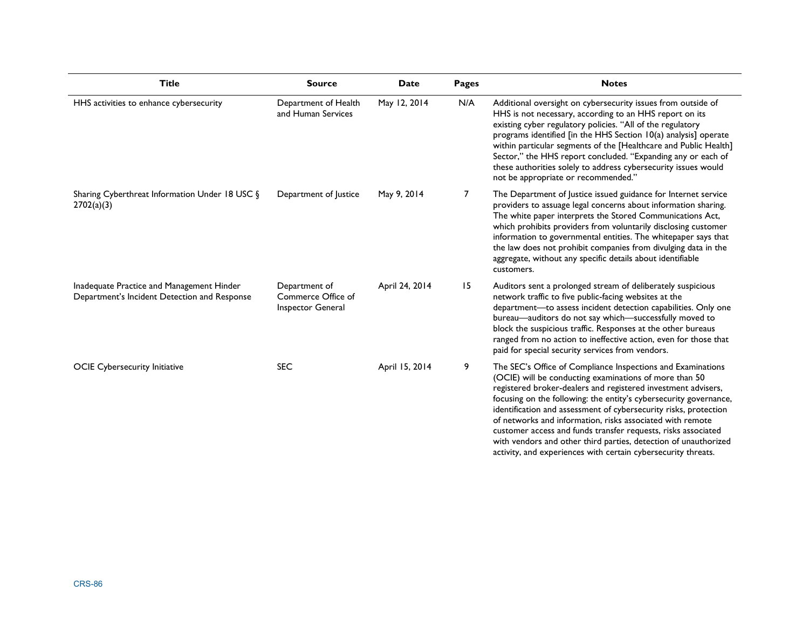| <b>Title</b>                                                                              | <b>Source</b>                                                   | <b>Date</b>    | <b>Pages</b>   | <b>Notes</b>                                                                                                                                                                                                                                                                                                                                                                                                                                                                                                                                                                                      |
|-------------------------------------------------------------------------------------------|-----------------------------------------------------------------|----------------|----------------|---------------------------------------------------------------------------------------------------------------------------------------------------------------------------------------------------------------------------------------------------------------------------------------------------------------------------------------------------------------------------------------------------------------------------------------------------------------------------------------------------------------------------------------------------------------------------------------------------|
| HHS activities to enhance cybersecurity                                                   | Department of Health<br>and Human Services                      | May 12, 2014   | N/A            | Additional oversight on cybersecurity issues from outside of<br>HHS is not necessary, according to an HHS report on its<br>existing cyber regulatory policies. "All of the regulatory<br>programs identified [in the HHS Section 10(a) analysis] operate<br>within particular segments of the [Healthcare and Public Health]<br>Sector," the HHS report concluded. "Expanding any or each of<br>these authorities solely to address cybersecurity issues would<br>not be appropriate or recommended."                                                                                             |
| Sharing Cyberthreat Information Under 18 USC §<br>2702(a)(3)                              | Department of Justice                                           | May 9, 2014    | $\overline{7}$ | The Department of Justice issued guidance for Internet service<br>providers to assuage legal concerns about information sharing.<br>The white paper interprets the Stored Communications Act,<br>which prohibits providers from voluntarily disclosing customer<br>information to governmental entities. The whitepaper says that<br>the law does not prohibit companies from divulging data in the<br>aggregate, without any specific details about identifiable<br>customers.                                                                                                                   |
| Inadequate Practice and Management Hinder<br>Department's Incident Detection and Response | Department of<br>Commerce Office of<br><b>Inspector General</b> | April 24, 2014 | 15             | Auditors sent a prolonged stream of deliberately suspicious<br>network traffic to five public-facing websites at the<br>department-to assess incident detection capabilities. Only one<br>bureau-auditors do not say which-successfully moved to<br>block the suspicious traffic. Responses at the other bureaus<br>ranged from no action to ineffective action, even for those that<br>paid for special security services from vendors.                                                                                                                                                          |
| <b>OCIE Cybersecurity Initiative</b>                                                      | <b>SEC</b>                                                      | April 15, 2014 | 9              | The SEC's Office of Compliance Inspections and Examinations<br>(OCIE) will be conducting examinations of more than 50<br>registered broker-dealers and registered investment advisers,<br>focusing on the following: the entity's cybersecurity governance,<br>identification and assessment of cybersecurity risks, protection<br>of networks and information, risks associated with remote<br>customer access and funds transfer requests, risks associated<br>with vendors and other third parties, detection of unauthorized<br>activity, and experiences with certain cybersecurity threats. |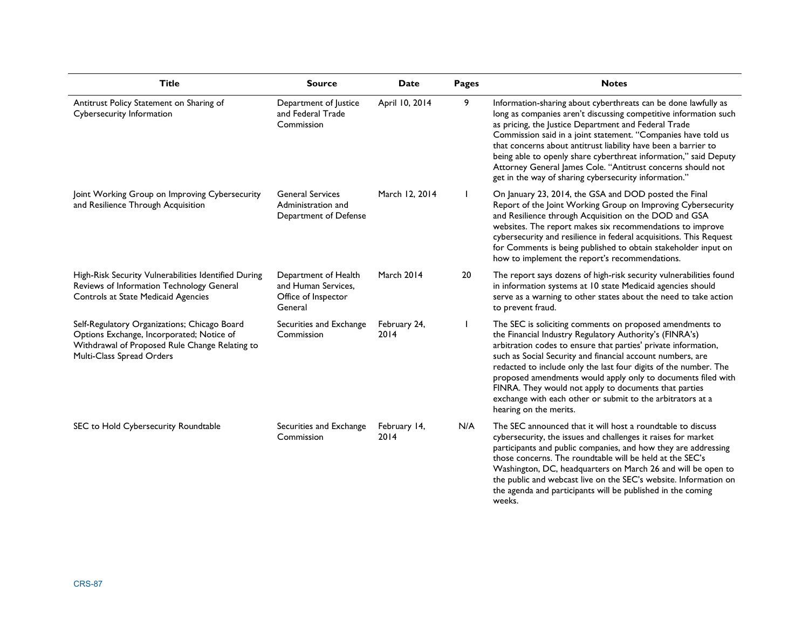| Title                                                                                                                                                                    | <b>Source</b>                                                                 | Date                 | Pages | <b>Notes</b>                                                                                                                                                                                                                                                                                                                                                                                                                                                                                                                             |
|--------------------------------------------------------------------------------------------------------------------------------------------------------------------------|-------------------------------------------------------------------------------|----------------------|-------|------------------------------------------------------------------------------------------------------------------------------------------------------------------------------------------------------------------------------------------------------------------------------------------------------------------------------------------------------------------------------------------------------------------------------------------------------------------------------------------------------------------------------------------|
| Antitrust Policy Statement on Sharing of<br>Cybersecurity Information                                                                                                    | Department of Justice<br>and Federal Trade<br>Commission                      | April 10, 2014       | 9     | Information-sharing about cyberthreats can be done lawfully as<br>long as companies aren't discussing competitive information such<br>as pricing, the Justice Department and Federal Trade<br>Commission said in a joint statement. "Companies have told us<br>that concerns about antitrust liability have been a barrier to<br>being able to openly share cyberthreat information," said Deputy<br>Attorney General James Cole. "Antitrust concerns should not<br>get in the way of sharing cybersecurity information."                |
| Joint Working Group on Improving Cybersecurity<br>and Resilience Through Acquisition                                                                                     | <b>General Services</b><br>Administration and<br>Department of Defense        | March 12, 2014       |       | On January 23, 2014, the GSA and DOD posted the Final<br>Report of the Joint Working Group on Improving Cybersecurity<br>and Resilience through Acquisition on the DOD and GSA<br>websites. The report makes six recommendations to improve<br>cybersecurity and resilience in federal acquisitions. This Request<br>for Comments is being published to obtain stakeholder input on<br>how to implement the report's recommendations.                                                                                                    |
| High-Risk Security Vulnerabilities Identified During<br>Reviews of Information Technology General<br>Controls at State Medicaid Agencies                                 | Department of Health<br>and Human Services,<br>Office of Inspector<br>General | March 2014           | 20    | The report says dozens of high-risk security vulnerabilities found<br>in information systems at 10 state Medicaid agencies should<br>serve as a warning to other states about the need to take action<br>to prevent fraud.                                                                                                                                                                                                                                                                                                               |
| Self-Regulatory Organizations; Chicago Board<br>Options Exchange, Incorporated; Notice of<br>Withdrawal of Proposed Rule Change Relating to<br>Multi-Class Spread Orders | Securities and Exchange<br>Commission                                         | February 24,<br>2014 |       | The SEC is soliciting comments on proposed amendments to<br>the Financial Industry Regulatory Authority's (FINRA's)<br>arbitration codes to ensure that parties' private information,<br>such as Social Security and financial account numbers, are<br>redacted to include only the last four digits of the number. The<br>proposed amendments would apply only to documents filed with<br>FINRA. They would not apply to documents that parties<br>exchange with each other or submit to the arbitrators at a<br>hearing on the merits. |
| SEC to Hold Cybersecurity Roundtable                                                                                                                                     | Securities and Exchange<br>Commission                                         | February 14,<br>2014 | N/A   | The SEC announced that it will host a roundtable to discuss<br>cybersecurity, the issues and challenges it raises for market<br>participants and public companies, and how they are addressing<br>those concerns. The roundtable will be held at the SEC's<br>Washington, DC, headquarters on March 26 and will be open to<br>the public and webcast live on the SEC's website. Information on<br>the agenda and participants will be published in the coming<br>weeks.                                                                  |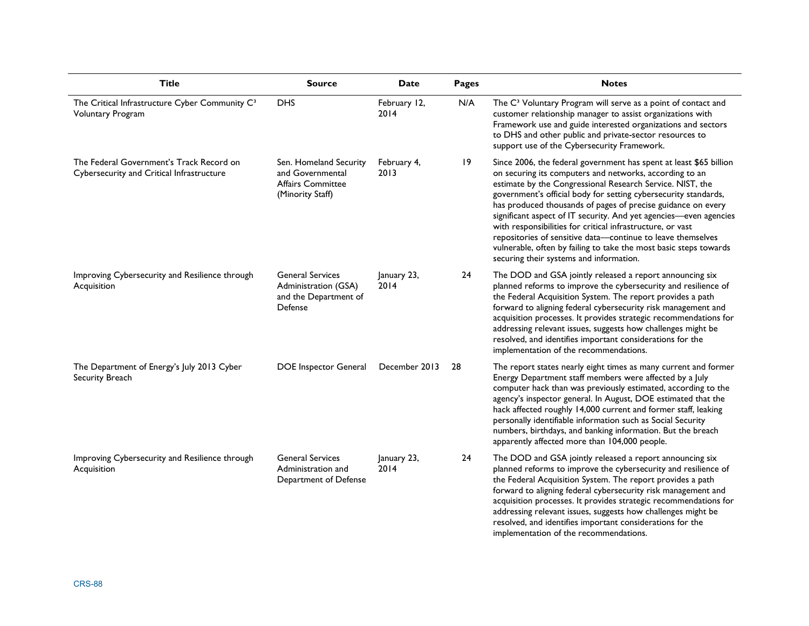| <b>Title</b>                                                                          | <b>Source</b>                                                                              | <b>Date</b>          | <b>Pages</b> | <b>Notes</b>                                                                                                                                                                                                                                                                                                                                                                                                                                                                                                                                                                                                                                    |
|---------------------------------------------------------------------------------------|--------------------------------------------------------------------------------------------|----------------------|--------------|-------------------------------------------------------------------------------------------------------------------------------------------------------------------------------------------------------------------------------------------------------------------------------------------------------------------------------------------------------------------------------------------------------------------------------------------------------------------------------------------------------------------------------------------------------------------------------------------------------------------------------------------------|
| The Critical Infrastructure Cyber Community C <sup>3</sup><br>Voluntary Program       | <b>DHS</b>                                                                                 | February 12,<br>2014 | N/A          | The C <sup>3</sup> Voluntary Program will serve as a point of contact and<br>customer relationship manager to assist organizations with<br>Framework use and guide interested organizations and sectors<br>to DHS and other public and private-sector resources to<br>support use of the Cybersecurity Framework.                                                                                                                                                                                                                                                                                                                               |
| The Federal Government's Track Record on<br>Cybersecurity and Critical Infrastructure | Sen. Homeland Security<br>and Governmental<br><b>Affairs Committee</b><br>(Minority Staff) | February 4,<br>2013  | 19           | Since 2006, the federal government has spent at least \$65 billion<br>on securing its computers and networks, according to an<br>estimate by the Congressional Research Service. NIST, the<br>government's official body for setting cybersecurity standards,<br>has produced thousands of pages of precise guidance on every<br>significant aspect of IT security. And yet agencies-even agencies<br>with responsibilities for critical infrastructure, or vast<br>repositories of sensitive data-continue to leave themselves<br>vulnerable, often by failing to take the most basic steps towards<br>securing their systems and information. |
| Improving Cybersecurity and Resilience through<br>Acquisition                         | <b>General Services</b><br>Administration (GSA)<br>and the Department of<br>Defense        | January 23,<br>2014  | 24           | The DOD and GSA jointly released a report announcing six<br>planned reforms to improve the cybersecurity and resilience of<br>the Federal Acquisition System. The report provides a path<br>forward to aligning federal cybersecurity risk management and<br>acquisition processes. It provides strategic recommendations for<br>addressing relevant issues, suggests how challenges might be<br>resolved, and identifies important considerations for the<br>implementation of the recommendations.                                                                                                                                            |
| The Department of Energy's July 2013 Cyber<br>Security Breach                         | DOE Inspector General                                                                      | December 2013        | 28           | The report states nearly eight times as many current and former<br>Energy Department staff members were affected by a July<br>computer hack than was previously estimated, according to the<br>agency's inspector general. In August, DOE estimated that the<br>hack affected roughly 14,000 current and former staff, leaking<br>personally identifiable information such as Social Security<br>numbers, birthdays, and banking information. But the breach<br>apparently affected more than 104,000 people.                                                                                                                                   |
| Improving Cybersecurity and Resilience through<br>Acquisition                         | <b>General Services</b><br>Administration and<br>Department of Defense                     | January 23,<br>2014  | 24           | The DOD and GSA jointly released a report announcing six<br>planned reforms to improve the cybersecurity and resilience of<br>the Federal Acquisition System. The report provides a path<br>forward to aligning federal cybersecurity risk management and<br>acquisition processes. It provides strategic recommendations for<br>addressing relevant issues, suggests how challenges might be<br>resolved, and identifies important considerations for the<br>implementation of the recommendations.                                                                                                                                            |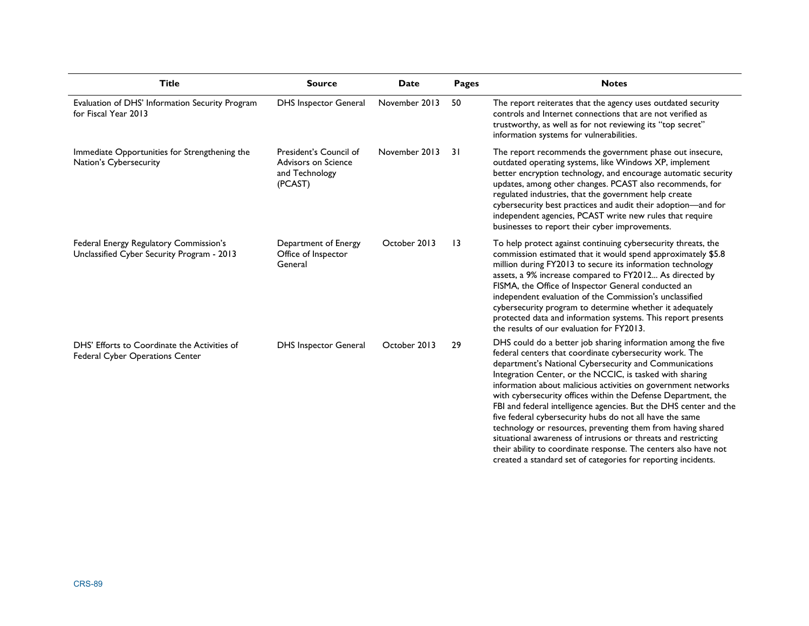| <b>Title</b>                                                                         | <b>Source</b>                                                              | Date          | Pages           | <b>Notes</b>                                                                                                                                                                                                                                                                                                                                                                                                                                                                                                                                                                                                                                                                                                                                                                          |
|--------------------------------------------------------------------------------------|----------------------------------------------------------------------------|---------------|-----------------|---------------------------------------------------------------------------------------------------------------------------------------------------------------------------------------------------------------------------------------------------------------------------------------------------------------------------------------------------------------------------------------------------------------------------------------------------------------------------------------------------------------------------------------------------------------------------------------------------------------------------------------------------------------------------------------------------------------------------------------------------------------------------------------|
| Evaluation of DHS' Information Security Program<br>for Fiscal Year 2013              | <b>DHS Inspector General</b>                                               | November 2013 | 50              | The report reiterates that the agency uses outdated security<br>controls and Internet connections that are not verified as<br>trustworthy, as well as for not reviewing its "top secret"<br>information systems for vulnerabilities.                                                                                                                                                                                                                                                                                                                                                                                                                                                                                                                                                  |
| Immediate Opportunities for Strengthening the<br>Nation's Cybersecurity              | President's Council of<br>Advisors on Science<br>and Technology<br>(PCAST) | November 2013 | 3 I             | The report recommends the government phase out insecure,<br>outdated operating systems, like Windows XP, implement<br>better encryption technology, and encourage automatic security<br>updates, among other changes. PCAST also recommends, for<br>regulated industries, that the government help create<br>cybersecurity best practices and audit their adoption-and for<br>independent agencies, PCAST write new rules that require<br>businesses to report their cyber improvements.                                                                                                                                                                                                                                                                                              |
| Federal Energy Regulatory Commission's<br>Unclassified Cyber Security Program - 2013 | Department of Energy<br>Office of Inspector<br>General                     | October 2013  | $\overline{13}$ | To help protect against continuing cybersecurity threats, the<br>commission estimated that it would spend approximately \$5.8<br>million during FY2013 to secure its information technology<br>assets, a 9% increase compared to FY2012 As directed by<br>FISMA, the Office of Inspector General conducted an<br>independent evaluation of the Commission's unclassified<br>cybersecurity program to determine whether it adequately<br>protected data and information systems. This report presents<br>the results of our evaluation for FY2013.                                                                                                                                                                                                                                     |
| DHS' Efforts to Coordinate the Activities of<br>Federal Cyber Operations Center      | <b>DHS Inspector General</b>                                               | October 2013  | 29              | DHS could do a better job sharing information among the five<br>federal centers that coordinate cybersecurity work. The<br>department's National Cybersecurity and Communications<br>Integration Center, or the NCCIC, is tasked with sharing<br>information about malicious activities on government networks<br>with cybersecurity offices within the Defense Department, the<br>FBI and federal intelligence agencies. But the DHS center and the<br>five federal cybersecurity hubs do not all have the same<br>technology or resources, preventing them from having shared<br>situational awareness of intrusions or threats and restricting<br>their ability to coordinate response. The centers also have not<br>created a standard set of categories for reporting incidents. |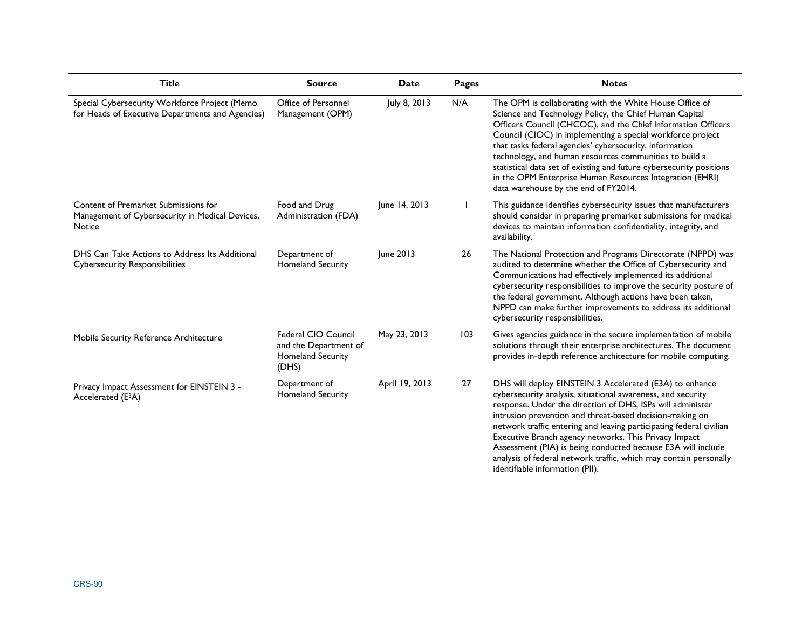| <b>Title</b>                                                                                      | <b>Source</b>                                                                     | <b>Date</b>    | Pages | <b>Notes</b>                                                                                                                                                                                                                                                                                                                                                                                                                                                                                                                                             |
|---------------------------------------------------------------------------------------------------|-----------------------------------------------------------------------------------|----------------|-------|----------------------------------------------------------------------------------------------------------------------------------------------------------------------------------------------------------------------------------------------------------------------------------------------------------------------------------------------------------------------------------------------------------------------------------------------------------------------------------------------------------------------------------------------------------|
| Special Cybersecurity Workforce Project (Memo<br>for Heads of Executive Departments and Agencies) | Office of Personnel<br>Management (OPM)                                           | July 8, 2013   | N/A   | The OPM is collaborating with the White House Office of<br>Science and Technology Policy, the Chief Human Capital<br>Officers Council (CHCOC), and the Chief Information Officers<br>Council (CIOC) in implementing a special workforce project<br>that tasks federal agencies' cybersecurity, information<br>technology, and human resources communities to build a<br>statistical data set of existing and future cybersecurity positions<br>in the OPM Enterprise Human Resources Integration (EHRI)<br>data warehouse by the end of FY2014.          |
| Content of Premarket Submissions for<br>Management of Cybersecurity in Medical Devices,<br>Notice | Food and Drug<br>Administration (FDA)                                             | June 14, 2013  |       | This guidance identifies cybersecurity issues that manufacturers<br>should consider in preparing premarket submissions for medical<br>devices to maintain information confidentiality, integrity, and<br>availability.                                                                                                                                                                                                                                                                                                                                   |
| DHS Can Take Actions to Address Its Additional<br><b>Cybersecurity Responsibilities</b>           | Department of<br>Homeland Security                                                | June 2013      | 26    | The National Protection and Programs Directorate (NPPD) was<br>audited to determine whether the Office of Cybersecurity and<br>Communications had effectively implemented its additional<br>cybersecurity responsibilities to improve the security posture of<br>the federal government. Although actions have been taken,<br>NPPD can make further improvements to address its additional<br>cybersecurity responsibilities.                                                                                                                            |
| Mobile Security Reference Architecture                                                            | Federal CIO Council<br>and the Department of<br><b>Homeland Security</b><br>(DHS) | May 23, 2013   | 103   | Gives agencies guidance in the secure implementation of mobile<br>solutions through their enterprise architectures. The document<br>provides in-depth reference architecture for mobile computing.                                                                                                                                                                                                                                                                                                                                                       |
| Privacy Impact Assessment for EINSTEIN 3 -<br>Accelerated (E <sup>3</sup> A)                      | Department of<br>Homeland Security                                                | April 19, 2013 | 27    | DHS will deploy EINSTEIN 3 Accelerated (E3A) to enhance<br>cybersecurity analysis, situational awareness, and security<br>response. Under the direction of DHS, ISPs will administer<br>intrusion prevention and threat-based decision-making on<br>network traffic entering and leaving participating federal civilian<br>Executive Branch agency networks. This Privacy Impact<br>Assessment (PIA) is being conducted because E3A will include<br>analysis of federal network traffic, which may contain personally<br>identifiable information (PII). |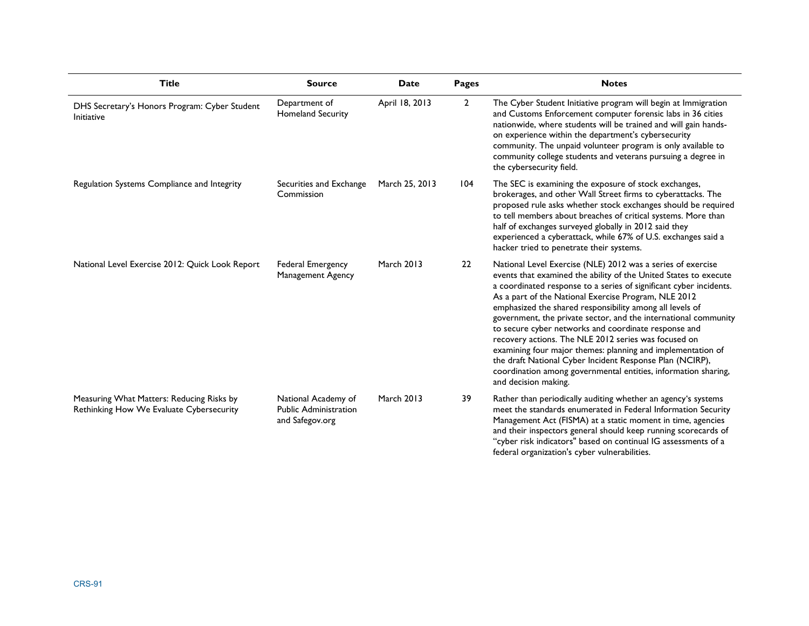| <b>Title</b>                                                                          | <b>Source</b>                                                          | <b>Date</b>       | <b>Pages</b>   | <b>Notes</b>                                                                                                                                                                                                                                                                                                                                                                                                                                                                                                                                                                                                                                                                                                                      |
|---------------------------------------------------------------------------------------|------------------------------------------------------------------------|-------------------|----------------|-----------------------------------------------------------------------------------------------------------------------------------------------------------------------------------------------------------------------------------------------------------------------------------------------------------------------------------------------------------------------------------------------------------------------------------------------------------------------------------------------------------------------------------------------------------------------------------------------------------------------------------------------------------------------------------------------------------------------------------|
| DHS Secretary's Honors Program: Cyber Student<br>Initiative                           | Department of<br><b>Homeland Security</b>                              | April 18, 2013    | $\overline{2}$ | The Cyber Student Initiative program will begin at Immigration<br>and Customs Enforcement computer forensic labs in 36 cities<br>nationwide, where students will be trained and will gain hands-<br>on experience within the department's cybersecurity<br>community. The unpaid volunteer program is only available to<br>community college students and veterans pursuing a degree in<br>the cybersecurity field.                                                                                                                                                                                                                                                                                                               |
| Regulation Systems Compliance and Integrity                                           | Securities and Exchange<br>Commission                                  | March 25, 2013    | 104            | The SEC is examining the exposure of stock exchanges,<br>brokerages, and other Wall Street firms to cyberattacks. The<br>proposed rule asks whether stock exchanges should be required<br>to tell members about breaches of critical systems. More than<br>half of exchanges surveyed globally in 2012 said they<br>experienced a cyberattack, while 67% of U.S. exchanges said a<br>hacker tried to penetrate their systems.                                                                                                                                                                                                                                                                                                     |
| National Level Exercise 2012: Quick Look Report                                       | Federal Emergency<br>Management Agency                                 | <b>March 2013</b> | 22             | National Level Exercise (NLE) 2012 was a series of exercise<br>events that examined the ability of the United States to execute<br>a coordinated response to a series of significant cyber incidents.<br>As a part of the National Exercise Program, NLE 2012<br>emphasized the shared responsibility among all levels of<br>government, the private sector, and the international community<br>to secure cyber networks and coordinate response and<br>recovery actions. The NLE 2012 series was focused on<br>examining four major themes: planning and implementation of<br>the draft National Cyber Incident Response Plan (NCIRP),<br>coordination among governmental entities, information sharing,<br>and decision making. |
| Measuring What Matters: Reducing Risks by<br>Rethinking How We Evaluate Cybersecurity | National Academy of<br><b>Public Administration</b><br>and Safegov.org | <b>March 2013</b> | 39             | Rather than periodically auditing whether an agency's systems<br>meet the standards enumerated in Federal Information Security<br>Management Act (FISMA) at a static moment in time, agencies<br>and their inspectors general should keep running scorecards of<br>"cyber risk indicators" based on continual IG assessments of a<br>federal organization's cyber vulnerabilities.                                                                                                                                                                                                                                                                                                                                                |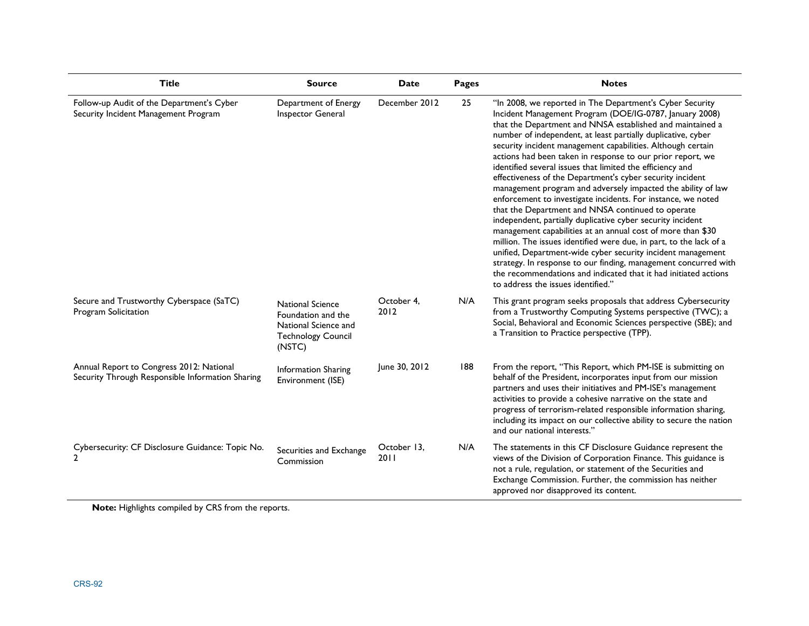| Title                                                                                        | <b>Source</b>                                                                                                | Date                | Pages | <b>Notes</b>                                                                                                                                                                                                                                                                                                                                                                                                                                                                                                                                                                                                                                                                                                                                                                                                                                                                                                                                                                                                                                                                                                                               |
|----------------------------------------------------------------------------------------------|--------------------------------------------------------------------------------------------------------------|---------------------|-------|--------------------------------------------------------------------------------------------------------------------------------------------------------------------------------------------------------------------------------------------------------------------------------------------------------------------------------------------------------------------------------------------------------------------------------------------------------------------------------------------------------------------------------------------------------------------------------------------------------------------------------------------------------------------------------------------------------------------------------------------------------------------------------------------------------------------------------------------------------------------------------------------------------------------------------------------------------------------------------------------------------------------------------------------------------------------------------------------------------------------------------------------|
| Follow-up Audit of the Department's Cyber<br>Security Incident Management Program            | Department of Energy<br>Inspector General                                                                    | December 2012       | 25    | "In 2008, we reported in The Department's Cyber Security<br>Incident Management Program (DOE/IG-0787, January 2008)<br>that the Department and NNSA established and maintained a<br>number of independent, at least partially duplicative, cyber<br>security incident management capabilities. Although certain<br>actions had been taken in response to our prior report, we<br>identified several issues that limited the efficiency and<br>effectiveness of the Department's cyber security incident<br>management program and adversely impacted the ability of law<br>enforcement to investigate incidents. For instance, we noted<br>that the Department and NNSA continued to operate<br>independent, partially duplicative cyber security incident<br>management capabilities at an annual cost of more than \$30<br>million. The issues identified were due, in part, to the lack of a<br>unified, Department-wide cyber security incident management<br>strategy. In response to our finding, management concurred with<br>the recommendations and indicated that it had initiated actions<br>to address the issues identified." |
| Secure and Trustworthy Cyberspace (SaTC)<br>Program Solicitation                             | <b>National Science</b><br>Foundation and the<br>National Science and<br><b>Technology Council</b><br>(NSTC) | October 4,<br>2012  | N/A   | This grant program seeks proposals that address Cybersecurity<br>from a Trustworthy Computing Systems perspective (TWC); a<br>Social, Behavioral and Economic Sciences perspective (SBE); and<br>a Transition to Practice perspective (TPP).                                                                                                                                                                                                                                                                                                                                                                                                                                                                                                                                                                                                                                                                                                                                                                                                                                                                                               |
| Annual Report to Congress 2012: National<br>Security Through Responsible Information Sharing | <b>Information Sharing</b><br>Environment (ISE)                                                              | June 30, 2012       | 188   | From the report, "This Report, which PM-ISE is submitting on<br>behalf of the President, incorporates input from our mission<br>partners and uses their initiatives and PM-ISE's management<br>activities to provide a cohesive narrative on the state and<br>progress of terrorism-related responsible information sharing,<br>including its impact on our collective ability to secure the nation<br>and our national interests."                                                                                                                                                                                                                                                                                                                                                                                                                                                                                                                                                                                                                                                                                                        |
| Cybersecurity: CF Disclosure Guidance: Topic No.<br>$\overline{2}$                           | Securities and Exchange<br>Commission                                                                        | October 13,<br>2011 | N/A   | The statements in this CF Disclosure Guidance represent the<br>views of the Division of Corporation Finance. This guidance is<br>not a rule, regulation, or statement of the Securities and<br>Exchange Commission. Further, the commission has neither<br>approved nor disapproved its content.                                                                                                                                                                                                                                                                                                                                                                                                                                                                                                                                                                                                                                                                                                                                                                                                                                           |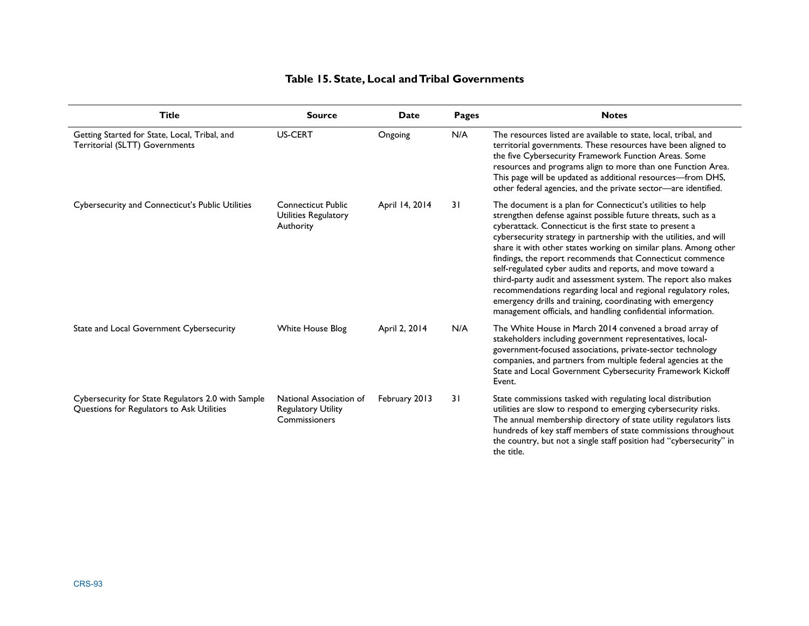### **Table 15. State, Local and Tribal Governments**

| <b>Title</b>                                                                                    | <b>Source</b>                                                         | <b>Date</b>    | <b>Pages</b> | <b>Notes</b>                                                                                                                                                                                                                                                                                                                                                                                                                                                                                                                                                                                                                                                                                                                   |
|-------------------------------------------------------------------------------------------------|-----------------------------------------------------------------------|----------------|--------------|--------------------------------------------------------------------------------------------------------------------------------------------------------------------------------------------------------------------------------------------------------------------------------------------------------------------------------------------------------------------------------------------------------------------------------------------------------------------------------------------------------------------------------------------------------------------------------------------------------------------------------------------------------------------------------------------------------------------------------|
| Getting Started for State, Local, Tribal, and<br>Territorial (SLTT) Governments                 | <b>US-CERT</b>                                                        | Ongoing        | N/A          | The resources listed are available to state, local, tribal, and<br>territorial governments. These resources have been aligned to<br>the five Cybersecurity Framework Function Areas. Some<br>resources and programs align to more than one Function Area.<br>This page will be updated as additional resources-from DHS,<br>other federal agencies, and the private sector-are identified.                                                                                                                                                                                                                                                                                                                                     |
| Cybersecurity and Connecticut's Public Utilities                                                | <b>Connecticut Public</b><br>Utilities Regulatory<br>Authority        | April 14, 2014 | 31           | The document is a plan for Connecticut's utilities to help<br>strengthen defense against possible future threats, such as a<br>cyberattack. Connecticut is the first state to present a<br>cybersecurity strategy in partnership with the utilities, and will<br>share it with other states working on similar plans. Among other<br>findings, the report recommends that Connecticut commence<br>self-regulated cyber audits and reports, and move toward a<br>third-party audit and assessment system. The report also makes<br>recommendations regarding local and regional regulatory roles,<br>emergency drills and training, coordinating with emergency<br>management officials, and handling confidential information. |
| State and Local Government Cybersecurity                                                        | White House Blog                                                      | April 2, 2014  | N/A          | The White House in March 2014 convened a broad array of<br>stakeholders including government representatives, local-<br>government-focused associations, private-sector technology<br>companies, and partners from multiple federal agencies at the<br>State and Local Government Cybersecurity Framework Kickoff<br>Event.                                                                                                                                                                                                                                                                                                                                                                                                    |
| Cybersecurity for State Regulators 2.0 with Sample<br>Questions for Regulators to Ask Utilities | National Association of<br><b>Regulatory Utility</b><br>Commissioners | February 2013  | 31           | State commissions tasked with regulating local distribution<br>utilities are slow to respond to emerging cybersecurity risks.<br>The annual membership directory of state utility regulators lists<br>hundreds of key staff members of state commissions throughout<br>the country, but not a single staff position had "cybersecurity" in<br>the title.                                                                                                                                                                                                                                                                                                                                                                       |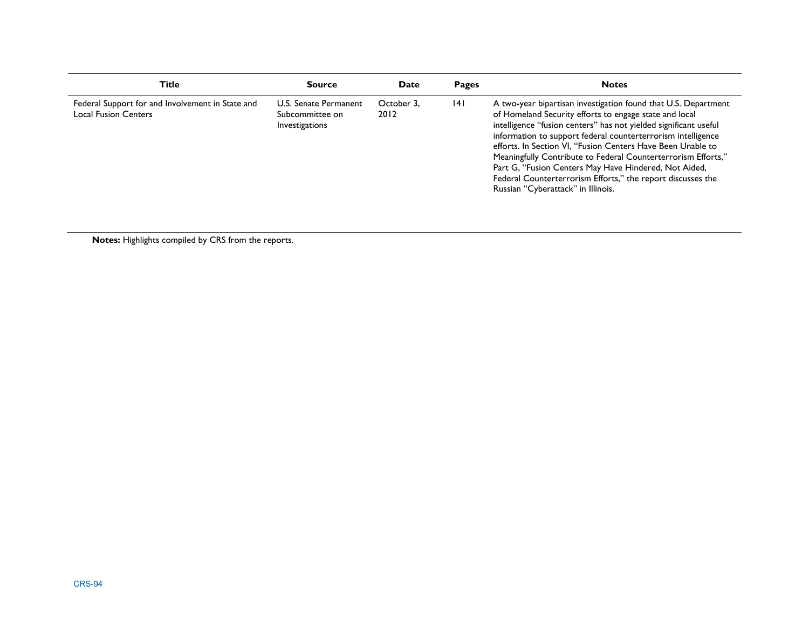| Title                                                                           | <b>Source</b>                                              | Date               | Pages | <b>Notes</b>                                                                                                                                                                                                                                                                                                                                                                                                                                                                                                                                               |
|---------------------------------------------------------------------------------|------------------------------------------------------------|--------------------|-------|------------------------------------------------------------------------------------------------------------------------------------------------------------------------------------------------------------------------------------------------------------------------------------------------------------------------------------------------------------------------------------------------------------------------------------------------------------------------------------------------------------------------------------------------------------|
| Federal Support for and Involvement in State and<br><b>Local Fusion Centers</b> | U.S. Senate Permanent<br>Subcommittee on<br>Investigations | October 3,<br>2012 | 4     | A two-year bipartisan investigation found that U.S. Department<br>of Homeland Security efforts to engage state and local<br>intelligence "fusion centers" has not yielded significant useful<br>information to support federal counterterrorism intelligence<br>efforts. In Section VI, "Fusion Centers Have Been Unable to<br>Meaningfully Contribute to Federal Counterterrorism Efforts,"<br>Part G, "Fusion Centers May Have Hindered, Not Aided,<br>Federal Counterterrorism Efforts," the report discusses the<br>Russian "Cyberattack" in Illinois. |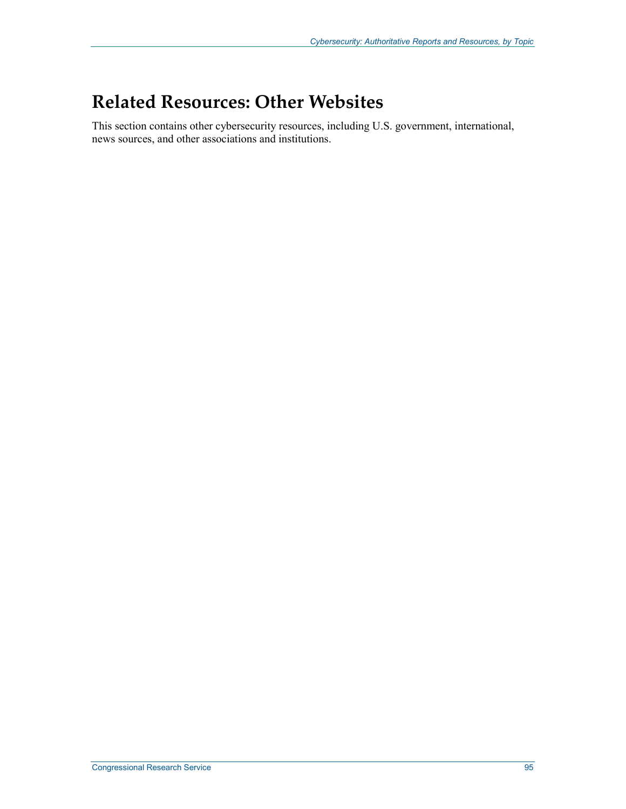# **Related Resources: Other Websites**

This section contains other cybersecurity resources, including U.S. government, international, news sources, and other associations and institutions.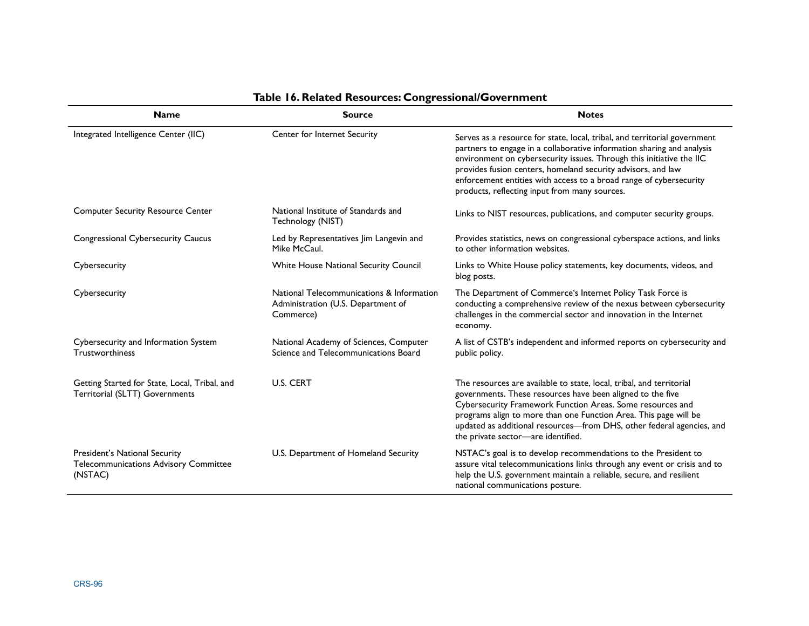| <b>Name</b>                                                                       | <b>Source</b>                                                                                | <b>Notes</b>                                                                                                                                                                                                                                                                                                                                                                                                       |
|-----------------------------------------------------------------------------------|----------------------------------------------------------------------------------------------|--------------------------------------------------------------------------------------------------------------------------------------------------------------------------------------------------------------------------------------------------------------------------------------------------------------------------------------------------------------------------------------------------------------------|
| Integrated Intelligence Center (IIC)                                              | Center for Internet Security                                                                 | Serves as a resource for state, local, tribal, and territorial government<br>partners to engage in a collaborative information sharing and analysis<br>environment on cybersecurity issues. Through this initiative the IIC<br>provides fusion centers, homeland security advisors, and law<br>enforcement entities with access to a broad range of cybersecurity<br>products, reflecting input from many sources. |
| <b>Computer Security Resource Center</b>                                          | National Institute of Standards and<br>Technology (NIST)                                     | Links to NIST resources, publications, and computer security groups.                                                                                                                                                                                                                                                                                                                                               |
| <b>Congressional Cybersecurity Caucus</b>                                         | Led by Representatives Jim Langevin and<br>Mike McCaul.                                      | Provides statistics, news on congressional cyberspace actions, and links<br>to other information websites.                                                                                                                                                                                                                                                                                                         |
| Cybersecurity                                                                     | White House National Security Council                                                        | Links to White House policy statements, key documents, videos, and<br>blog posts.                                                                                                                                                                                                                                                                                                                                  |
| Cybersecurity                                                                     | National Telecommunications & Information<br>Administration (U.S. Department of<br>Commerce) | The Department of Commerce's Internet Policy Task Force is<br>conducting a comprehensive review of the nexus between cybersecurity<br>challenges in the commercial sector and innovation in the Internet<br>economy.                                                                                                                                                                                               |
| Cybersecurity and Information System<br>Trustworthiness                           | National Academy of Sciences, Computer<br>Science and Telecommunications Board               | A list of CSTB's independent and informed reports on cybersecurity and<br>public policy.                                                                                                                                                                                                                                                                                                                           |
| Getting Started for State, Local, Tribal, and<br>Territorial (SLTT) Governments   | <b>U.S. CERT</b>                                                                             | The resources are available to state, local, tribal, and territorial<br>governments. These resources have been aligned to the five<br>Cybersecurity Framework Function Areas. Some resources and<br>programs align to more than one Function Area. This page will be<br>updated as additional resources-from DHS, other federal agencies, and<br>the private sector-are identified.                                |
| President's National Security<br>Telecommunications Advisory Committee<br>(NSTAC) | U.S. Department of Homeland Security                                                         | NSTAC's goal is to develop recommendations to the President to<br>assure vital telecommunications links through any event or crisis and to<br>help the U.S. government maintain a reliable, secure, and resilient<br>national communications posture.                                                                                                                                                              |

### **Table 16. Related Resources: Congressional/Government**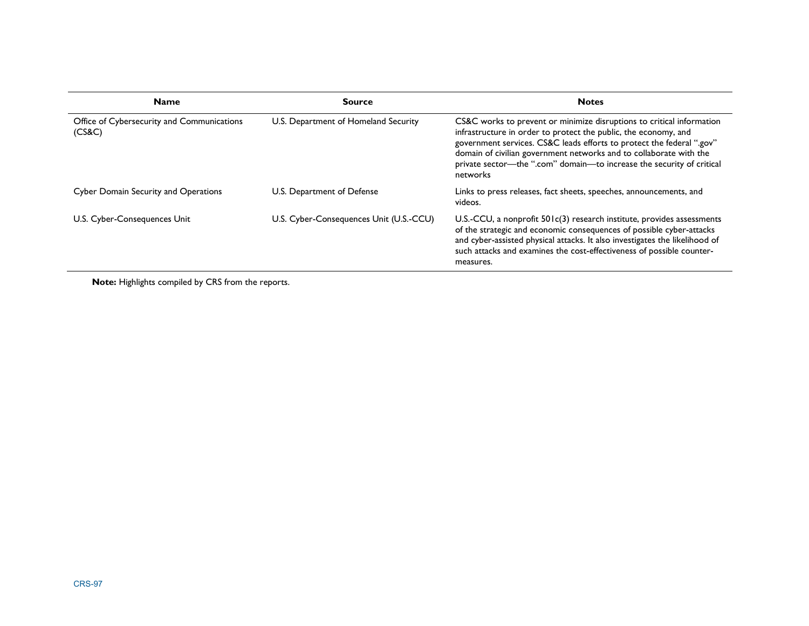| <b>Name</b>                                          | <b>Source</b>                           | <b>Notes</b>                                                                                                                                                                                                                                                                                                                                                                 |
|------------------------------------------------------|-----------------------------------------|------------------------------------------------------------------------------------------------------------------------------------------------------------------------------------------------------------------------------------------------------------------------------------------------------------------------------------------------------------------------------|
| Office of Cybersecurity and Communications<br>(CS&C) | U.S. Department of Homeland Security    | CS&C works to prevent or minimize disruptions to critical information<br>infrastructure in order to protect the public, the economy, and<br>government services. CS&C leads efforts to protect the federal ".gov"<br>domain of civilian government networks and to collaborate with the<br>private sector-the ".com" domain-to increase the security of critical<br>networks |
| Cyber Domain Security and Operations                 | U.S. Department of Defense              | Links to press releases, fact sheets, speeches, announcements, and<br>videos.                                                                                                                                                                                                                                                                                                |
| U.S. Cyber-Consequences Unit                         | U.S. Cyber-Consequences Unit (U.S.-CCU) | U.S.-CCU, a nonprofit $501c(3)$ research institute, provides assessments<br>of the strategic and economic consequences of possible cyber-attacks<br>and cyber-assisted physical attacks. It also investigates the likelihood of<br>such attacks and examines the cost-effectiveness of possible counter-<br>measures.                                                        |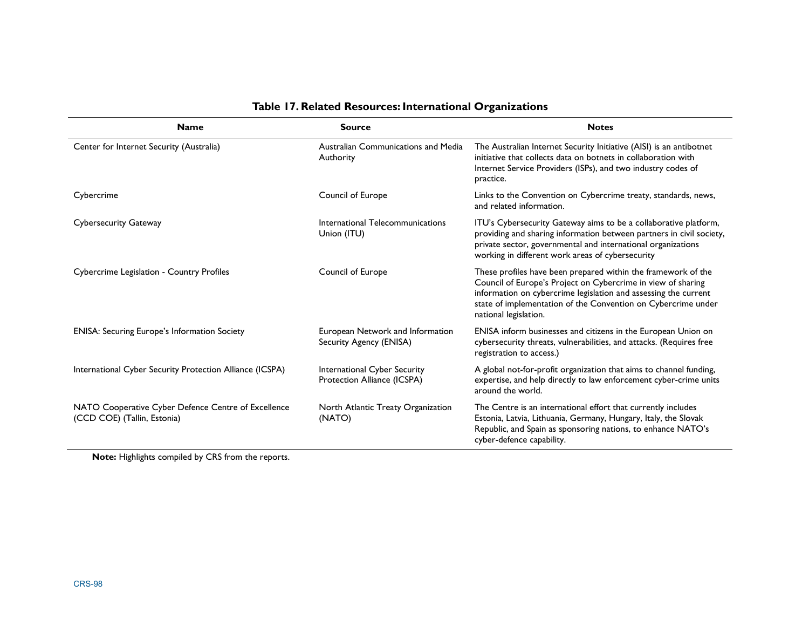| Table 17. Related Resources: International Organizations<br><b>Source</b><br><b>Notes</b><br><b>Name</b> |                                                             |                                                                                                                                                                                                                                                                                            |  |  |
|----------------------------------------------------------------------------------------------------------|-------------------------------------------------------------|--------------------------------------------------------------------------------------------------------------------------------------------------------------------------------------------------------------------------------------------------------------------------------------------|--|--|
| Center for Internet Security (Australia)                                                                 | Australian Communications and Media<br>Authority            | The Australian Internet Security Initiative (AISI) is an antibotnet<br>initiative that collects data on botnets in collaboration with<br>Internet Service Providers (ISPs), and two industry codes of<br>practice.                                                                         |  |  |
| Cybercrime                                                                                               | Council of Europe                                           | Links to the Convention on Cybercrime treaty, standards, news,<br>and related information.                                                                                                                                                                                                 |  |  |
| <b>Cybersecurity Gateway</b>                                                                             | International Telecommunications<br>Union (ITU)             | ITU's Cybersecurity Gateway aims to be a collaborative platform,<br>providing and sharing information between partners in civil society,<br>private sector, governmental and international organizations<br>working in different work areas of cybersecurity                               |  |  |
| Cybercrime Legislation - Country Profiles                                                                | Council of Europe                                           | These profiles have been prepared within the framework of the<br>Council of Europe's Project on Cybercrime in view of sharing<br>information on cybercrime legislation and assessing the current<br>state of implementation of the Convention on Cybercrime under<br>national legislation. |  |  |
| <b>ENISA: Securing Europe's Information Society</b>                                                      | European Network and Information<br>Security Agency (ENISA) | ENISA inform businesses and citizens in the European Union on<br>cybersecurity threats, vulnerabilities, and attacks. (Requires free<br>registration to access.)                                                                                                                           |  |  |
| International Cyber Security Protection Alliance (ICSPA)                                                 | International Cyber Security<br>Protection Alliance (ICSPA) | A global not-for-profit organization that aims to channel funding,<br>expertise, and help directly to law enforcement cyber-crime units<br>around the world.                                                                                                                               |  |  |
| NATO Cooperative Cyber Defence Centre of Excellence<br>(CCD COE) (Tallin, Estonia)                       | North Atlantic Treaty Organization<br>(NATO)                | The Centre is an international effort that currently includes<br>Estonia, Latvia, Lithuania, Germany, Hungary, Italy, the Slovak<br>Republic, and Spain as sponsoring nations, to enhance NATO's<br>cyber-defence capability.                                                              |  |  |

### **Table 17. Related Resources: International Organizations**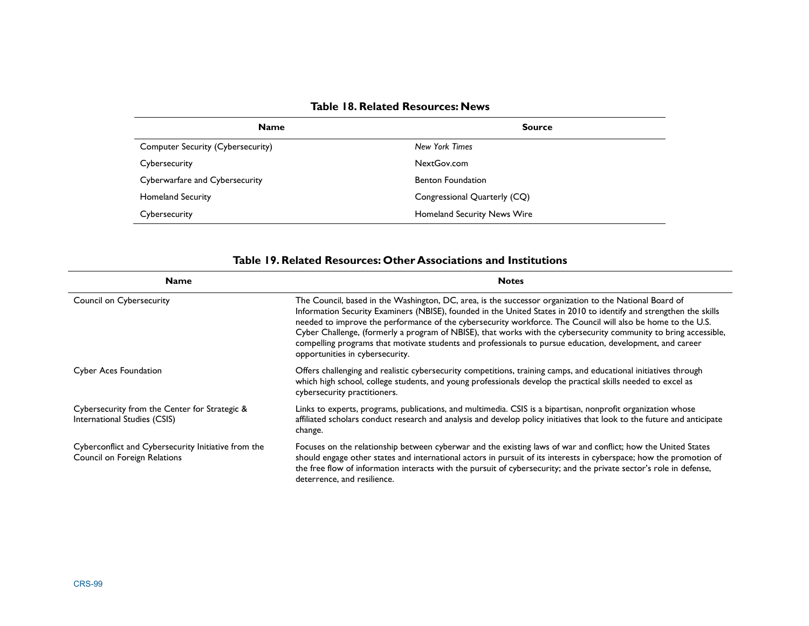| Table 18. Related Resources: News |
|-----------------------------------|
|-----------------------------------|

| <b>Name</b>                              | <b>Source</b>                |  |  |
|------------------------------------------|------------------------------|--|--|
| <b>Computer Security (Cybersecurity)</b> | New York Times               |  |  |
| Cybersecurity                            | NextGov.com                  |  |  |
| Cyberwarfare and Cybersecurity           | <b>Benton Foundation</b>     |  |  |
| <b>Homeland Security</b>                 | Congressional Quarterly (CQ) |  |  |
| Cybersecurity                            | Homeland Security News Wire  |  |  |

| <b>Table 18. Related Resources: News</b>                                                                                                                                                                                                                                                                                            |                                                                                                                                                                                                                                                                                                                                                                                                                                 |  |  |
|-------------------------------------------------------------------------------------------------------------------------------------------------------------------------------------------------------------------------------------------------------------------------------------------------------------------------------------|---------------------------------------------------------------------------------------------------------------------------------------------------------------------------------------------------------------------------------------------------------------------------------------------------------------------------------------------------------------------------------------------------------------------------------|--|--|
| <b>Name</b>                                                                                                                                                                                                                                                                                                                         | <b>Source</b>                                                                                                                                                                                                                                                                                                                                                                                                                   |  |  |
| <b>Computer Security (Cybersecurity)</b>                                                                                                                                                                                                                                                                                            | <b>New York Times</b>                                                                                                                                                                                                                                                                                                                                                                                                           |  |  |
| Cybersecurity                                                                                                                                                                                                                                                                                                                       | NextGov.com                                                                                                                                                                                                                                                                                                                                                                                                                     |  |  |
| Cyberwarfare and Cybersecurity                                                                                                                                                                                                                                                                                                      | <b>Benton Foundation</b>                                                                                                                                                                                                                                                                                                                                                                                                        |  |  |
| <b>Homeland Security</b>                                                                                                                                                                                                                                                                                                            | Congressional Quarterly (CQ)                                                                                                                                                                                                                                                                                                                                                                                                    |  |  |
| Cybersecurity                                                                                                                                                                                                                                                                                                                       | Homeland Security News Wire                                                                                                                                                                                                                                                                                                                                                                                                     |  |  |
|                                                                                                                                                                                                                                                                                                                                     |                                                                                                                                                                                                                                                                                                                                                                                                                                 |  |  |
| <b>Name</b><br>Council on Cybersecurity                                                                                                                                                                                                                                                                                             | Table 19. Related Resources: Other Associations and Institutions<br><b>Notes</b><br>The Council, based in the Washington, DC, area, is the successor organization to the National Board of<br>Information Security Examiners (NBISE), founded in the United States in 2010 to identify and strengthen the skills<br>needed to improve the performance of the cybersecurity workforce. The Council will also be home to the U.S. |  |  |
|                                                                                                                                                                                                                                                                                                                                     | Cyber Challenge, (formerly a program of NBISE), that works with the cybersecurity community to bring accessible,<br>compelling programs that motivate students and professionals to pursue education, development, and career<br>opportunities in cybersecurity.                                                                                                                                                                |  |  |
| Offers challenging and realistic cybersecurity competitions, training camps, and educational initiatives through<br><b>Cyber Aces Foundation</b><br>which high school, college students, and young professionals develop the practical skills needed to excel as<br>cybersecurity practitioners.                                    |                                                                                                                                                                                                                                                                                                                                                                                                                                 |  |  |
| Cybersecurity from the Center for Strategic &<br>Links to experts, programs, publications, and multimedia. CSIS is a bipartisan, nonprofit organization whose<br>affiliated scholars conduct research and analysis and develop policy initiatives that look to the future and anticipate<br>International Studies (CSIS)<br>change. |                                                                                                                                                                                                                                                                                                                                                                                                                                 |  |  |
|                                                                                                                                                                                                                                                                                                                                     |                                                                                                                                                                                                                                                                                                                                                                                                                                 |  |  |

#### **Table 19. Related Resources: Other Associations and Institutions**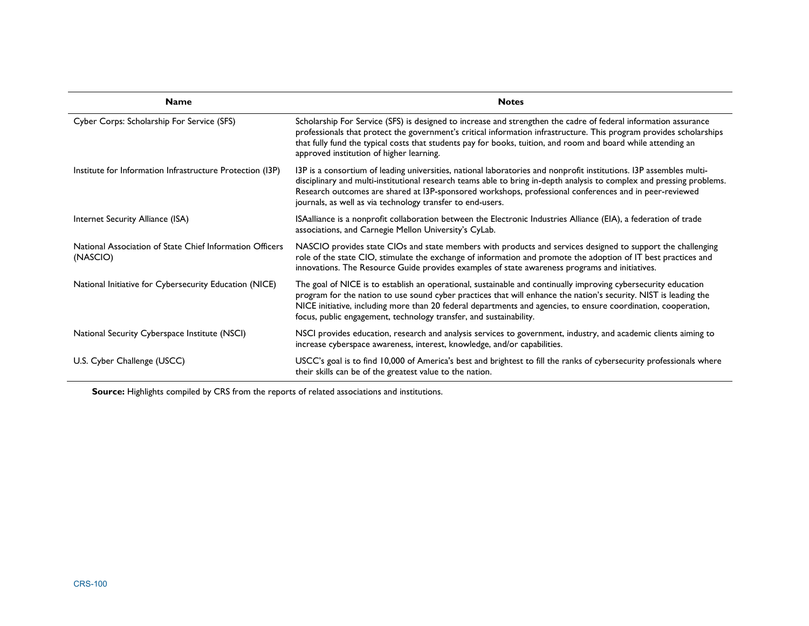| <b>Name</b>                                                          | <b>Notes</b>                                                                                                                                                                                                                                                                                                                                                                                                               |  |  |
|----------------------------------------------------------------------|----------------------------------------------------------------------------------------------------------------------------------------------------------------------------------------------------------------------------------------------------------------------------------------------------------------------------------------------------------------------------------------------------------------------------|--|--|
| Cyber Corps: Scholarship For Service (SFS)                           | Scholarship For Service (SFS) is designed to increase and strengthen the cadre of federal information assurance<br>professionals that protect the government's critical information infrastructure. This program provides scholarships<br>that fully fund the typical costs that students pay for books, tuition, and room and board while attending an<br>approved institution of higher learning.                        |  |  |
| Institute for Information Infrastructure Protection (I3P)            | 13P is a consortium of leading universities, national laboratories and nonprofit institutions. 13P assembles multi-<br>disciplinary and multi-institutional research teams able to bring in-depth analysis to complex and pressing problems.<br>Research outcomes are shared at I3P-sponsored workshops, professional conferences and in peer-reviewed<br>journals, as well as via technology transfer to end-users.       |  |  |
| Internet Security Alliance (ISA)                                     | ISAalliance is a nonprofit collaboration between the Electronic Industries Alliance (EIA), a federation of trade<br>associations, and Carnegie Mellon University's CyLab.                                                                                                                                                                                                                                                  |  |  |
| National Association of State Chief Information Officers<br>(NASCIO) | NASCIO provides state CIOs and state members with products and services designed to support the challenging<br>role of the state CIO, stimulate the exchange of information and promote the adoption of IT best practices and<br>innovations. The Resource Guide provides examples of state awareness programs and initiatives.                                                                                            |  |  |
| National Initiative for Cybersecurity Education (NICE)               | The goal of NICE is to establish an operational, sustainable and continually improving cybersecurity education<br>program for the nation to use sound cyber practices that will enhance the nation's security. NIST is leading the<br>NICE initiative, including more than 20 federal departments and agencies, to ensure coordination, cooperation,<br>focus, public engagement, technology transfer, and sustainability. |  |  |
| National Security Cyberspace Institute (NSCI)                        | NSCI provides education, research and analysis services to government, industry, and academic clients aiming to<br>increase cyberspace awareness, interest, knowledge, and/or capabilities.                                                                                                                                                                                                                                |  |  |
| U.S. Cyber Challenge (USCC)                                          | USCC's goal is to find 10,000 of America's best and brightest to fill the ranks of cybersecurity professionals where<br>their skills can be of the greatest value to the nation.                                                                                                                                                                                                                                           |  |  |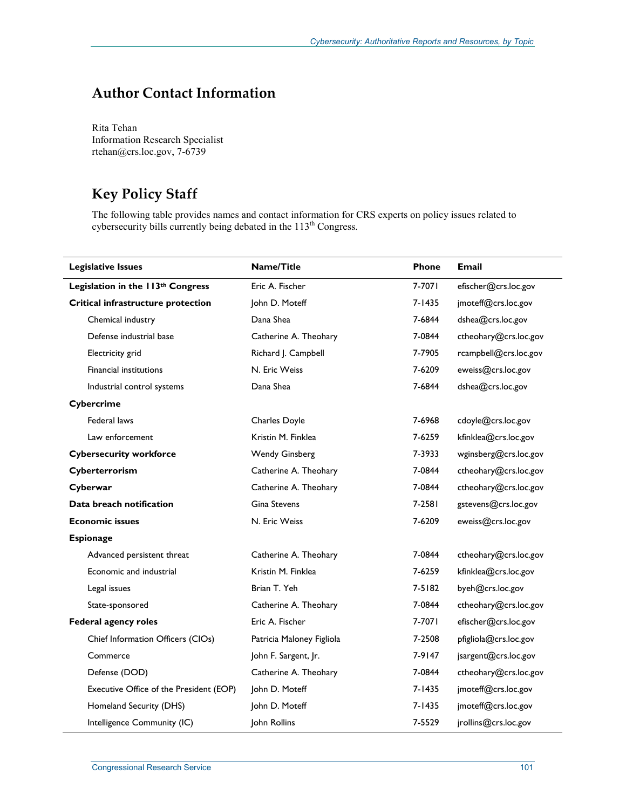# **Author Contact Information**

Rita Tehan Information Research Specialist rtehan@crs.loc.gov, 7-6739

# **Key Policy Staff**

The following table provides names and contact information for CRS experts on policy issues related to cybersecurity bills currently being debated in the 113<sup>th</sup> Congress.

| <b>Legislative Issues</b>               | Name/Title                | Phone      | <b>Email</b>          |
|-----------------------------------------|---------------------------|------------|-----------------------|
| Legislation in the 113th Congress       | Eric A. Fischer           | 7-7071     | efischer@crs.loc.gov  |
| Critical infrastructure protection      | John D. Moteff            | 7-1435     | jmoteff@crs.loc.gov   |
| Chemical industry                       | Dana Shea                 | 7-6844     | dshea@crs.loc.gov     |
| Defense industrial base                 | Catherine A. Theohary     | 7-0844     | ctheohary@crs.loc.gov |
| Electricity grid                        | Richard J. Campbell       | 7-7905     | rcampbell@crs.loc.gov |
| <b>Financial institutions</b>           | N. Eric Weiss             | 7-6209     | eweiss@crs.loc.gov    |
| Industrial control systems              | Dana Shea                 | 7-6844     | dshea@crs.loc.gov     |
| Cybercrime                              |                           |            |                       |
| Federal laws                            | Charles Doyle             | 7-6968     | cdoyle@crs.loc.gov    |
| Law enforcement                         | Kristin M. Finklea        | 7-6259     | kfinklea@crs.loc.gov  |
| <b>Cybersecurity workforce</b>          | <b>Wendy Ginsberg</b>     | 7-3933     | wginsberg@crs.loc.gov |
| Cyberterrorism                          | Catherine A. Theohary     | 7-0844     | ctheohary@crs.loc.gov |
| Cyberwar                                | Catherine A. Theohary     | 7-0844     | ctheohary@crs.loc.gov |
| Data breach notification                | <b>Gina Stevens</b>       | 7-2581     | gstevens@crs.loc.gov  |
| <b>Economic issues</b>                  | N. Eric Weiss             | 7-6209     | eweiss@crs.loc.gov    |
| <b>Espionage</b>                        |                           |            |                       |
| Advanced persistent threat              | Catherine A. Theohary     | 7-0844     | ctheohary@crs.loc.gov |
| Economic and industrial                 | Kristin M. Finklea        | 7-6259     | kfinklea@crs.loc.gov  |
| Legal issues                            | Brian T. Yeh              | $7 - 5182$ | byeh@crs.loc.gov      |
| State-sponsored                         | Catherine A. Theohary     | 7-0844     | ctheohary@crs.loc.gov |
| <b>Federal agency roles</b>             | Eric A. Fischer           | 7-7071     | efischer@crs.loc.gov  |
| Chief Information Officers (CIOs)       | Patricia Maloney Figliola | 7-2508     | pfigliola@crs.loc.gov |
| Commerce                                | John F. Sargent, Jr.      | 7-9147     | jsargent@crs.loc.gov  |
| Defense (DOD)                           | Catherine A. Theohary     | 7-0844     | ctheohary@crs.loc.gov |
| Executive Office of the President (EOP) | John D. Moteff            | $7 - 1435$ | jmoteff@crs.loc.gov   |
| Homeland Security (DHS)                 | John D. Moteff            | 7-1435     | jmoteff@crs.loc.gov   |
| Intelligence Community (IC)             | <b>Iohn Rollins</b>       | 7-5529     | jrollins@crs.loc.gov  |